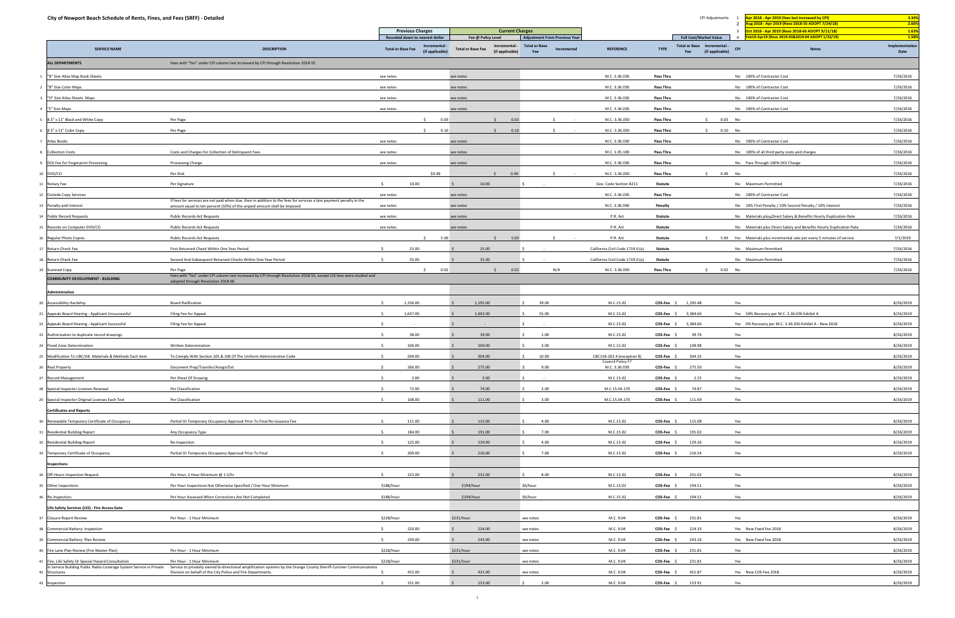| <b>Previous Charges</b><br><b>Current Charges</b><br>1.63%<br>ct 2018 - Apr 2019 (Reso 2018-66 ADOPT 9/11/18)<br><b>Adjustment From Previous Year</b><br><b>Full Cost/Market Value</b><br>1.58%<br>Rounded down to nearest dollar<br>Fee @ Policy Level<br>b19-Apr19 (Reso 2019-03&2019-04 ADOPT 1/22/19)<br>Implementation<br><b>Total or Base</b><br>Total or Base Incremental<br>Incremental<br>Incremental -<br><b>SERVICE NAME</b><br><b>DESCRIPTION</b><br><b>Total or Base Fee</b><br><b>Total or Base Fee</b><br>Incremental<br><b>REFERENCE</b><br><b>TYPE</b><br><b>CPI</b><br><b>Notes</b><br>(if applicable)<br>Fee<br>(if applicable)<br>Date<br>(if applicable)<br>Fee<br><b>ALL DEPARTMENTS</b><br>Fees with "Yes" under CPI column last increased by CPI through Resolution 2018-55<br>M.C. 3.36.030<br>No 100% of Contractor Cost<br>7/26/2016<br>"B" Size Atlas Map Book Sheets<br><b>Pass Thru</b><br>see notes<br>see notes<br>M.C. 3.36.030<br>7/26/2016<br><b>Pass Thru</b><br>No 100% of Contractor Cost<br>"B" Size Color Maps<br>see notes<br>see notes<br>M.C. 3.36.030<br>7/26/2016<br>"D" Size Atlas Sheets Maps<br>see notes<br>see notes<br>Pass Thru<br>No 100% of Contractor Cost<br>M.C. 3.36.030<br>Pass Thru<br>No 100% of Contractor Cost<br>7/26/2016<br>"E" Size Maps<br>see notes<br>see notes<br>Per Page<br>$\leq$<br>0.03<br>0.03<br>M.C. 3.36.030<br>S.<br>0.03 No<br>7/26/2016<br>8.5" x 11" Black and White Copy<br>$\mathsf{S}$<br>Pass Thru<br>$$ 0.10$ No<br>8.5" x 11" Color Copy<br>Per Page<br>$\sim$<br>0.10<br>\$ 0.10<br>M.C. 3.36.030<br>Pass Thru<br>7/26/2016<br>S.<br>$\sim$<br>7/26/2016<br>M.C. 3.36.030<br>No 100% of Contractor Cost<br>Atlas Books<br>Pass Thru<br>see notes<br>see notes<br>7/26/2016<br><b>Collection Costs</b><br>Costs and Charges for Collection of Delinquent Fees<br>see notes<br>M.C. 1.05.100<br>Pass Thru<br>No 100% of all third party costs and charges<br>see notes<br>M.C. 3.36.030<br>7/26/2016<br>DOJ Fee for Fingerprint Processing<br>Processing Charge<br>see notes<br>see notes<br>Pass Thru<br>No Pass Through 100% DOJ Charge<br>Per Disk<br>\$0.49<br>0.49<br>M.C. 3.36.030<br>$$0.49$ No<br>7/26/2016<br>DVD/CD<br>$\zeta$<br>$\zeta$<br>Pass Thru<br>10.00<br>10.00<br>7/26/2016<br>Per Signature<br>Gov. Code Section 8211<br>Statute<br>No Maximum Permitted<br>Notary Fee<br>7/26/2016<br>M.C. 3.36.030<br>Pass Thru<br>No 100% of Contractor Cost<br><b>Outside Copy Services</b><br>see notes<br>see notes<br>If fees for services are not paid when due, then in addition to the fees for services a late payment penalty in the<br>M.C. 3.36.040<br>7/26/2016<br>Penalty and Interest<br>see notes<br>Penalty<br>No 10% First Penalty / 10% Second Penalty / 10% Interest<br>amount equal to ten percent (10%) of the unpaid amount shall be imposed.<br>see notes<br>P.R. Act<br>Statute<br>No Materials plus-Direct Salary & Benefits Hourly Duplication Rate<br>7/26/2016<br>4 Public Record Requests<br>Public Records Act Requests<br>see notes<br>see notes<br>P.R. Act<br>7/26/2016<br>Records on Computer DVD/CD<br>Public Records Act Requests<br>see notes<br>see notes<br><b>Statute</b><br>No Materials plus Direct Salary and Benefits Hourly Duplication Rate<br>5.00<br>5.00<br>P.R. Act<br>5.69 Yes Materials plus incremental rate per every 5 minutes of service<br>7/1/2019<br>Regular Photo Copies<br>Public Records Act Requests<br>S.<br>$\sim$<br>Statute<br>-S<br>25.00<br>7/26/2016<br>Return Check Fee<br>First Returned Check Within One Year Period<br>25.00<br>California Civil Code 1719.0 (a)<br>Statute<br>No Maximum Permitted<br>35.00<br>35.00<br>7/26/2016<br>Return Check Fee<br>Second And Subsequent Returned Checks Within One Year Period<br>California Civil Code 1719.0 (a)<br><b>Statute</b><br>No Maximum Permitted<br>7/26/2016<br>0.02<br>Per Page<br>$\mathsf{S}$<br>0.02<br>N/A<br>\$ 0.02 No<br><b>Scanned Copy</b><br>S.<br>M.C. 3.36.030<br>Pass Thru<br>Fees with "Yes" under CPI column last increased by CPI through Resolution 2018-55, except LSS fees were studied and<br><b>COMMUNITY DEVELOPMENT - BUILDING</b><br>adopted through Resolution 2018-66<br>Administration<br>1,156.00<br>M.C.15.02<br>1,195.48<br>8/26/2019<br><b>Board Ratification</b><br>1,195.00<br>39.00<br>$COS-Fee$ \$<br>Yes<br><b>Accessibility Hardship</b><br>-S<br>1,637.00<br>1,692.00<br>Appeals Board Hearing - Applicant Unsuccessful<br>Filing Fee for Appeal<br>55.00<br>M.C.15.02<br>COS-Fee \$<br>3,384.66<br>Yes 50% Recovery per M.C. 3.36.030 Exhibit A<br>8/26/2019<br>M.C.15.02<br>3,384.66<br>Yes 0% Recovery per M.C. 3.36.030 Exhibit A - New 2018<br>8/26/2019<br>22 Appeals Board Hearing - Applicant Successful<br>Filing Fee for Appeal<br>COS-Fee \$<br>$\sim$ $ \sim$<br>38.00<br>39.00<br>1.00<br>M.C.15.02<br><b>COS-Fee</b><br>39.76<br>8/26/2019<br>3 Authorization to duplicate record drawings<br>Yes<br>106.00<br>M.C.15.02<br>109.98<br>8/26/2019<br>109.00<br>3.00<br>COS-Fee \$<br>Yes<br>Flood Zone Determination<br><b>Written Determination</b><br>294.00<br>8/26/2019<br>Modification To UBC/Alt. Materials & Methods Each Item<br>To Comply With Section 105 & 106 Of The Uniform Administrative Code<br>304.00<br>10.00<br>CBC11B-202.4 (exception 8)<br><b>COS-Fee</b><br>304.35<br>Yes<br>Council Policy F7<br>266.00<br>Document Prep/Transfer/Assign/Ext<br>275.00<br>9.00<br>M.C. 3.36.030<br>275.50<br>8/26/2019<br><b>Real Property</b><br>$COS-Fee$ \$<br>Yes<br>Per Sheet Of Drawing<br>2.00<br>2.00<br>M.C.15.02<br>2.25<br>Yes<br>8/26/2019<br>27 Record Management<br>COS-Fee \$<br>-S<br>$\sim$<br>72.00<br>8/26/2019<br>28 Special Inspector Licenses Renewal<br>Per Classification<br>74.00<br>2.00<br>M.C.15.04.170<br><b>COS-Fee</b><br>74.87<br>Yes<br>$\ddot{\phantom{1}}$<br>108.00<br>8/26/2019<br>Special Inspector Original Licenses Each Test<br>Per Classification<br>111.00<br>3.00<br>M.C.15.04.170<br>111.69<br>Yes<br>$COS-Fee$ \$<br><b>Certificates and Reports</b><br>Partial Or Temporary Occupancy Approval Prior To Final Re-issuance Fee<br>111.00<br>115.00<br>4.00<br>M.C.15.02<br>COS-Fee \$<br>115.08<br>Yes<br>8/26/2019<br>0 Renewable Temporary Certificate of Occupancy<br>$\leq$<br>184.00<br>191.00<br>7.00<br>M.C.15.02<br>191.02<br>Yes<br>8/26/2019<br>1 Residential Building Report<br>Any Occupancy Type<br>COS-Fee \$<br>8/26/2019<br>32 Residential Building Report<br>125.00<br>129.00<br>4.00<br>M.C.15.02<br>COS-Fee \$<br>129.26<br>Yes<br>Re-Inspection<br>209.00<br>8/26/2019<br>33 Temporary Certificate of Occupancy<br>Partial Or Temporary Occupancy Approval Prior To Final<br>216.00<br>7.00<br>M.C.15.02<br>216.54<br>$COS-Fee$ \$<br>Yes<br>Inspections<br>223.00<br>231.00<br>8.00<br>231.02<br>8/26/2019<br>Off-Hours Inspection Request<br>Per Hour, 2 Hour Minimum @ 1.5/hr<br>$\leq$<br>M.C.15.02<br>COS-Fee \$<br>Yes<br>\$188/hour<br>Per Hour Inspections Not Otherwise Specified / One Hour Minimum<br>\$194/hour<br>\$6/hour<br>194.51<br>Yes<br>8/26/2019<br>M.C.15.02<br>COS-Fee \$<br>5 Other Inspections<br>\$188/hour<br>8/26/2019<br>\$194/hour<br>\$6/hour<br>M.C.15.02<br>194.51<br>Yes<br>Per Hour Assessed When Corrections Are Not Completed<br>COS-Fee \$<br>Re-Inspection<br>Life Safety Services (LSS) - Fire Access Gate<br>\$228/hour<br>\$231/hour<br>M.C. 9.04<br>8/26/2019<br>Closure Report Review<br>Per Hour - 1 Hour Minimum<br>COS-Fee \$<br>231.81<br>Yes<br>see notes<br>Commercial Battery: Inspection<br>220.00<br>224.00<br>M.C. 9.04<br>COS-Fee<br>224.33<br>Yes New Fixed Fee 2018<br>8/26/2019<br>$\leq$<br>see notes<br>239.00<br>243.00<br>M.C. 9.04<br>243.16<br>Yes New Fixed Fee 2018<br>8/26/2019<br>Commercial Battery: Plan Review<br>S.<br>COS-Fee \$<br>see notes<br>Fire Lane Plan Review (Fire Master Plan)<br>\$228/hour<br>\$231/hour<br>231.81<br>8/26/2019<br>Per Hour - 1 Hour Minimum<br>M.C. 9.04<br>COS-Fee \$<br>Yes<br>see notes<br>Fire, Life Safety Or Special Hazard Consultation<br>\$228/hour<br>\$231/hour<br>231.81<br>8/26/2019<br>Per Hour - 1 Hour Minimum<br>see notes<br>M.C. 9.04<br>COS-Fee \$<br>Yes<br>In Service Building Public Radio Coverage System Service in Private<br>Service to privately owned bi-directional amplification systems by the Orange County Sheriff-Coroner Communications<br>Division on behalf of the City Police and Fire Departments.<br>415.00<br>421.00<br>M.C. 9.04<br>COS-Fee \$<br>421.87<br>Yes New COS-Fee 2018<br>8/26/2019<br>see notes<br>Structures<br>151.00<br>153.00<br>2.00<br>M.C. 9.04<br>COS-Fee \$<br>153.91<br>8/26/2019<br>Yes<br>43 Inspection | City of Newport Beach Schedule of Rents, Fines, and Fees (SRFF) - Detailed |  |  |  |  | CPI Adjustments | pr 2018 - Apr 2019 (fees last increased by CPI) | 3.34% |
|-----------------------------------------------------------------------------------------------------------------------------------------------------------------------------------------------------------------------------------------------------------------------------------------------------------------------------------------------------------------------------------------------------------------------------------------------------------------------------------------------------------------------------------------------------------------------------------------------------------------------------------------------------------------------------------------------------------------------------------------------------------------------------------------------------------------------------------------------------------------------------------------------------------------------------------------------------------------------------------------------------------------------------------------------------------------------------------------------------------------------------------------------------------------------------------------------------------------------------------------------------------------------------------------------------------------------------------------------------------------------------------------------------------------------------------------------------------------------------------------------------------------------------------------------------------------------------------------------------------------------------------------------------------------------------------------------------------------------------------------------------------------------------------------------------------------------------------------------------------------------------------------------------------------------------------------------------------------------------------------------------------------------------------------------------------------------------------------------------------------------------------------------------------------------------------------------------------------------------------------------------------------------------------------------------------------------------------------------------------------------------------------------------------------------------------------------------------------------------------------------------------------------------------------------------------------------------------------------------------------------------------------------------------------------------------------------------------------------------------------------------------------------------------------------------------------------------------------------------------------------------------------------------------------------------------------------------------------------------------------------------------------------------------------------------------------------------------------------------------------------------------------------------------------------------------------------------------------------------------------------------------------------------------------------------------------------------------------------------------------------------------------------------------------------------------------------------------------------------------------------------------------------------------------------------------------------------------------------------------------------------------------------------------------------------------------------------------------------------------------------------------------------------------------------------------------------------------------------------------------------------------------------------------------------------------------------------------------------------------------------------------------------------------------------------------------------------------------------------------------------------------------------------------------------------------------------------------------------------------------------------------------------------------------------------------------------------------------------------------------------------------------------------------------------------------------------------------------------------------------------------------------------------------------------------------------------------------------------------------------------------------------------------------------------------------------------------------------------------------------------------------------------------------------------------------------------------------------------------------------------------------------------------------------------------------------------------------------------------------------------------------------------------------------------------------------------------------------------------------------------------------------------------------------------------------------------------------------------------------------------------------------------------------------------------------------------------------------------------------------------------------------------------------------------------------------------------------------------------------------------------------------------------------------------------------------------------------------------------------------------------------------------------------------------------------------------------------------------------------------------------------------------------------------------------------------------------------------------------------------------------------------------------------------------------------------------------------------------------------------------------------------------------------------------------------------------------------------------------------------------------------------------------------------------------------------------------------------------------------------------------------------------------------------------------------------------------------------------------------------------------------------------------------------------------------------------------------------------------------------------------------------------------------------------------------------------------------------------------------------------------------------------------------------------------------------------------------------------------------------------------------------------------------------------------------------------------------------------------------------------------------------------------------------------------------------------------------------------------------------------------------------------------------------------------------------------------------------------------------------------------------------------------------------------------------------------------------------------------------------------------------------------------------------------------------------------------------------------------------------------------------------------------------------------------------------------------------------------------------------------------------------------------------------------------------------------------------------------------------------------------------------------------------------------------------------------------------------------------------------------------------------------------------------------------------------------------------------------------------------------------------------------------------------------------------------------------------------------------------------------------------------------------------------------------------------------------------------------------------------------------------------------------------------------------------------------------------------------------------------------------------------------------------------------------------------------------------------------------------------------------------------------------------------------------------------------------------------------------------------------------------------------------------------------------------------------------------------------------------------------------------------------------------------------------------------------------------------------------------------------|----------------------------------------------------------------------------|--|--|--|--|-----------------|-------------------------------------------------|-------|
|                                                                                                                                                                                                                                                                                                                                                                                                                                                                                                                                                                                                                                                                                                                                                                                                                                                                                                                                                                                                                                                                                                                                                                                                                                                                                                                                                                                                                                                                                                                                                                                                                                                                                                                                                                                                                                                                                                                                                                                                                                                                                                                                                                                                                                                                                                                                                                                                                                                                                                                                                                                                                                                                                                                                                                                                                                                                                                                                                                                                                                                                                                                                                                                                                                                                                                                                                                                                                                                                                                                                                                                                                                                                                                                                                                                                                                                                                                                                                                                                                                                                                                                                                                                                                                                                                                                                                                                                                                                                                                                                                                                                                                                                                                                                                                                                                                                                                                                                                                                                                                                                                                                                                                                                                                                                                                                                                                                                                                                                                                                                                                                                                                                                                                                                                                                                                                                                                                                                                                                                                                                                                                                                                                                                                                                                                                                                                                                                                                                                                                                                                                                                                                                                                                                                                                                                                                                                                                                                                                                                                                                                                                                                                                                                                                                                                                                                                                                                                                                                                                                                                                                                                                                                                                                                                                                                                                                                                                                                                                                                                                                                                                                                                                                                                                                                                                                                                                                                                                                                                                                                                                                                                                                                                                                                               |                                                                            |  |  |  |  |                 | ug 2018 - Apr 2019 (Reso 2018-55 ADOPT 7/24/18) | 2.66% |
|                                                                                                                                                                                                                                                                                                                                                                                                                                                                                                                                                                                                                                                                                                                                                                                                                                                                                                                                                                                                                                                                                                                                                                                                                                                                                                                                                                                                                                                                                                                                                                                                                                                                                                                                                                                                                                                                                                                                                                                                                                                                                                                                                                                                                                                                                                                                                                                                                                                                                                                                                                                                                                                                                                                                                                                                                                                                                                                                                                                                                                                                                                                                                                                                                                                                                                                                                                                                                                                                                                                                                                                                                                                                                                                                                                                                                                                                                                                                                                                                                                                                                                                                                                                                                                                                                                                                                                                                                                                                                                                                                                                                                                                                                                                                                                                                                                                                                                                                                                                                                                                                                                                                                                                                                                                                                                                                                                                                                                                                                                                                                                                                                                                                                                                                                                                                                                                                                                                                                                                                                                                                                                                                                                                                                                                                                                                                                                                                                                                                                                                                                                                                                                                                                                                                                                                                                                                                                                                                                                                                                                                                                                                                                                                                                                                                                                                                                                                                                                                                                                                                                                                                                                                                                                                                                                                                                                                                                                                                                                                                                                                                                                                                                                                                                                                                                                                                                                                                                                                                                                                                                                                                                                                                                                                                               |                                                                            |  |  |  |  |                 |                                                 |       |
|                                                                                                                                                                                                                                                                                                                                                                                                                                                                                                                                                                                                                                                                                                                                                                                                                                                                                                                                                                                                                                                                                                                                                                                                                                                                                                                                                                                                                                                                                                                                                                                                                                                                                                                                                                                                                                                                                                                                                                                                                                                                                                                                                                                                                                                                                                                                                                                                                                                                                                                                                                                                                                                                                                                                                                                                                                                                                                                                                                                                                                                                                                                                                                                                                                                                                                                                                                                                                                                                                                                                                                                                                                                                                                                                                                                                                                                                                                                                                                                                                                                                                                                                                                                                                                                                                                                                                                                                                                                                                                                                                                                                                                                                                                                                                                                                                                                                                                                                                                                                                                                                                                                                                                                                                                                                                                                                                                                                                                                                                                                                                                                                                                                                                                                                                                                                                                                                                                                                                                                                                                                                                                                                                                                                                                                                                                                                                                                                                                                                                                                                                                                                                                                                                                                                                                                                                                                                                                                                                                                                                                                                                                                                                                                                                                                                                                                                                                                                                                                                                                                                                                                                                                                                                                                                                                                                                                                                                                                                                                                                                                                                                                                                                                                                                                                                                                                                                                                                                                                                                                                                                                                                                                                                                                                                               |                                                                            |  |  |  |  |                 |                                                 |       |
|                                                                                                                                                                                                                                                                                                                                                                                                                                                                                                                                                                                                                                                                                                                                                                                                                                                                                                                                                                                                                                                                                                                                                                                                                                                                                                                                                                                                                                                                                                                                                                                                                                                                                                                                                                                                                                                                                                                                                                                                                                                                                                                                                                                                                                                                                                                                                                                                                                                                                                                                                                                                                                                                                                                                                                                                                                                                                                                                                                                                                                                                                                                                                                                                                                                                                                                                                                                                                                                                                                                                                                                                                                                                                                                                                                                                                                                                                                                                                                                                                                                                                                                                                                                                                                                                                                                                                                                                                                                                                                                                                                                                                                                                                                                                                                                                                                                                                                                                                                                                                                                                                                                                                                                                                                                                                                                                                                                                                                                                                                                                                                                                                                                                                                                                                                                                                                                                                                                                                                                                                                                                                                                                                                                                                                                                                                                                                                                                                                                                                                                                                                                                                                                                                                                                                                                                                                                                                                                                                                                                                                                                                                                                                                                                                                                                                                                                                                                                                                                                                                                                                                                                                                                                                                                                                                                                                                                                                                                                                                                                                                                                                                                                                                                                                                                                                                                                                                                                                                                                                                                                                                                                                                                                                                                                               |                                                                            |  |  |  |  |                 |                                                 |       |
|                                                                                                                                                                                                                                                                                                                                                                                                                                                                                                                                                                                                                                                                                                                                                                                                                                                                                                                                                                                                                                                                                                                                                                                                                                                                                                                                                                                                                                                                                                                                                                                                                                                                                                                                                                                                                                                                                                                                                                                                                                                                                                                                                                                                                                                                                                                                                                                                                                                                                                                                                                                                                                                                                                                                                                                                                                                                                                                                                                                                                                                                                                                                                                                                                                                                                                                                                                                                                                                                                                                                                                                                                                                                                                                                                                                                                                                                                                                                                                                                                                                                                                                                                                                                                                                                                                                                                                                                                                                                                                                                                                                                                                                                                                                                                                                                                                                                                                                                                                                                                                                                                                                                                                                                                                                                                                                                                                                                                                                                                                                                                                                                                                                                                                                                                                                                                                                                                                                                                                                                                                                                                                                                                                                                                                                                                                                                                                                                                                                                                                                                                                                                                                                                                                                                                                                                                                                                                                                                                                                                                                                                                                                                                                                                                                                                                                                                                                                                                                                                                                                                                                                                                                                                                                                                                                                                                                                                                                                                                                                                                                                                                                                                                                                                                                                                                                                                                                                                                                                                                                                                                                                                                                                                                                                                               |                                                                            |  |  |  |  |                 |                                                 |       |
|                                                                                                                                                                                                                                                                                                                                                                                                                                                                                                                                                                                                                                                                                                                                                                                                                                                                                                                                                                                                                                                                                                                                                                                                                                                                                                                                                                                                                                                                                                                                                                                                                                                                                                                                                                                                                                                                                                                                                                                                                                                                                                                                                                                                                                                                                                                                                                                                                                                                                                                                                                                                                                                                                                                                                                                                                                                                                                                                                                                                                                                                                                                                                                                                                                                                                                                                                                                                                                                                                                                                                                                                                                                                                                                                                                                                                                                                                                                                                                                                                                                                                                                                                                                                                                                                                                                                                                                                                                                                                                                                                                                                                                                                                                                                                                                                                                                                                                                                                                                                                                                                                                                                                                                                                                                                                                                                                                                                                                                                                                                                                                                                                                                                                                                                                                                                                                                                                                                                                                                                                                                                                                                                                                                                                                                                                                                                                                                                                                                                                                                                                                                                                                                                                                                                                                                                                                                                                                                                                                                                                                                                                                                                                                                                                                                                                                                                                                                                                                                                                                                                                                                                                                                                                                                                                                                                                                                                                                                                                                                                                                                                                                                                                                                                                                                                                                                                                                                                                                                                                                                                                                                                                                                                                                                                               |                                                                            |  |  |  |  |                 |                                                 |       |
|                                                                                                                                                                                                                                                                                                                                                                                                                                                                                                                                                                                                                                                                                                                                                                                                                                                                                                                                                                                                                                                                                                                                                                                                                                                                                                                                                                                                                                                                                                                                                                                                                                                                                                                                                                                                                                                                                                                                                                                                                                                                                                                                                                                                                                                                                                                                                                                                                                                                                                                                                                                                                                                                                                                                                                                                                                                                                                                                                                                                                                                                                                                                                                                                                                                                                                                                                                                                                                                                                                                                                                                                                                                                                                                                                                                                                                                                                                                                                                                                                                                                                                                                                                                                                                                                                                                                                                                                                                                                                                                                                                                                                                                                                                                                                                                                                                                                                                                                                                                                                                                                                                                                                                                                                                                                                                                                                                                                                                                                                                                                                                                                                                                                                                                                                                                                                                                                                                                                                                                                                                                                                                                                                                                                                                                                                                                                                                                                                                                                                                                                                                                                                                                                                                                                                                                                                                                                                                                                                                                                                                                                                                                                                                                                                                                                                                                                                                                                                                                                                                                                                                                                                                                                                                                                                                                                                                                                                                                                                                                                                                                                                                                                                                                                                                                                                                                                                                                                                                                                                                                                                                                                                                                                                                                                               |                                                                            |  |  |  |  |                 |                                                 |       |
|                                                                                                                                                                                                                                                                                                                                                                                                                                                                                                                                                                                                                                                                                                                                                                                                                                                                                                                                                                                                                                                                                                                                                                                                                                                                                                                                                                                                                                                                                                                                                                                                                                                                                                                                                                                                                                                                                                                                                                                                                                                                                                                                                                                                                                                                                                                                                                                                                                                                                                                                                                                                                                                                                                                                                                                                                                                                                                                                                                                                                                                                                                                                                                                                                                                                                                                                                                                                                                                                                                                                                                                                                                                                                                                                                                                                                                                                                                                                                                                                                                                                                                                                                                                                                                                                                                                                                                                                                                                                                                                                                                                                                                                                                                                                                                                                                                                                                                                                                                                                                                                                                                                                                                                                                                                                                                                                                                                                                                                                                                                                                                                                                                                                                                                                                                                                                                                                                                                                                                                                                                                                                                                                                                                                                                                                                                                                                                                                                                                                                                                                                                                                                                                                                                                                                                                                                                                                                                                                                                                                                                                                                                                                                                                                                                                                                                                                                                                                                                                                                                                                                                                                                                                                                                                                                                                                                                                                                                                                                                                                                                                                                                                                                                                                                                                                                                                                                                                                                                                                                                                                                                                                                                                                                                                                               |                                                                            |  |  |  |  |                 |                                                 |       |
|                                                                                                                                                                                                                                                                                                                                                                                                                                                                                                                                                                                                                                                                                                                                                                                                                                                                                                                                                                                                                                                                                                                                                                                                                                                                                                                                                                                                                                                                                                                                                                                                                                                                                                                                                                                                                                                                                                                                                                                                                                                                                                                                                                                                                                                                                                                                                                                                                                                                                                                                                                                                                                                                                                                                                                                                                                                                                                                                                                                                                                                                                                                                                                                                                                                                                                                                                                                                                                                                                                                                                                                                                                                                                                                                                                                                                                                                                                                                                                                                                                                                                                                                                                                                                                                                                                                                                                                                                                                                                                                                                                                                                                                                                                                                                                                                                                                                                                                                                                                                                                                                                                                                                                                                                                                                                                                                                                                                                                                                                                                                                                                                                                                                                                                                                                                                                                                                                                                                                                                                                                                                                                                                                                                                                                                                                                                                                                                                                                                                                                                                                                                                                                                                                                                                                                                                                                                                                                                                                                                                                                                                                                                                                                                                                                                                                                                                                                                                                                                                                                                                                                                                                                                                                                                                                                                                                                                                                                                                                                                                                                                                                                                                                                                                                                                                                                                                                                                                                                                                                                                                                                                                                                                                                                                                               |                                                                            |  |  |  |  |                 |                                                 |       |
|                                                                                                                                                                                                                                                                                                                                                                                                                                                                                                                                                                                                                                                                                                                                                                                                                                                                                                                                                                                                                                                                                                                                                                                                                                                                                                                                                                                                                                                                                                                                                                                                                                                                                                                                                                                                                                                                                                                                                                                                                                                                                                                                                                                                                                                                                                                                                                                                                                                                                                                                                                                                                                                                                                                                                                                                                                                                                                                                                                                                                                                                                                                                                                                                                                                                                                                                                                                                                                                                                                                                                                                                                                                                                                                                                                                                                                                                                                                                                                                                                                                                                                                                                                                                                                                                                                                                                                                                                                                                                                                                                                                                                                                                                                                                                                                                                                                                                                                                                                                                                                                                                                                                                                                                                                                                                                                                                                                                                                                                                                                                                                                                                                                                                                                                                                                                                                                                                                                                                                                                                                                                                                                                                                                                                                                                                                                                                                                                                                                                                                                                                                                                                                                                                                                                                                                                                                                                                                                                                                                                                                                                                                                                                                                                                                                                                                                                                                                                                                                                                                                                                                                                                                                                                                                                                                                                                                                                                                                                                                                                                                                                                                                                                                                                                                                                                                                                                                                                                                                                                                                                                                                                                                                                                                                                               |                                                                            |  |  |  |  |                 |                                                 |       |
|                                                                                                                                                                                                                                                                                                                                                                                                                                                                                                                                                                                                                                                                                                                                                                                                                                                                                                                                                                                                                                                                                                                                                                                                                                                                                                                                                                                                                                                                                                                                                                                                                                                                                                                                                                                                                                                                                                                                                                                                                                                                                                                                                                                                                                                                                                                                                                                                                                                                                                                                                                                                                                                                                                                                                                                                                                                                                                                                                                                                                                                                                                                                                                                                                                                                                                                                                                                                                                                                                                                                                                                                                                                                                                                                                                                                                                                                                                                                                                                                                                                                                                                                                                                                                                                                                                                                                                                                                                                                                                                                                                                                                                                                                                                                                                                                                                                                                                                                                                                                                                                                                                                                                                                                                                                                                                                                                                                                                                                                                                                                                                                                                                                                                                                                                                                                                                                                                                                                                                                                                                                                                                                                                                                                                                                                                                                                                                                                                                                                                                                                                                                                                                                                                                                                                                                                                                                                                                                                                                                                                                                                                                                                                                                                                                                                                                                                                                                                                                                                                                                                                                                                                                                                                                                                                                                                                                                                                                                                                                                                                                                                                                                                                                                                                                                                                                                                                                                                                                                                                                                                                                                                                                                                                                                                               |                                                                            |  |  |  |  |                 |                                                 |       |
|                                                                                                                                                                                                                                                                                                                                                                                                                                                                                                                                                                                                                                                                                                                                                                                                                                                                                                                                                                                                                                                                                                                                                                                                                                                                                                                                                                                                                                                                                                                                                                                                                                                                                                                                                                                                                                                                                                                                                                                                                                                                                                                                                                                                                                                                                                                                                                                                                                                                                                                                                                                                                                                                                                                                                                                                                                                                                                                                                                                                                                                                                                                                                                                                                                                                                                                                                                                                                                                                                                                                                                                                                                                                                                                                                                                                                                                                                                                                                                                                                                                                                                                                                                                                                                                                                                                                                                                                                                                                                                                                                                                                                                                                                                                                                                                                                                                                                                                                                                                                                                                                                                                                                                                                                                                                                                                                                                                                                                                                                                                                                                                                                                                                                                                                                                                                                                                                                                                                                                                                                                                                                                                                                                                                                                                                                                                                                                                                                                                                                                                                                                                                                                                                                                                                                                                                                                                                                                                                                                                                                                                                                                                                                                                                                                                                                                                                                                                                                                                                                                                                                                                                                                                                                                                                                                                                                                                                                                                                                                                                                                                                                                                                                                                                                                                                                                                                                                                                                                                                                                                                                                                                                                                                                                                                               |                                                                            |  |  |  |  |                 |                                                 |       |
|                                                                                                                                                                                                                                                                                                                                                                                                                                                                                                                                                                                                                                                                                                                                                                                                                                                                                                                                                                                                                                                                                                                                                                                                                                                                                                                                                                                                                                                                                                                                                                                                                                                                                                                                                                                                                                                                                                                                                                                                                                                                                                                                                                                                                                                                                                                                                                                                                                                                                                                                                                                                                                                                                                                                                                                                                                                                                                                                                                                                                                                                                                                                                                                                                                                                                                                                                                                                                                                                                                                                                                                                                                                                                                                                                                                                                                                                                                                                                                                                                                                                                                                                                                                                                                                                                                                                                                                                                                                                                                                                                                                                                                                                                                                                                                                                                                                                                                                                                                                                                                                                                                                                                                                                                                                                                                                                                                                                                                                                                                                                                                                                                                                                                                                                                                                                                                                                                                                                                                                                                                                                                                                                                                                                                                                                                                                                                                                                                                                                                                                                                                                                                                                                                                                                                                                                                                                                                                                                                                                                                                                                                                                                                                                                                                                                                                                                                                                                                                                                                                                                                                                                                                                                                                                                                                                                                                                                                                                                                                                                                                                                                                                                                                                                                                                                                                                                                                                                                                                                                                                                                                                                                                                                                                                                               |                                                                            |  |  |  |  |                 |                                                 |       |
|                                                                                                                                                                                                                                                                                                                                                                                                                                                                                                                                                                                                                                                                                                                                                                                                                                                                                                                                                                                                                                                                                                                                                                                                                                                                                                                                                                                                                                                                                                                                                                                                                                                                                                                                                                                                                                                                                                                                                                                                                                                                                                                                                                                                                                                                                                                                                                                                                                                                                                                                                                                                                                                                                                                                                                                                                                                                                                                                                                                                                                                                                                                                                                                                                                                                                                                                                                                                                                                                                                                                                                                                                                                                                                                                                                                                                                                                                                                                                                                                                                                                                                                                                                                                                                                                                                                                                                                                                                                                                                                                                                                                                                                                                                                                                                                                                                                                                                                                                                                                                                                                                                                                                                                                                                                                                                                                                                                                                                                                                                                                                                                                                                                                                                                                                                                                                                                                                                                                                                                                                                                                                                                                                                                                                                                                                                                                                                                                                                                                                                                                                                                                                                                                                                                                                                                                                                                                                                                                                                                                                                                                                                                                                                                                                                                                                                                                                                                                                                                                                                                                                                                                                                                                                                                                                                                                                                                                                                                                                                                                                                                                                                                                                                                                                                                                                                                                                                                                                                                                                                                                                                                                                                                                                                                                               |                                                                            |  |  |  |  |                 |                                                 |       |
|                                                                                                                                                                                                                                                                                                                                                                                                                                                                                                                                                                                                                                                                                                                                                                                                                                                                                                                                                                                                                                                                                                                                                                                                                                                                                                                                                                                                                                                                                                                                                                                                                                                                                                                                                                                                                                                                                                                                                                                                                                                                                                                                                                                                                                                                                                                                                                                                                                                                                                                                                                                                                                                                                                                                                                                                                                                                                                                                                                                                                                                                                                                                                                                                                                                                                                                                                                                                                                                                                                                                                                                                                                                                                                                                                                                                                                                                                                                                                                                                                                                                                                                                                                                                                                                                                                                                                                                                                                                                                                                                                                                                                                                                                                                                                                                                                                                                                                                                                                                                                                                                                                                                                                                                                                                                                                                                                                                                                                                                                                                                                                                                                                                                                                                                                                                                                                                                                                                                                                                                                                                                                                                                                                                                                                                                                                                                                                                                                                                                                                                                                                                                                                                                                                                                                                                                                                                                                                                                                                                                                                                                                                                                                                                                                                                                                                                                                                                                                                                                                                                                                                                                                                                                                                                                                                                                                                                                                                                                                                                                                                                                                                                                                                                                                                                                                                                                                                                                                                                                                                                                                                                                                                                                                                                                               |                                                                            |  |  |  |  |                 |                                                 |       |
|                                                                                                                                                                                                                                                                                                                                                                                                                                                                                                                                                                                                                                                                                                                                                                                                                                                                                                                                                                                                                                                                                                                                                                                                                                                                                                                                                                                                                                                                                                                                                                                                                                                                                                                                                                                                                                                                                                                                                                                                                                                                                                                                                                                                                                                                                                                                                                                                                                                                                                                                                                                                                                                                                                                                                                                                                                                                                                                                                                                                                                                                                                                                                                                                                                                                                                                                                                                                                                                                                                                                                                                                                                                                                                                                                                                                                                                                                                                                                                                                                                                                                                                                                                                                                                                                                                                                                                                                                                                                                                                                                                                                                                                                                                                                                                                                                                                                                                                                                                                                                                                                                                                                                                                                                                                                                                                                                                                                                                                                                                                                                                                                                                                                                                                                                                                                                                                                                                                                                                                                                                                                                                                                                                                                                                                                                                                                                                                                                                                                                                                                                                                                                                                                                                                                                                                                                                                                                                                                                                                                                                                                                                                                                                                                                                                                                                                                                                                                                                                                                                                                                                                                                                                                                                                                                                                                                                                                                                                                                                                                                                                                                                                                                                                                                                                                                                                                                                                                                                                                                                                                                                                                                                                                                                                                               |                                                                            |  |  |  |  |                 |                                                 |       |
|                                                                                                                                                                                                                                                                                                                                                                                                                                                                                                                                                                                                                                                                                                                                                                                                                                                                                                                                                                                                                                                                                                                                                                                                                                                                                                                                                                                                                                                                                                                                                                                                                                                                                                                                                                                                                                                                                                                                                                                                                                                                                                                                                                                                                                                                                                                                                                                                                                                                                                                                                                                                                                                                                                                                                                                                                                                                                                                                                                                                                                                                                                                                                                                                                                                                                                                                                                                                                                                                                                                                                                                                                                                                                                                                                                                                                                                                                                                                                                                                                                                                                                                                                                                                                                                                                                                                                                                                                                                                                                                                                                                                                                                                                                                                                                                                                                                                                                                                                                                                                                                                                                                                                                                                                                                                                                                                                                                                                                                                                                                                                                                                                                                                                                                                                                                                                                                                                                                                                                                                                                                                                                                                                                                                                                                                                                                                                                                                                                                                                                                                                                                                                                                                                                                                                                                                                                                                                                                                                                                                                                                                                                                                                                                                                                                                                                                                                                                                                                                                                                                                                                                                                                                                                                                                                                                                                                                                                                                                                                                                                                                                                                                                                                                                                                                                                                                                                                                                                                                                                                                                                                                                                                                                                                                                               |                                                                            |  |  |  |  |                 |                                                 |       |
|                                                                                                                                                                                                                                                                                                                                                                                                                                                                                                                                                                                                                                                                                                                                                                                                                                                                                                                                                                                                                                                                                                                                                                                                                                                                                                                                                                                                                                                                                                                                                                                                                                                                                                                                                                                                                                                                                                                                                                                                                                                                                                                                                                                                                                                                                                                                                                                                                                                                                                                                                                                                                                                                                                                                                                                                                                                                                                                                                                                                                                                                                                                                                                                                                                                                                                                                                                                                                                                                                                                                                                                                                                                                                                                                                                                                                                                                                                                                                                                                                                                                                                                                                                                                                                                                                                                                                                                                                                                                                                                                                                                                                                                                                                                                                                                                                                                                                                                                                                                                                                                                                                                                                                                                                                                                                                                                                                                                                                                                                                                                                                                                                                                                                                                                                                                                                                                                                                                                                                                                                                                                                                                                                                                                                                                                                                                                                                                                                                                                                                                                                                                                                                                                                                                                                                                                                                                                                                                                                                                                                                                                                                                                                                                                                                                                                                                                                                                                                                                                                                                                                                                                                                                                                                                                                                                                                                                                                                                                                                                                                                                                                                                                                                                                                                                                                                                                                                                                                                                                                                                                                                                                                                                                                                                                               |                                                                            |  |  |  |  |                 |                                                 |       |
|                                                                                                                                                                                                                                                                                                                                                                                                                                                                                                                                                                                                                                                                                                                                                                                                                                                                                                                                                                                                                                                                                                                                                                                                                                                                                                                                                                                                                                                                                                                                                                                                                                                                                                                                                                                                                                                                                                                                                                                                                                                                                                                                                                                                                                                                                                                                                                                                                                                                                                                                                                                                                                                                                                                                                                                                                                                                                                                                                                                                                                                                                                                                                                                                                                                                                                                                                                                                                                                                                                                                                                                                                                                                                                                                                                                                                                                                                                                                                                                                                                                                                                                                                                                                                                                                                                                                                                                                                                                                                                                                                                                                                                                                                                                                                                                                                                                                                                                                                                                                                                                                                                                                                                                                                                                                                                                                                                                                                                                                                                                                                                                                                                                                                                                                                                                                                                                                                                                                                                                                                                                                                                                                                                                                                                                                                                                                                                                                                                                                                                                                                                                                                                                                                                                                                                                                                                                                                                                                                                                                                                                                                                                                                                                                                                                                                                                                                                                                                                                                                                                                                                                                                                                                                                                                                                                                                                                                                                                                                                                                                                                                                                                                                                                                                                                                                                                                                                                                                                                                                                                                                                                                                                                                                                                                               |                                                                            |  |  |  |  |                 |                                                 |       |
|                                                                                                                                                                                                                                                                                                                                                                                                                                                                                                                                                                                                                                                                                                                                                                                                                                                                                                                                                                                                                                                                                                                                                                                                                                                                                                                                                                                                                                                                                                                                                                                                                                                                                                                                                                                                                                                                                                                                                                                                                                                                                                                                                                                                                                                                                                                                                                                                                                                                                                                                                                                                                                                                                                                                                                                                                                                                                                                                                                                                                                                                                                                                                                                                                                                                                                                                                                                                                                                                                                                                                                                                                                                                                                                                                                                                                                                                                                                                                                                                                                                                                                                                                                                                                                                                                                                                                                                                                                                                                                                                                                                                                                                                                                                                                                                                                                                                                                                                                                                                                                                                                                                                                                                                                                                                                                                                                                                                                                                                                                                                                                                                                                                                                                                                                                                                                                                                                                                                                                                                                                                                                                                                                                                                                                                                                                                                                                                                                                                                                                                                                                                                                                                                                                                                                                                                                                                                                                                                                                                                                                                                                                                                                                                                                                                                                                                                                                                                                                                                                                                                                                                                                                                                                                                                                                                                                                                                                                                                                                                                                                                                                                                                                                                                                                                                                                                                                                                                                                                                                                                                                                                                                                                                                                                                               |                                                                            |  |  |  |  |                 |                                                 |       |
|                                                                                                                                                                                                                                                                                                                                                                                                                                                                                                                                                                                                                                                                                                                                                                                                                                                                                                                                                                                                                                                                                                                                                                                                                                                                                                                                                                                                                                                                                                                                                                                                                                                                                                                                                                                                                                                                                                                                                                                                                                                                                                                                                                                                                                                                                                                                                                                                                                                                                                                                                                                                                                                                                                                                                                                                                                                                                                                                                                                                                                                                                                                                                                                                                                                                                                                                                                                                                                                                                                                                                                                                                                                                                                                                                                                                                                                                                                                                                                                                                                                                                                                                                                                                                                                                                                                                                                                                                                                                                                                                                                                                                                                                                                                                                                                                                                                                                                                                                                                                                                                                                                                                                                                                                                                                                                                                                                                                                                                                                                                                                                                                                                                                                                                                                                                                                                                                                                                                                                                                                                                                                                                                                                                                                                                                                                                                                                                                                                                                                                                                                                                                                                                                                                                                                                                                                                                                                                                                                                                                                                                                                                                                                                                                                                                                                                                                                                                                                                                                                                                                                                                                                                                                                                                                                                                                                                                                                                                                                                                                                                                                                                                                                                                                                                                                                                                                                                                                                                                                                                                                                                                                                                                                                                                                               |                                                                            |  |  |  |  |                 |                                                 |       |
|                                                                                                                                                                                                                                                                                                                                                                                                                                                                                                                                                                                                                                                                                                                                                                                                                                                                                                                                                                                                                                                                                                                                                                                                                                                                                                                                                                                                                                                                                                                                                                                                                                                                                                                                                                                                                                                                                                                                                                                                                                                                                                                                                                                                                                                                                                                                                                                                                                                                                                                                                                                                                                                                                                                                                                                                                                                                                                                                                                                                                                                                                                                                                                                                                                                                                                                                                                                                                                                                                                                                                                                                                                                                                                                                                                                                                                                                                                                                                                                                                                                                                                                                                                                                                                                                                                                                                                                                                                                                                                                                                                                                                                                                                                                                                                                                                                                                                                                                                                                                                                                                                                                                                                                                                                                                                                                                                                                                                                                                                                                                                                                                                                                                                                                                                                                                                                                                                                                                                                                                                                                                                                                                                                                                                                                                                                                                                                                                                                                                                                                                                                                                                                                                                                                                                                                                                                                                                                                                                                                                                                                                                                                                                                                                                                                                                                                                                                                                                                                                                                                                                                                                                                                                                                                                                                                                                                                                                                                                                                                                                                                                                                                                                                                                                                                                                                                                                                                                                                                                                                                                                                                                                                                                                                                                               |                                                                            |  |  |  |  |                 |                                                 |       |
|                                                                                                                                                                                                                                                                                                                                                                                                                                                                                                                                                                                                                                                                                                                                                                                                                                                                                                                                                                                                                                                                                                                                                                                                                                                                                                                                                                                                                                                                                                                                                                                                                                                                                                                                                                                                                                                                                                                                                                                                                                                                                                                                                                                                                                                                                                                                                                                                                                                                                                                                                                                                                                                                                                                                                                                                                                                                                                                                                                                                                                                                                                                                                                                                                                                                                                                                                                                                                                                                                                                                                                                                                                                                                                                                                                                                                                                                                                                                                                                                                                                                                                                                                                                                                                                                                                                                                                                                                                                                                                                                                                                                                                                                                                                                                                                                                                                                                                                                                                                                                                                                                                                                                                                                                                                                                                                                                                                                                                                                                                                                                                                                                                                                                                                                                                                                                                                                                                                                                                                                                                                                                                                                                                                                                                                                                                                                                                                                                                                                                                                                                                                                                                                                                                                                                                                                                                                                                                                                                                                                                                                                                                                                                                                                                                                                                                                                                                                                                                                                                                                                                                                                                                                                                                                                                                                                                                                                                                                                                                                                                                                                                                                                                                                                                                                                                                                                                                                                                                                                                                                                                                                                                                                                                                                                               |                                                                            |  |  |  |  |                 |                                                 |       |
|                                                                                                                                                                                                                                                                                                                                                                                                                                                                                                                                                                                                                                                                                                                                                                                                                                                                                                                                                                                                                                                                                                                                                                                                                                                                                                                                                                                                                                                                                                                                                                                                                                                                                                                                                                                                                                                                                                                                                                                                                                                                                                                                                                                                                                                                                                                                                                                                                                                                                                                                                                                                                                                                                                                                                                                                                                                                                                                                                                                                                                                                                                                                                                                                                                                                                                                                                                                                                                                                                                                                                                                                                                                                                                                                                                                                                                                                                                                                                                                                                                                                                                                                                                                                                                                                                                                                                                                                                                                                                                                                                                                                                                                                                                                                                                                                                                                                                                                                                                                                                                                                                                                                                                                                                                                                                                                                                                                                                                                                                                                                                                                                                                                                                                                                                                                                                                                                                                                                                                                                                                                                                                                                                                                                                                                                                                                                                                                                                                                                                                                                                                                                                                                                                                                                                                                                                                                                                                                                                                                                                                                                                                                                                                                                                                                                                                                                                                                                                                                                                                                                                                                                                                                                                                                                                                                                                                                                                                                                                                                                                                                                                                                                                                                                                                                                                                                                                                                                                                                                                                                                                                                                                                                                                                                                               |                                                                            |  |  |  |  |                 |                                                 |       |
|                                                                                                                                                                                                                                                                                                                                                                                                                                                                                                                                                                                                                                                                                                                                                                                                                                                                                                                                                                                                                                                                                                                                                                                                                                                                                                                                                                                                                                                                                                                                                                                                                                                                                                                                                                                                                                                                                                                                                                                                                                                                                                                                                                                                                                                                                                                                                                                                                                                                                                                                                                                                                                                                                                                                                                                                                                                                                                                                                                                                                                                                                                                                                                                                                                                                                                                                                                                                                                                                                                                                                                                                                                                                                                                                                                                                                                                                                                                                                                                                                                                                                                                                                                                                                                                                                                                                                                                                                                                                                                                                                                                                                                                                                                                                                                                                                                                                                                                                                                                                                                                                                                                                                                                                                                                                                                                                                                                                                                                                                                                                                                                                                                                                                                                                                                                                                                                                                                                                                                                                                                                                                                                                                                                                                                                                                                                                                                                                                                                                                                                                                                                                                                                                                                                                                                                                                                                                                                                                                                                                                                                                                                                                                                                                                                                                                                                                                                                                                                                                                                                                                                                                                                                                                                                                                                                                                                                                                                                                                                                                                                                                                                                                                                                                                                                                                                                                                                                                                                                                                                                                                                                                                                                                                                                                               |                                                                            |  |  |  |  |                 |                                                 |       |
|                                                                                                                                                                                                                                                                                                                                                                                                                                                                                                                                                                                                                                                                                                                                                                                                                                                                                                                                                                                                                                                                                                                                                                                                                                                                                                                                                                                                                                                                                                                                                                                                                                                                                                                                                                                                                                                                                                                                                                                                                                                                                                                                                                                                                                                                                                                                                                                                                                                                                                                                                                                                                                                                                                                                                                                                                                                                                                                                                                                                                                                                                                                                                                                                                                                                                                                                                                                                                                                                                                                                                                                                                                                                                                                                                                                                                                                                                                                                                                                                                                                                                                                                                                                                                                                                                                                                                                                                                                                                                                                                                                                                                                                                                                                                                                                                                                                                                                                                                                                                                                                                                                                                                                                                                                                                                                                                                                                                                                                                                                                                                                                                                                                                                                                                                                                                                                                                                                                                                                                                                                                                                                                                                                                                                                                                                                                                                                                                                                                                                                                                                                                                                                                                                                                                                                                                                                                                                                                                                                                                                                                                                                                                                                                                                                                                                                                                                                                                                                                                                                                                                                                                                                                                                                                                                                                                                                                                                                                                                                                                                                                                                                                                                                                                                                                                                                                                                                                                                                                                                                                                                                                                                                                                                                                                               |                                                                            |  |  |  |  |                 |                                                 |       |
|                                                                                                                                                                                                                                                                                                                                                                                                                                                                                                                                                                                                                                                                                                                                                                                                                                                                                                                                                                                                                                                                                                                                                                                                                                                                                                                                                                                                                                                                                                                                                                                                                                                                                                                                                                                                                                                                                                                                                                                                                                                                                                                                                                                                                                                                                                                                                                                                                                                                                                                                                                                                                                                                                                                                                                                                                                                                                                                                                                                                                                                                                                                                                                                                                                                                                                                                                                                                                                                                                                                                                                                                                                                                                                                                                                                                                                                                                                                                                                                                                                                                                                                                                                                                                                                                                                                                                                                                                                                                                                                                                                                                                                                                                                                                                                                                                                                                                                                                                                                                                                                                                                                                                                                                                                                                                                                                                                                                                                                                                                                                                                                                                                                                                                                                                                                                                                                                                                                                                                                                                                                                                                                                                                                                                                                                                                                                                                                                                                                                                                                                                                                                                                                                                                                                                                                                                                                                                                                                                                                                                                                                                                                                                                                                                                                                                                                                                                                                                                                                                                                                                                                                                                                                                                                                                                                                                                                                                                                                                                                                                                                                                                                                                                                                                                                                                                                                                                                                                                                                                                                                                                                                                                                                                                                                               |                                                                            |  |  |  |  |                 |                                                 |       |
|                                                                                                                                                                                                                                                                                                                                                                                                                                                                                                                                                                                                                                                                                                                                                                                                                                                                                                                                                                                                                                                                                                                                                                                                                                                                                                                                                                                                                                                                                                                                                                                                                                                                                                                                                                                                                                                                                                                                                                                                                                                                                                                                                                                                                                                                                                                                                                                                                                                                                                                                                                                                                                                                                                                                                                                                                                                                                                                                                                                                                                                                                                                                                                                                                                                                                                                                                                                                                                                                                                                                                                                                                                                                                                                                                                                                                                                                                                                                                                                                                                                                                                                                                                                                                                                                                                                                                                                                                                                                                                                                                                                                                                                                                                                                                                                                                                                                                                                                                                                                                                                                                                                                                                                                                                                                                                                                                                                                                                                                                                                                                                                                                                                                                                                                                                                                                                                                                                                                                                                                                                                                                                                                                                                                                                                                                                                                                                                                                                                                                                                                                                                                                                                                                                                                                                                                                                                                                                                                                                                                                                                                                                                                                                                                                                                                                                                                                                                                                                                                                                                                                                                                                                                                                                                                                                                                                                                                                                                                                                                                                                                                                                                                                                                                                                                                                                                                                                                                                                                                                                                                                                                                                                                                                                                                               |                                                                            |  |  |  |  |                 |                                                 |       |
|                                                                                                                                                                                                                                                                                                                                                                                                                                                                                                                                                                                                                                                                                                                                                                                                                                                                                                                                                                                                                                                                                                                                                                                                                                                                                                                                                                                                                                                                                                                                                                                                                                                                                                                                                                                                                                                                                                                                                                                                                                                                                                                                                                                                                                                                                                                                                                                                                                                                                                                                                                                                                                                                                                                                                                                                                                                                                                                                                                                                                                                                                                                                                                                                                                                                                                                                                                                                                                                                                                                                                                                                                                                                                                                                                                                                                                                                                                                                                                                                                                                                                                                                                                                                                                                                                                                                                                                                                                                                                                                                                                                                                                                                                                                                                                                                                                                                                                                                                                                                                                                                                                                                                                                                                                                                                                                                                                                                                                                                                                                                                                                                                                                                                                                                                                                                                                                                                                                                                                                                                                                                                                                                                                                                                                                                                                                                                                                                                                                                                                                                                                                                                                                                                                                                                                                                                                                                                                                                                                                                                                                                                                                                                                                                                                                                                                                                                                                                                                                                                                                                                                                                                                                                                                                                                                                                                                                                                                                                                                                                                                                                                                                                                                                                                                                                                                                                                                                                                                                                                                                                                                                                                                                                                                                                               |                                                                            |  |  |  |  |                 |                                                 |       |
|                                                                                                                                                                                                                                                                                                                                                                                                                                                                                                                                                                                                                                                                                                                                                                                                                                                                                                                                                                                                                                                                                                                                                                                                                                                                                                                                                                                                                                                                                                                                                                                                                                                                                                                                                                                                                                                                                                                                                                                                                                                                                                                                                                                                                                                                                                                                                                                                                                                                                                                                                                                                                                                                                                                                                                                                                                                                                                                                                                                                                                                                                                                                                                                                                                                                                                                                                                                                                                                                                                                                                                                                                                                                                                                                                                                                                                                                                                                                                                                                                                                                                                                                                                                                                                                                                                                                                                                                                                                                                                                                                                                                                                                                                                                                                                                                                                                                                                                                                                                                                                                                                                                                                                                                                                                                                                                                                                                                                                                                                                                                                                                                                                                                                                                                                                                                                                                                                                                                                                                                                                                                                                                                                                                                                                                                                                                                                                                                                                                                                                                                                                                                                                                                                                                                                                                                                                                                                                                                                                                                                                                                                                                                                                                                                                                                                                                                                                                                                                                                                                                                                                                                                                                                                                                                                                                                                                                                                                                                                                                                                                                                                                                                                                                                                                                                                                                                                                                                                                                                                                                                                                                                                                                                                                                                               |                                                                            |  |  |  |  |                 |                                                 |       |
|                                                                                                                                                                                                                                                                                                                                                                                                                                                                                                                                                                                                                                                                                                                                                                                                                                                                                                                                                                                                                                                                                                                                                                                                                                                                                                                                                                                                                                                                                                                                                                                                                                                                                                                                                                                                                                                                                                                                                                                                                                                                                                                                                                                                                                                                                                                                                                                                                                                                                                                                                                                                                                                                                                                                                                                                                                                                                                                                                                                                                                                                                                                                                                                                                                                                                                                                                                                                                                                                                                                                                                                                                                                                                                                                                                                                                                                                                                                                                                                                                                                                                                                                                                                                                                                                                                                                                                                                                                                                                                                                                                                                                                                                                                                                                                                                                                                                                                                                                                                                                                                                                                                                                                                                                                                                                                                                                                                                                                                                                                                                                                                                                                                                                                                                                                                                                                                                                                                                                                                                                                                                                                                                                                                                                                                                                                                                                                                                                                                                                                                                                                                                                                                                                                                                                                                                                                                                                                                                                                                                                                                                                                                                                                                                                                                                                                                                                                                                                                                                                                                                                                                                                                                                                                                                                                                                                                                                                                                                                                                                                                                                                                                                                                                                                                                                                                                                                                                                                                                                                                                                                                                                                                                                                                                                               |                                                                            |  |  |  |  |                 |                                                 |       |
|                                                                                                                                                                                                                                                                                                                                                                                                                                                                                                                                                                                                                                                                                                                                                                                                                                                                                                                                                                                                                                                                                                                                                                                                                                                                                                                                                                                                                                                                                                                                                                                                                                                                                                                                                                                                                                                                                                                                                                                                                                                                                                                                                                                                                                                                                                                                                                                                                                                                                                                                                                                                                                                                                                                                                                                                                                                                                                                                                                                                                                                                                                                                                                                                                                                                                                                                                                                                                                                                                                                                                                                                                                                                                                                                                                                                                                                                                                                                                                                                                                                                                                                                                                                                                                                                                                                                                                                                                                                                                                                                                                                                                                                                                                                                                                                                                                                                                                                                                                                                                                                                                                                                                                                                                                                                                                                                                                                                                                                                                                                                                                                                                                                                                                                                                                                                                                                                                                                                                                                                                                                                                                                                                                                                                                                                                                                                                                                                                                                                                                                                                                                                                                                                                                                                                                                                                                                                                                                                                                                                                                                                                                                                                                                                                                                                                                                                                                                                                                                                                                                                                                                                                                                                                                                                                                                                                                                                                                                                                                                                                                                                                                                                                                                                                                                                                                                                                                                                                                                                                                                                                                                                                                                                                                                                               |                                                                            |  |  |  |  |                 |                                                 |       |
|                                                                                                                                                                                                                                                                                                                                                                                                                                                                                                                                                                                                                                                                                                                                                                                                                                                                                                                                                                                                                                                                                                                                                                                                                                                                                                                                                                                                                                                                                                                                                                                                                                                                                                                                                                                                                                                                                                                                                                                                                                                                                                                                                                                                                                                                                                                                                                                                                                                                                                                                                                                                                                                                                                                                                                                                                                                                                                                                                                                                                                                                                                                                                                                                                                                                                                                                                                                                                                                                                                                                                                                                                                                                                                                                                                                                                                                                                                                                                                                                                                                                                                                                                                                                                                                                                                                                                                                                                                                                                                                                                                                                                                                                                                                                                                                                                                                                                                                                                                                                                                                                                                                                                                                                                                                                                                                                                                                                                                                                                                                                                                                                                                                                                                                                                                                                                                                                                                                                                                                                                                                                                                                                                                                                                                                                                                                                                                                                                                                                                                                                                                                                                                                                                                                                                                                                                                                                                                                                                                                                                                                                                                                                                                                                                                                                                                                                                                                                                                                                                                                                                                                                                                                                                                                                                                                                                                                                                                                                                                                                                                                                                                                                                                                                                                                                                                                                                                                                                                                                                                                                                                                                                                                                                                                                               |                                                                            |  |  |  |  |                 |                                                 |       |
|                                                                                                                                                                                                                                                                                                                                                                                                                                                                                                                                                                                                                                                                                                                                                                                                                                                                                                                                                                                                                                                                                                                                                                                                                                                                                                                                                                                                                                                                                                                                                                                                                                                                                                                                                                                                                                                                                                                                                                                                                                                                                                                                                                                                                                                                                                                                                                                                                                                                                                                                                                                                                                                                                                                                                                                                                                                                                                                                                                                                                                                                                                                                                                                                                                                                                                                                                                                                                                                                                                                                                                                                                                                                                                                                                                                                                                                                                                                                                                                                                                                                                                                                                                                                                                                                                                                                                                                                                                                                                                                                                                                                                                                                                                                                                                                                                                                                                                                                                                                                                                                                                                                                                                                                                                                                                                                                                                                                                                                                                                                                                                                                                                                                                                                                                                                                                                                                                                                                                                                                                                                                                                                                                                                                                                                                                                                                                                                                                                                                                                                                                                                                                                                                                                                                                                                                                                                                                                                                                                                                                                                                                                                                                                                                                                                                                                                                                                                                                                                                                                                                                                                                                                                                                                                                                                                                                                                                                                                                                                                                                                                                                                                                                                                                                                                                                                                                                                                                                                                                                                                                                                                                                                                                                                                                               |                                                                            |  |  |  |  |                 |                                                 |       |
|                                                                                                                                                                                                                                                                                                                                                                                                                                                                                                                                                                                                                                                                                                                                                                                                                                                                                                                                                                                                                                                                                                                                                                                                                                                                                                                                                                                                                                                                                                                                                                                                                                                                                                                                                                                                                                                                                                                                                                                                                                                                                                                                                                                                                                                                                                                                                                                                                                                                                                                                                                                                                                                                                                                                                                                                                                                                                                                                                                                                                                                                                                                                                                                                                                                                                                                                                                                                                                                                                                                                                                                                                                                                                                                                                                                                                                                                                                                                                                                                                                                                                                                                                                                                                                                                                                                                                                                                                                                                                                                                                                                                                                                                                                                                                                                                                                                                                                                                                                                                                                                                                                                                                                                                                                                                                                                                                                                                                                                                                                                                                                                                                                                                                                                                                                                                                                                                                                                                                                                                                                                                                                                                                                                                                                                                                                                                                                                                                                                                                                                                                                                                                                                                                                                                                                                                                                                                                                                                                                                                                                                                                                                                                                                                                                                                                                                                                                                                                                                                                                                                                                                                                                                                                                                                                                                                                                                                                                                                                                                                                                                                                                                                                                                                                                                                                                                                                                                                                                                                                                                                                                                                                                                                                                                                               |                                                                            |  |  |  |  |                 |                                                 |       |
|                                                                                                                                                                                                                                                                                                                                                                                                                                                                                                                                                                                                                                                                                                                                                                                                                                                                                                                                                                                                                                                                                                                                                                                                                                                                                                                                                                                                                                                                                                                                                                                                                                                                                                                                                                                                                                                                                                                                                                                                                                                                                                                                                                                                                                                                                                                                                                                                                                                                                                                                                                                                                                                                                                                                                                                                                                                                                                                                                                                                                                                                                                                                                                                                                                                                                                                                                                                                                                                                                                                                                                                                                                                                                                                                                                                                                                                                                                                                                                                                                                                                                                                                                                                                                                                                                                                                                                                                                                                                                                                                                                                                                                                                                                                                                                                                                                                                                                                                                                                                                                                                                                                                                                                                                                                                                                                                                                                                                                                                                                                                                                                                                                                                                                                                                                                                                                                                                                                                                                                                                                                                                                                                                                                                                                                                                                                                                                                                                                                                                                                                                                                                                                                                                                                                                                                                                                                                                                                                                                                                                                                                                                                                                                                                                                                                                                                                                                                                                                                                                                                                                                                                                                                                                                                                                                                                                                                                                                                                                                                                                                                                                                                                                                                                                                                                                                                                                                                                                                                                                                                                                                                                                                                                                                                                               |                                                                            |  |  |  |  |                 |                                                 |       |
|                                                                                                                                                                                                                                                                                                                                                                                                                                                                                                                                                                                                                                                                                                                                                                                                                                                                                                                                                                                                                                                                                                                                                                                                                                                                                                                                                                                                                                                                                                                                                                                                                                                                                                                                                                                                                                                                                                                                                                                                                                                                                                                                                                                                                                                                                                                                                                                                                                                                                                                                                                                                                                                                                                                                                                                                                                                                                                                                                                                                                                                                                                                                                                                                                                                                                                                                                                                                                                                                                                                                                                                                                                                                                                                                                                                                                                                                                                                                                                                                                                                                                                                                                                                                                                                                                                                                                                                                                                                                                                                                                                                                                                                                                                                                                                                                                                                                                                                                                                                                                                                                                                                                                                                                                                                                                                                                                                                                                                                                                                                                                                                                                                                                                                                                                                                                                                                                                                                                                                                                                                                                                                                                                                                                                                                                                                                                                                                                                                                                                                                                                                                                                                                                                                                                                                                                                                                                                                                                                                                                                                                                                                                                                                                                                                                                                                                                                                                                                                                                                                                                                                                                                                                                                                                                                                                                                                                                                                                                                                                                                                                                                                                                                                                                                                                                                                                                                                                                                                                                                                                                                                                                                                                                                                                                               |                                                                            |  |  |  |  |                 |                                                 |       |
|                                                                                                                                                                                                                                                                                                                                                                                                                                                                                                                                                                                                                                                                                                                                                                                                                                                                                                                                                                                                                                                                                                                                                                                                                                                                                                                                                                                                                                                                                                                                                                                                                                                                                                                                                                                                                                                                                                                                                                                                                                                                                                                                                                                                                                                                                                                                                                                                                                                                                                                                                                                                                                                                                                                                                                                                                                                                                                                                                                                                                                                                                                                                                                                                                                                                                                                                                                                                                                                                                                                                                                                                                                                                                                                                                                                                                                                                                                                                                                                                                                                                                                                                                                                                                                                                                                                                                                                                                                                                                                                                                                                                                                                                                                                                                                                                                                                                                                                                                                                                                                                                                                                                                                                                                                                                                                                                                                                                                                                                                                                                                                                                                                                                                                                                                                                                                                                                                                                                                                                                                                                                                                                                                                                                                                                                                                                                                                                                                                                                                                                                                                                                                                                                                                                                                                                                                                                                                                                                                                                                                                                                                                                                                                                                                                                                                                                                                                                                                                                                                                                                                                                                                                                                                                                                                                                                                                                                                                                                                                                                                                                                                                                                                                                                                                                                                                                                                                                                                                                                                                                                                                                                                                                                                                                                               |                                                                            |  |  |  |  |                 |                                                 |       |
|                                                                                                                                                                                                                                                                                                                                                                                                                                                                                                                                                                                                                                                                                                                                                                                                                                                                                                                                                                                                                                                                                                                                                                                                                                                                                                                                                                                                                                                                                                                                                                                                                                                                                                                                                                                                                                                                                                                                                                                                                                                                                                                                                                                                                                                                                                                                                                                                                                                                                                                                                                                                                                                                                                                                                                                                                                                                                                                                                                                                                                                                                                                                                                                                                                                                                                                                                                                                                                                                                                                                                                                                                                                                                                                                                                                                                                                                                                                                                                                                                                                                                                                                                                                                                                                                                                                                                                                                                                                                                                                                                                                                                                                                                                                                                                                                                                                                                                                                                                                                                                                                                                                                                                                                                                                                                                                                                                                                                                                                                                                                                                                                                                                                                                                                                                                                                                                                                                                                                                                                                                                                                                                                                                                                                                                                                                                                                                                                                                                                                                                                                                                                                                                                                                                                                                                                                                                                                                                                                                                                                                                                                                                                                                                                                                                                                                                                                                                                                                                                                                                                                                                                                                                                                                                                                                                                                                                                                                                                                                                                                                                                                                                                                                                                                                                                                                                                                                                                                                                                                                                                                                                                                                                                                                                                               |                                                                            |  |  |  |  |                 |                                                 |       |
|                                                                                                                                                                                                                                                                                                                                                                                                                                                                                                                                                                                                                                                                                                                                                                                                                                                                                                                                                                                                                                                                                                                                                                                                                                                                                                                                                                                                                                                                                                                                                                                                                                                                                                                                                                                                                                                                                                                                                                                                                                                                                                                                                                                                                                                                                                                                                                                                                                                                                                                                                                                                                                                                                                                                                                                                                                                                                                                                                                                                                                                                                                                                                                                                                                                                                                                                                                                                                                                                                                                                                                                                                                                                                                                                                                                                                                                                                                                                                                                                                                                                                                                                                                                                                                                                                                                                                                                                                                                                                                                                                                                                                                                                                                                                                                                                                                                                                                                                                                                                                                                                                                                                                                                                                                                                                                                                                                                                                                                                                                                                                                                                                                                                                                                                                                                                                                                                                                                                                                                                                                                                                                                                                                                                                                                                                                                                                                                                                                                                                                                                                                                                                                                                                                                                                                                                                                                                                                                                                                                                                                                                                                                                                                                                                                                                                                                                                                                                                                                                                                                                                                                                                                                                                                                                                                                                                                                                                                                                                                                                                                                                                                                                                                                                                                                                                                                                                                                                                                                                                                                                                                                                                                                                                                                                               |                                                                            |  |  |  |  |                 |                                                 |       |
|                                                                                                                                                                                                                                                                                                                                                                                                                                                                                                                                                                                                                                                                                                                                                                                                                                                                                                                                                                                                                                                                                                                                                                                                                                                                                                                                                                                                                                                                                                                                                                                                                                                                                                                                                                                                                                                                                                                                                                                                                                                                                                                                                                                                                                                                                                                                                                                                                                                                                                                                                                                                                                                                                                                                                                                                                                                                                                                                                                                                                                                                                                                                                                                                                                                                                                                                                                                                                                                                                                                                                                                                                                                                                                                                                                                                                                                                                                                                                                                                                                                                                                                                                                                                                                                                                                                                                                                                                                                                                                                                                                                                                                                                                                                                                                                                                                                                                                                                                                                                                                                                                                                                                                                                                                                                                                                                                                                                                                                                                                                                                                                                                                                                                                                                                                                                                                                                                                                                                                                                                                                                                                                                                                                                                                                                                                                                                                                                                                                                                                                                                                                                                                                                                                                                                                                                                                                                                                                                                                                                                                                                                                                                                                                                                                                                                                                                                                                                                                                                                                                                                                                                                                                                                                                                                                                                                                                                                                                                                                                                                                                                                                                                                                                                                                                                                                                                                                                                                                                                                                                                                                                                                                                                                                                                               |                                                                            |  |  |  |  |                 |                                                 |       |
|                                                                                                                                                                                                                                                                                                                                                                                                                                                                                                                                                                                                                                                                                                                                                                                                                                                                                                                                                                                                                                                                                                                                                                                                                                                                                                                                                                                                                                                                                                                                                                                                                                                                                                                                                                                                                                                                                                                                                                                                                                                                                                                                                                                                                                                                                                                                                                                                                                                                                                                                                                                                                                                                                                                                                                                                                                                                                                                                                                                                                                                                                                                                                                                                                                                                                                                                                                                                                                                                                                                                                                                                                                                                                                                                                                                                                                                                                                                                                                                                                                                                                                                                                                                                                                                                                                                                                                                                                                                                                                                                                                                                                                                                                                                                                                                                                                                                                                                                                                                                                                                                                                                                                                                                                                                                                                                                                                                                                                                                                                                                                                                                                                                                                                                                                                                                                                                                                                                                                                                                                                                                                                                                                                                                                                                                                                                                                                                                                                                                                                                                                                                                                                                                                                                                                                                                                                                                                                                                                                                                                                                                                                                                                                                                                                                                                                                                                                                                                                                                                                                                                                                                                                                                                                                                                                                                                                                                                                                                                                                                                                                                                                                                                                                                                                                                                                                                                                                                                                                                                                                                                                                                                                                                                                                                               |                                                                            |  |  |  |  |                 |                                                 |       |
|                                                                                                                                                                                                                                                                                                                                                                                                                                                                                                                                                                                                                                                                                                                                                                                                                                                                                                                                                                                                                                                                                                                                                                                                                                                                                                                                                                                                                                                                                                                                                                                                                                                                                                                                                                                                                                                                                                                                                                                                                                                                                                                                                                                                                                                                                                                                                                                                                                                                                                                                                                                                                                                                                                                                                                                                                                                                                                                                                                                                                                                                                                                                                                                                                                                                                                                                                                                                                                                                                                                                                                                                                                                                                                                                                                                                                                                                                                                                                                                                                                                                                                                                                                                                                                                                                                                                                                                                                                                                                                                                                                                                                                                                                                                                                                                                                                                                                                                                                                                                                                                                                                                                                                                                                                                                                                                                                                                                                                                                                                                                                                                                                                                                                                                                                                                                                                                                                                                                                                                                                                                                                                                                                                                                                                                                                                                                                                                                                                                                                                                                                                                                                                                                                                                                                                                                                                                                                                                                                                                                                                                                                                                                                                                                                                                                                                                                                                                                                                                                                                                                                                                                                                                                                                                                                                                                                                                                                                                                                                                                                                                                                                                                                                                                                                                                                                                                                                                                                                                                                                                                                                                                                                                                                                                                               |                                                                            |  |  |  |  |                 |                                                 |       |
|                                                                                                                                                                                                                                                                                                                                                                                                                                                                                                                                                                                                                                                                                                                                                                                                                                                                                                                                                                                                                                                                                                                                                                                                                                                                                                                                                                                                                                                                                                                                                                                                                                                                                                                                                                                                                                                                                                                                                                                                                                                                                                                                                                                                                                                                                                                                                                                                                                                                                                                                                                                                                                                                                                                                                                                                                                                                                                                                                                                                                                                                                                                                                                                                                                                                                                                                                                                                                                                                                                                                                                                                                                                                                                                                                                                                                                                                                                                                                                                                                                                                                                                                                                                                                                                                                                                                                                                                                                                                                                                                                                                                                                                                                                                                                                                                                                                                                                                                                                                                                                                                                                                                                                                                                                                                                                                                                                                                                                                                                                                                                                                                                                                                                                                                                                                                                                                                                                                                                                                                                                                                                                                                                                                                                                                                                                                                                                                                                                                                                                                                                                                                                                                                                                                                                                                                                                                                                                                                                                                                                                                                                                                                                                                                                                                                                                                                                                                                                                                                                                                                                                                                                                                                                                                                                                                                                                                                                                                                                                                                                                                                                                                                                                                                                                                                                                                                                                                                                                                                                                                                                                                                                                                                                                                                               |                                                                            |  |  |  |  |                 |                                                 |       |
|                                                                                                                                                                                                                                                                                                                                                                                                                                                                                                                                                                                                                                                                                                                                                                                                                                                                                                                                                                                                                                                                                                                                                                                                                                                                                                                                                                                                                                                                                                                                                                                                                                                                                                                                                                                                                                                                                                                                                                                                                                                                                                                                                                                                                                                                                                                                                                                                                                                                                                                                                                                                                                                                                                                                                                                                                                                                                                                                                                                                                                                                                                                                                                                                                                                                                                                                                                                                                                                                                                                                                                                                                                                                                                                                                                                                                                                                                                                                                                                                                                                                                                                                                                                                                                                                                                                                                                                                                                                                                                                                                                                                                                                                                                                                                                                                                                                                                                                                                                                                                                                                                                                                                                                                                                                                                                                                                                                                                                                                                                                                                                                                                                                                                                                                                                                                                                                                                                                                                                                                                                                                                                                                                                                                                                                                                                                                                                                                                                                                                                                                                                                                                                                                                                                                                                                                                                                                                                                                                                                                                                                                                                                                                                                                                                                                                                                                                                                                                                                                                                                                                                                                                                                                                                                                                                                                                                                                                                                                                                                                                                                                                                                                                                                                                                                                                                                                                                                                                                                                                                                                                                                                                                                                                                                                               |                                                                            |  |  |  |  |                 |                                                 |       |
|                                                                                                                                                                                                                                                                                                                                                                                                                                                                                                                                                                                                                                                                                                                                                                                                                                                                                                                                                                                                                                                                                                                                                                                                                                                                                                                                                                                                                                                                                                                                                                                                                                                                                                                                                                                                                                                                                                                                                                                                                                                                                                                                                                                                                                                                                                                                                                                                                                                                                                                                                                                                                                                                                                                                                                                                                                                                                                                                                                                                                                                                                                                                                                                                                                                                                                                                                                                                                                                                                                                                                                                                                                                                                                                                                                                                                                                                                                                                                                                                                                                                                                                                                                                                                                                                                                                                                                                                                                                                                                                                                                                                                                                                                                                                                                                                                                                                                                                                                                                                                                                                                                                                                                                                                                                                                                                                                                                                                                                                                                                                                                                                                                                                                                                                                                                                                                                                                                                                                                                                                                                                                                                                                                                                                                                                                                                                                                                                                                                                                                                                                                                                                                                                                                                                                                                                                                                                                                                                                                                                                                                                                                                                                                                                                                                                                                                                                                                                                                                                                                                                                                                                                                                                                                                                                                                                                                                                                                                                                                                                                                                                                                                                                                                                                                                                                                                                                                                                                                                                                                                                                                                                                                                                                                                                               |                                                                            |  |  |  |  |                 |                                                 |       |
|                                                                                                                                                                                                                                                                                                                                                                                                                                                                                                                                                                                                                                                                                                                                                                                                                                                                                                                                                                                                                                                                                                                                                                                                                                                                                                                                                                                                                                                                                                                                                                                                                                                                                                                                                                                                                                                                                                                                                                                                                                                                                                                                                                                                                                                                                                                                                                                                                                                                                                                                                                                                                                                                                                                                                                                                                                                                                                                                                                                                                                                                                                                                                                                                                                                                                                                                                                                                                                                                                                                                                                                                                                                                                                                                                                                                                                                                                                                                                                                                                                                                                                                                                                                                                                                                                                                                                                                                                                                                                                                                                                                                                                                                                                                                                                                                                                                                                                                                                                                                                                                                                                                                                                                                                                                                                                                                                                                                                                                                                                                                                                                                                                                                                                                                                                                                                                                                                                                                                                                                                                                                                                                                                                                                                                                                                                                                                                                                                                                                                                                                                                                                                                                                                                                                                                                                                                                                                                                                                                                                                                                                                                                                                                                                                                                                                                                                                                                                                                                                                                                                                                                                                                                                                                                                                                                                                                                                                                                                                                                                                                                                                                                                                                                                                                                                                                                                                                                                                                                                                                                                                                                                                                                                                                                                               |                                                                            |  |  |  |  |                 |                                                 |       |
|                                                                                                                                                                                                                                                                                                                                                                                                                                                                                                                                                                                                                                                                                                                                                                                                                                                                                                                                                                                                                                                                                                                                                                                                                                                                                                                                                                                                                                                                                                                                                                                                                                                                                                                                                                                                                                                                                                                                                                                                                                                                                                                                                                                                                                                                                                                                                                                                                                                                                                                                                                                                                                                                                                                                                                                                                                                                                                                                                                                                                                                                                                                                                                                                                                                                                                                                                                                                                                                                                                                                                                                                                                                                                                                                                                                                                                                                                                                                                                                                                                                                                                                                                                                                                                                                                                                                                                                                                                                                                                                                                                                                                                                                                                                                                                                                                                                                                                                                                                                                                                                                                                                                                                                                                                                                                                                                                                                                                                                                                                                                                                                                                                                                                                                                                                                                                                                                                                                                                                                                                                                                                                                                                                                                                                                                                                                                                                                                                                                                                                                                                                                                                                                                                                                                                                                                                                                                                                                                                                                                                                                                                                                                                                                                                                                                                                                                                                                                                                                                                                                                                                                                                                                                                                                                                                                                                                                                                                                                                                                                                                                                                                                                                                                                                                                                                                                                                                                                                                                                                                                                                                                                                                                                                                                                               |                                                                            |  |  |  |  |                 |                                                 |       |
|                                                                                                                                                                                                                                                                                                                                                                                                                                                                                                                                                                                                                                                                                                                                                                                                                                                                                                                                                                                                                                                                                                                                                                                                                                                                                                                                                                                                                                                                                                                                                                                                                                                                                                                                                                                                                                                                                                                                                                                                                                                                                                                                                                                                                                                                                                                                                                                                                                                                                                                                                                                                                                                                                                                                                                                                                                                                                                                                                                                                                                                                                                                                                                                                                                                                                                                                                                                                                                                                                                                                                                                                                                                                                                                                                                                                                                                                                                                                                                                                                                                                                                                                                                                                                                                                                                                                                                                                                                                                                                                                                                                                                                                                                                                                                                                                                                                                                                                                                                                                                                                                                                                                                                                                                                                                                                                                                                                                                                                                                                                                                                                                                                                                                                                                                                                                                                                                                                                                                                                                                                                                                                                                                                                                                                                                                                                                                                                                                                                                                                                                                                                                                                                                                                                                                                                                                                                                                                                                                                                                                                                                                                                                                                                                                                                                                                                                                                                                                                                                                                                                                                                                                                                                                                                                                                                                                                                                                                                                                                                                                                                                                                                                                                                                                                                                                                                                                                                                                                                                                                                                                                                                                                                                                                                                               |                                                                            |  |  |  |  |                 |                                                 |       |
|                                                                                                                                                                                                                                                                                                                                                                                                                                                                                                                                                                                                                                                                                                                                                                                                                                                                                                                                                                                                                                                                                                                                                                                                                                                                                                                                                                                                                                                                                                                                                                                                                                                                                                                                                                                                                                                                                                                                                                                                                                                                                                                                                                                                                                                                                                                                                                                                                                                                                                                                                                                                                                                                                                                                                                                                                                                                                                                                                                                                                                                                                                                                                                                                                                                                                                                                                                                                                                                                                                                                                                                                                                                                                                                                                                                                                                                                                                                                                                                                                                                                                                                                                                                                                                                                                                                                                                                                                                                                                                                                                                                                                                                                                                                                                                                                                                                                                                                                                                                                                                                                                                                                                                                                                                                                                                                                                                                                                                                                                                                                                                                                                                                                                                                                                                                                                                                                                                                                                                                                                                                                                                                                                                                                                                                                                                                                                                                                                                                                                                                                                                                                                                                                                                                                                                                                                                                                                                                                                                                                                                                                                                                                                                                                                                                                                                                                                                                                                                                                                                                                                                                                                                                                                                                                                                                                                                                                                                                                                                                                                                                                                                                                                                                                                                                                                                                                                                                                                                                                                                                                                                                                                                                                                                                                               |                                                                            |  |  |  |  |                 |                                                 |       |
|                                                                                                                                                                                                                                                                                                                                                                                                                                                                                                                                                                                                                                                                                                                                                                                                                                                                                                                                                                                                                                                                                                                                                                                                                                                                                                                                                                                                                                                                                                                                                                                                                                                                                                                                                                                                                                                                                                                                                                                                                                                                                                                                                                                                                                                                                                                                                                                                                                                                                                                                                                                                                                                                                                                                                                                                                                                                                                                                                                                                                                                                                                                                                                                                                                                                                                                                                                                                                                                                                                                                                                                                                                                                                                                                                                                                                                                                                                                                                                                                                                                                                                                                                                                                                                                                                                                                                                                                                                                                                                                                                                                                                                                                                                                                                                                                                                                                                                                                                                                                                                                                                                                                                                                                                                                                                                                                                                                                                                                                                                                                                                                                                                                                                                                                                                                                                                                                                                                                                                                                                                                                                                                                                                                                                                                                                                                                                                                                                                                                                                                                                                                                                                                                                                                                                                                                                                                                                                                                                                                                                                                                                                                                                                                                                                                                                                                                                                                                                                                                                                                                                                                                                                                                                                                                                                                                                                                                                                                                                                                                                                                                                                                                                                                                                                                                                                                                                                                                                                                                                                                                                                                                                                                                                                                                               |                                                                            |  |  |  |  |                 |                                                 |       |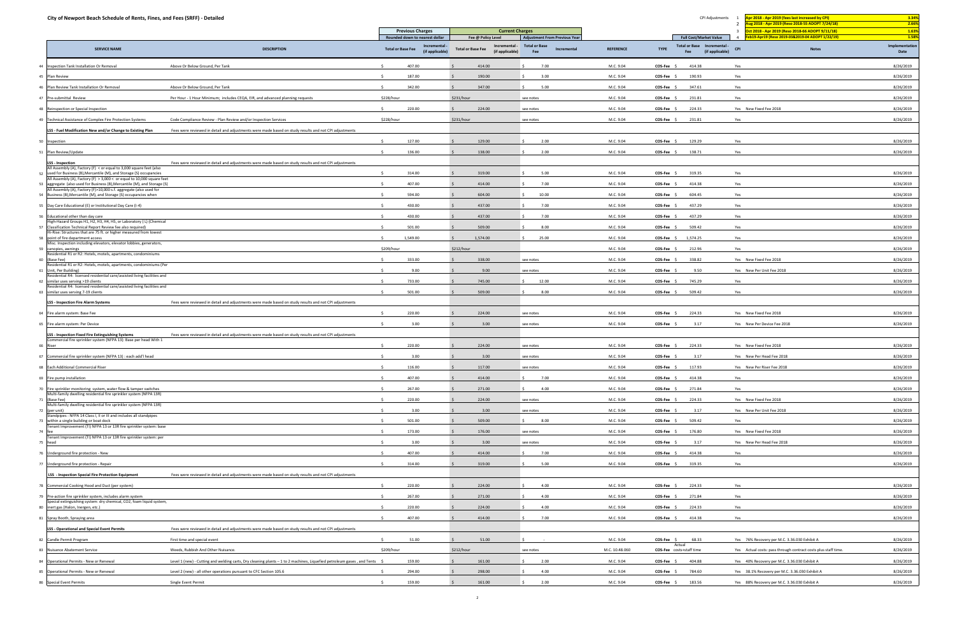| City of Newport Beach Schedule of Rents, Fines, and Fees (SRFF) - Detailed                                                                   |                                                                                                                           |                                                            |                                                              |                                            |                  | CPI Adjustments                                                      | pr 2018 - Apr 2019 (fees last increased by CPI)                                                                 | 3.34%                  |
|----------------------------------------------------------------------------------------------------------------------------------------------|---------------------------------------------------------------------------------------------------------------------------|------------------------------------------------------------|--------------------------------------------------------------|--------------------------------------------|------------------|----------------------------------------------------------------------|-----------------------------------------------------------------------------------------------------------------|------------------------|
|                                                                                                                                              |                                                                                                                           | <b>Previous Charges</b>                                    | <b>Current Charges</b>                                       |                                            |                  |                                                                      | ug 2018 - Apr 2019 (Reso 2018-55 ADOPT 7/24/18)<br>00 0011 066 0017 011/18 0015 0015 002019 002010 002010 00205 | 2.66%<br>1.63%         |
|                                                                                                                                              |                                                                                                                           | Rounded down to nearest dollar                             | Fee @ Policy Level                                           | <b>Adjustment From Previous Year</b>       |                  | <b>Full Cost/Market Value</b>                                        | eb19-Apr19 (Reso 2019-03&2019-04 ADOPT 1/22/19)                                                                 | 1.58%                  |
| <b>SERVICE NAME</b>                                                                                                                          | <b>DESCRIPTION</b>                                                                                                        | Incremental<br><b>Total or Base Fee</b><br>(if applicable) | Incremental -<br><b>Total or Base Fee</b><br>(if applicable) | <b>Total or Base</b><br>Incremental<br>Fee | <b>REFERENCE</b> | Total or Base Incremental -<br><b>TYPE</b><br>(if applicable)<br>Fee | <b>Notes</b><br><b>CPI</b>                                                                                      | Implementation<br>Date |
| Inspection Tank Installation Or Removal                                                                                                      | Above Or Below Ground, Per Tank                                                                                           | 407.00                                                     | 414.00                                                       | 7.00                                       | M.C. 9.04        | COS-Fee<br>414.38                                                    | Yes                                                                                                             | 8/26/2019              |
| 45 Plan Review                                                                                                                               |                                                                                                                           | 187.00                                                     | 190.00                                                       | 3.00                                       | M.C. 9.04        | COS-Fee<br>190.93                                                    | Yes                                                                                                             | 8/26/2019              |
| Plan Review Tank Installation Or Removal                                                                                                     | Above Or Below Ground, Per Tank                                                                                           | 342.00                                                     | 347.00                                                       | 5.00                                       | M.C. 9.04        | 347.61<br>COS-Fee                                                    | Yes                                                                                                             | 8/26/2019              |
| 47 Pre-submittal Review                                                                                                                      | Per Hour - 1 Hour Minimum; includes CEQA, EIR, and advanced planning requests                                             | \$228/hour                                                 | \$231/hour                                                   | see notes                                  | M.C. 9.04        | 231.81<br>$COS-Fee$                                                  | Yes                                                                                                             | 8/26/2019              |
| 48 Reinspection or Special Inspection                                                                                                        |                                                                                                                           | 220.00                                                     | 224.00                                                       | see notes                                  | M.C. 9.04        | 224.33<br>COS-Fee                                                    | Yes New Fixed Fee 2018                                                                                          | 8/26/2019              |
| 49 Technical Assistance of Complex Fire Protection Systems                                                                                   | Code Compliance Review - Plan Review and/or Inspection Services                                                           | \$228/hour                                                 | \$231/hour                                                   | see notes                                  | M.C. 9.04        | 231.81<br>$COS-Fee$ \$                                               | Yes                                                                                                             | 8/26/2019              |
| LSS - Fuel Modification New and/or Change to Existing Plan                                                                                   | Fees were reviewed in detail and adjustments were made based on study results and not CPI adjustments                     |                                                            |                                                              |                                            |                  |                                                                      |                                                                                                                 |                        |
| Inspection                                                                                                                                   |                                                                                                                           | 127.00                                                     | 129.00                                                       | 2.00                                       | M.C. 9.04        | 129.29<br>COS-Fee                                                    | Yes                                                                                                             | 8/26/2019              |
| Plan Review/Update                                                                                                                           |                                                                                                                           | 136.00                                                     | 138.00                                                       | 2.00                                       | M.C. 9.04        | 138.71<br>$COS-Fee$ \$                                               | Yes                                                                                                             | 8/26/2019              |
| <b>LSS</b> - Inspection                                                                                                                      | Fees were reviewed in detail and adjustments were made based on study results and not CPI adjustments                     |                                                            |                                                              |                                            |                  |                                                                      |                                                                                                                 |                        |
| All Assembly (A), Factory (F) < or equal to 3,000 square feet (also<br>used for Business (B), Mercantile (M), and Storage (S) occupancies    |                                                                                                                           | 314.00<br>$\zeta$                                          | 319.00                                                       | 5.00                                       | M.C. 9.04        | 319.35<br>COS-Fee \$                                                 | Yes                                                                                                             | 8/26/2019              |
| All Assembly (A), Factory (F) > 3,000 < or equal to 10,000 square feet                                                                       |                                                                                                                           |                                                            |                                                              |                                            |                  |                                                                      |                                                                                                                 |                        |
| aggregate (also used for Business (B), Mercantile (M), and Storage (S)<br>All Assembly (A), Factory (F)>10,000 s.f. aggregate (also used for |                                                                                                                           | 407.00                                                     | 414.00                                                       | 7.00                                       | M.C. 9.04        | COS-Fee \$<br>414.38                                                 | Yes                                                                                                             | 8/26/2019              |
| Business (B), Mercantile (M), and Storage (S) occupancies when                                                                               |                                                                                                                           | 594.00                                                     | 604.00                                                       | 10.00                                      | M.C. 9.04        | 604.45<br>COS-Fee                                                    | Yes                                                                                                             | 8/26/2019              |
| Day Care Educational (E) or Institutional Day Care (I-4)                                                                                     |                                                                                                                           | 430.00                                                     | 437.00                                                       | 7.00                                       | M.C. 9.04        | 437.29<br>$COS-Fee$                                                  | Yes                                                                                                             | 8/26/2019              |
| Educational other than day care<br>High-Hazard Groups H1, H2, H3, H4, H5, or Laboratory (L) (Chemical                                        |                                                                                                                           | 430.00                                                     | 437.00                                                       | 7.00                                       | M.C. 9.04        | 437.29<br><b>COS-Fee</b>                                             | Yes                                                                                                             | 8/26/2019              |
| Classification Technical Report Review fee also required)<br>Hi-Rise: Structures that are 75 ft. or higher measured from lowest              |                                                                                                                           | 501.00                                                     | 509.00                                                       | 8.00                                       | M.C. 9.04        | 509.42<br>COS-Fee                                                    | Yes                                                                                                             | 8/26/2019              |
| point of fire department access<br>Misc. Inspection including elevators, elevator lobbies, generators,                                       |                                                                                                                           | 1,549.00                                                   | 1,574.00                                                     | 25.00                                      | M.C. 9.04        | COS-Fee \$<br>1,574.25                                               | Yes                                                                                                             | 8/26/2019              |
| canopies, awnings<br>Residential R1 or R2: Hotels, motels, apartments, condominiums                                                          |                                                                                                                           | \$209/hour                                                 | \$212/hour                                                   |                                            | M.C. 9.04        | 212.96<br>COS-Fee \$                                                 | Yes                                                                                                             | 8/26/2019              |
| (Base Fee)<br>Residential R1 or R2: Hotels, motels, apartments, condominiums (Per                                                            |                                                                                                                           | 333.00                                                     | 338.00                                                       | see notes                                  | M.C. 9.04        | 338.82<br>COS-Fee \$                                                 | Yes New Fixed Fee 2018                                                                                          | 8/26/2019              |
| Unit, Per Building)<br>Residential R4: licensed residential care/assisted living facilities and                                              |                                                                                                                           | 9.00                                                       | 9.00                                                         | see notes                                  | M.C. 9.04        | 9.50<br>COS-Fee                                                      | Yes New Per Unit Fee 2018                                                                                       | 8/26/2019              |
| similar uses serving >19 clients<br>Residential R4: licensed residential care/assisted living facilities and                                 |                                                                                                                           | 733.00                                                     | 745.00                                                       | 12.00                                      | M.C. 9.04        | 745.29<br>$COS-Fee$                                                  | Yes                                                                                                             | 8/26/2019              |
| similar uses serving 7-19 clients                                                                                                            |                                                                                                                           | 501.00                                                     | 509.00                                                       | 8.00                                       | M.C. 9.04        | COS-Fee \$<br>509.42                                                 | Yes                                                                                                             | 8/26/2019              |
| <b>LSS - Inspection Fire Alarm Systems</b>                                                                                                   | Fees were reviewed in detail and adjustments were made based on study results and not CPI adjustments                     |                                                            |                                                              |                                            |                  |                                                                      |                                                                                                                 |                        |
| Fire alarm system: Base Fee                                                                                                                  |                                                                                                                           | 220.00                                                     | 224.00                                                       | see notes                                  | M.C. 9.04        | 224.33<br>COS-Fee \$                                                 | Yes New Fixed Fee 2018                                                                                          | 8/26/2019              |
| 65 Fire alarm system: Per Device                                                                                                             |                                                                                                                           | 3.00                                                       | 3.00                                                         | see notes                                  | M.C. 9.04        | $COS-Fee$<br>3.17                                                    | Yes New Per Device Fee 2018                                                                                     | 8/26/2019              |
| <b>LSS - Inspection Fixed Fire Extinguishing Systems</b>                                                                                     | Fees were reviewed in detail and adjustments were made based on study results and not CPI adjustments                     |                                                            |                                                              |                                            |                  |                                                                      |                                                                                                                 |                        |
| Commercial fire sprinkler system (NFPA 13): Base per head With 1                                                                             |                                                                                                                           | 220.00                                                     | 224.00                                                       | see notes                                  | M.C. 9.04        | COS-Fee \$<br>224.33                                                 | Yes New Fixed Fee 2018                                                                                          | 8/26/2019              |
| 67 Commercial fire sprinkler system (NFPA 13) : each add'l head                                                                              |                                                                                                                           | $\leq$<br>3.00                                             | 3.00                                                         | see notes                                  | M.C. 9.04        | COS-Fee \$<br>3.17                                                   | Yes New Per Head Fee 2018                                                                                       | 8/26/2019              |
| Each Additional Commercial Riser                                                                                                             |                                                                                                                           | 116.00                                                     | 117.00                                                       | see notes                                  | M.C. 9.04        | 117.93<br>COS-Fee \$                                                 | Yes New Per Riser Fee 2018                                                                                      | 8/26/2019              |
| Fire pump installation                                                                                                                       |                                                                                                                           | 407.00                                                     | 414.00                                                       | 7.00                                       | M.C. 9.04        | 414.38<br>COS-Fee                                                    | Yes                                                                                                             | 8/26/2019              |
| Fire sprinkler monitoring system, water flow & tamper switches                                                                               |                                                                                                                           | 267.00<br>$\sim$                                           | 271.00                                                       | 4.00<br>S.                                 | M.C. 9.04        | 271.84<br>COS-Fee \$                                                 | Yes                                                                                                             | 8/26/2019              |
| Multi-family dwelling residential fire sprinkler system (NFPA 13R)<br>(Base Fee)                                                             |                                                                                                                           | 220.00                                                     | 224.00                                                       | see notes                                  | M.C. 9.04        | COS-Fee \$<br>224.33                                                 | Yes New Fixed Fee 2018                                                                                          | 8/26/2019              |
| Multi-family dwelling residential fire sprinkler system (NFPA 13R)<br>(per unit)                                                             |                                                                                                                           | 3.00                                                       | 3.00                                                         | see notes                                  | M.C. 9.04        | COS-Fee \$<br>3.17                                                   | Yes New Per Unit Fee 2018                                                                                       | 8/26/2019              |
| Standpipes : NFPA 14 Class I, II or III and includes all standpipes<br>within a single building or boat dock                                 |                                                                                                                           | 501.00                                                     | 509.00                                                       | 8.00<br>S.                                 | M.C. 9.04        | 509.42<br>COS-Fee \$                                                 | Yes                                                                                                             | 8/26/2019              |
| Tenant Improvement (TI) NFPA 13 or 13R fire sprinkler system: base                                                                           |                                                                                                                           | 173.00                                                     | 176.00                                                       | see notes                                  | M.C. 9.04        | 176.80<br>COS-Fee \$                                                 | Yes New Fixed Fee 2018                                                                                          | 8/26/2019              |
| Tenant Improvement (TI) NFPA 13 or 13R fire sprinkler system: per<br>head                                                                    |                                                                                                                           | 3.00                                                       | 3.00                                                         | see notes                                  | M.C. 9.04        | 3.17<br>COS-Fee \$                                                   | Yes New Per Head Fee 2018                                                                                       | 8/26/2019              |
| Underground fire protection - New                                                                                                            |                                                                                                                           | 407.00                                                     | 414.00                                                       | 7.00                                       | M.C. 9.04        | 414.38<br>COS-Fee \$                                                 | Yes                                                                                                             | 8/26/2019              |
| Underground fire protection - Repair                                                                                                         |                                                                                                                           | 314.00<br>$\zeta$                                          | 319.00                                                       | 5.00                                       | M.C. 9.04        | 319.35<br>COS-Fee \$                                                 | Yes                                                                                                             | 8/26/2019              |
|                                                                                                                                              | Fees were reviewed in detail and adjustments were made based on study results and not CPI adjustments                     |                                                            |                                                              |                                            |                  |                                                                      |                                                                                                                 |                        |
| <b>LSS</b> - Inspection Special Fire Protection Equipment                                                                                    |                                                                                                                           |                                                            |                                                              |                                            |                  |                                                                      |                                                                                                                 |                        |
| Commercial Cooking Hood and Duct (per system)                                                                                                |                                                                                                                           | 220.00                                                     | 224.00                                                       | 4.00                                       | M.C. 9.04        | 224.33<br>COS-Fee \$                                                 | Yes                                                                                                             | 8/26/2019              |
| Pre-action fire sprinkler system, includes alarm system<br>Special extinguishing system: dry chemical, CO2, foam liquid system,              |                                                                                                                           | 267.00                                                     | 271.00                                                       | 4.00                                       | M.C. 9.04        | 271.84<br>COS-Fee \$                                                 | Yes                                                                                                             | 8/26/2019              |
| inert gas (Halon, Inergen, etc.)                                                                                                             |                                                                                                                           | 220.00                                                     | 224.00                                                       | 4.00                                       | M.C. 9.04        | COS-Fee \$<br>224.33                                                 | Yes                                                                                                             | 8/26/2019              |
| Spray Booth, Spraying area                                                                                                                   |                                                                                                                           | 407.00                                                     | 414.00                                                       | 7.00                                       | M.C. 9.04        | COS-Fee \$<br>414.38                                                 | Yes                                                                                                             | 8/26/2019              |
| <b>LSS - Operational and Special Event Permits</b>                                                                                           | Fees were reviewed in detail and adjustments were made based on study results and not CPI adjustments                     |                                                            |                                                              |                                            |                  |                                                                      |                                                                                                                 |                        |
| 82 Candle Permit Program                                                                                                                     | First time and special event                                                                                              | 51.00                                                      | 51.00                                                        |                                            | M.C. 9.04        | 68.33<br>$COS-Fee$ \$<br>Actual                                      | Yes 76% Recovery per M.C. 3.36.030 Exhibit A                                                                    | 8/26/2019              |
| Nuisance Abatement Service                                                                                                                   | Weeds, Rubbish And Other Nuisance.                                                                                        | \$209/hour                                                 | \$212/hour                                                   | see notes                                  | M.C. 10.48.060   | COS-Fee costs+staff time                                             | Yes Actual costs: pass through contract costs plus staff time.                                                  | 8/26/2019              |
| Operational Permits - New or Renewal                                                                                                         | Level 1 (new) - Cutting and welding carts, Dry cleaning plants - 1 to 2 machines, Liquefied petroleum gases, and Tents \$ | 159.00                                                     | 161.00                                                       | 2.00                                       | M.C. 9.04        | COS-Fee \$<br>404.88                                                 | Yes 40% Recovery per M.C. 3.36.030 Exhibit A                                                                    | 8/26/2019              |
| 85 Operational Permits - New or Renewal                                                                                                      | Level 2 (new) - all other operations pursuant to CFC Section 105.6                                                        | 294.00                                                     | 298.00                                                       | 4.00                                       | M.C. 9.04        | COS-Fee \$<br>784.60                                                 | Yes 38.1% Recovery per M.C. 3.36.030 Exhibit A                                                                  | 8/26/2019              |
| 86 Special Event Permits                                                                                                                     | Single Event Permit                                                                                                       | 159.00                                                     | 161.00                                                       | 2.00                                       | M.C. 9.04        | $COS-Fee$ \$<br>183.56                                               | Yes 88% Recovery per M.C. 3.36.030 Exhibit A                                                                    | 8/26/2019              |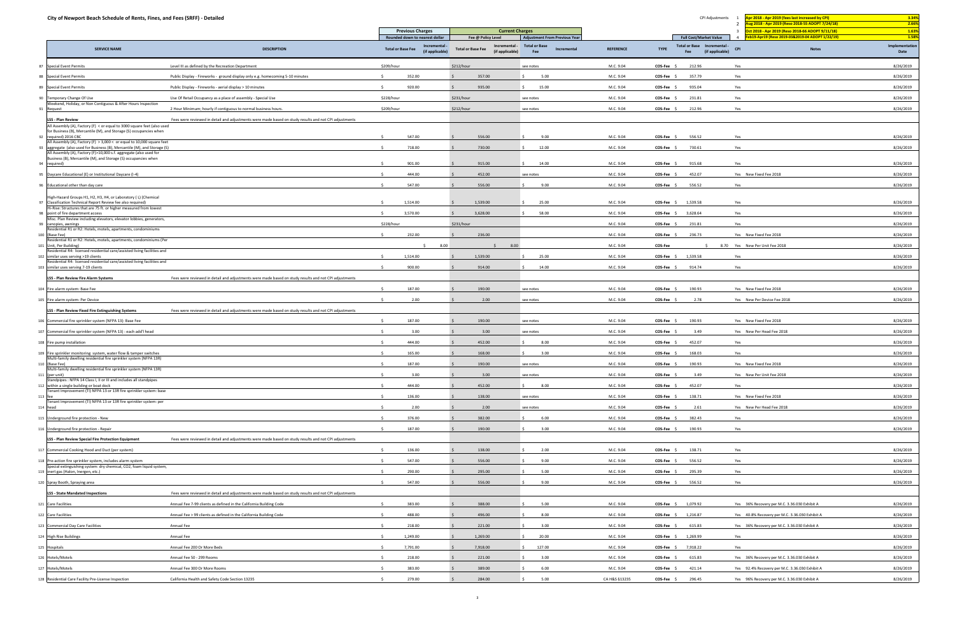| City of Newport Beach Schedule of Rents, Fines, and Fees (SRFF) - Detailed                                                                         |                                                                                                       |                                                            |                                                              |                                            |                  | CPI Adjustments                                                      | Apr 2018 - Apr 2019 (fees last increased by CPI)                                                                                                 | 3.34%                  |
|----------------------------------------------------------------------------------------------------------------------------------------------------|-------------------------------------------------------------------------------------------------------|------------------------------------------------------------|--------------------------------------------------------------|--------------------------------------------|------------------|----------------------------------------------------------------------|--------------------------------------------------------------------------------------------------------------------------------------------------|------------------------|
|                                                                                                                                                    |                                                                                                       | <b>Previous Charges</b>                                    | <b>Current Charges</b>                                       |                                            |                  |                                                                      | ug 2018 - Apr 2019 (Reso 2018-55 ADOPT 7/24/18)<br>$\overline{2}$<br>$\overline{\mathbf{3}}$<br>Oct 2018 - Apr 2019 (Reso 2018-66 ADOPT 9/11/18) | 2.66%<br>1.63%         |
|                                                                                                                                                    |                                                                                                       | Rounded down to nearest dollar                             | Fee @ Policy Level                                           | <b>Adjustment From Previous Year</b>       |                  | <b>Full Cost/Market Value</b>                                        | b19-Apr19 (Reso 2019-03&2019-04 ADOPT 1/22/19)<br>$\overline{4}$                                                                                 | 1.58%                  |
| <b>SERVICE NAME</b>                                                                                                                                | <b>DESCRIPTION</b>                                                                                    | Incremental<br><b>Total or Base Fee</b><br>(if applicable) | Incremental -<br><b>Total or Base Fee</b><br>(if applicable) | <b>Total or Base</b><br>Incremental<br>Fee | <b>REFERENCE</b> | Total or Base Incremental -<br><b>TYPE</b><br>(if applicable)<br>Fee | <b>CPI</b><br><b>Notes</b>                                                                                                                       | Implementation<br>Date |
| 87 Special Event Permits                                                                                                                           | Level III as defined by the Recreation Department                                                     | \$209/hour                                                 | \$212/hour                                                   | see notes                                  | M.C. 9.04        | COS-Fee \$<br>212.96                                                 | Yes                                                                                                                                              | 8/26/2019              |
| 88 Special Event Permits                                                                                                                           | Public Display - Fireworks - ground display only e.g. homecoming 5-10 minutes                         | 352.00                                                     | 357.00                                                       | 5.00                                       | M.C. 9.04        | COS-Fee \$<br>357.79                                                 | Yes                                                                                                                                              | 8/26/2019              |
| 89 Special Event Permits                                                                                                                           | Public Display - Fireworks - aerial display > 10 minutes                                              | 920.00                                                     | 935.00                                                       | 15.00                                      | M.C. 9.04        | COS-Fee \$<br>935.04                                                 | Yes                                                                                                                                              | 8/26/2019              |
| 90 Temporary Change Of Use                                                                                                                         | Use Of Retail Occupancy as a place of assembly - Special Use                                          | \$228/hour                                                 | \$231/hour                                                   | see notes                                  | M.C. 9.04        | 231.81<br>COS-Fee                                                    | Yes                                                                                                                                              | 8/26/2019              |
| Veekend, Holiday, or Non Contiguous & After Hours Inspection<br>91 Request                                                                         | 2 Hour Minimum; hourly if contiguous to normal business hours.                                        | \$209/hour                                                 | \$212/hour                                                   | see notes                                  | M.C. 9.04        | $COS-Fee$ \$<br>212.96                                               | Yes                                                                                                                                              | 8/26/2019              |
| <b>LSS - Plan Review</b>                                                                                                                           | Fees were reviewed in detail and adjustments were made based on study results and not CPI adjustments |                                                            |                                                              |                                            |                  |                                                                      |                                                                                                                                                  |                        |
| All Assembly (A), Factory (F) < or equal to 3000 square feet (also used<br>for Business (B), Mercantile (M), and Storage (S) occupancies when      |                                                                                                       |                                                            |                                                              |                                            |                  |                                                                      |                                                                                                                                                  |                        |
| required) 2016 CBC<br>92<br>All Assembly (A), Factory (F) > 3,000 < or equal to 10,000 square feet                                                 |                                                                                                       | 547.00                                                     | 556.00                                                       | 9.00                                       | M.C. 9.04        | 556.52<br>COS-Fee \$                                                 | Yes                                                                                                                                              | 8/26/2019              |
| aggregate (also used for Business (B), Mercantile (M), and Storage (S)<br>93<br>All Assembly (A), Factory (F)>10,000 s.f. aggregate (also used for |                                                                                                       | 718.00                                                     | 730.00                                                       | 12.00                                      | M.C. 9.04        | 730.61<br>COS-Fee \$                                                 | Yes                                                                                                                                              | 8/26/2019              |
| Business (B), Mercantile (M), and Storage (S) occupancies when                                                                                     |                                                                                                       | 901.00                                                     | 915.00                                                       | 14.00                                      | M.C. 9.04        | 915.68<br>COS-Fee                                                    | Yes                                                                                                                                              | 8/26/2019              |
| 94 required)                                                                                                                                       |                                                                                                       |                                                            |                                                              |                                            |                  |                                                                      |                                                                                                                                                  |                        |
| 95 Daycare Educational (E) or Institutional Daycare (I-4)                                                                                          |                                                                                                       | 444.00                                                     | 452.00                                                       | see notes                                  | M.C. 9.04        | 452.07<br>$COS-Fee$ \$                                               | Yes New Fixed Fee 2018                                                                                                                           | 8/26/2019              |
| 96 Educational other than day care                                                                                                                 |                                                                                                       | 547.00                                                     | 556.00                                                       | 9.00                                       | M.C. 9.04        | 556.52<br>$COS-Fee$ \$                                               | Yes                                                                                                                                              | 8/26/2019              |
| High-Hazard Groups H1, H2, H3, H4, or Laboratory (L) (Chemical<br>97 Classification Technical Report Review fee also required)                     |                                                                                                       | 1,514.00                                                   | 1,539.00                                                     | 25.00                                      | M.C. 9.04        | COS-Fee \$ 1,539.58                                                  | Yes                                                                                                                                              | 8/26/2019              |
| Ii-Rise: Structures that are 75 ft. or higher measured from lowest<br>point of fire department access<br>98                                        |                                                                                                       | 3,570.00                                                   | 3,628.00                                                     | 58.00                                      | M.C. 9.04        | 3,628.64<br>$COS-Fee$ \$                                             | Yes                                                                                                                                              | 8/26/2019              |
| lisc. Plan Review including elevators, elevator lobbies, generators,                                                                               |                                                                                                       | \$228/hour                                                 | \$231/hour                                                   |                                            | M.C. 9.04        | COS-Fee \$<br>231.81                                                 | Yes                                                                                                                                              | 8/26/2019              |
| 99 canopies, awnings<br>lesidential R1 or R2: Hotels, motels, apartments, condominiums                                                             |                                                                                                       |                                                            |                                                              |                                            |                  |                                                                      |                                                                                                                                                  |                        |
| 100 (Base Fee)<br>tesidential R1 or R2: Hotels, motels, apartments, condominiums (Per                                                              |                                                                                                       | 232.00<br>$\zeta$                                          | 236.00                                                       |                                            | M.C. 9.04        | 236.73<br>COS-Fee \$                                                 | Yes New Fixed Fee 2018                                                                                                                           | 8/26/2019              |
| 101 Unit, Per Building)<br>tesidential R4: licensed residential care/assisted living facilities and                                                |                                                                                                       | 8.00                                                       | 8.00                                                         |                                            | M.C. 9.04        | COS-Fee                                                              | 8.70 Yes New Per Unit Fee 2018                                                                                                                   | 8/26/2019              |
| 102 similar uses serving >19 clients<br>Residential R4: licensed residential care/assisted living facilities and                                   |                                                                                                       | 1,514.00                                                   | 1,539.00                                                     | 25.00                                      | M.C. 9.04        | COS-Fee \$ 1,539.58                                                  | Yes                                                                                                                                              | 8/26/2019              |
| 103 similar uses serving 7-19 clients                                                                                                              |                                                                                                       | 900.00                                                     | 914.00                                                       | 14.00                                      | M.C. 9.04        | 914.74<br>$COS-Fee$ \$                                               | Yes                                                                                                                                              | 8/26/2019              |
| LSS - Plan Review Fire Alarm Systems                                                                                                               | Fees were reviewed in detail and adjustments were made based on study results and not CPI adjustments |                                                            |                                                              |                                            |                  |                                                                      |                                                                                                                                                  |                        |
| 104 Fire alarm system: Base Fee                                                                                                                    |                                                                                                       | 187.00                                                     | 190.00                                                       | see notes                                  | M.C. 9.04        | COS-Fee \$<br>190.93                                                 | Yes New Fixed Fee 2018                                                                                                                           | 8/26/2019              |
| 105 Fire alarm system: Per Device                                                                                                                  |                                                                                                       | 2.00                                                       | 2.00                                                         | see notes                                  | M.C. 9.04        | 2.78<br>COS-Fee \$                                                   | Yes New Per Device Fee 2018                                                                                                                      | 8/26/2019              |
| LSS - Plan Review Fixed Fire Extinguishing Systems                                                                                                 | Fees were reviewed in detail and adjustments were made based on study results and not CPI adjustments |                                                            |                                                              |                                            |                  |                                                                      |                                                                                                                                                  |                        |
| 106 Commercial fire sprinkler system (NFPA 13): Base Fee                                                                                           |                                                                                                       | 187.00                                                     | 190.00                                                       | see notes                                  | M.C. 9.04        | 190.93<br>COS-Fee 9                                                  | Yes New Fixed Fee 2018                                                                                                                           | 8/26/2019              |
| 107 Commercial fire sprinkler system (NFPA 13) : each add'l head                                                                                   |                                                                                                       | 3.00                                                       | 3.00                                                         | see notes                                  | M.C. 9.04        | COS-Fee \$<br>3.49                                                   | Yes New Per Head Fee 2018                                                                                                                        | 8/26/2019              |
| 108 Fire pump installation                                                                                                                         |                                                                                                       | 444.00                                                     | 452.00                                                       | 8.00                                       | M.C. 9.04        | 452.07<br>COS-Fee \$                                                 | Yes                                                                                                                                              | 8/26/2019              |
| 109 Fire sprinkler monitoring system, water flow & tamper switches                                                                                 |                                                                                                       | 165.00                                                     | 168.00                                                       | 3.00                                       | M.C. 9.04        | COS-Fee \$<br>168.03                                                 | Yes                                                                                                                                              | 8/26/2019              |
| Multi-family dwelling residential fire sprinkler system (NFPA 13R)<br>110 (Base Fee)                                                               |                                                                                                       | 187.00                                                     | 190.00                                                       | see notes                                  | M.C. 9.04        | COS-Fee \$<br>190.93                                                 | Yes New Fixed Fee 2018                                                                                                                           | 8/26/2019              |
| Aulti-family dwelling residential fire sprinkler system (NFPA 13R)<br>111 (per unit)                                                               |                                                                                                       | 3.00                                                       | 3.00                                                         | see notes                                  | M.C. 9.04        | COS-Fee<br>3.49                                                      | Yes New Per Unit Fee 2018                                                                                                                        | 8/26/2019              |
| tandpipes: NFPA 14 Class I, II or III and includes all standpipes<br>112 within a single building or boat dock                                     |                                                                                                       | 444.00                                                     | 452.00                                                       | 8.00                                       | M.C. 9.04        | $COS-Fee$ \$<br>452.07                                               | Yes                                                                                                                                              | 8/26/2019              |
| enant Improvement (TI) NFPA 13 or 13R fire sprinkler system: base<br>$113$ f                                                                       |                                                                                                       | 136.00                                                     | 138.00                                                       | see notes                                  | M.C. 9.04        | COS-Fee \$<br>138.71                                                 | Yes New Fixed Fee 2018                                                                                                                           | 8/26/2019              |
| enant Improvement (TI) NFPA 13 or 13R fire sprinkler system: per<br>114 head                                                                       |                                                                                                       | 2.00                                                       | 2.00                                                         | see notes                                  | M.C. 9.04        | 2.61<br>COS-Fee \$                                                   | Yes New Per Head Fee 2018                                                                                                                        | 8/26/2019              |
| 115 Underground fire protection - New                                                                                                              |                                                                                                       | 376.00                                                     | 382.00                                                       | 6.00                                       | M.C. 9.04        | 382.43<br>COS-Fee \$                                                 | Yes                                                                                                                                              | 8/26/2019              |
| 116 Underground fire protection - Repair                                                                                                           |                                                                                                       | 187.00                                                     | 190.00                                                       | 3.00                                       | M.C. 9.04        | $COS-Fee$ \$<br>190.93                                               | Yes                                                                                                                                              | 8/26/2019              |
| LSS - Plan Review Special Fire Protection Equipment                                                                                                | Fees were reviewed in detail and adiustments were made based on study results and not CPI adiustments |                                                            |                                                              |                                            |                  |                                                                      |                                                                                                                                                  |                        |
|                                                                                                                                                    |                                                                                                       |                                                            |                                                              |                                            |                  |                                                                      |                                                                                                                                                  |                        |
| 117 Commercial Cooking Hood and Duct (per system)                                                                                                  |                                                                                                       | 136.00                                                     | 138.00                                                       | 2.00                                       | M.C. 9.04        | COS-Fee \$<br>138.71                                                 | Yes                                                                                                                                              | 8/26/2019              |
| 118 Pre-action fire sprinkler system, includes alarm system<br>becial extinguishing system: dry chemical, CO2, foam liquid system,                 |                                                                                                       | 547.00                                                     | 556.00                                                       | 9.00                                       | M.C. 9.04        | $COS-Fee$ \$<br>556.52                                               | Yes                                                                                                                                              | 8/26/2019              |
| 119 inert gas (Halon, Inergen, etc.)                                                                                                               |                                                                                                       | 290.00                                                     | 295.00                                                       | 5.00                                       | M.C. 9.04        | 295.39<br>COS-Fee \$                                                 | Yes                                                                                                                                              | 8/26/2019              |
| 120 Spray Booth, Spraying area                                                                                                                     |                                                                                                       | 547.00                                                     | 556.00                                                       | 9.00                                       | M.C. 9.04        | 556.52<br>COS-Fee \$                                                 | Yes                                                                                                                                              | 8/26/2019              |
| <b>LSS - State Mandated Inspections</b>                                                                                                            | Fees were reviewed in detail and adjustments were made based on study results and not CPI adjustments |                                                            |                                                              |                                            |                  |                                                                      |                                                                                                                                                  |                        |
| 121 Care Facilities                                                                                                                                | Annual Fee 7-99 clients as defined in the California Building Code                                    | 383.00                                                     | 388.00                                                       | 5.00                                       | M.C. 9.04        | COS-Fee \$ 1,079.92                                                  | Yes 36% Recovery per M.C. 3.36.030 Exhibit A                                                                                                     | 8/26/2019              |
| 122 Care Facilities                                                                                                                                | Annual Fee > 99 clients as defined in the California Building Code                                    | 488.00                                                     | 496.00                                                       | 8.00                                       | M.C. 9.04        | COS-Fee \$ 1,216.87                                                  | Yes 40.8% Recovery per M.C. 3.36.030 Exhibit A                                                                                                   | 8/26/2019              |
| 123 Commercial Day Care Facilities                                                                                                                 | Annual Fee                                                                                            | 218.00                                                     | 221.00                                                       | 3.00                                       | M.C. 9.04        | COS-Fee \$ 615.83                                                    | Yes 36% Recovery per M.C. 3.36.030 Exhibit A                                                                                                     | 8/26/2019              |
| 124 High Rise Buildings                                                                                                                            | Annual Fee                                                                                            | 1,249.00                                                   | 1,269.00                                                     | 20.00                                      | M.C. 9.04        | COS-Fee \$ 1,269.99                                                  | Yes                                                                                                                                              | 8/26/2019              |
| 125 Hospitals                                                                                                                                      | Annual Fee 200 Or More Beds                                                                           | 7,791.00<br>$\ddot{\phantom{1}}$                           | 7,918.00                                                     | 127.00                                     | M.C. 9.04        | COS-Fee \$ 7,918.22                                                  | Yes                                                                                                                                              | 8/26/2019              |
| 126 Hotels/Motels                                                                                                                                  | Annual Fee 50 - 299 Rooms                                                                             | 218.00                                                     | 221.00                                                       | 3.00                                       | M.C. 9.04        | 615.83<br>COS-Fee \$                                                 | Yes 36% Recovery per M.C. 3.36.030 Exhibit A                                                                                                     | 8/26/2019              |
| 127 Hotels/Motels                                                                                                                                  | Annual Fee 300 Or More Rooms                                                                          | 383.00                                                     | 389.00                                                       | 6.00                                       | M.C. 9.04        | COS-Fee \$<br>421.14                                                 | Yes 92.4% Recovery per M.C. 3.36.030 Exhibit A                                                                                                   | 8/26/2019              |
| 128 Residential Care Facility Pre-License Inspection                                                                                               | California Health and Safety Code Section 13235                                                       | 279.00                                                     | 284.00                                                       | 5.00                                       | CA H&S §13235    | $COS-Fee$ \$<br>296.45                                               | Yes 96% Recovery per M.C. 3.36.030 Exhibit A                                                                                                     | 8/26/2019              |
|                                                                                                                                                    |                                                                                                       |                                                            |                                                              |                                            |                  |                                                                      |                                                                                                                                                  |                        |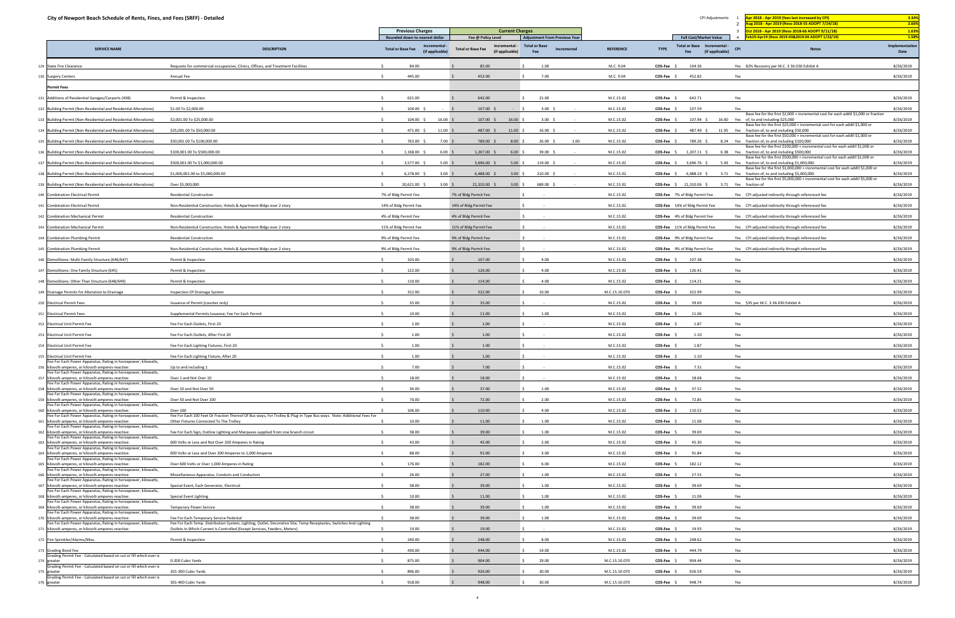| City of Newport Beach Schedule of Rents, Fines, and Fees (SRFF) - Detailed                                            |                                                                                                                                                                  |                                                              |                                                              |                                            |                  | CPI Adjustments                                                      | pr 2018 - Apr 2019 (fees last increased by CPI)                                                                                       | 3.34%                  |
|-----------------------------------------------------------------------------------------------------------------------|------------------------------------------------------------------------------------------------------------------------------------------------------------------|--------------------------------------------------------------|--------------------------------------------------------------|--------------------------------------------|------------------|----------------------------------------------------------------------|---------------------------------------------------------------------------------------------------------------------------------------|------------------------|
|                                                                                                                       |                                                                                                                                                                  | <b>Previous Charges</b>                                      | <b>Current Charges</b>                                       |                                            |                  |                                                                      | ug 2018 - Apr 2019 (Reso 2018-55 ADOPT 7/24/18)<br>Oct 2018 - Apr 2019 (Reso 2018-66 ADOPT 9/11/18)                                   | 2.66%<br>1.63%         |
|                                                                                                                       |                                                                                                                                                                  | Rounded down to nearest dollar                               | Fee @ Policy Level                                           | <b>Adjustment From Previous Year</b>       |                  | <b>Full Cost/Market Value</b>                                        | eb19-Apr19 (Reso 2019-03&2019-04 ADOPT 1/22/19)<br>$\overline{4}$                                                                     | 1.58%                  |
| <b>SERVICE NAME</b>                                                                                                   | <b>DESCRIPTION</b>                                                                                                                                               | Incremental -<br><b>Total or Base Fee</b><br>(if applicable) | Incremental -<br><b>Total or Base Fee</b><br>(if applicable) | <b>Total or Base</b><br>Incremental<br>Fee | <b>REFERENCE</b> | Total or Base Incremental -<br><b>TYPE</b><br>(if applicable)<br>Fee | <b>CPI</b><br><b>Notes</b>                                                                                                            | Implementation<br>Date |
| 129 State Fire Clearance                                                                                              | Requests for commercial occupancies, Clinics, Offices, and Treatment Facilities                                                                                  | 84.00                                                        | 85.00                                                        | 1.00                                       | M.C. 9.04        | COS-Fee \$<br>104.36                                                 | Yes 82% Recovery per M.C. 3.36.030 Exhibit A                                                                                          | 8/26/2019              |
| 130 Surgery Centers                                                                                                   | Annual Fee                                                                                                                                                       | 445.00                                                       | 452.00                                                       | 7.00                                       | M.C. 9.04        | COS-Fee \$<br>452.82                                                 | Yes                                                                                                                                   | 8/26/2019              |
| <b>Permit Fees</b>                                                                                                    |                                                                                                                                                                  |                                                              |                                                              |                                            |                  |                                                                      |                                                                                                                                       |                        |
| 131 Additions of Residential Garages/Carports (438)                                                                   | Permit & Inspection                                                                                                                                              | 621.00                                                       | 642.00                                                       | 21.00                                      | M.C.15.02        | 642.71<br>COS-Fee \$                                                 | Yes                                                                                                                                   | 8/26/2019              |
| 132 Building Permit (Non-Residential and Residential Alterations)                                                     | \$1.00 To \$2,000.00                                                                                                                                             | 104.00 \$                                                    | 107.00 \$                                                    | $3.00\frac{2}{3}$                          | M.C.15.02        | 107.59<br>COS-Fee                                                    | Yes                                                                                                                                   | 8/26/2019              |
| 133 Building Permit (Non-Residential and Residential Alterations)                                                     | \$2,001.00 To \$25,000.00                                                                                                                                        | 104.00 \$<br>16.00%                                          | $107.00$ \$<br>16.00%                                        | $3.00\frac{2}{3}$                          | M.C.15.02        | COS-Fee \$<br>$107.94 \div$                                          | Base fee for the first \$2,000 + incremental cost for each addtl \$1,000 or fraction<br>16.60 Yes of, to and including \$25,000       | 8/26/2019              |
| 134 Building Permit (Non-Residential and Residential Alterations)                                                     | \$25,001.00 To \$50,000.00                                                                                                                                       | 471.00 \$<br>11.00%                                          | 487.00 \$<br>11.00                                           | 16.00%<br>$\sim$                           | M.C.15.02        | COS-Fee \$<br>487.49 \$                                              | Base fee for the first \$25,000 + incremental cost for each addtl \$1,000 or<br>11.95 Yes fraction of, to and including \$50,000      | 8/26/2019              |
| 135 Building Permit (Non-Residential and Residential Alterations)                                                     | \$50,001.00 To \$100,000.00                                                                                                                                      | 763.00 \$<br>7.00                                            | 8.00%<br>789.00 \$                                           | 26.00%<br>1.00                             | M.C.15.02        | COS-Fee<br>789.26 \$                                                 | Base fee for the first \$50,000 + incremental cost for each addtl \$1,000 or<br>8.24 Yes fraction of, to and including \$100,000      | 8/26/2019              |
| 136 Building Permit (Non-Residential and Residential Alterations)                                                     | \$100,001.00 To \$500,000.00                                                                                                                                     | 1,168.00 \$<br>6.00%                                         | 1,207.00 \$<br>6.00%                                         | 39.00 \$<br>$\sim$ $-$                     | M.C.15.02        | COS-Fee \$<br>1,207.11 \$                                            | Base fee for the first \$100,000 + incremental cost for each addtl \$1,000 or<br>6.38 Yes fraction of, to and including \$500,000     | 8/26/2019              |
| 137 Building Permit (Non-Residential and Residential Alterations)                                                     | \$500,001.00 To \$1,000,000.00                                                                                                                                   | 3,577.00 \$<br>5.00                                          | $3,696.00$ \$<br>5.00%                                       | 119.00 \$<br>$\sim$ $-$                    | M.C.15.02        | COS-Fee \$<br>3,696.76 \$                                            | Base fee for the first \$500,000 + incremental cost for each addtl \$1,000 or<br>5.43 Yes fraction of, to and including \$1,000,000   | 8/26/2019              |
| 138 Building Permit (Non-Residential and Residential Alterations)                                                     | \$1,000,001.00 to \$5,000,000.00                                                                                                                                 | 6,278.00 \$<br>3.00                                          | 6,488.00 \$<br>$3.00$ \$                                     | $210.00$ \$                                | M.C.15.02        | COS-Fee \$<br>$6,488.19$ \$                                          | Base fee for the first \$1,000,000 + incremental cost for each addtl \$1,000 or<br>3.71 Yes fraction of, to and including \$5,000,000 | 8/26/2019              |
|                                                                                                                       |                                                                                                                                                                  |                                                              |                                                              |                                            |                  |                                                                      | Base fee for the first \$5,000,000 + incremental cost for each addtl \$5,000 or<br>3.71 Yes fraction of                               |                        |
| 139 Building Permit (Non-Residential and Residential Alterations)                                                     | Over \$5,000,000                                                                                                                                                 | 20,621.00 \$<br>$3.00\frac{1}{5}$                            | 21,310.00 \$<br>$3.00\frac{1}{2}$                            | 689.00 \$                                  | M.C.15.02        | <b>COS-Fee</b> $\frac{21}{310.06}$ \$                                |                                                                                                                                       | 8/26/2019              |
| 140 Combination Electrical Permit                                                                                     | <b>Residential Construction</b>                                                                                                                                  | 7% of Bldg Permit Fee                                        | 7% of Bldg Permit Fee                                        |                                            | M.C.15.02        | COS-Fee 7% of Bldg Permit Fee                                        | Yes CPI adjusted indirectly through referenced fee                                                                                    | 8/26/2019              |
| 141 Combination Electrical Permit                                                                                     | Non-Residential Construction, Hotels & Apartment Bldgs over 2 story                                                                                              | 14% of Bldg Permit Fee                                       | 14% of Bldg Permit Fee                                       |                                            | M.C.15.02        | COS-Fee 14% of Bldg Permit Fee                                       | Yes CPI adjusted indirectly through referenced fee                                                                                    | 8/26/2019              |
| 142 Combination Mechanical Permit                                                                                     | <b>Residential Construction</b>                                                                                                                                  | 4% of Bldg Permit Fee                                        | 4% of Bldg Permit Fee                                        |                                            | M.C.15.02        | COS-Fee 4% of Bldg Permit Fee                                        | Yes CPI adjusted indirectly through referenced fee                                                                                    | 8/26/2019              |
| 143 Combination Mechanical Permit                                                                                     | Non-Residential Construction, Hotels & Apartment Bldgs over 2 story                                                                                              | 11% of Bldg Permit Fee                                       | 11% of Bldg Permit Fee                                       |                                            | M.C.15.02        | COS-Fee 11% of Bldg Permit Fee                                       | Yes CPI adjusted indirectly through referenced fee                                                                                    | 8/26/2019              |
| 144 Combination Plumbing Permit                                                                                       | <b>Residential Construction</b>                                                                                                                                  | 9% of Bldg Permit Fee                                        | 9% of Bldg Permit Fee                                        |                                            | M.C.15.02        | COS-Fee 9% of Bldg Permit Fee                                        | Yes CPI adjusted indirectly through referenced fee                                                                                    | 8/26/2019              |
| 145 Combination Plumbing Permit                                                                                       | Non-Residential Construction, Hotels & Apartment Bldgs over 2 story                                                                                              | 9% of Bldg Permit Fee                                        | 9% of Bldg Permit Fee                                        |                                            | M.C.15.02        | COS-Fee 9% of Bldg Permit Fee                                        | Yes CPI adjusted indirectly through referenced fee                                                                                    | 8/26/2019              |
| 146 Demolitions: Multi-Family Structure (646/647)                                                                     | Permit & Inspection                                                                                                                                              | 103.00                                                       | 107.00                                                       | 4.00<br>S.                                 | M.C.15.02        | 107.38<br>COS-Fee \$                                                 | Yes                                                                                                                                   | 8/26/2019              |
| 147 Demolitions: One Family Structure (645)                                                                           | Permit & Inspection                                                                                                                                              | 122.00                                                       | 126.00                                                       | 4.00                                       | M.C.15.02        | COS-Fee \$<br>126.41                                                 | Yes                                                                                                                                   | 8/26/2019              |
| 148 Demolitions: Other Than Structure (648/649)                                                                       | Permit & Inspection                                                                                                                                              | 110.00                                                       | 114.00                                                       | 4.00                                       | M.C.15.02        | 114.21<br>COS-Fee \$                                                 | Yes                                                                                                                                   | 8/26/2019              |
| 149 Drainage Permits for Alteration to Drainage                                                                       | Inspection Of Drainage System                                                                                                                                    | 312.00                                                       | 322.00                                                       | 10.00                                      | M.C.15.10.070    | COS-Fee \$<br>322.99                                                 | Yes                                                                                                                                   | 8/26/2019              |
| 150 Electrical Permit Fees                                                                                            | Issuance of Permit (counter only)                                                                                                                                | 35.00                                                        | 35.00                                                        |                                            | M.C.15.02        | 39.69<br>COS-Fee                                                     | Yes \$35 per M.C. 3.36.030 Exhibit A                                                                                                  | 8/26/2019              |
| 151 Electrical Permit Fees                                                                                            | Supplemental Permits Issuance, Fee For Each Permit                                                                                                               | 10.00                                                        | 11.00                                                        | 1.00                                       | M.C.15.02        | COS-Fee \$<br>11.06                                                  | Yes                                                                                                                                   | 8/26/2019              |
| 152 Electrical Unit Permit Fee                                                                                        | Fee For Each Outlets, First 20                                                                                                                                   | 1.00                                                         | 1.00                                                         |                                            | M.C.15.02        | 1.87<br>COS-Fee :                                                    | Yes                                                                                                                                   | 8/26/2019              |
| 153 Electrical Unit Permit Fee                                                                                        | Fee For Each Outlets, After First 20                                                                                                                             | 1.00                                                         | 1.00                                                         |                                            | M.C.15.02        | 1.10<br>COS-Fee \$                                                   | Yes                                                                                                                                   | 8/26/2019              |
| 154 Electrical Unit Permit Fee                                                                                        | Fee For Each Lighting Fixtures, First 20                                                                                                                         | 1.00                                                         | 1.00                                                         |                                            | M.C.15.02        | 1.87<br>COS-Fee \$                                                   | Yes                                                                                                                                   | 8/26/2019              |
| 155 Electrical Unit Permit Fee                                                                                        | Fee For Each Lighting Fixture, After 20                                                                                                                          | 1.00                                                         | 1.00                                                         |                                            | M.C.15.02        | 1.10<br>COS-Fee \$                                                   | Yes                                                                                                                                   | 8/26/2019              |
| Fee For Each Power Apparatus, Rating in horsepower, kilowatts,<br>156 kilovolt-amperes, or kilovolt-amperes-reactive: | Up to and including 1                                                                                                                                            | 7.00                                                         | 7.00                                                         |                                            | M.C.15.02        | 7.31<br>COS-Fee \$                                                   | Yes                                                                                                                                   | 8/26/2019              |
| Fee For Each Power Apparatus, Rating in horsepower, kilowatts,<br>157 kilovolt-amperes, or kilovolt-amperes-reactive: | Over 1 and Not Over 10                                                                                                                                           | 18.00                                                        | 18.00                                                        |                                            | M.C.15.02        | 18.68<br>COS-Fee                                                     | Yes                                                                                                                                   | 8/26/2019              |
| Fee For Each Power Apparatus, Rating in horsepower, kilowatts,<br>158 kilovolt-amperes, or kilovolt-amperes-reactive: | Over 10 and Not Over 50                                                                                                                                          | 36.00                                                        | 37.00                                                        | 1.00                                       | M.C.15.02        | COS-Fee \$<br>37.52                                                  | Yes                                                                                                                                   | 8/26/2019              |
| Fee For Each Power Apparatus, Rating in horsepower, kilowatts,<br>159 kilovolt-amperes, or kilovolt-amperes-reactive: | Over 50 and Not Over 100                                                                                                                                         | 70.00                                                        | 72.00                                                        | 2.00                                       | M.C.15.02        | COS-Fee \$<br>72.85                                                  | Yes                                                                                                                                   | 8/26/2019              |
| Fee For Each Power Apparatus, Rating in horsepower, kilowatts,<br>160 kilovolt-amperes, or kilovolt-amperes-reactive: | Over 100                                                                                                                                                         | 106.00                                                       | 110.00                                                       | 4.00                                       | M.C.15.02        | COS-Fee \$<br>110.52                                                 | Yes                                                                                                                                   | 8/26/2019              |
| Fee For Each Power Apparatus, Rating in horsepower, kilowatts,<br>161 kilovolt-amperes, or kilovolt-amperes-reactive: | Fee For Each 100 Feet Or Fraction Thereof Of Bus ways, For Trolley & Plug-in Type Bus ways. Note: Additional Fees For<br>Other Fixtures Connected To The Trolley | 10.00                                                        | 11.00                                                        | 1.00                                       | M.C.15.02        | 11.06<br>COS-Fee \$                                                  | Yes                                                                                                                                   | 8/26/2019              |
| Fee For Each Power Apparatus, Rating in horsepower, kilowatts,<br>162 kilovolt-amperes, or kilovolt-amperes-reactive: |                                                                                                                                                                  | 38.00                                                        |                                                              | 1.00                                       |                  | 39.69                                                                |                                                                                                                                       |                        |
| Fee For Each Power Apparatus, Rating in horsepower, kilowatts,                                                        | Fee For Each Sign, Outline Lighting and Marquees supplied from one branch circuit                                                                                |                                                              | 39.00                                                        |                                            | M.C.15.02        | <b>COS-Fee</b>                                                       | Yes                                                                                                                                   | 8/26/2019              |
| 163 kilovolt-amperes, or kilovolt-amperes-reactive:<br>Fee For Each Power Apparatus, Rating in horsepower, kilowatts, | 600 Volts or Less and Not Over 200 Amperes in Rating                                                                                                             | 43.00                                                        | 45.00                                                        | 2.00                                       | M.C.15.02        | 45.30<br>COS-Fee \$                                                  | Yes                                                                                                                                   | 8/26/2019              |
| 164 kilovolt-amperes, or kilovolt-amperes-reactive:<br>Fee For Each Power Apparatus, Rating in horsepower, kilowatts, | 600 Volts or Less and Over 200 Amperes to 1,000 Amperes                                                                                                          | 88.00                                                        | 91.00                                                        | 3.00                                       | M.C.15.02        | 91.84<br>COS-Fee \$                                                  | Yes                                                                                                                                   | 8/26/2019              |
| 165 kilovolt-amperes, or kilovolt-amperes-reactive:<br>Fee For Each Power Apparatus, Rating in horsepower, kilowatts, | Over 600 Volts or Over 1,000 Amperes in Rating                                                                                                                   | 176.00                                                       | 182.00                                                       | 6.00                                       | M.C.15.02        | COS-Fee<br>182.12                                                    | Yes                                                                                                                                   | 8/26/2019              |
| 166 kilovolt-amperes, or kilovolt-amperes-reactive:<br>Fee For Each Power Apparatus, Rating in horsepower, kilowatts, | Miscellaneous Apparatus, Conduits and Conductors                                                                                                                 | 26.00                                                        | 27.00                                                        | 1.00                                       | M.C.15.02        | 27.55<br>COS-Fee \$                                                  | Yes                                                                                                                                   | 8/26/2019              |
| 167 kilovolt-amperes, or kilovolt-amperes-reactive:<br>Fee For Each Power Apparatus, Rating in horsepower, kilowatts, | Special Event, Each Generator, Electrical                                                                                                                        | 38.00                                                        | 39.00                                                        | 1.00                                       | M.C.15.02        | COS-Fee :<br>39.69                                                   | Yes                                                                                                                                   | 8/26/2019              |
| 168 kilovolt-amperes, or kilovolt-amperes-reactive:<br>Fee For Each Power Apparatus, Rating in horsepower, kilowatts, | <b>Special Event Lighting</b>                                                                                                                                    | 10.00                                                        | 11.00                                                        | 1.00                                       | M.C.15.02        | 11.06<br>COS-Fee \$                                                  | Yes                                                                                                                                   | 8/26/2019              |
| 169 kilovolt-amperes, or kilovolt-amperes-reactive:<br>Fee For Each Power Apparatus, Rating in horsepower, kilowatts, | <b>Temporary Power Service</b>                                                                                                                                   | 38.00                                                        | 39.00                                                        | 1.00                                       | M.C.15.02        | COS-Fee \$<br>39.69                                                  | Yes                                                                                                                                   | 8/26/2019              |
| 170 kilovolt-amperes, or kilovolt-amperes-reactive:<br>Fee For Each Power Apparatus, Rating in horsepower, kilowatts, | Fee For Each Temporary Service Pedestal<br>Fee For Each Temp. Distribution System, Lighting, Outlet, Decorative Site, Temp Receptacles, Switches And Lighting    | 38.00                                                        | 39.00                                                        | 1.00                                       | M.C.15.02        | COS-Fee<br>39.69                                                     | Yes                                                                                                                                   | 8/26/2019              |
| 171 kilovolt-amperes, or kilovolt-amperes-reactive:                                                                   | Outlets In Which Current Is Controlled (Except Services, Feeders, Meters)                                                                                        | 19.00                                                        | 19.00                                                        |                                            | M.C.15.02        | 19.93<br>COS-Fee \$                                                  | Yes                                                                                                                                   | 8/26/2019              |
| 172 Fire Sprinkler/Alarms/Misc.                                                                                       | Permit & Inspection                                                                                                                                              | 240.00                                                       | 248.00                                                       | 8.00                                       | M.C.15.02        | 248.62<br>COS-Fee :                                                  | Yes                                                                                                                                   | 8/26/2019              |
| 173 Grading Bond Fee                                                                                                  |                                                                                                                                                                  | 430.00                                                       | 444.00                                                       | 14.00                                      | M.C.15.02        | 444.79<br>COS-Fee \$                                                 | Yes                                                                                                                                   | 8/26/2019              |
| Grading Permit Fee - Calculated based on cut or fill which ever is<br>174 greater                                     | 0-200 Cubic Yards                                                                                                                                                | 875.00                                                       | 904.00                                                       | 29.00                                      | M.C.15.10.070    | 904.44<br>COS-Fee \$                                                 | Yes                                                                                                                                   | 8/26/2019              |
| Grading Permit Fee - Calculated based on cut or fill which ever is<br>175 greater                                     | 201-300 Cubic Yards                                                                                                                                              | 896.00                                                       | 926.00                                                       | 30.00                                      | M.C.15.10.070    | COS-Fee<br>926.59                                                    | Yes                                                                                                                                   | 8/26/2019              |
| Grading Permit Fee - Calculated based on cut or fill which ever is<br>176 greater                                     | 301-400 Cubic Yards                                                                                                                                              | 918.00                                                       | 948.00                                                       | 30.00                                      | M.C.15.10.070    | COS-Fee \$<br>948.74                                                 | Yes                                                                                                                                   | 8/26/2019              |
|                                                                                                                       |                                                                                                                                                                  |                                                              |                                                              |                                            |                  |                                                                      |                                                                                                                                       |                        |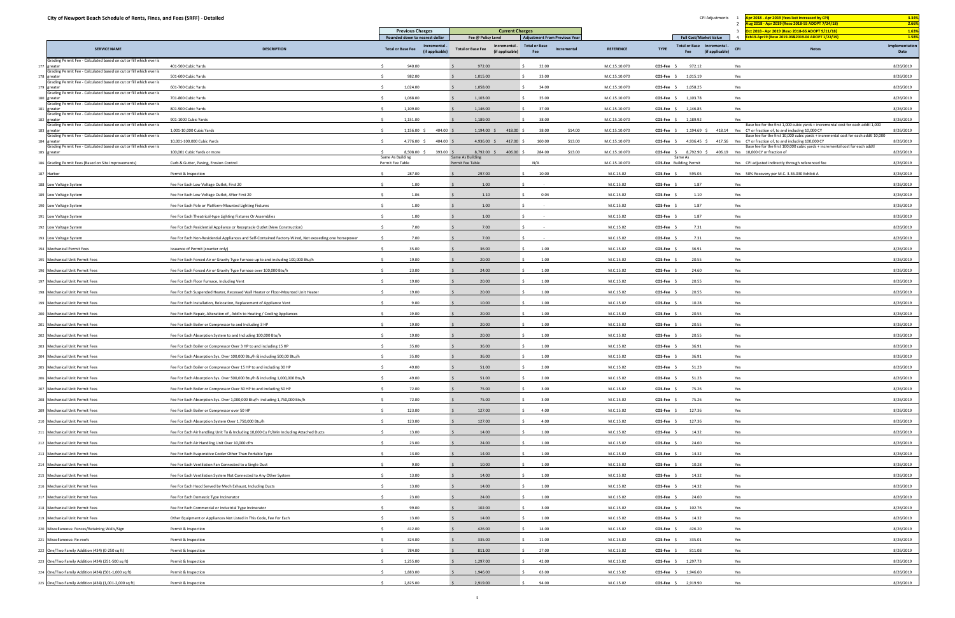| City of Newport Beach Schedule of Rents, Fines, and Fees (SRFF) - Detailed        |                                                                                                        |                                                            |                                                              |                                      |                  | CPI Adjustments                                                                | Apr 2018 - Apr 2019 (fees last increased by CPI)                                                                                                           | 3.34%                  |
|-----------------------------------------------------------------------------------|--------------------------------------------------------------------------------------------------------|------------------------------------------------------------|--------------------------------------------------------------|--------------------------------------|------------------|--------------------------------------------------------------------------------|------------------------------------------------------------------------------------------------------------------------------------------------------------|------------------------|
|                                                                                   |                                                                                                        | <b>Previous Charges</b>                                    | <b>Current Charges</b>                                       |                                      |                  |                                                                                | ug 2018 - Apr 2019 (Reso 2018-55 ADOPT 7/24/18)<br>ct 2018 - Apr 2019 (Reso 2018-66 ADOPT 9/11/18)                                                         | 2.66%<br>1.63%         |
|                                                                                   |                                                                                                        | Rounded down to nearest dollar                             | Fee @ Policy Level                                           | <b>Adjustment From Previous Year</b> |                  | <b>Full Cost/Market Value</b>                                                  | eb19-Apr19 (Reso 2019-03&2019-04 ADOPT 1/22/19)                                                                                                            | 1.58%                  |
| <b>SERVICE NAME</b>                                                               | <b>DESCRIPTION</b>                                                                                     | Incremental<br><b>Total or Base Fee</b><br>(if applicable) | Incremental -<br><b>Total or Base Fee</b><br>(if applicable) | <b>Total or Base</b><br>Incremental  | <b>REFERENCE</b> | <b>Total or Base</b><br>Incremental -<br><b>TYPE</b><br>(if applicable)<br>Fee | CP<br><b>Notes</b>                                                                                                                                         | Implementation<br>Date |
| Grading Permit Fee - Calculated based on cut or fill which ever is<br>177 greater | 401-500 Cubic Yards                                                                                    | 940.00                                                     | 972.00                                                       | 32.00                                | M.C.15.10.070    | COS-Fee \$<br>972.12                                                           | Yes                                                                                                                                                        | 8/26/2019              |
| Grading Permit Fee - Calculated based on cut or fill which ever is<br>178 greater | 501-600 Cubic Yards                                                                                    | 982.00                                                     | 1,015.00                                                     | 33.00                                | M.C.15.10.070    | 1,015.19<br><b>COS-Fee</b>                                                     | Yes                                                                                                                                                        | 8/26/2019              |
| Grading Permit Fee - Calculated based on cut or fill which ever is<br>179 greater | 601-700 Cubic Yards                                                                                    | 1,024.00                                                   | 1,058.00                                                     | 34.00                                | M.C.15.10.070    | $COS-Fee$ \$<br>1,058.25                                                       | Yes                                                                                                                                                        | 8/26/2019              |
| Grading Permit Fee - Calculated based on cut or fill which ever is<br>180 greater | 701-800 Cubic Yards                                                                                    | 1,068.00                                                   | 1,103.00                                                     | 35.00                                | M.C.15.10.070    | 1,103.78<br>$COS-Fee$ \$                                                       | Yes                                                                                                                                                        | 8/26/2019              |
| Grading Permit Fee - Calculated based on cut or fill which ever is<br>181 greater | 801-900 Cubic Yards                                                                                    | 1,109.00                                                   | 1,146.00                                                     | 37.00                                | M.C.15.10.070    | 1,146.85<br>$COS-Fee$ \$                                                       | Yes                                                                                                                                                        | 8/26/2019              |
| Grading Permit Fee - Calculated based on cut or fill which ever is<br>182 greater | 901-1000 Cubic Yards                                                                                   | 1,151.00                                                   | 1,189.00                                                     | 38.00                                | M.C.15.10.070    | $COS-Fee$ \$<br>1,189.92                                                       | Yes                                                                                                                                                        | 8/26/2019              |
| Grading Permit Fee - Calculated based on cut or fill which ever is<br>183 greater | 1,001-10,000 Cubic Yards                                                                               | 1,156.00 \$<br>404.00                                      | $1,194.00$ \$<br>418.00                                      | 38.00<br>\$14.00                     | M.C.15.10.070    | 1,194.69 \$<br>$COS-Fee$ \$                                                    | Base fee for the first 1,000 cubic yards + incremental cost for each addtl 1,000<br>418.14 Yes CY or fraction of, to and including 10,000 CY               | 8/26/2019              |
| Grading Permit Fee - Calculated based on cut or fill which ever is<br>184 greater | 10,001-100,000 Cubic Yards                                                                             | 4,776.00 \$<br>404.00 \$                                   | $4,936.00$ \$<br>417.00 \$                                   | 160.00<br>\$13.00                    | M.C.15.10.070    | $COS-Fee$ \$                                                                   | Base fee for the first 10,000 cubic yards + incremental cost for each addtl 10,000<br>4,936.45 \$417.56 Yes CY or fraction of, to and including 100,000 CY | 8/26/2019              |
| Grading Permit Fee - Calculated based on cut or fill which ever is<br>185 greater | 100,001 Cubic Yards or more                                                                            | 8,508.00 \$<br>393.00 \$                                   | 8,792.00 \$<br>406.00 \$                                     | 284.00<br>\$13.00                    | M.C.15.10.070    | $COS-Fee$ \$<br>8,792.90 \$                                                    | Base fee for the first 100,000 cubic yards + incremental cost for each addtl<br>406.19 Yes 10,000 CY or fraction of                                        | 8/26/2019              |
| 186 Grading Permit Fees (Based on Site Improvements)                              | Curb & Gutter, Paving, Erosion Control                                                                 | Same As Building<br>Permit Fee Table                       | Same As Building<br>Permit Fee Table                         | N/A                                  | M.C.15.10.070    | Same As<br><b>COS-Fee</b> Building Permit                                      | Yes CPI adjusted indirectly through referenced fee                                                                                                         | 8/26/2019              |
| 187 Harbor                                                                        | Permit & Inspection                                                                                    | 287.00                                                     | 297.00                                                       | 10.00                                | M.C.15.02        | COS-Fee \$<br>595.05                                                           | Yes 50% Recovery per M.C. 3.36.030 Exhibit A                                                                                                               | 8/26/2019              |
| 188 Low Voltage System                                                            | Fee For Each Low Voltage Outlet, First 20                                                              | 1.00                                                       | 1.00                                                         |                                      | M.C.15.02        | 1.87<br>COS-Fee \$                                                             | Yes                                                                                                                                                        | 8/26/2019              |
| 189 Low Voltage System                                                            | Fee For Each Low Voltage Outlet, After First 20                                                        | 1.06                                                       | 1.10                                                         | 0.04                                 | M.C.15.02        | 1.10<br>COS-Fee \$                                                             | Yes                                                                                                                                                        | 8/26/2019              |
| 190 Low Voltage System                                                            | Fee For Each Pole or Platform-Mounted Lighting Fixtures                                                | 1.00                                                       | 1.00                                                         |                                      | M.C.15.02        | 1.87<br><b>COS-Fee</b>                                                         | Yes                                                                                                                                                        | 8/26/2019              |
|                                                                                   |                                                                                                        | 1.00                                                       | 1.00                                                         |                                      | M.C.15.02        | 1.87<br>$COS-Fee$ \$                                                           | Yes                                                                                                                                                        | 8/26/2019              |
| 191 Low Voltage System                                                            | Fee For Each Theatrical-type Lighting Fixtures Or Assemblies                                           | 7.00                                                       | 7.00                                                         |                                      | M.C.15.02        | 7.31                                                                           | Yes                                                                                                                                                        | 8/26/2019              |
| 192 Low Voltage System                                                            | Fee For Each Residential Appliance or Receptacle Outlet (New Construction)                             |                                                            |                                                              |                                      |                  | <b>COS-Fee</b>                                                                 |                                                                                                                                                            |                        |
| 193 Low Voltage System                                                            | Fee For Each Non-Residential Appliances and Self-Contained Factory-Wired, Not exceeding one horsepower | 7.00                                                       | 7.00                                                         |                                      | M.C.15.02        | 7.31<br><b>COS-Fee</b>                                                         | Yes                                                                                                                                                        | 8/26/2019              |
| 194 Mechanical Permit Fees                                                        | Issuance of Permit (counter only)                                                                      | 35.00                                                      | 36.00                                                        | 1.00                                 | M.C.15.02        | 36.91<br>COS-Fee \$                                                            | Yes                                                                                                                                                        | 8/26/2019              |
| 195 Mechanical Unit Permit Fees                                                   | Fee For Each Forced Air or Gravity Type Furnace up to and including 100,000 Btu/h                      | 19.00                                                      | 20.00                                                        | 1.00                                 | M.C.15.02        | 20.55<br><b>COS-Fee</b>                                                        | Yes                                                                                                                                                        | 8/26/2019              |
| 196 Mechanical Unit Permit Fees                                                   | Fee For Each Forced Air or Gravity Type Furnace over 100,000 Btu/h                                     | 23.00                                                      | 24.00                                                        | 1.00                                 | M.C.15.02        | 24.60<br>$COS-Fee$ \$                                                          | Yes                                                                                                                                                        | 8/26/2019              |
| 197 Mechanical Unit Permit Fees                                                   | Fee For Each Floor Furnace, Including Vent                                                             | 19.00                                                      | 20.00                                                        | 1.00                                 | M.C.15.02        | 20.55<br><b>COS-Fee</b>                                                        | Yes                                                                                                                                                        | 8/26/2019              |
| 198 Mechanical Unit Permit Fees                                                   | Fee For Each Suspended Heater, Recessed Wall Heater or Floor-Mounted Unit Heater                       | 19.00                                                      | 20.00                                                        | 1.00                                 | M.C.15.02        | 20.55<br>COS-Fee \$                                                            | Yes                                                                                                                                                        | 8/26/2019              |
| 199 Mechanical Unit Permit Fees                                                   | Fee For Each Installation, Relocation, Replacement of Appliance Vent                                   | 9.00                                                       | 10.00                                                        | 1.00                                 | M.C.15.02        | COS-Fee \$<br>10.28                                                            | Yes                                                                                                                                                        | 8/26/2019              |
| 200 Mechanical Unit Permit Fees                                                   | Fee For Each Repair, Alteration of, Add'n to Heating / Cooling Appliances                              | 19.00                                                      | 20.00                                                        | 1.00                                 | M.C.15.02        | 20.55<br><b>COS-Fee</b>                                                        | Yes                                                                                                                                                        | 8/26/2019              |
| 201 Mechanical Unit Permit Fees                                                   | Fee For Each Boiler or Compressor to and Including 3 HP                                                | 19.00                                                      | 20.00                                                        | 1.00                                 | M.C.15.02        | <b>COS-Fee</b><br>20.55                                                        | Yes                                                                                                                                                        | 8/26/2019              |
| 202 Mechanical Unit Permit Fees                                                   | Fee For Each Absorption System to and Including 100,000 Btu/h                                          | 19.00                                                      | 20.00                                                        | 1.00                                 | M.C.15.02        | <b>COS-Fee</b><br>20.55                                                        | Yes                                                                                                                                                        | 8/26/2019              |
| 203 Mechanical Unit Permit Fees                                                   | Fee For Each Boiler or Compressor Over 3 HP to and including 15 HP                                     | 35.00                                                      | 36.00                                                        | 1.00                                 | M.C.15.02        | 36.91<br><b>COS-Fee</b>                                                        | Yes                                                                                                                                                        | 8/26/2019              |
| 204 Mechanical Unit Permit Fees                                                   | Fee For Each Absorption Sys. Over 100,000 Btu/h & including 500,00 Btu/h                               | 35.00                                                      | 36.00                                                        | 1.00                                 | M.C.15.02        | $COS-Fee$ \$<br>36.91                                                          | Yes                                                                                                                                                        | 8/26/2019              |
| 205 Mechanical Unit Permit Fees                                                   | Fee For Each Boiler or Compressor Over 15 HP to and including 30 HP                                    | 49.00<br>$\leq$                                            | 51.00                                                        | 2.00                                 | M.C.15.02        | 51.23<br>$COS-Fee$ \$                                                          | Yes                                                                                                                                                        | 8/26/2019              |
| 206 Mechanical Unit Permit Fees                                                   | Fee For Each Absorption Sys. Over 500,000 Btu/h & including 1,000,000 Btu/h                            | 49.00                                                      | 51.00                                                        | 2.00                                 | M.C.15.02        | 51.23<br>COS-Fee \$                                                            | Yes                                                                                                                                                        | 8/26/2019              |
| 207 Mechanical Unit Permit Fees                                                   | Fee For Each Boiler or Compressor Over 30 HP to and including 50 HP                                    | 72.00                                                      | 75.00                                                        | 3.00                                 | M.C.15.02        | COS-Fee \$<br>75.26                                                            | Yes                                                                                                                                                        | 8/26/2019              |
| 208 Mechanical Unit Permit Fees                                                   | Fee For Each Absorption Sys. Over 1,000,000 Btu/h including 1,750,000 Btu/h                            | 72.00<br>$\leq$                                            | 75.00                                                        | 3.00                                 | M.C.15.02        | 75.26<br>COS-Fee \$                                                            | Yes                                                                                                                                                        | 8/26/2019              |
| 209 Mechanical Unit Permit Fees                                                   | Fee For Each Boiler or Compressor over 50 HP                                                           | 123.00                                                     | 127.00                                                       | 4.00                                 | M.C.15.02        | 127.36<br>$COS-Fee$ \$                                                         | Yes                                                                                                                                                        | 8/26/2019              |
| 210 Mechanical Unit Permit Fees                                                   | Fee For Each Absorption System Over 1,750,000 Btu/h                                                    | $\sim$<br>123.00                                           | 127.00                                                       | 4.00                                 | M.C.15.02        | 127.36<br>COS-Fee \$                                                           | Yes                                                                                                                                                        | 8/26/2019              |
| 211 Mechanical Unit Permit Fees                                                   | Fee For Each Air handling Unit To & Including 10,000 Cu Ft/Min Including Attached Ducts                | 13.00<br>$\leq$                                            | 14.00                                                        | 1.00                                 | M.C.15.02        | 14.32<br>COS-Fee \$                                                            | Yes                                                                                                                                                        | 8/26/2019              |
| 212 Mechanical Unit Permit Fees                                                   | Fee For Each Air Handling Unit Over 10,000 cfm                                                         | 23.00                                                      | 24.00                                                        | 1.00                                 | M.C.15.02        | COS-Fee \$<br>24.60                                                            | Yes                                                                                                                                                        | 8/26/2019              |
| 213 Mechanical Unit Permit Fees                                                   | Fee For Each Evaporative Cooler Other Than Portable Type                                               | 13.00                                                      | 14.00                                                        | 1.00                                 | M.C.15.02        | COS-Fee \$<br>14.32                                                            | Yes                                                                                                                                                        | 8/26/2019              |
| 214 Mechanical Unit Permit Fees                                                   | Fee For Each Ventilation Fan Connected to a Single Duct                                                | 9.00                                                       | 10.00                                                        | 1.00                                 | M.C.15.02        | 10.28<br>$COS-Fee$ \$                                                          | Yes                                                                                                                                                        | 8/26/2019              |
| 215 Mechanical Unit Permit Fees                                                   | Fee For Each Ventilation System Not Connected to Any Other System                                      | 13.00                                                      | 14.00                                                        | 1.00                                 | M.C.15.02        | 14.32<br>COS-Fee \$                                                            | Yes                                                                                                                                                        | 8/26/2019              |
| 216 Mechanical Unit Permit Fees                                                   | Fee For Each Hood Served by Mech Exhaust, Including Ducts                                              | 13.00<br>$\sim$                                            | 14.00                                                        | 1.00                                 | M.C.15.02        | 14.32<br>COS-Fee \$                                                            | Yes                                                                                                                                                        | 8/26/2019              |
| 217 Mechanical Unit Permit Fees                                                   | Fee For Each Domestic Type Incinerator                                                                 | 23.00<br>$\sim$                                            | 24.00                                                        | 1.00                                 | M.C.15.02        | 24.60<br>COS-Fee \$                                                            | Yes                                                                                                                                                        | 8/26/2019              |
| 218 Mechanical Unit Permit Fees                                                   | Fee For Each Commercial or Industrial Type Incinerator                                                 | 99.00<br>$\leq$                                            | 102.00                                                       | 3.00                                 | M.C.15.02        | 102.76<br>COS-Fee \$                                                           | Yes                                                                                                                                                        | 8/26/2019              |
| 219 Mechanical Unit Permit Fees                                                   | Other Equipment or Appliances Not Listed in This Code, Fee For Each                                    | 13.00                                                      | 14.00                                                        | 1.00                                 | M.C.15.02        | 14.32<br>COS-Fee \$                                                            | Yes                                                                                                                                                        | 8/26/2019              |
| 220 Miscellaneous: Fences/Retaining Walls/Sign                                    | Permit & Inspection                                                                                    | 412.00                                                     | 426.00                                                       | 14.00                                | M.C.15.02        | 426.20<br>COS-Fee \$                                                           | Yes                                                                                                                                                        | 8/26/2019              |
| 221 Miscellaneous: Re-roofs                                                       | Permit & Inspection                                                                                    | 324.00<br>$\sim$                                           | 335.00                                                       | 11.00                                | M.C.15.02        | 335.01<br>$COS-Fee$ \$                                                         | Yes                                                                                                                                                        | 8/26/2019              |
| 222 One/Two Family Addition (434) (0-250 sq ft)                                   | Permit & Inspection                                                                                    | 784.00                                                     | 811.00                                                       | 27.00                                | M.C.15.02        | COS-Fee \$<br>811.08                                                           | Yes                                                                                                                                                        | 8/26/2019              |
| 223 One/Two Family Addition (434) (251-500 sq ft)                                 | Permit & Inspection                                                                                    | 1,255.00                                                   | 1,297.00                                                     | 42.00                                | M.C.15.02        | COS-Fee \$<br>1,297.73                                                         | Yes                                                                                                                                                        | 8/26/2019              |
| 224 One/Two Family Addition (434) (501-1,000 sq ft)                               | Permit & Inspection                                                                                    | 1,883.00                                                   | 1,946.00                                                     | 63.00                                | M.C.15.02        | 1,946.60<br>$COS-Fee$ \$                                                       | Yes                                                                                                                                                        | 8/26/2019              |
| 225 One/Two Family Addition (434) (1,001-2,000 sq ft)                             | Permit & Inspection                                                                                    | 2,825.00                                                   | 2,919.00                                                     | 94.00                                | M.C.15.02        | $COS-Fee$ \$ 2,919.90                                                          | Yes                                                                                                                                                        | 8/26/2019              |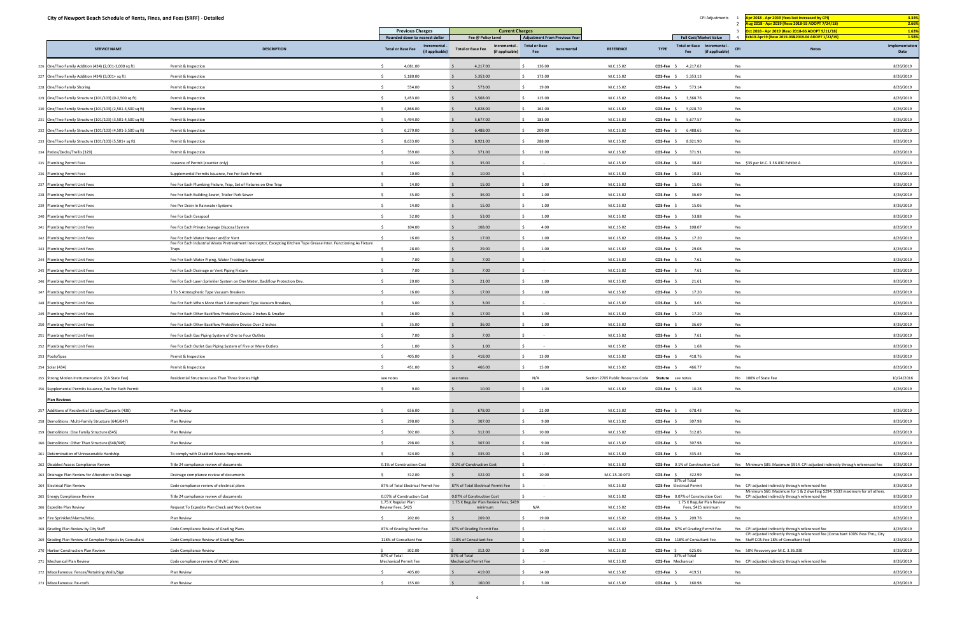|     | City of Newport Beach Schedule of Rents, Fines, and Fees (SRFF) - Detailed |                                                                                                                              |                                               |                                                   |                                                              |                                                      |                                  | CPI Adjustments                                              | Apr 2018 - Apr 2019 (fees last increased by CPI)<br>ug 2018 - Apr 2019 (Reso 2018-55 ADOPT 7/24/18)                                 | 3.34%<br>2.66%          |
|-----|----------------------------------------------------------------------------|------------------------------------------------------------------------------------------------------------------------------|-----------------------------------------------|---------------------------------------------------|--------------------------------------------------------------|------------------------------------------------------|----------------------------------|--------------------------------------------------------------|-------------------------------------------------------------------------------------------------------------------------------------|-------------------------|
|     |                                                                            |                                                                                                                              | <b>Previous Charges</b>                       | <b>Current Charges</b>                            |                                                              |                                                      |                                  |                                                              | <u>ct 2018 - Apr 2019 (Reso 2018-66 ADOPT 9/11/18) </u>                                                                             | 1.63%                   |
|     |                                                                            |                                                                                                                              | Rounded down to nearest dollar<br>Incremental | Fee @ Policy Level<br>Incremental                 | <b>Adjustment From Previous Year</b><br><b>Total or Base</b> |                                                      |                                  | <b>Full Cost/Market Value</b><br>Total or Base Incremental - | b19-Apr19 (Reso 2019-03&2019-04 ADOPT 1/22/19)                                                                                      | 1.58%<br>Implementation |
|     | <b>SERVICE NAME</b>                                                        | <b>DESCRIPTION</b>                                                                                                           | <b>Total or Base Fee</b><br>(if applicable)   | <b>Total or Base Fee</b><br>(if applicable)       | Incremental<br>Fee                                           | <b>REFERENCE</b>                                     | <b>TYPE</b>                      | (if applicable)<br>Fee                                       | <b>Notes</b><br>CPI                                                                                                                 | Date                    |
|     | One/Two Family Addition (434) (2,001-3,000 sq ft)                          | Permit & Inspection                                                                                                          | 4,081.00<br>S.                                | 4,217.00                                          | 136.00                                                       | M.C.15.02                                            | $COS-Fee$ \$                     | 4,217.62                                                     | Yes                                                                                                                                 | 8/26/2019               |
| 227 | One/Two Family Addition (434) (3,001+ sq ft)                               | Permit & Inspection                                                                                                          | 5,180.00                                      | 5,353.00                                          | 173.00                                                       | M.C.15.02                                            | COS-Fee                          | 5,353.13                                                     | Yes                                                                                                                                 | 8/26/2019               |
|     | 228 One/Two Family Shoring                                                 | Permit & Inspection                                                                                                          | 554.00                                        | 573.00                                            | 19.00                                                        | M.C.15.02                                            | COS-Fee \$                       | 573.14                                                       | Yes                                                                                                                                 | 8/26/2019               |
|     | 229 One/Two Family Structure (101/103) (0-2,500 sq ft)                     | Permit & Inspection                                                                                                          | 3,453.00                                      | 3,568.00                                          | 115.00                                                       | M.C.15.02                                            | COS-Fee \$                       | 3,568.76                                                     | Yes                                                                                                                                 | 8/26/2019               |
|     | 230 One/Two Family Structure (101/103) (2,501-3,500 sq ft)                 | Permit & Inspection                                                                                                          | 4,866.00                                      | 5,028.00                                          | 162.00                                                       | M.C.15.02                                            | COS-Fee \$                       | 5,028.70                                                     | Yes                                                                                                                                 | 8/26/2019               |
|     | 231 One/Two Family Structure (101/103) (3,501-4,500 sq ft)                 | Permit & Inspection                                                                                                          | 5,494.00                                      | 5,677.00                                          | 183.00                                                       | M.C.15.02                                            | COS-Fee \$                       | 5,677.57                                                     | Yes                                                                                                                                 | 8/26/2019               |
|     | 232 One/Two Family Structure (101/103) (4,501-5,500 sq ft)                 | Permit & Inspection                                                                                                          | 6,279.00                                      | 6,488.00                                          | 209.00                                                       | M.C.15.02                                            | COS-Fee \$                       | 6,488.65                                                     | Yes                                                                                                                                 | 8/26/2019               |
|     | 233 One/Two Family Structure (101/103) (5,501+ sq ft)                      | Permit & Inspection                                                                                                          | 8,633.00                                      | 8,921.00                                          | 288.00                                                       | M.C.15.02                                            | COS-Fee \$                       | 8,921.90                                                     | Yes                                                                                                                                 | 8/26/2019               |
|     | 234 Patios/Decks/Trellis (329)                                             | Permit & Inspection                                                                                                          | 359.00                                        | 371.00                                            | 12.00                                                        | M.C.15.02                                            | COS-Fee                          | 371.91                                                       | Yes                                                                                                                                 | 8/26/2019               |
|     | 235 Plumbing Permit Fees                                                   | Issuance of Permit (counter only)                                                                                            | 35.00                                         | 35.00                                             |                                                              | M.C.15.02                                            | COS-Fee \$                       | 38.82                                                        | Yes \$35 per M.C. 3.36.030 Exhibit A                                                                                                | 8/26/2019               |
|     | 236 Plumbing Permit Fees                                                   | Supplemental Permits Issuance, Fee For Each Permit                                                                           | 10.00                                         | 10.00                                             |                                                              | M.C.15.02                                            | COS-Fee \$                       | 10.81                                                        | Yes                                                                                                                                 | 8/26/2019               |
|     | 237 Plumbing Permit Unit Fees                                              | Fee For Each Plumbing Fixture, Trap, Set of Fixtures on One Trap                                                             | 14.00                                         | 15.00                                             | 1.00                                                         | M.C.15.02                                            | <b>COS-Fee</b>                   | 15.06                                                        | Yes                                                                                                                                 | 8/26/2019               |
|     | 238 Plumbing Permit Unit Fees                                              | Fee For Each Building Sewer, Trailer Park Sewer                                                                              | 35.00                                         | 36.00                                             | 1.00                                                         | M.C.15.02                                            | COS-Fee \$                       | 36.69                                                        | Yes                                                                                                                                 | 8/26/2019               |
|     | 239 Plumbing Permit Unit Fees                                              | Fee Per Drain In Rainwater Systems                                                                                           | 14.00                                         | 15.00                                             | 1.00                                                         | M.C.15.02                                            | COS-Fee \$                       | 15.06                                                        | Yes                                                                                                                                 | 8/26/2019               |
|     | 240 Plumbing Permit Unit Fees                                              | Fee For Each Cesspool                                                                                                        | 52.00                                         | 53.00                                             | 1.00                                                         | M.C.15.02                                            | <b>COS-Fee</b>                   | 53.88                                                        | Yes                                                                                                                                 | 8/26/2019               |
|     | 241 Plumbing Permit Unit Fees                                              | Fee For Each Private Sewage Disposal System                                                                                  | 104.00                                        | 108.00                                            | 4.00                                                         | M.C.15.02                                            | COS-Fee \$                       | 108.07                                                       | Yes                                                                                                                                 | 8/26/2019               |
| 242 | <b>Plumbing Permit Unit Fees</b>                                           | Fee For Each Water Heater and/or Vent                                                                                        | 16.00                                         | 17.00                                             | 1.00                                                         | M.C.15.02                                            | <b>COS-Fee</b>                   | 17.20                                                        | Yes                                                                                                                                 | 8/26/2019               |
|     | 243 Plumbing Permit Unit Fees                                              | Fee For Each Industrial Waste Pretreatment Interceptor, Excepting Kitchen Type Grease Inter. Functioning As Fixture<br>Traps | 28.00                                         | 29.00                                             | 1.00                                                         | M.C.15.02                                            | COS-Fee \$                       | 29.08                                                        | Yes                                                                                                                                 | 8/26/2019               |
|     | 244 Plumbing Permit Unit Fees                                              | Fee For Each Water Piping, Water Treating Equipment                                                                          | 7.00                                          | 7.00                                              |                                                              | M.C.15.02                                            | COS-Fee \$                       | 7.61                                                         | Yes                                                                                                                                 | 8/26/2019               |
|     | 245 Plumbing Permit Unit Fees                                              | Fee For Each Drainage or Vent Piping Fixture                                                                                 | 7.00                                          | 7.00                                              |                                                              | M.C.15.02                                            | COS-Fee                          | 7.61                                                         | Yes                                                                                                                                 | 8/26/2019               |
|     | 246 Plumbing Permit Unit Fees                                              | Fee For Each Lawn Sprinkler System on One Meter, Backflow Protection Dev.                                                    | 20.00                                         | 21.00                                             | 1.00                                                         | M.C.15.02                                            | COS-Fee \$                       | 21.61                                                        | Yes                                                                                                                                 | 8/26/2019               |
|     | 247 Plumbing Permit Unit Fees                                              | 1 To 5 Atmospheric Type Vacuum Breakers                                                                                      | 16.00                                         | 17.00                                             | 1.00                                                         | M.C.15.02                                            | <b>COS-Fee</b>                   | 17.20                                                        | Yes                                                                                                                                 | 8/26/2019               |
|     | 248 Plumbing Permit Unit Fees                                              | Fee For Each When More than 5 Atmospheric Type Vacuum Breakers,                                                              | 3.00                                          | 3.00                                              |                                                              | M.C.15.02                                            | COS-Fee                          | 3.65                                                         | Yes                                                                                                                                 | 8/26/2019               |
|     | 249 Plumbing Permit Unit Fees                                              | Fee For Each Other Backflow Protective Device 2 Inches & Smaller                                                             | 16.00                                         | 17.00                                             | 1.00                                                         | M.C.15.02                                            | COS-Fee \$                       | 17.20                                                        | Yes                                                                                                                                 | 8/26/2019               |
|     | 250 Plumbing Permit Unit Fees                                              | Fee For Each Other Backflow Protective Device Over 2 Inches                                                                  | 35.00                                         | 36.00                                             | 1.00                                                         | M.C.15.02                                            | <b>COS-Fee</b>                   | 36.69                                                        | Yes                                                                                                                                 | 8/26/2019               |
|     | 251 Plumbing Permit Unit Fees                                              | Fee For Each Gas Piping System of One to Four Outlets                                                                        | 7.00                                          | 7.00                                              |                                                              | M.C.15.02                                            | COS-Fee \$                       | 7.61                                                         | Yes                                                                                                                                 | 8/26/2019               |
|     | 252 Plumbing Permit Unit Fees                                              | Fee For Each Outlet Gas Piping System of Five or More Outlets                                                                | 1.00                                          | 1.00                                              |                                                              | M.C.15.02                                            | <b>COS-Fee</b>                   | 1.68                                                         | Yes                                                                                                                                 | 8/26/2019               |
|     | 253 Pools/Spas                                                             | Permit & Inspection                                                                                                          | 405.00<br>$\leq$                              | 418.00                                            | 13.00                                                        | M.C.15.02                                            | COS-Fee \$                       | 418.76                                                       | Yes                                                                                                                                 | 8/26/2019               |
|     | 254 Solar (434)                                                            | Permit & Inspection                                                                                                          | 451.00                                        | 466.00                                            | 15.00                                                        | M.C.15.02                                            | COS-Fee \$                       | 466.77                                                       | Yes                                                                                                                                 | 8/26/2019               |
| 255 | Strong Motion Instrumentation (CA State Fee)                               | Residential Structures Less Than Three Stories High                                                                          | see notes                                     | see notes                                         | N/A                                                          | Section 2705 Public Resources Code Statute see notes |                                  |                                                              | No 100% of State Fee                                                                                                                | 10/24/2016              |
|     | 256 Supplemental Permits Issuance, Fee For Each Permit                     |                                                                                                                              | 9.00<br>S.                                    | 10.00                                             | 1.00                                                         | M.C.15.02                                            | $COS-Fee$ \$                     | 10.28                                                        | Yes                                                                                                                                 | 8/26/2019               |
|     | <b>Plan Reviews</b>                                                        |                                                                                                                              |                                               |                                                   |                                                              |                                                      |                                  |                                                              |                                                                                                                                     |                         |
|     | 257 Additions of Residential Garages/Carports (438)                        | Plan Review                                                                                                                  | 656.00                                        | 678.00                                            | 22.00                                                        | M.C.15.02                                            | $COS-Fee$ \$                     | 678.43                                                       | Yes                                                                                                                                 | 8/26/2019               |
|     | 258 Demolitions: Multi-Family Structure (646/647)                          | Plan Review                                                                                                                  | 298.00                                        | 307.00                                            | 9.00                                                         | M.C.15.02                                            | $COS-Fee$ \$                     | 307.98                                                       | Yes                                                                                                                                 | 8/26/2019               |
|     | 259 Demolitions: One Family Structure (645)                                | Plan Review                                                                                                                  | 302.00                                        | 312.00                                            | 10.00                                                        | M.C.15.02                                            | COS-Fee                          | 312.85                                                       | Yes                                                                                                                                 | 8/26/2019               |
|     | 260 Demolitions: Other Than Structure (648/649)                            | Plan Review                                                                                                                  | 298.00                                        | 307.00                                            | 9.00                                                         | M.C.15.02                                            | $COS-Fee$ \$                     | 307.98                                                       | Yes                                                                                                                                 | 8/26/2019               |
|     | 261 Determination of Unreasonable Hardship                                 | To comply with Disabled Access Requirements                                                                                  | 324.00                                        | 335.00                                            | 11.00                                                        | M.C.15.02                                            | $COS-Fee$ \$                     | 335.44                                                       | Yes                                                                                                                                 | 8/26/2019               |
|     | 262 Disabled Access Compliance Review                                      | Title 24 compliance review of documents                                                                                      | 0.1% of Construction Cost                     | 0.1% of Construction Cost                         |                                                              | M.C.15.02                                            |                                  | COS-Fee 0.1% of Construction Cost                            | Yes Minimum \$89. Maximum \$914. CPI adjusted indirectly through referenced fee                                                     | 8/26/2019               |
|     | 263 Drainage Plan Review for Alteration to Drainage                        | Drainage compliance review of documents                                                                                      | 312.00                                        | 322.00                                            | 10.00                                                        | M.C.15.10.070                                        | COS-Fee \$ 322.99                |                                                              | Yes                                                                                                                                 | 8/26/2019               |
|     | 264 Electrical Plan Review                                                 | Code compliance review of electrical plans                                                                                   | 87% of Total Electrical Permit Fee            | 87% of Total Electrical Permit Fee                |                                                              | M.C.15.02                                            | <b>COS-Fee</b> Electrical Permit | 87% of Total                                                 | Yes CPI adjusted indirectly through referenced fee                                                                                  | 8/26/2019               |
|     | 265 Energy Compliance Review                                               | Title 24 compliance review of documents                                                                                      | 0.07% of Construction Cost                    | 0.07% of Construction Cost                        | <b>Contract</b>                                              | M.C.15.02                                            |                                  | COS-Fee 0.07% of Construction Cost                           | Minimum \$60. Maximum for 1 & 2 dwelling \$294. \$533 maximum for all others.<br>Yes CPI adjusted indirectly through referenced fee | 8/26/2019               |
|     | 266 Expedite Plan Review                                                   | Request To Expedite Plan Check and Work Overtime                                                                             | 1.75 X Regular Plan<br>Review Fees, \$425     | 1.75 X Regular Plan Review Fees, \$439<br>minimum | N/A                                                          | M.C.15.02                                            |                                  | 1.75 X Regular Plan Review<br>COS-Fee Fees, \$425 minimum    | Yes                                                                                                                                 | 8/26/2019               |
|     | 267 Fire Sprinkler/Alarms/Misc.                                            | Plan Review                                                                                                                  | $\zeta$<br>202.00                             | 209.00                                            | 19.00                                                        | M.C.15.02                                            | $COS-Fee$ \$                     | 209.76                                                       | Yes                                                                                                                                 | 8/26/2019               |
|     | 268 Grading Plan Review by City Staff                                      | Code Compliance Review of Grading Plans                                                                                      | 87% of Grading Permit Fee                     | 87% of Grading Permit Fee                         |                                                              | M.C.15.02                                            |                                  | COS-Fee 87% of Grading Permit Fee                            | Yes CPI adjusted indirectly through referenced fee                                                                                  | 8/26/2019               |
|     | 269 Grading Plan Review of Complex Projects by Consultant                  | Code Compliance Review of Grading Plans                                                                                      | 118% of Consultant Fee                        | 118% of Consultant Fee                            |                                                              | M.C.15.02                                            |                                  | COS-Fee 118% of Consultant Fee                               | CPI adjusted indirectly through referenced fee (Consultant 100% Pass Thru, City<br>Yes Staff COS-Fee 18% of Consultant fee)         | 8/26/2019               |
|     | 270 Harbor Construction Plan Review                                        | Code Compliance Review                                                                                                       | 302.00                                        | 312.00                                            | 10.00                                                        | M.C.15.02                                            | $COS-Fee$ \$                     | 625.06                                                       | Yes 50% Recovery per M.C. 3.36.030                                                                                                  | 8/26/2019               |
|     | 271 Mechanical Plan Review                                                 | Code compliance review of HVAC plans                                                                                         | 87% of Total<br><b>Mechanical Permit Fee</b>  | 87% of Total<br><b>Mechanical Permit Fee</b>      |                                                              | M.C.15.02                                            | COS-Fee Mechanical               | 87% of Total                                                 | Yes CPI adjusted indirectly through referenced fee                                                                                  | 8/26/2019               |
|     | 272 Miscellaneous: Fences/Retaining Walls/Sign                             | Plan Review                                                                                                                  | 405.00                                        | 419.00                                            | 14.00                                                        | M.C.15.02                                            | COS-Fee \$                       | 419.51                                                       | Yes                                                                                                                                 | 8/26/2019               |
|     | 273 Miscellaneous: Re-roofs                                                | Plan Review                                                                                                                  | 155.00                                        | 160.00                                            | 5.00                                                         | M.C.15.02                                            | $COS-Fee$ \$                     | 160.98                                                       | Yes                                                                                                                                 | 8/26/2019               |
|     |                                                                            |                                                                                                                              |                                               |                                                   |                                                              |                                                      |                                  |                                                              |                                                                                                                                     |                         |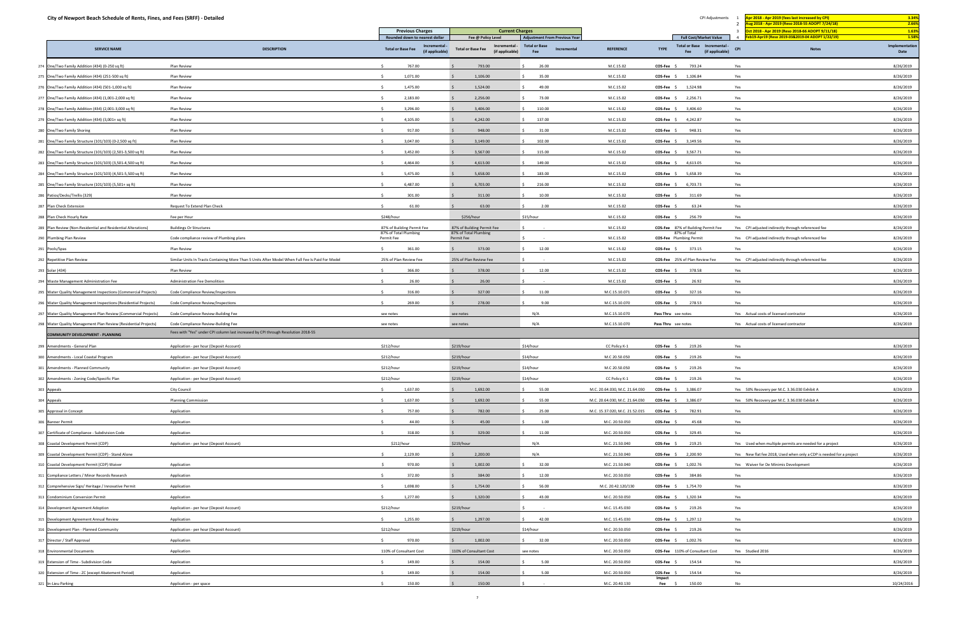| City of Newport Beach Schedule of Rents, Fines, and Fees (SRFF) - Detailed                                                                                                                                                                                                                                                                                                                                                                                                                                                                                                                                                                                                                                   |                                                                                                  |                                                            |                                                              |                                            |                                |                                                                      | ug 2018 - Apr 2019 (Reso 2018-55 ADOPT 7/24/18)                                                                  | 2.66%                  |
|--------------------------------------------------------------------------------------------------------------------------------------------------------------------------------------------------------------------------------------------------------------------------------------------------------------------------------------------------------------------------------------------------------------------------------------------------------------------------------------------------------------------------------------------------------------------------------------------------------------------------------------------------------------------------------------------------------------|--------------------------------------------------------------------------------------------------|------------------------------------------------------------|--------------------------------------------------------------|--------------------------------------------|--------------------------------|----------------------------------------------------------------------|------------------------------------------------------------------------------------------------------------------|------------------------|
|                                                                                                                                                                                                                                                                                                                                                                                                                                                                                                                                                                                                                                                                                                              |                                                                                                  | <b>Previous Charges</b><br>Rounded down to nearest dollar  | <b>Current Charges</b><br>Fee @ Policy Level                 | <b>Adjustment From Previous Year</b>       |                                | <b>Full Cost/Market Value</b>                                        | 00 0011 066 0017 011/18 0015 0015 002019 002010 002010 00205<br>Feb19-Apr19 (Reso 2019-03&2019-04 ADOPT 1/22/19) | 1.63%<br>1.58%         |
| <b>SERVICE NAME</b>                                                                                                                                                                                                                                                                                                                                                                                                                                                                                                                                                                                                                                                                                          | <b>DESCRIPTION</b>                                                                               | Incremental<br><b>Total or Base Fee</b><br>(if applicable) | Incremental -<br><b>Total or Base Fee</b><br>(if applicable) | <b>Total or Base</b><br>Incremental<br>Fee | <b>REFERENCE</b>               | Total or Base Incremental -<br><b>TYPE</b><br>(if applicable)<br>Fee | <b>CPI</b><br><b>Notes</b>                                                                                       | Implementation<br>Date |
| 274 One/Two Family Addition (434) (0-250 sq ft)                                                                                                                                                                                                                                                                                                                                                                                                                                                                                                                                                                                                                                                              | Plan Review                                                                                      | 767.00                                                     | 793.00                                                       | 26.00                                      | M.C.15.02                      | COS-Fee \$<br>793.24                                                 | Yes                                                                                                              | 8/26/2019              |
| 275 One/Two Family Addition (434) (251-500 sq ft)                                                                                                                                                                                                                                                                                                                                                                                                                                                                                                                                                                                                                                                            | Plan Review                                                                                      | 1,071.00                                                   | 1,106.00                                                     | 35.00                                      | M.C.15.02                      | 1,106.84<br>COS-Fee \$                                               | Yes                                                                                                              | 8/26/2019              |
| 276 One/Two Family Addition (434) (501-1,000 sq ft)                                                                                                                                                                                                                                                                                                                                                                                                                                                                                                                                                                                                                                                          | Plan Review                                                                                      | 1,475.00                                                   | 1,524.00                                                     | 49.00                                      | M.C.15.02                      | 1,524.98<br>COS-Fee \$                                               | Yes                                                                                                              | 8/26/2019              |
| 277 One/Two Family Addition (434) (1,001-2,000 sq ft)                                                                                                                                                                                                                                                                                                                                                                                                                                                                                                                                                                                                                                                        | Plan Review                                                                                      | 2,183.00                                                   | 2,256.00                                                     | 73.00                                      | M.C.15.02                      | 2,256.71<br>COS-Fee \$                                               | Yes                                                                                                              | 8/26/2019              |
| 278 One/Two Family Addition (434) (2,001-3,000 sq ft)                                                                                                                                                                                                                                                                                                                                                                                                                                                                                                                                                                                                                                                        | Plan Review                                                                                      | 3,296.00                                                   | 3,406.00                                                     | 110.00                                     | M.C.15.02                      | 3,406.60<br>$COS-Fee$ \$                                             | Yes                                                                                                              | 8/26/2019              |
| 279 One/Two Family Addition (434) (3,001+ sq ft)                                                                                                                                                                                                                                                                                                                                                                                                                                                                                                                                                                                                                                                             | Plan Review                                                                                      | 4,105.00                                                   | 4,242.00                                                     | 137.00                                     | M.C.15.02                      | COS-Fee \$<br>4,242.87                                               | Yes                                                                                                              | 8/26/2019              |
| 280 One/Two Family Shoring                                                                                                                                                                                                                                                                                                                                                                                                                                                                                                                                                                                                                                                                                   | Plan Review                                                                                      | 917.00                                                     | 948.00                                                       | 31.00                                      | M.C.15.02                      | 948.31<br>COS-Fee \$                                                 | Yes                                                                                                              | 8/26/2019              |
| 281 One/Two Family Structure (101/103) (0-2,500 sq ft)                                                                                                                                                                                                                                                                                                                                                                                                                                                                                                                                                                                                                                                       | Plan Review                                                                                      | 3,047.00<br>$\leq$                                         | 3,149.00                                                     | 102.00                                     | M.C.15.02                      | 3,149.56<br>$COS-Fee$ \$                                             | Yes                                                                                                              | 8/26/2019              |
| 282 One/Two Family Structure (101/103) (2,501-3,500 sq ft)                                                                                                                                                                                                                                                                                                                                                                                                                                                                                                                                                                                                                                                   | Plan Review                                                                                      | 3,452.00                                                   | 3,567.00                                                     | 115.00                                     | M.C.15.02                      | 3,567.71<br>$COS-Fee$ \$                                             | Yes                                                                                                              | 8/26/2019              |
| 283 One/Two Family Structure (101/103) (3,501-4,500 sq ft)                                                                                                                                                                                                                                                                                                                                                                                                                                                                                                                                                                                                                                                   | Plan Review                                                                                      | 4,464.00                                                   | 4,613.00                                                     | 149.00                                     | M.C.15.02                      | $COS-Fee$ \$<br>4,613.05                                             | Yes                                                                                                              | 8/26/2019              |
| 284 One/Two Family Structure (101/103) (4,501-5,500 sq ft)                                                                                                                                                                                                                                                                                                                                                                                                                                                                                                                                                                                                                                                   | Plan Review                                                                                      | 5,475.00                                                   | 5,658.00                                                     | 183.00                                     | M.C.15.02                      | COS-Fee \$<br>5,658.39                                               | Yes                                                                                                              | 8/26/2019              |
| 285 One/Two Family Structure (101/103) (5,501+ sq ft)                                                                                                                                                                                                                                                                                                                                                                                                                                                                                                                                                                                                                                                        | Plan Review                                                                                      | 6,487.00                                                   | 6,703.00                                                     | 216.00                                     | M.C.15.02                      | 6,703.73<br>COS-Fee \$                                               | Yes                                                                                                              | 8/26/2019              |
| 286 Patios/Decks/Trellis (329)                                                                                                                                                                                                                                                                                                                                                                                                                                                                                                                                                                                                                                                                               | Plan Review                                                                                      | 301.00                                                     | 311.00                                                       | 10.00                                      | M.C.15.02                      | 311.69<br>COS-Fee \$                                                 | Yes                                                                                                              | 8/26/2019              |
| 287 Plan Check Extension                                                                                                                                                                                                                                                                                                                                                                                                                                                                                                                                                                                                                                                                                     | Request To Extend Plan Check                                                                     | 61.00                                                      | 63.00                                                        | 2.00                                       | M.C.15.02                      | 63.24<br>COS-Fee                                                     | Yes                                                                                                              | 8/26/2019              |
| 288 Plan Check Hourly Rate                                                                                                                                                                                                                                                                                                                                                                                                                                                                                                                                                                                                                                                                                   | Fee per Hour                                                                                     | \$248/hour                                                 | \$256/hour                                                   | \$15/hour                                  | M.C.15.02                      | COS-Fee \$<br>256.79                                                 | Yes                                                                                                              | 8/26/2019              |
| 289 Plan Review (Non-Residential and Residential Alterations)                                                                                                                                                                                                                                                                                                                                                                                                                                                                                                                                                                                                                                                | <b>Buildings Or Structures</b>                                                                   | 87% of Building Permit Fee                                 | 87% of Building Permit Fee                                   |                                            | M.C.15.02                      | COS-Fee 87% of Building Permit Fee                                   | Yes CPI adjusted indirectly through referenced fee                                                               | 8/26/2019              |
| 290 Plumbing Plan Review                                                                                                                                                                                                                                                                                                                                                                                                                                                                                                                                                                                                                                                                                     | Code compliance review of Plumbing plans                                                         | 87% of Total Plumbing<br>Permit Fee                        | 87% of Total Plumbing<br>Permit Fee                          |                                            | M.C.15.02                      | 87% of Total<br><b>COS-Fee</b> Plumbing Permit                       | Yes CPI adjusted indirectly through referenced fee                                                               | 8/26/2019              |
| 291 Pools/Spas                                                                                                                                                                                                                                                                                                                                                                                                                                                                                                                                                                                                                                                                                               | Plan Review                                                                                      | 361.00<br>S.                                               | 373.00                                                       | 12.00                                      | M.C.15.02                      | 373.15<br>$COS-Fee$ \$                                               | Yes                                                                                                              | 8/26/2019              |
| 292 Repetitive Plan Review                                                                                                                                                                                                                                                                                                                                                                                                                                                                                                                                                                                                                                                                                   | Similar Units In Tracts Containing More Than 5 Units After Model When Full Fee Is Paid For Model | 25% of Plan Review Fee                                     | 25% of Plan Review Fee                                       |                                            | M.C.15.02                      | COS-Fee 25% of Plan Review Fee                                       | Yes CPI adjusted indirectly through referenced fee                                                               | 8/26/2019              |
| 293 Solar (434)                                                                                                                                                                                                                                                                                                                                                                                                                                                                                                                                                                                                                                                                                              | Plan Review                                                                                      | 366.00                                                     | 378.00                                                       | 12.00                                      | M.C.15.02                      | $COS-Fee$ \$<br>378.58                                               | Yes                                                                                                              | 8/26/2019              |
| 294 Waste Management Administration Fee                                                                                                                                                                                                                                                                                                                                                                                                                                                                                                                                                                                                                                                                      | Administration Fee Demolition                                                                    | 26.00                                                      | 26.00                                                        |                                            | M.C.15.02                      | COS-Fee \$<br>26.92                                                  | Yes                                                                                                              | 8/26/2019              |
| 295 Water Quality Management Inspections (Commercial Projects)                                                                                                                                                                                                                                                                                                                                                                                                                                                                                                                                                                                                                                               | Code Compliance Review/Inspections                                                               | 316.00                                                     | 327.00                                                       | 11.00                                      | M.C.15.10.071                  | 327.16<br>COS-Fee \$                                                 | Yes                                                                                                              | 8/26/2019              |
| 296 Water Quality Management Inspections (Residential Projects)                                                                                                                                                                                                                                                                                                                                                                                                                                                                                                                                                                                                                                              | Code Compliance Review/Inspections                                                               | 269.00<br>$\sim$                                           | 278.00                                                       | 9.00                                       | M.C.15.10.070                  | 278.53<br>$COS-Fee$ \$                                               | Yes                                                                                                              | 8/26/2019              |
| 297 Water Quality Management Plan Review (Commercial Projects)                                                                                                                                                                                                                                                                                                                                                                                                                                                                                                                                                                                                                                               | Code Compliance Review-Building Fee                                                              | see notes                                                  | see notes                                                    | N/A                                        | M.C.15.10.070                  | Pass Thru see notes                                                  | Yes Actual costs of licensed contractor                                                                          | 8/26/2019              |
| 298 Water Quality Management Plan Review (Residential Projects)                                                                                                                                                                                                                                                                                                                                                                                                                                                                                                                                                                                                                                              | Code Compliance Review-Building Fee                                                              | see notes                                                  | see notes                                                    | N/A                                        | M.C.15.10.070                  | Pass Thru see notes                                                  | Yes Actual costs of licensed contractor                                                                          | 8/26/2019              |
| <b>COMMUNITY DEVELOPMENT - PLANNING</b>                                                                                                                                                                                                                                                                                                                                                                                                                                                                                                                                                                                                                                                                      | Fees with "Yes" under CPI column last increased by CPI through Resolution 2018-55                |                                                            |                                                              |                                            |                                |                                                                      |                                                                                                                  |                        |
| Amendments - General Plan                                                                                                                                                                                                                                                                                                                                                                                                                                                                                                                                                                                                                                                                                    | Application - per hour (Deposit Account)                                                         | \$212/hour                                                 | \$219/hour                                                   | \$14/hour                                  | CC Policy K-1                  | 219.26<br>COS-Fee \$                                                 | Yes                                                                                                              | 8/26/2019              |
| 300 Amendments - Local Coastal Program                                                                                                                                                                                                                                                                                                                                                                                                                                                                                                                                                                                                                                                                       | Application - per hour (Deposit Account)                                                         | \$212/hour                                                 | \$219/hour                                                   | \$14/hour                                  | M.C 20.50.050                  | COS-Fee \$<br>219.26                                                 | Yes                                                                                                              | 8/26/2019              |
| 301 Amendments - Planned Community                                                                                                                                                                                                                                                                                                                                                                                                                                                                                                                                                                                                                                                                           | Application - per hour (Deposit Account)                                                         | \$212/hour                                                 | \$219/hour                                                   | \$14/hour                                  | M.C 20.50.050                  | COS-Fee \$<br>219.26                                                 | Yes                                                                                                              | 8/26/2019              |
|                                                                                                                                                                                                                                                                                                                                                                                                                                                                                                                                                                                                                                                                                                              |                                                                                                  |                                                            |                                                              |                                            |                                |                                                                      |                                                                                                                  |                        |
|                                                                                                                                                                                                                                                                                                                                                                                                                                                                                                                                                                                                                                                                                                              | Application - per hour (Deposit Account)                                                         | \$212/hour                                                 | \$219/hour                                                   | \$14/hour                                  | CC Policy K-1                  | 219.26<br>COS-Fee \$                                                 | Yes                                                                                                              | 8/26/2019              |
| 302 Amendments - Zoning Code/Specific Plan<br>303 Appeals                                                                                                                                                                                                                                                                                                                                                                                                                                                                                                                                                                                                                                                    | City Council                                                                                     | 1,637.00<br>S.                                             | 1,692.00                                                     | 55.00                                      | M.C. 20.64.030, M.C. 21.64.030 | COS-Fee \$ 3,386.07                                                  | Yes 50% Recovery per M.C. 3.36.030 Exhibit A                                                                     | 8/26/2019              |
|                                                                                                                                                                                                                                                                                                                                                                                                                                                                                                                                                                                                                                                                                                              | <b>Planning Commission</b>                                                                       | $\sim$<br>1,637.00                                         | 1,692.00                                                     | 55.00                                      | M.C. 20.64.030, M.C. 21.64.030 | 3,386.07<br>$COS-Fee$ \$                                             | Yes 50% Recovery per M.C. 3.36.030 Exhibit A                                                                     | 8/26/2019              |
|                                                                                                                                                                                                                                                                                                                                                                                                                                                                                                                                                                                                                                                                                                              | Application                                                                                      | 757.00<br>$\leq$                                           | 782.00                                                       | 25.00                                      | M.C. 15.37.020, M.C. 21.52.015 | COS-Fee \$<br>782.91                                                 | Yes                                                                                                              | 8/26/2019              |
|                                                                                                                                                                                                                                                                                                                                                                                                                                                                                                                                                                                                                                                                                                              | Application                                                                                      | 44.00<br>S.                                                | 45.00                                                        | 1.00                                       | M.C. 20.50.050                 | 45.68<br>$COS-Fee$ \$                                                | Yes                                                                                                              | 8/26/2019              |
|                                                                                                                                                                                                                                                                                                                                                                                                                                                                                                                                                                                                                                                                                                              | Application                                                                                      | 318.00<br>$\leq$                                           | 329.00                                                       | 11.00                                      | M.C. 20.50.050                 | 329.45<br>COS-Fee \$                                                 | Yes                                                                                                              | 8/26/2019              |
|                                                                                                                                                                                                                                                                                                                                                                                                                                                                                                                                                                                                                                                                                                              | Application - per hour (Deposit Account)                                                         | \$212/hour                                                 | \$219/hour                                                   | N/A                                        | M.C. 21.50.040                 | 219.25<br>$COS-Fee$ \$                                               | Yes Used when multiple permits are needed for a project                                                          | 8/26/2019              |
|                                                                                                                                                                                                                                                                                                                                                                                                                                                                                                                                                                                                                                                                                                              |                                                                                                  | 2,129.00                                                   | 2,200.00                                                     | N/A                                        | M.C. 21.50.040                 | $\text{COS-Fee} \quad \text{S} \quad 2,200.90$                       | Yes New flat fee 2018, Used when only a CDP is needed for a project                                              | 8/26/2019              |
|                                                                                                                                                                                                                                                                                                                                                                                                                                                                                                                                                                                                                                                                                                              | Application                                                                                      | 970.00<br>$\sim$                                           | 1,002.00                                                     | 32.00<br>$\sim$                            | M.C. 21.50.040                 | $COS-Fee$ \$<br>1,002.76                                             | Yes Waiver for De Minimis Development                                                                            | 8/26/2019              |
|                                                                                                                                                                                                                                                                                                                                                                                                                                                                                                                                                                                                                                                                                                              | Application                                                                                      | 372.00                                                     | 384.00                                                       | 12.00<br>$\sim$                            | M.C. 20.50.050                 | 384.86<br>COS-Fee \$                                                 | Yes                                                                                                              | 8/26/2019              |
|                                                                                                                                                                                                                                                                                                                                                                                                                                                                                                                                                                                                                                                                                                              | Application                                                                                      | 1,698.00<br>S.                                             | 1,754.00                                                     | 56.00                                      | M.C. 20.42.120/130             | COS-Fee \$<br>1,754.70                                               | Yes                                                                                                              | 8/26/2019              |
|                                                                                                                                                                                                                                                                                                                                                                                                                                                                                                                                                                                                                                                                                                              | Application                                                                                      | 1,277.00<br>S.                                             | 1,320.00                                                     | 43.00<br>s.                                | M.C. 20.50.050                 | 1,320.34<br>$COS-Fee$ \$                                             | Yes                                                                                                              | 8/26/2019              |
|                                                                                                                                                                                                                                                                                                                                                                                                                                                                                                                                                                                                                                                                                                              | Application - per hour (Deposit Account)                                                         | \$212/hour                                                 | \$219/hour                                                   |                                            | M.C. 15.45.030                 | COS-Fee \$<br>219.26                                                 | Yes                                                                                                              | 8/26/2019              |
|                                                                                                                                                                                                                                                                                                                                                                                                                                                                                                                                                                                                                                                                                                              | Application                                                                                      | $\mathsf{S}$<br>1,255.00                                   | 1,297.00                                                     | 42.00                                      | M.C. 15.45.030                 | 1,297.12<br>$COS-Fee$ \$                                             | Yes                                                                                                              | 8/26/2019              |
|                                                                                                                                                                                                                                                                                                                                                                                                                                                                                                                                                                                                                                                                                                              | Application - per hour (Deposit Account)                                                         | \$212/hour                                                 | \$219/hour                                                   | \$14/hour                                  | M.C. 20.50.050                 | $COS-Fee$ \$<br>219.26                                               | Yes                                                                                                              | 8/26/2019              |
|                                                                                                                                                                                                                                                                                                                                                                                                                                                                                                                                                                                                                                                                                                              | Application                                                                                      | S.<br>970.00                                               | 1,002.00                                                     | 32.00                                      | M.C. 20.50.050                 | 1,002.76<br>$COS-Fee$ \$                                             | Yes                                                                                                              | 8/26/2019              |
|                                                                                                                                                                                                                                                                                                                                                                                                                                                                                                                                                                                                                                                                                                              | Application                                                                                      | 110% of Consultant Cost                                    | 110% of Consultant Cost                                      | see notes                                  | M.C. 20.50.050                 | COS-Fee 110% of Consultant Cost                                      | Yes Studied 2016                                                                                                 | 8/26/2019              |
|                                                                                                                                                                                                                                                                                                                                                                                                                                                                                                                                                                                                                                                                                                              | Application                                                                                      | 149.00                                                     | 154.00                                                       | 5.00                                       | M.C. 20.50.050                 | COS-Fee \$<br>154.54                                                 | Yes                                                                                                              | 8/26/2019              |
| 304 Appeals<br>305 Approval in Concept<br>306 Banner Permit<br>307 Certificate of Compliance - Subdivision Code<br>308 Coastal Development Permit (CDP)<br>309 Coastal Development Permit (CDP) - Stand Alone<br>310 Coastal Development Permit (CDP) Waiver<br>311 Compliance Letters / Minor Records Research<br>312 Comprehensive Sign/Heritage / Innovative Permit<br>313 Condominium Conversion Permit<br>314 Development Agreement Adoption<br>315 Development Agreement Annual Review<br>316 Development Plan - Planned Community<br>317 Director / Staff Approval<br>318 Environmental Documents<br>319 Extension of Time - Subdivision Code<br>320 Extension of Time - ZC (except Abatement Period) | Application                                                                                      | 149.00<br>$\leq$                                           | 154.00                                                       | 5.00                                       | M.C. 20.50.050                 | COS-Fee \$<br>154.54<br>Impact                                       | Yes                                                                                                              | 8/26/2019              |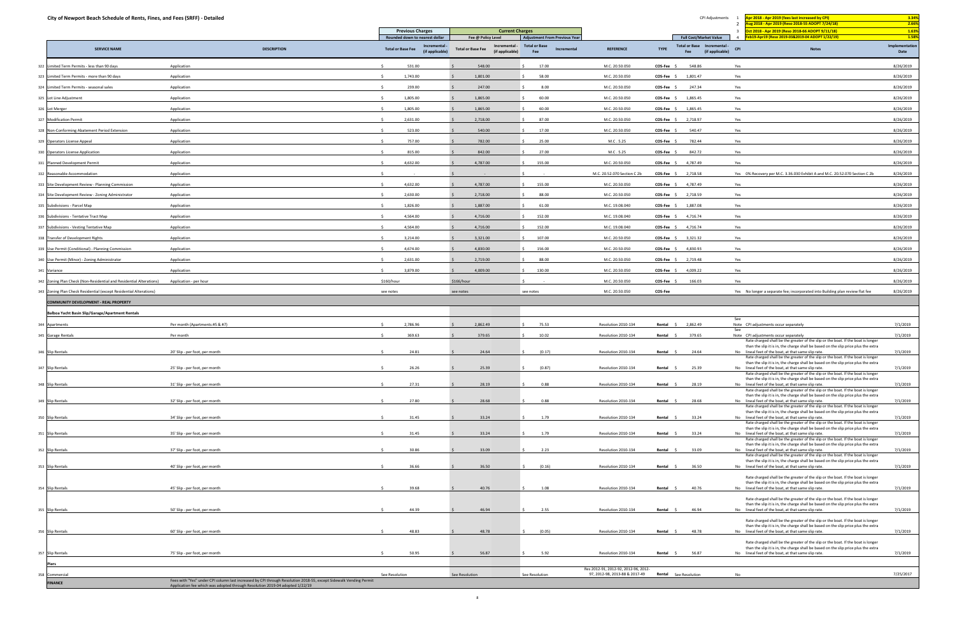| City of Newport Beach Schedule of Rents, Fines, and Fees (SRFF) - Detailed |                                |                                                           |                                                            |                                            |                                      |                       | CPI Adjustments                                       | Apr 2018 - Apr 2019 (fees last increased by CPI)<br>- 1                                                                                                                | 3.34%                  |
|----------------------------------------------------------------------------|--------------------------------|-----------------------------------------------------------|------------------------------------------------------------|--------------------------------------------|--------------------------------------|-----------------------|-------------------------------------------------------|------------------------------------------------------------------------------------------------------------------------------------------------------------------------|------------------------|
|                                                                            |                                | <b>Previous Charges</b>                                   | <b>Current Charges</b>                                     |                                            |                                      |                       |                                                       | ug 2018 - Apr 2019 (Reso 2018-55 ADOPT 7/24/18)<br>$\overline{\mathbf{3}}$<br>Oct 2018 - Apr 2019 (Reso 2018-66 ADOPT 9/11/18)                                         | 2.66%<br>1.63%         |
|                                                                            |                                | Rounded down to nearest dollar                            | Fee @ Policy Level                                         | <b>Adjustment From Previous Year</b>       |                                      |                       | <b>Full Cost/Market Value</b>                         | Feb19-Apr19 (Reso 2019-03&2019-04 ADOPT 1/22/19)<br>$\overline{4}$                                                                                                     | 1.58%                  |
| <b>SERVICE NAME</b>                                                        | <b>DESCRIPTION</b>             | Incrementa<br><b>Total or Base Fee</b><br>(if applicable) | Incremental<br><b>Total or Base Fee</b><br>(if applicable) | <b>Total or Base</b><br>Incremental<br>Fee | <b>REFERENCE</b>                     | <b>TYPE</b>           | Total or Base Incremental -<br>(if applicable)<br>Fee | <b>CPI</b><br><b>Notes</b>                                                                                                                                             | Implementation<br>Date |
| 322 Limited Term Permits - less than 90 days                               | Application                    | 531.00                                                    | 548.00                                                     | 17.00                                      | M.C. 20.50.050                       | COS-Fee               | 548.86                                                | Yes                                                                                                                                                                    | 8/26/2019              |
| 323 Limited Term Permits - more than 90 days                               | Application                    | 1,743.00                                                  | 1,801.00                                                   | 58.00                                      | M.C. 20.50.050                       | $COS-Fee$ \$          | 1,801.47                                              | Yes                                                                                                                                                                    | 8/26/2019              |
| 324 Limited Term Permits - seasonal sales                                  | Application                    | 239.00                                                    | 247.00                                                     | 8.00                                       | M.C. 20.50.050                       | $COS-Fee$             | 247.34                                                | Yes                                                                                                                                                                    | 8/26/2019              |
| 325 Lot Line Adjustment                                                    | Application                    | 1,805.00                                                  | 1,865.00                                                   | 60.00                                      | M.C. 20.50.050                       | COS-Fee \$            | 1,865.45                                              | Yes                                                                                                                                                                    | 8/26/2019              |
| 326 Lot Merger                                                             | Application                    | 1,805.00                                                  | 1,865.00                                                   | 60.00<br>S.                                | M.C. 20.50.050                       | $COS-Fee$ \$          | 1,865.45                                              | Yes                                                                                                                                                                    | 8/26/2019              |
| 327 Modification Permit                                                    | Application                    | 2,631.00                                                  | 2,718.00                                                   | 87.00                                      | M.C. 20.50.050                       | $COS-Fee$ \$          | 2,718.97                                              | Yes                                                                                                                                                                    | 8/26/2019              |
| 328 Non-Conforming Abatement Period Extension                              | Application                    | 523.00                                                    | 540.00                                                     | 17.00                                      | M.C. 20.50.050                       | $COS-Fee$ \$          | 540.47                                                | Yes                                                                                                                                                                    | 8/26/2019              |
| 329 Operators License Appeal                                               | Application                    | 757.00                                                    | 782.00                                                     | 25.00                                      | M.C. 5.25                            | $COS-Fee$ \$          | 782.44                                                | Yes                                                                                                                                                                    | 8/26/2019              |
| 330 Operators License Application                                          | Application                    | 815.00                                                    | 842.00                                                     | 27.00                                      | M.C. 5.25                            | COS-Fee \$            | 842.72                                                | Yes                                                                                                                                                                    | 8/26/2019              |
| 331 Planned Development Permit                                             | Application                    | 4,632.00                                                  | 4,787.00                                                   | 155.00                                     | M.C. 20.50.050                       | COS-Fee \$ 4,787.49   |                                                       | Yes                                                                                                                                                                    | 8/26/2019              |
| 332 Reasonable Accommodation                                               | Application                    |                                                           |                                                            |                                            | M.C. 20.52.070 Section C 2b          | $COS-Fee$ \$          | 2,718.58                                              | Yes 0% Recovery per M.C. 3.36.030 Exhibit A and M.C. 20.52.070 Section C 2b                                                                                            | 8/26/2019              |
| 333 Site Development Review - Planning Commission                          | Application                    | 4,632.00                                                  | 4,787.00                                                   | 155.00                                     | M.C. 20.50.050                       | $COS-Fee$ \$          | 4,787.49                                              | Yes                                                                                                                                                                    | 8/26/2019              |
| 334 Site Development Review - Zoning Administrator                         | Application                    | 2,630.00                                                  | 2,718.00                                                   | 88.00                                      | M.C. 20.50.050                       | $COS-Fee$ \$          | 2,718.59                                              | Yes                                                                                                                                                                    | 8/26/2019              |
| 335 Subdivisions - Parcel Map                                              | Application                    | 1,826.00                                                  | 1,887.00                                                   | 61.00                                      | M.C. 19.08.040                       | $COS-Fee$ \$          | 1,887.08                                              | Yes                                                                                                                                                                    | 8/26/2019              |
| 336 Subdivisions - Tentative Tract Map                                     | Application                    | 4,564.00                                                  | 4,716.00                                                   | 152.00                                     | M.C. 19.08.040                       | $COS-Fee$ \$ 4,716.74 |                                                       | Yes                                                                                                                                                                    | 8/26/2019              |
| 337 Subdivisions - Vesting Tentative Map                                   | Application                    | 4,564.00                                                  | 4,716.00                                                   | 152.00                                     | M.C. 19.08.040                       | $COS-Fee$ \$          | 4,716.74                                              | Yes                                                                                                                                                                    | 8/26/2019              |
| 338 Transfer of Development Rights                                         | Application                    | 3,214.00                                                  | 3,321.00                                                   | 107.00                                     | M.C. 20.50.050                       | $COS-Fee$ \$          | 3,321.32                                              | Yes                                                                                                                                                                    | 8/26/2019              |
| 339 Use Permit (Conditional) - Planning Commission                         | Application                    | 4,674.00                                                  | 4,830.00                                                   | 156.00                                     | M.C. 20.50.050                       | $COS-Fee$ \$          | 4,830.93                                              | Yes                                                                                                                                                                    | 8/26/2019              |
| 340 Use Permit (Minor) - Zoning Administrator                              | Application                    | 2,631.00                                                  | 2,719.00                                                   | 88.00                                      | M.C. 20.50.050                       | $COS-Fee$ \$          | 2,719.48                                              | Yes                                                                                                                                                                    | 8/26/2019              |
| 341 Variance                                                               | Application                    | 3,879.00                                                  | 4,009.00                                                   | 130.00                                     | M.C. 20.50.050                       | $COS-Fee$ \$          | 4,009.22                                              | Yes                                                                                                                                                                    | 8/26/2019              |
| 342 Zoning Plan Check (Non-Residential and Residential Alterations)        | Application - per hour         | \$160/hour                                                | \$166/hour                                                 |                                            | M.C. 20.50.050                       | COS-Fee \$            | 166.03                                                | Yes                                                                                                                                                                    | 8/26/2019              |
| 343 Zoning Plan Check Residential (except Residential Alterations)         |                                | see notes                                                 | see notes                                                  | see notes                                  | M.C. 20.50.050                       | COS-Fee               |                                                       | Yes No longer a separate fee; incorporated into Building plan review flat fee                                                                                          | 8/26/2019              |
| <b>COMMUNITY DEVELOPMENT - REAL PROPERTY</b>                               |                                |                                                           |                                                            |                                            |                                      |                       |                                                       |                                                                                                                                                                        |                        |
| Balboa Yacht Basin Slip/Garage/Apartment Rentals                           |                                |                                                           |                                                            |                                            |                                      |                       |                                                       | See                                                                                                                                                                    |                        |
| 344 Apartments                                                             | Per month (Apartments #5 & #7) | 2,786.96                                                  | 2,862.49                                                   | 75.53                                      | Resolution 2010-134                  | Rental \$             | 2,862.49                                              | Note CPI adjustments occur separately<br>See                                                                                                                           | 7/1/2019               |
| 345 Garage Rentals                                                         | Per month                      | 369.63                                                    | 379.65                                                     | 10.02                                      | Resolution 2010-134                  | Rental \$             | 379.65                                                | Note CPI adjustments occur separately<br>Rate charged shall be the greater of the slip or the boat. If the boat is longer                                              | 7/1/2019               |
| 346 Slip Rentals                                                           | 20' Slip - per foot, per month | 24.81                                                     | 24.64                                                      | (0.17)                                     | Resolution 2010-134                  | Rental                | 24.64                                                 | than the slip it is in, the charge shall be based on the slip price plus the extra<br>No lineal feet of the boat, at that same slip rate.                              | 7/1/2019               |
|                                                                            |                                |                                                           |                                                            |                                            |                                      |                       |                                                       | Rate charged shall be the greater of the slip or the boat. If the boat is longer<br>than the slip it is in, the charge shall be based on the slip price plus the extra |                        |
| 347 Slip Rentals                                                           | 25' Slip - per foot, per month | 26.26                                                     | 25.39                                                      | (0.87)                                     | Resolution 2010-134                  | Rental \$             | 25.39                                                 | No lineal feet of the boat, at that same slip rate.<br>Rate charged shall be the greater of the slip or the boat. If the boat is longer                                | 7/1/2019               |
|                                                                            |                                | 27.31                                                     | 28.19                                                      | 0.88<br>$\sim$                             | Resolution 2010-134                  |                       | 28.19                                                 | than the slip it is in, the charge shall be based on the slip price plus the extra<br>No lineal feet of the boat, at that same slip rate.                              |                        |
| 348 Slip Rentals                                                           | 31' Slip - per foot, per month |                                                           |                                                            |                                            |                                      | Rental                |                                                       | Rate charged shall be the greater of the slip or the boat. If the boat is longer<br>than the slip it is in, the charge shall be based on the slip price plus the extra | 7/1/2019               |
| 349 Slip Rentals                                                           | 32' Slip - per foot, per month | 27.80                                                     | 28.68                                                      | 0.88                                       | Resolution 2010-134                  | Rental                | 28.68                                                 | No lineal feet of the boat, at that same slip rate.                                                                                                                    | 7/1/2019               |
|                                                                            |                                | 31.45                                                     | 33.24                                                      | $\zeta$                                    |                                      | Rental \$             |                                                       | Rate charged shall be the greater of the slip or the boat. If the boat is longer<br>than the slip it is in, the charge shall be based on the slip price plus the extra |                        |
| 350 Slip Rentals                                                           | 34' Slip - per foot, per month |                                                           |                                                            | 1.79                                       | Resolution 2010-134                  |                       | 33.24                                                 | No lineal feet of the boat, at that same slip rate.<br>Rate charged shall be the greater of the slip or the boat. If the boat is longer                                | 7/1/2019               |
| 351 Slip Rentals                                                           | 35' Slip - per foot, per month | 31.45                                                     | 33.24                                                      | 1.79                                       | Resolution 2010-134                  | Rental                | 33.24                                                 | than the slip it is in, the charge shall be based on the slip price plus the extra<br>No lineal feet of the boat, at that same slip rate.                              | 7/1/2019               |
|                                                                            |                                |                                                           |                                                            | $\zeta$                                    |                                      |                       |                                                       | Rate charged shall be the greater of the slip or the boat. If the boat is longer<br>than the slip it is in, the charge shall be based on the slip price plus the extra |                        |
| 352 Slip Rentals                                                           | 37' Slip - per foot, per month | 30.86                                                     | 33.09                                                      | 2.23                                       | Resolution 2010-134                  | Rental                | 33.09                                                 | No lineal feet of the boat, at that same slip rate.<br>Rate charged shall be the greater of the slip or the boat. If the boat is longer                                | 7/1/2019               |
| 353 Slip Rentals                                                           | 40' Slip - per foot, per month | 36.66                                                     | 36.50                                                      | (0.16)<br>$\leq$                           | Resolution 2010-134                  | Rental \$             | 36.50                                                 | than the slip it is in, the charge shall be based on the slip price plus the extra<br>No lineal feet of the boat, at that same slip rate.                              | 7/1/2019               |
|                                                                            |                                |                                                           |                                                            |                                            |                                      |                       |                                                       | Rate charged shall be the greater of the slip or the boat. If the boat is longer                                                                                       |                        |
| 354 Slip Rentals                                                           | 45' Slip - per foot, per month | 39.68                                                     | 40.76                                                      | 1.08                                       | Resolution 2010-134                  | Rental \$             | 40.76                                                 | than the slip it is in, the charge shall be based on the slip price plus the extra<br>No lineal feet of the boat, at that same slip rate.                              | 7/1/2019               |
|                                                                            |                                |                                                           |                                                            |                                            |                                      |                       |                                                       | Rate charged shall be the greater of the slip or the boat. If the boat is longer                                                                                       |                        |
| 355 Slip Rentals                                                           | 50' Slip - per foot, per month | 44.39                                                     | 46.94                                                      | 2.55<br>$\sim$                             | Resolution 2010-134                  | Rental \$             | 46.94                                                 | than the slip it is in, the charge shall be based on the slip price plus the extra<br>No lineal feet of the boat, at that same slip rate.                              | 7/1/2019               |
|                                                                            |                                |                                                           |                                                            |                                            |                                      |                       |                                                       | Rate charged shall be the greater of the slip or the boat. If the boat is longer                                                                                       |                        |
| 356 Slip Rentals                                                           | 60' Slip - per foot, per month | 48.83                                                     | 48.78                                                      | (0.05)<br>$\sim$                           | Resolution 2010-134                  | Rental                | 48.78                                                 | than the slip it is in, the charge shall be based on the slip price plus the extra<br>No lineal feet of the boat, at that same slip rate.                              | 7/1/2019               |
|                                                                            |                                |                                                           |                                                            |                                            |                                      |                       |                                                       | Rate charged shall be the greater of the slip or the boat. If the boat is longer                                                                                       |                        |
|                                                                            |                                |                                                           |                                                            |                                            |                                      |                       |                                                       |                                                                                                                                                                        |                        |
| 357 Slip Rentals                                                           | 75' Slip - per foot, per month | 50.95                                                     | 56.87                                                      | 5.92<br>Š.                                 | Resolution 2010-134                  | Rental \$             | 56.87                                                 | than the slip it is in, the charge shall be based on the slip price plus the extra<br>No lineal feet of the boat, at that same slip rate.                              | 7/1/2019               |
| Piers                                                                      |                                |                                                           |                                                            |                                            | Res 2012-91, 2012-92, 2012-96, 2012- |                       |                                                       |                                                                                                                                                                        |                        |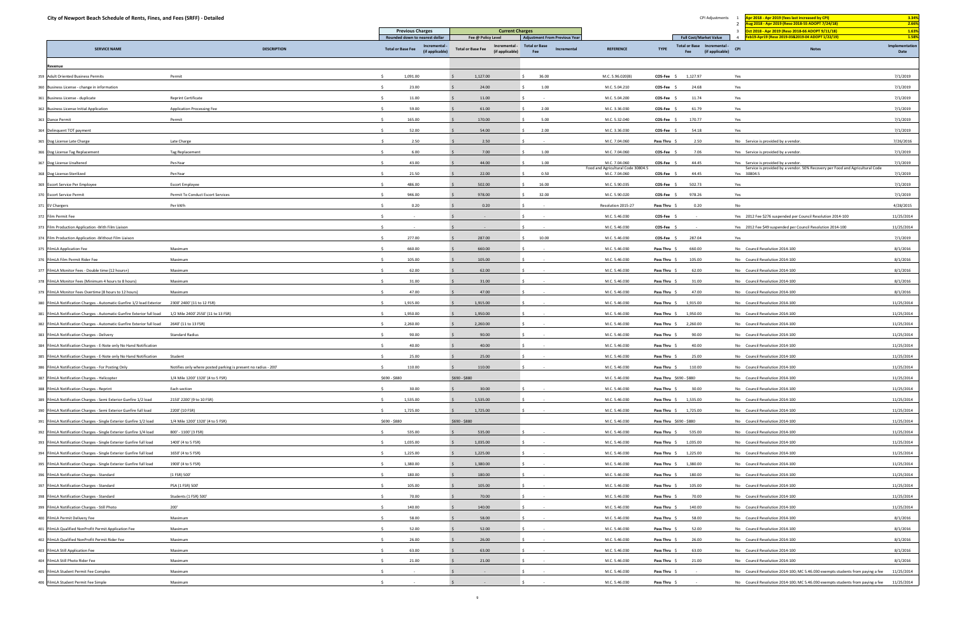| City of Newport Beach Schedule of Rents, Fines, and Fees (SRFF) - Detailed                                                      |                                                                |                                                                                                |                                                                                                                   |                                                     |                                                     | CPI Adjustments                                                                                       | Apr 2018 - Apr 2019 (fees last increased by CPI)<br>ug 2018 - Apr 2019 (Reso 2018-55 ADOPT 7/24/18)<br>$\overline{2}$ | 3.34%<br>2.66%                  |
|---------------------------------------------------------------------------------------------------------------------------------|----------------------------------------------------------------|------------------------------------------------------------------------------------------------|-------------------------------------------------------------------------------------------------------------------|-----------------------------------------------------|-----------------------------------------------------|-------------------------------------------------------------------------------------------------------|-----------------------------------------------------------------------------------------------------------------------|---------------------------------|
|                                                                                                                                 |                                                                | <b>Previous Charges</b>                                                                        | <b>Current Charges</b>                                                                                            |                                                     |                                                     |                                                                                                       | - 3<br>Oct 2018 - Apr 2019 (Reso 2018-66 ADOPT 9/11/18)                                                               | 1.63%                           |
| <b>SERVICE NAME</b>                                                                                                             | <b>DESCRIPTION</b>                                             | Rounded down to nearest dollar<br>Incremental -<br><b>Total or Base Fee</b><br>(if applicable) | Fee @ Policy Level<br>Incremental -<br><b>Total or Base</b><br><b>Total or Base Fee</b><br>(if applicable)<br>Fee | <b>Adjustment From Previous Year</b><br>Incremental | <b>REFERENCE</b>                                    | <b>Full Cost/Market Value</b><br>Total or Base Incremental -<br><b>TYPE</b><br>(if applicable)<br>Fee | b19-Apr19 (Reso 2019-03&2019-04 ADOPT 1/22/19)<br><b>CPI</b><br><b>Notes</b>                                          | 1.58%<br>Implementation<br>Date |
| Revenue                                                                                                                         |                                                                |                                                                                                |                                                                                                                   |                                                     |                                                     |                                                                                                       |                                                                                                                       |                                 |
| 359 Adult Oriented Business Permits                                                                                             | Permit                                                         | 1,091.00                                                                                       | 1,127.00<br>36.00                                                                                                 |                                                     | M.C. 5.96.020(B)                                    | COS-Fee \$<br>1,127.97                                                                                | Yes                                                                                                                   | 7/1/2019                        |
| 360 Business License - change in information                                                                                    |                                                                | 23.00                                                                                          | 24.00<br>1.00                                                                                                     |                                                     | M.C. 5.04.210                                       | COS-Fee \$<br>24.68                                                                                   | Yes                                                                                                                   | 7/1/2019                        |
| 361 Business License - duplicate                                                                                                | Reprint Certificate                                            | 11.00                                                                                          | 11.00                                                                                                             |                                                     | M.C. 5.04.200                                       | 11.74<br>COS-Fee \$                                                                                   | Yes                                                                                                                   | 7/1/2019                        |
| 362 Business License Initial Application                                                                                        | <b>Application Processing Fee</b>                              | 59.00                                                                                          | 61.00<br>2.00                                                                                                     |                                                     | M.C. 3.36.030                                       | 61.79<br>COS-Fee                                                                                      | Yes                                                                                                                   | 7/1/2019                        |
| 363 Dance Permit                                                                                                                | Permit                                                         | 165.00                                                                                         | 170.00<br>5.00                                                                                                    |                                                     | M.C. 5.32.040                                       | COS-Fee \$<br>170.77                                                                                  | Yes                                                                                                                   | 7/1/2019                        |
| 364 Delinquent TOT payment                                                                                                      |                                                                | 52.00                                                                                          | 54.00<br>2.00                                                                                                     |                                                     | M.C. 3.36.030                                       | 54.18<br>COS-Fee \$                                                                                   | Yes                                                                                                                   | 7/1/2019                        |
| 365 Dog License Late Charge                                                                                                     | Late Charge                                                    | 2.50                                                                                           | 2.50                                                                                                              |                                                     | M.C. 7.04.060                                       | 2.50<br>Pass Thru                                                                                     | No Service is provided by a vendor.                                                                                   | 7/26/2016                       |
| 366 Dog License Tag Replacement                                                                                                 | Tag Replacement                                                | 6.00                                                                                           | 7.00<br>1.00                                                                                                      |                                                     | M.C. 7.04.060                                       | 7.06<br>COS-Fee \$                                                                                    | Yes Service is provided by a vendor.                                                                                  | 7/1/2019                        |
| 367 Dog License Unaltered                                                                                                       | Per-Year                                                       | 43.00                                                                                          | 44.00<br>1.00                                                                                                     |                                                     | M.C. 7.04.060                                       | COS-Fee \$<br>44.45                                                                                   | Yes Service is provided by a vendor.                                                                                  | 7/1/2019                        |
| 368 Dog License-Sterilized                                                                                                      | Per-Year                                                       | 21.50                                                                                          | 22.00<br>0.50                                                                                                     |                                                     | Food and Agricultural Code 30804.5<br>M.C. 7.04.060 | COS-Fee \$<br>44.45                                                                                   | Service is provided by a vendor. 50% Recovery per Food and Agricultural Code<br>Yes 30804.5                           | 7/1/2019                        |
| 369 Escort Service Per Employee                                                                                                 | Escort Employee                                                | 486.00                                                                                         | 502.00<br>16.00                                                                                                   |                                                     | M.C. 5.90.035                                       | COS-Fee \$<br>502.73                                                                                  | Yes                                                                                                                   | 7/1/2019                        |
| 370 Escort Service Permit                                                                                                       | Permit To Conduct Escort Services                              | 946.00                                                                                         | 978.00<br>32.00                                                                                                   |                                                     | M.C. 5.90.020                                       | COS-Fee \$<br>978.26                                                                                  | Yes                                                                                                                   | 7/1/2019                        |
| 371 EV Chargers                                                                                                                 | Per kWh                                                        | 0.20                                                                                           | 0.20                                                                                                              |                                                     | Resolution 2015-27                                  | Pass Thru \$<br>0.20                                                                                  | No                                                                                                                    | 4/28/2015                       |
| 372 Film Permit Fee                                                                                                             |                                                                |                                                                                                | $\sim$                                                                                                            |                                                     | M.C. 5.46.030                                       | COS-Fee                                                                                               | Yes 2012 Fee \$276 suspended per Council Resolution 2014-100                                                          | 11/25/2014                      |
| 373 Film Production Application - With Film Liaison                                                                             |                                                                |                                                                                                |                                                                                                                   |                                                     | M.C. 5.46.030                                       | COS-Fee \$                                                                                            | Yes 2012 Fee \$49 suspended per Council Resolution 2014-100                                                           | 11/25/2014                      |
| 374 Film Production Application - Without Film Liaison                                                                          |                                                                | 277.00                                                                                         | 287.00<br>10.00                                                                                                   |                                                     | M.C. 5.46.030                                       | COS-Fee \$<br>287.04                                                                                  | Yes                                                                                                                   | 7/1/2019                        |
| 375 FilmLA Application Fee                                                                                                      | Maximum                                                        | 660.00                                                                                         | 660.00                                                                                                            |                                                     | M.C. 5.46.030                                       | 660.00<br>Pass Thru \$                                                                                | No Council Resolution 2014-100                                                                                        | 8/1/2016                        |
| 376 FilmLA Film Permit Rider Fee                                                                                                | Maximum                                                        | 105.00                                                                                         | 105.00                                                                                                            |                                                     | M.C. 5.46.030                                       | 105.00<br>Pass Thru \$                                                                                | No Council Resolution 2014-100                                                                                        | 8/1/2016                        |
| 377 FilmLA Monitor Fees - Double time (12 hours+)                                                                               | Maximum                                                        | 62.00                                                                                          | 62.00                                                                                                             |                                                     | M.C. 5.46.030                                       | 62.00<br>Pass Thru \$                                                                                 | No Council Resolution 2014-100                                                                                        | 8/1/2016                        |
|                                                                                                                                 |                                                                | 31.00                                                                                          | 31.00                                                                                                             |                                                     | M.C. 5.46.030                                       | 31.00                                                                                                 | No Council Resolution 2014-100                                                                                        | 8/1/2016                        |
| 378 FilmLA Monitor Fees (Minimum 4 hours to 8 hours)                                                                            | Maximum<br>Maximum                                             | 47.00                                                                                          | 47.00                                                                                                             |                                                     |                                                     | Pass Thru<br>Pass Thru                                                                                |                                                                                                                       |                                 |
| 379 FilmLA Monitor Fees Overtime (8 hours to 12 hours)<br>380 FilmLA Notification Charges - Automatic Gunfire 1/2 load Exterior | 2300' 2400' (11 to 12 FSR)                                     | 1,915.00                                                                                       | 1,915.00                                                                                                          |                                                     | M.C. 5.46.030<br>M.C. 5.46.030                      | 47.00<br>Pass Thru \$<br>1,915.00                                                                     | No Council Resolution 2014-100<br>No Council Resolution 2014-100                                                      | 8/1/2016<br>11/25/2014          |
| 381 FilmLA Notification Charges - Automatic Gunfire Exterior full load                                                          |                                                                | 1,950.00                                                                                       | 1,950.00                                                                                                          |                                                     | M.C. 5.46.030                                       |                                                                                                       | No Council Resolution 2014-100                                                                                        | 11/25/2014                      |
|                                                                                                                                 | 1/2 Mile 2400' 2550' (11 to 13 FSR)                            |                                                                                                |                                                                                                                   |                                                     |                                                     | Pass Thru \$ 1,950.00                                                                                 | No Council Resolution 2014-100                                                                                        |                                 |
| 382 FilmLA Notification Charges - Automatic Gunfire Exterior full load                                                          | 2640' (11 to 13 FSR)                                           | 2,260.00                                                                                       | 2,260.00                                                                                                          |                                                     | M.C. 5.46.030                                       | 2,260.00<br>Pass Thru \$                                                                              |                                                                                                                       | 11/25/2014                      |
| 383 FilmLA Notification Charges - Delivery                                                                                      | <b>Standard Radius</b>                                         | 90.00                                                                                          | 90.00                                                                                                             |                                                     | M.C. 5.46.030                                       | 90.00<br>Pass Thru \$                                                                                 | No Council Resolution 2014-100                                                                                        | 11/25/2014                      |
| 384 FilmLA Notification Charges - E-Note only No Hand Notification                                                              |                                                                | 40.00                                                                                          | 40.00                                                                                                             |                                                     | M.C. 5.46.030                                       | Pass Thru \$<br>40.00                                                                                 | No Council Resolution 2014-100                                                                                        | 11/25/2014                      |
| 385 FilmLA Notification Charges - E-Note only No Hand Notification                                                              | Student                                                        | 25.00<br>$\mathsf{S}$                                                                          | 25.00                                                                                                             |                                                     | M.C. 5.46.030                                       | 25.00<br>Pass Thru \$                                                                                 | No Council Resolution 2014-100                                                                                        | 11/25/2014                      |
| 386 FilmLA Notification Charges - For Posting Only                                                                              | Notifies only where posted parking is present no radius - 200' | 110.00                                                                                         | 110.00                                                                                                            |                                                     | M.C. 5.46.030                                       | Pass Thru \$<br>110.00                                                                                | No Council Resolution 2014-100                                                                                        | 11/25/2014                      |
| 387 FilmLA Notification Charges - Helicopter                                                                                    | 1/4 Mile 1200' 1320' (4 to 5 FSR)                              | \$690 - \$880                                                                                  | \$690 - \$880                                                                                                     |                                                     | M.C. 5.46.030                                       | Pass Thru \$690 - \$880                                                                               | No Council Resolution 2014-100                                                                                        | 11/25/2014                      |
| 388 FilmLA Notification Charges - Reprint                                                                                       | Each section                                                   | 30.00<br>-S.                                                                                   | 30.00                                                                                                             |                                                     | M.C. 5.46.030                                       | 30.00<br>Pass Thru \$                                                                                 | No Council Resolution 2014-100                                                                                        | 11/25/2014                      |
| 389 FilmLA Notification Charges - Semi Exterior Gunfire 1/2 load                                                                | 2150' 2200' (9 to 10 FSR)                                      | 1,535.00                                                                                       | 1,535.00                                                                                                          |                                                     | M.C. 5.46.030                                       | Pass Thru \$ 1,535.00                                                                                 | No Council Resolution 2014-100                                                                                        | 11/25/2014                      |
| 390 FilmLA Notification Charges - Semi Exterior Gunfire full load                                                               | 2200' (10 FSR)                                                 | 1,725.00<br>$\leq$                                                                             | 1,725.00                                                                                                          |                                                     | M.C. 5.46.030                                       | Pass Thru \$ 1,725.00                                                                                 | No Council Resolution 2014-100                                                                                        | 11/25/2014                      |
| 391 FilmLA Notification Charges - Single Exterior Gunfire 1/2 load                                                              | 1/4 Mile 1200' 1320' (4 to 5 FSR)                              | \$690 - \$880                                                                                  | \$690 - \$880                                                                                                     |                                                     | M.C. 5.46.030                                       | Pass Thru \$690 - \$880                                                                               | No Council Resolution 2014-100                                                                                        | 11/25/2014                      |
| 392 FilmLA Notification Charges - Single Exterior Gunfire 1/4 load                                                              | 800' - 1100' (3 FSR)                                           | 535.00                                                                                         | 535.00                                                                                                            |                                                     | M.C. 5.46.030                                       | Pass Thru \$ 535.00                                                                                   | No Council Resolution 2014-100                                                                                        | 11/25/2014                      |
| 393 FilmLA Notification Charges - Single Exterior Gunfire full load                                                             | 1400' (4 to 5 FSR)                                             | 1,035.00<br>$\sim$                                                                             | 1,035.00<br>$\sim$                                                                                                |                                                     | M.C. 5.46.030                                       | Pass Thru \$ 1,035.00                                                                                 | No Council Resolution 2014-100                                                                                        | 11/25/2014                      |
| 394 FilmLA Notification Charges - Single Exterior Gunfire full load                                                             | 1650' (4 to 5 FSR)                                             | 1,225.00                                                                                       | 1,225.00                                                                                                          |                                                     | M.C. 5.46.030                                       | Pass Thru \$ 1,225.00                                                                                 | No Council Resolution 2014-100                                                                                        | 11/25/2014                      |
| 395 FilmLA Notification Charges - Single Exterior Gunfire full load                                                             | 1900' (4 to 5 FSR)                                             | 1,380.00<br>S.                                                                                 | 1,380.00                                                                                                          |                                                     | M.C. 5.46.030                                       | Pass Thru \$ 1,380.00                                                                                 | No Council Resolution 2014-100                                                                                        | 11/25/2014                      |
| 396 FilmLA Notification Charges - Standard                                                                                      | (1 FSR) 500'                                                   | 180.00                                                                                         | 180.00<br>$\sim 100$                                                                                              |                                                     | M.C. 5.46.030                                       | 180.00<br>Pass Thru \$                                                                                | No Council Resolution 2014-100                                                                                        | 11/25/2014                      |
| 397 FilmLA Notification Charges - Standard                                                                                      | PSA (1 FSR) 500'                                               | 105.00<br>$\leq$                                                                               | 105.00                                                                                                            |                                                     | M.C. 5.46.030                                       | Pass Thru \$<br>105.00                                                                                | No Council Resolution 2014-100                                                                                        | 11/25/2014                      |
| 398 FilmLA Notification Charges - Standard                                                                                      | Students (1 FSR) 500'                                          | 70.00<br>-S.                                                                                   | 70.00                                                                                                             |                                                     | M.C. 5.46.030                                       | 70.00<br>Pass Thru \$                                                                                 | No Council Resolution 2014-100                                                                                        | 11/25/2014                      |
| 399 FilmLA Notification Charges - Still Photo                                                                                   | 200'                                                           | 140.00                                                                                         | 140.00                                                                                                            |                                                     | M.C. 5.46.030                                       | 140.00<br>Pass Thru \$                                                                                | No Council Resolution 2014-100                                                                                        | 11/25/2014                      |
| 400 FilmLA Permit Delivery Fee                                                                                                  | Maximum                                                        | 58.00                                                                                          | 58.00                                                                                                             |                                                     | M.C. 5.46.030                                       | 58.00<br>Pass Thru \$                                                                                 | No Council Resolution 2014-100                                                                                        | 8/1/2016                        |
| 401 FilmLA Qualified NonProfit Permit Application Fee                                                                           | Maximum                                                        | 52.00<br>-S.                                                                                   | 52.00                                                                                                             |                                                     | M.C. 5.46.030                                       | 52.00<br>Pass Thru \$                                                                                 | No Council Resolution 2014-100                                                                                        | 8/1/2016                        |
| 402 FilmLA Qualified NonProfit Permit Rider Fee                                                                                 | Maximum                                                        | 26.00<br>$\sim$                                                                                | 26.00<br>$\sim$ 100 $\pm$                                                                                         |                                                     | M.C. 5.46.030                                       | 26.00<br>Pass Thru \$                                                                                 | No Council Resolution 2014-100                                                                                        | 8/1/2016                        |
| 403 FilmLA Still Application Fee                                                                                                | Maximum                                                        | 63.00<br>$\mathsf{S}$                                                                          | 63.00<br>$\sim$                                                                                                   |                                                     | M.C. 5.46.030                                       | 63.00<br>Pass Thru \$                                                                                 | No Council Resolution 2014-100                                                                                        | 8/1/2016                        |
| 404 FilmLA Still Photo Rider Fee                                                                                                | Maximum                                                        | 21.00                                                                                          | 21.00                                                                                                             |                                                     | M.C. 5.46.030                                       | 21.00<br>Pass Thru \$                                                                                 | No Council Resolution 2014-100                                                                                        | 8/1/2016                        |
| 405 FilmLA Student Permit Fee Complex                                                                                           | Maximum                                                        |                                                                                                | $\sim$ $-$                                                                                                        |                                                     | M.C. 5.46.030                                       | Pass Thru \$                                                                                          | No Council Resolution 2014-100; MC 5.46.030 exempts students from paying a fee 11/25/2014                             |                                 |
| 406 FilmLA Student Permit Fee Simple                                                                                            | Maximum                                                        |                                                                                                |                                                                                                                   |                                                     | M.C. 5.46.030                                       | Pass Thru \$                                                                                          | No Council Resolution 2014-100; MC 5.46.030 exempts students from paying a fee 11/25/2014                             |                                 |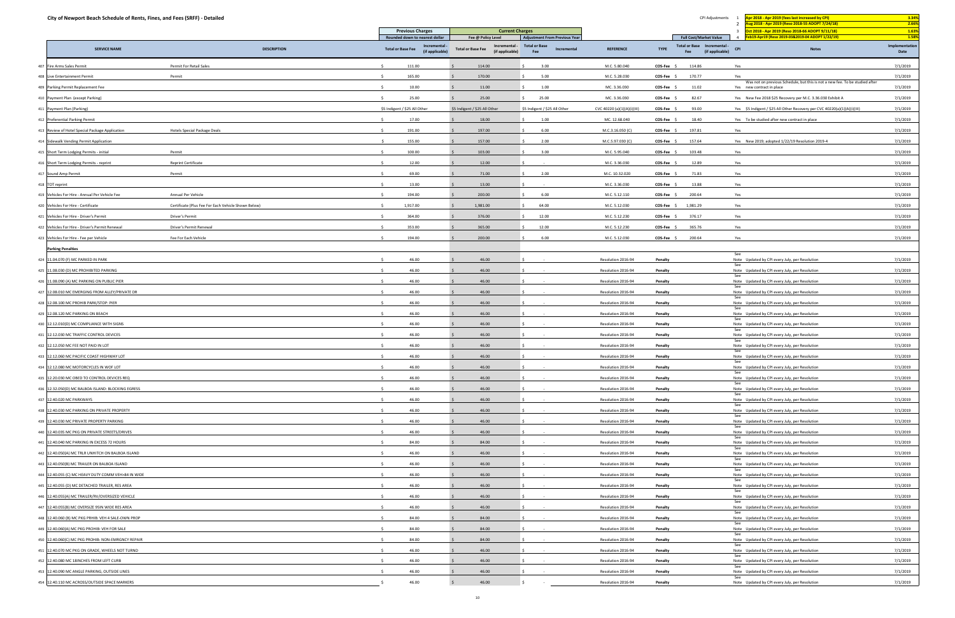| City of Newport Beach Schedule of Rents, Fines, and Fees (SRFF) - Detailed      |                                                     |                                                            |                                                              |                                            |                           | CPI Adjustments                                                      | Apr 2018 - Apr 2019 (fees last increased by CPI)                                                          | 3.34%                  |
|---------------------------------------------------------------------------------|-----------------------------------------------------|------------------------------------------------------------|--------------------------------------------------------------|--------------------------------------------|---------------------------|----------------------------------------------------------------------|-----------------------------------------------------------------------------------------------------------|------------------------|
|                                                                                 |                                                     | <b>Previous Charges</b>                                    | <b>Current Charges</b>                                       |                                            |                           |                                                                      | Aug 2018 - Apr 2019 (Reso 2018-55 ADOPT 7/24/18)<br>Oct 2018 - Apr 2019 (Reso 2018-66 ADOPT 9/11/18)      | 2.66%<br>1.63%         |
|                                                                                 |                                                     | Rounded down to nearest dollar                             | Fee @ Policy Level                                           | <b>Adjustment From Previous Year</b>       |                           | <b>Full Cost/Market Value</b>                                        | Feb19-Apr19 (Reso 2019-03&2019-04 ADOPT 1/22/19)                                                          | 1.58%                  |
| <b>SERVICE NAME</b>                                                             | <b>DESCRIPTION</b>                                  | Incremental<br><b>Total or Base Fee</b><br>(if applicable) | Incremental -<br><b>Total or Base Fee</b><br>(if applicable) | <b>Total or Base</b><br>Incremental<br>Fee | <b>REFERENCE</b>          | Total or Base Incremental -<br><b>TYPE</b><br>(if applicable)<br>Fee | <b>Notes</b><br><b>CPI</b>                                                                                | Implementation<br>Date |
| Permit For Retail Sales<br>407 Fire Arms Sales Permit                           |                                                     | 111.00                                                     | 114.00                                                       | 3.00                                       | M.C. 5.80.040             | COS-Fee \$<br>114.86                                                 | Yes                                                                                                       | 7/1/2019               |
| Permit<br>408 Live Entertainment Permit                                         |                                                     | 165.00                                                     | 170.00                                                       | 5.00                                       | M.C. 5.28.030             | 170.77<br>$COS-Fee$ \$                                               | Yes                                                                                                       | 7/1/2019               |
| 409 Parking Permit Replacement Fee                                              |                                                     | 10.00                                                      | 11.00                                                        | 1.00                                       | MC. 3.36.030              | 11.02<br>COS-Fee \$                                                  | Was not on previous Schedule, but this is not a new fee. To be studied after<br>Yes new contract in place | 7/1/2019               |
| 410 Payment Plan (except Parking)                                               |                                                     | 25.00                                                      | 25.00                                                        | 25.00                                      | MC. 3.36.030              | 82.67<br>$COS-Fee$ \$                                                | Yes New Fee 2018 \$25 Recovery per M.C. 3.36.030 Exhibit A                                                | 7/1/2019               |
| 411 Payment Plan (Parking)                                                      |                                                     | \$5 Indigent / \$25 All Other                              | \$5 Indigent / \$25 All Other                                | \$5 Indigent / \$25 All Other              | CVC 40220 (a)(1)(A)(i)(II | COS-Fee<br>93.00                                                     | Yes \$5 Indigent / \$25 All Other Recovery per CVC 40220(a)(1)(A)(i)(III)                                 | 7/1/2019               |
| 412 Preferential Parking Permit                                                 |                                                     | 17.00                                                      | 18.00                                                        | 1.00                                       | MC. 12.68.040             | 18.40<br>COS-Fee \$                                                  | Yes To be studied after new contract in place                                                             | 7/1/2019               |
| 413 Review of Hotel Special Package Application<br>Hotels Special Package Deals |                                                     | 191.00                                                     | 197.00                                                       | 6.00                                       | M.C.3.16.050 (C)          | 197.81<br>COS-Fee \$                                                 | Yes                                                                                                       | 7/1/2019               |
| 414 Sidewalk Vending Permit Application                                         |                                                     | 155.00                                                     | 157.00                                                       | 2.00                                       | M.C.5.97.030 (C)          | COS-Fee \$<br>157.64                                                 | Yes New 2019; adopted 1/22/19 Resolution 2019-4                                                           | 7/1/2019               |
| Permit<br>415 Short Term Lodging Permits - initial                              |                                                     | 100.00                                                     | 103.00                                                       | 3.00                                       | M.C. 5.95.040             | 103.48<br>$COS-Fee$ \$                                               | Yes                                                                                                       | 7/1/2019               |
| <b>Reprint Certificate</b><br>416 Short Term Lodging Permits - reprint          |                                                     | 12.00                                                      | 12.00                                                        |                                            | M.C. 3.36.030             | COS-Fee \$<br>12.89                                                  | Yes                                                                                                       | 7/1/2019               |
| 417 Sound Amp Permit<br>Permit                                                  |                                                     | 69.00                                                      | 71.00                                                        | 2.00                                       | M.C. 10.32.020            | 71.83<br><b>COS-Fee</b>                                              | Yes                                                                                                       | 7/1/2019               |
| 418 TOT reprint                                                                 |                                                     | 13.00                                                      | 13.00                                                        |                                            | M.C. 3.36.030             | 13.88<br>$COS-Fee$ \$                                                | Yes                                                                                                       | 7/1/2019               |
| Annual Per Vehicle<br>419 Vehicles For Hire - Annual Per Vehicle Fee            |                                                     | 194.00                                                     | 200.00                                                       | 6.00                                       | M.C. 5.12.110             | 200.64<br>$COS-Fee$ \$                                               | Yes                                                                                                       | 7/1/2019               |
| 420 Vehicles For Hire - Certificate                                             | Certificate (Plus Fee For Each Vehicle Shown Below) | 1,917.00                                                   | 1,981.00                                                     | 64.00                                      | M.C. 5.12.030             | 1,981.29<br>$COS-Fee$ \$                                             | Yes                                                                                                       | 7/1/2019               |
| 421 Vehicles For Hire - Driver's Permit<br>Driver's Permit                      |                                                     | 364.00                                                     | 376.00                                                       | 12.00                                      | M.C. 5.12.230             | COS-Fee \$<br>376.17                                                 | Yes                                                                                                       | 7/1/2019               |
| 422 Vehicles For Hire - Driver's Permit Renewal<br>Driver's Permit Renewal      |                                                     | 353.00                                                     | 365.00                                                       | 12.00                                      | M.C. 5.12.230             | 365.76<br>$COS-Fee$ \$                                               | Yes                                                                                                       | 7/1/2019               |
| Fee For Each Vehicle<br>423 Vehicles For Hire - Fee per Vehicle                 |                                                     | 194.00                                                     | 200.00                                                       | 6.00                                       | M.C. 5.12.030             | 200.64<br>$COS-Fee$ \$                                               | Yes                                                                                                       | 7/1/2019               |
| <b>Parking Penalties</b>                                                        |                                                     |                                                            |                                                              |                                            |                           |                                                                      |                                                                                                           |                        |
| 424 11.04.070 (F) MC PARKED IN PARK                                             |                                                     | 46.00                                                      | 46.00                                                        |                                            | Resolution 2016-94        | Penalty                                                              | See<br>Note Updated by CPI every July, per Resolution                                                     | 7/1/2019               |
| 425 11.08.030 (D) MC PROHIBITED PARKING                                         |                                                     | 46.00                                                      | 46.00                                                        |                                            | Resolution 2016-94        | Penalty                                                              | See<br>Note Updated by CPI every July, per Resolution                                                     | 7/1/2019               |
| 426 11.08.090 (A) MC PARKING ON PUBLIC PIER                                     |                                                     | 46.00                                                      | 46.00                                                        |                                            | Resolution 2016-94        | Penalty                                                              | See<br>Note Updated by CPI every July, per Resolution                                                     | 7/1/2019               |
| 427 12.08.010 MC EMERGING FROM ALLEY/PRIVATE DR                                 |                                                     | 46.00                                                      | 46.00                                                        |                                            | Resolution 2016-94        | Penalty                                                              | See                                                                                                       | 7/1/2019               |
| 428 12.08.100 MC PROHIB PARK/STOP: PIER                                         |                                                     | 46.00                                                      | 46.00                                                        |                                            | Resolution 2016-94        | Penalty                                                              | Note Updated by CPI every July, per Resolution<br>See                                                     | 7/1/2019               |
| 429 12.08.120 MC PARKING ON BEACH                                               |                                                     | 46.00                                                      | 46.00                                                        |                                            |                           |                                                                      | Note Updated by CPI every July, per Resolution<br>See                                                     | 7/1/2019               |
|                                                                                 |                                                     |                                                            |                                                              |                                            | Resolution 2016-94        | Penalty                                                              | Note Updated by CPI every July, per Resolution<br>See                                                     |                        |
| 430 12.12.010(D) MC COMPLIANCE WITH SIGNS                                       |                                                     | 46.00                                                      | 46.00                                                        |                                            | Resolution 2016-94        | Penalty                                                              | Note Updated by CPI every July, per Resolution<br>See                                                     | 7/1/2019               |
| 431 12.12.030 MC TRAFFIC CONTROL DEVICES                                        |                                                     | 46.00                                                      | 46.00                                                        |                                            | Resolution 2016-94        | Penalty                                                              | Note Updated by CPI every July, per Resolution<br>See                                                     | 7/1/2019               |
| 432 12.12.050 MC FEE NOT PAID IN LOT                                            |                                                     | 46.00                                                      | 46.00                                                        |                                            | Resolution 2016-94        | Penalty                                                              | Note Updated by CPI every July, per Resolution<br>See                                                     | 7/1/2019               |
| 433 12.12.060 MC PACIFIC COAST HIGHWAY LOT                                      |                                                     | 46.00                                                      | 46.00                                                        |                                            | Resolution 2016-94        | Penalty                                                              | Note Updated by CPI every July, per Resolution<br>See                                                     | 7/1/2019               |
| 434 12.12.080 MC MOTORCYCLES IN WOF LOT                                         |                                                     | 46.00                                                      | 46.00                                                        |                                            | Resolution 2016-94        | Penalty                                                              | Note Updated by CPI every July, per Resolution<br>See                                                     | 7/1/2019               |
| 435 12.20.030 MC OBED TO CONTROL DEVICES REQ                                    |                                                     | 46.00                                                      | 46.00                                                        |                                            | Resolution 2016-94        | Penalty                                                              | Note Updated by CPI every July, per Resolution<br>See                                                     | 7/1/2019               |
| 436 12.32.050(D) MC BALBOA ISLAND: BLOCKING EGRESS                              |                                                     | 46.00                                                      | 46.00                                                        |                                            | Resolution 2016-94        | Penalty                                                              | Note Updated by CPI every July, per Resolution<br>See                                                     | 7/1/2019               |
| 437 12.40.020 MC PARKWAYS                                                       |                                                     | 46.00                                                      | 46.00                                                        |                                            | Resolution 2016-94        | Penalty                                                              | Note Updated by CPI every July, per Resolution<br>See                                                     | 7/1/2019               |
| 438 12.40.030 MC PARKING ON PRIVATE PROPERTY                                    |                                                     | 46.00                                                      | 46.00                                                        |                                            | Resolution 2016-94        | Penalty                                                              | Note Updated by CPI every July, per Resolution<br>See                                                     | 7/1/2019               |
| 439 12.40.030 MC PRIVATE PROPERTY PARKING                                       |                                                     | 46.00                                                      | 46.00                                                        |                                            | Resolution 2016-94        | Penalty                                                              | Note Updated by CPI every July, per Resolution<br>See                                                     | 7/1/2019               |
| 440 12.40.035 MC PKG ON PRIVATE STREETS/DRIVES                                  |                                                     | 46.00                                                      | 46.00                                                        | $\sim 100$                                 | Resolution 2016-94        | Penalty                                                              | Note Updated by CPI every July, per Resolution<br>See                                                     | 7/1/2019               |
| 441 12.40.040 MC PARKING IN EXCESS 72 HOURS                                     |                                                     | 84.00                                                      | 84.00                                                        |                                            | Resolution 2016-94        | Penalty                                                              | Note Updated by CPI every July, per Resolution<br>See                                                     | 7/1/2019               |
| 442 12.40.050(A) MC TRLR UNHITCH ON BALBOA ISLAND                               |                                                     | 46.00                                                      | 46.00                                                        |                                            | Resolution 2016-94        | Penalty                                                              | Note Updated by CPI every July, per Resolution<br>See                                                     | 7/1/2019               |
| 443 12.40.050(B) MC TRAILER ON BALBOA ISLAND                                    |                                                     | 46.00                                                      | 46.00                                                        |                                            | Resolution 2016-94        | Penalty                                                              | Note Updated by CPI every July, per Resolution<br>See                                                     | 7/1/2019               |
| 444 12.40.055 (C) MC HEAVY DUTY COMM VEH>84 IN WIDE                             |                                                     | 46.00                                                      | 46.00                                                        | $\sim$ $-$                                 | Resolution 2016-94        | Penalty                                                              | Note Updated by CPI every July, per Resolution<br>See                                                     | 7/1/2019               |
| 445 12.40.055 (D) MC DETACHED TRAILER, RES AREA                                 |                                                     | 46.00                                                      | 46.00                                                        |                                            | Resolution 2016-94        | Penalty                                                              | Note Updated by CPI every July, per Resolution<br>See                                                     | 7/1/2019               |
| 446 12.40.055(A) MC TRAILER/RV/OVERSIZED VEHICLE                                |                                                     | 46.00                                                      | 46.00                                                        |                                            | Resolution 2016-94        | Penalty                                                              | Note Updated by CPI every July, per Resolution<br>See                                                     | 7/1/2019               |
| 447 12.40.055(B) MC OVERSIZE 95IN WIDE RES AREA                                 |                                                     | 46.00                                                      | 46.00                                                        |                                            | Resolution 2016-94        | Penalty                                                              | Note Updated by CPI every July, per Resolution<br>See                                                     | 7/1/2019               |
| 448 12.40.060 (B) MC PKG PRHIB: VEH 4 SALE-OWN PROP                             |                                                     | 84.00                                                      | 84.00                                                        |                                            | Resolution 2016-94        | Penalty                                                              | Note Updated by CPI every July, per Resolution<br>See                                                     | 7/1/2019               |
| 449 12.40.060(A) MC PKG PROHIB: VEH FOR SALE                                    |                                                     | 84.00                                                      | 84.00                                                        |                                            | Resolution 2016-94        | Penalty                                                              | Note Updated by CPI every July, per Resolution<br>See                                                     | 7/1/2019               |
| 450 12.40.060(C) MC PKG PROHIB: NON-EMRGNCY REPAIR                              |                                                     | 84.00                                                      | 84.00                                                        |                                            | Resolution 2016-94        | Penalty                                                              | Note Updated by CPI every July, per Resolution<br>See                                                     | 7/1/2019               |
| 451 12.40.070 MC PKG ON GRADE, WHEELS NOT TURND                                 |                                                     | 46.00                                                      | 46.00                                                        |                                            | Resolution 2016-94        | Penalty                                                              | Note Updated by CPI every July, per Resolution<br>See                                                     | 7/1/2019               |
| 452 12.40.080 MC 18INCHES FROM LEFT CURB                                        |                                                     | 46.00                                                      | 46.00                                                        |                                            | Resolution 2016-94        | Penalty                                                              | Note Updated by CPI every July, per Resolution                                                            | 7/1/2019               |
| 453 12.40.090 MC ANGLE PARKING, OUTSIDE LINES                                   |                                                     | 46.00                                                      | 46.00                                                        |                                            | Resolution 2016-94        | Penalty                                                              | Note Updated by CPI every July, per Resolution                                                            | 7/1/2019               |
| 454 12.40.110 MC ACROSS/OUTSIDE SPACE MARKERS                                   |                                                     | 46.00                                                      | 46.00                                                        |                                            | Resolution 2016-94        | Penalty                                                              | Note Updated by CPI every July, per Resolution                                                            | 7/1/2019               |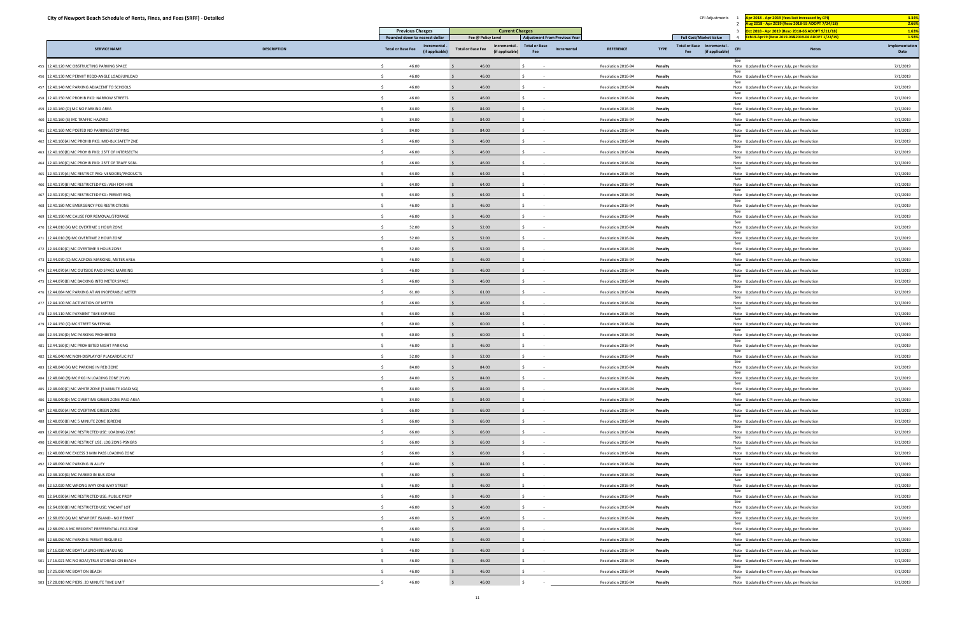| City of Newport Beach Schedule of Rents, Fines, and Fees (SRFF) - Detailed                           |                    |                                                            |                                                                                                                                   |                                                                                    |                                          | CPI Adjustments                                                                                       |                                                                                                  | Apr 2018 - Apr 2019 (fees last increased by CPI)<br><mark>\ug 2018 - Apr 2019 (Reso 2018-55 ADOPT 7/24/18)</mark> | 3.34%<br>2.66%                  |
|------------------------------------------------------------------------------------------------------|--------------------|------------------------------------------------------------|-----------------------------------------------------------------------------------------------------------------------------------|------------------------------------------------------------------------------------|------------------------------------------|-------------------------------------------------------------------------------------------------------|--------------------------------------------------------------------------------------------------|-------------------------------------------------------------------------------------------------------------------|---------------------------------|
|                                                                                                      |                    | <b>Previous Charges</b>                                    |                                                                                                                                   | <b>Current Charges</b>                                                             |                                          |                                                                                                       |                                                                                                  | Oct 2018 - Apr 2019 (Reso 2018-66 ADOPT 9/11/18)                                                                  | 1.63%                           |
| <b>SERVICE NAME</b>                                                                                  | <b>DESCRIPTION</b> | Rounded down to nearest dollar<br><b>Total or Base Fee</b> | Fee @ Policy Level<br>Incremental <sub>:</sub><br>Incremental -<br><b>Total or Base Fee</b><br>(if applicable)<br>(if applicable) | <b>Adjustment From Previous Year</b><br><b>Total or Base</b><br>Incremental<br>Fee | <b>REFERENCE</b>                         | <b>Full Cost/Market Value</b><br>Total or Base Incremental -<br><b>TYPE</b><br>Fee<br>(if applicable) | 4 Feb19-Apr19 (Reso 2019-03&2019-04 ADOPT 1/22/19)<br><b>CPI</b>                                 | <b>Notes</b>                                                                                                      | 1.58%<br>Implementation<br>Date |
|                                                                                                      |                    |                                                            |                                                                                                                                   |                                                                                    |                                          |                                                                                                       | See                                                                                              |                                                                                                                   |                                 |
| 12.40.120 MC OBSTRUCTING PARKING SPACE<br>455                                                        |                    | 46.00                                                      | 46.00                                                                                                                             |                                                                                    | Resolution 2016-94                       | Penalty                                                                                               | Note Updated by CPI every July, per Resolution<br>See                                            |                                                                                                                   | 7/1/2019                        |
| 12.40.130 MC PERMIT REQD-ANGLE LOAD/UNLOAD<br>457                                                    |                    | 46.00                                                      | 46.00                                                                                                                             |                                                                                    | Resolution 2016-94                       | Penalty                                                                                               | Note Updated by CPI every July, per Resolution                                                   |                                                                                                                   | 7/1/2019                        |
| 12.40.140 MC PARKING ADJACENT TO SCHOOLS                                                             |                    | 46.00                                                      | 46.00                                                                                                                             |                                                                                    | Resolution 2016-94                       | Penalty                                                                                               | Note Updated by CPI every July, per Resolution<br>See                                            |                                                                                                                   | 7/1/2019                        |
| 458 12.40.150 MC PROHIB PKG: NARROW STREETS                                                          |                    | 46.00                                                      | 46.00                                                                                                                             |                                                                                    | Resolution 2016-94                       | Penalty                                                                                               | Note Updated by CPI every July, per Resolution<br>See                                            |                                                                                                                   | 7/1/2019                        |
| 459 12.40.160 (D) MC NO PARKING AREA                                                                 |                    | 84.00                                                      | 84.00                                                                                                                             |                                                                                    | Resolution 2016-94                       | Penalty                                                                                               | Note Updated by CPI every July, per Resolution                                                   |                                                                                                                   | 7/1/2019                        |
| 12.40.160 (E) MC TRAFFIC HAZARD<br>460                                                               |                    | 84.00                                                      | 84.00                                                                                                                             |                                                                                    | Resolution 2016-94                       | Penalty                                                                                               | Note Updated by CPI every July, per Resolution<br>See                                            |                                                                                                                   | 7/1/2019                        |
| 461 12.40.160 MC POSTED NO PARKING/STOPPING<br>12.40.160(A) MC PROHIB PKG: MID-BLK SAFETY ZNE<br>462 |                    | 84.00<br>46.00                                             | 84.00<br>46.00                                                                                                                    |                                                                                    | Resolution 2016-94<br>Resolution 2016-94 | Penalty<br>Penalty                                                                                    | Note Updated by CPI every July, per Resolution<br>See                                            |                                                                                                                   | 7/1/2019<br>7/1/2019            |
| 12.40.160(B) MC PROHIB PKG: 25FT OF INTERSECTN<br>463                                                |                    | 46.00                                                      | 46.00                                                                                                                             |                                                                                    | Resolution 2016-94                       | Penalty                                                                                               | Note Updated by CPI every July, per Resolution                                                   |                                                                                                                   | 7/1/2019                        |
| 12.40.160(C) MC PROHIB PKG: 25FT OF TRAFF SGNL<br>464                                                |                    | 46.00                                                      | 46.00                                                                                                                             |                                                                                    | Resolution 2016-94                       | Penalty                                                                                               | Note Updated by CPI every July, per Resolution                                                   |                                                                                                                   | 7/1/2019                        |
| 12.40.170(A) MC RESTRICT PKG: VENDORS/PRODUCTS<br>465                                                |                    | 64.00                                                      | 64.00                                                                                                                             |                                                                                    | Resolution 2016-94                       | Penalty                                                                                               | Note Updated by CPI every July, per Resolution<br>See                                            |                                                                                                                   | 7/1/2019                        |
| 12.40.170(B) MC RESTRICTED PKG: VEH FOR HIRE<br>466                                                  |                    | 64.00                                                      | 64.00                                                                                                                             |                                                                                    |                                          |                                                                                                       | Note Updated by CPI every July, per Resolution<br>See                                            |                                                                                                                   | 7/1/2019                        |
| 12.40.170(C) MC RESTRICTED PKG: PERMIT REQ.                                                          |                    | 64.00                                                      | 64.00                                                                                                                             |                                                                                    | Resolution 2016-94<br>Resolution 2016-94 | Penalty<br>Penalty                                                                                    | Note Updated by CPI every July, per Resolution<br>Note Updated by CPI every July, per Resolution |                                                                                                                   | 7/1/2019                        |
| 12.40.180 MC EMERGENCY PKG RESTRICTIONS<br>468                                                       |                    | 46.00                                                      | 46.00                                                                                                                             |                                                                                    |                                          |                                                                                                       | See<br>Note Updated by CPI every July, per Resolution                                            |                                                                                                                   |                                 |
| 12.40.190 MC CAUSE FOR REMOVAL/STORAGE                                                               |                    | 46.00                                                      | 46.00                                                                                                                             |                                                                                    | Resolution 2016-94<br>Resolution 2016-94 | Penalty<br>Penalty                                                                                    | See<br>Note Updated by CPI every July, per Resolution                                            |                                                                                                                   | 7/1/2019<br>7/1/2019            |
| 470 12.44.010 (A) MC OVERTIME 1 HOUR ZONE                                                            |                    | 52.00                                                      | 52.00                                                                                                                             |                                                                                    |                                          |                                                                                                       |                                                                                                  |                                                                                                                   | 7/1/2019                        |
|                                                                                                      |                    |                                                            |                                                                                                                                   |                                                                                    | Resolution 2016-94                       | Penalty                                                                                               | Note Updated by CPI every July, per Resolution<br>See                                            |                                                                                                                   |                                 |
|                                                                                                      |                    | 52.00<br>52.00                                             | 52.00<br>52.00                                                                                                                    |                                                                                    | Resolution 2016-94                       | Penalty                                                                                               | Note Updated by CPI every July, per Resolution                                                   |                                                                                                                   | 7/1/2019<br>7/1/2019            |
| 472 12.44.010(C) MC OVERTIME 3 HOUR ZONE<br>473 12.44.070 (C) MC ACROSS MARKING, METER AREA          |                    | 46.00                                                      | 46.00                                                                                                                             |                                                                                    | Resolution 2016-94                       | Penalty                                                                                               | Note Updated by CPI every July, per Resolution                                                   |                                                                                                                   |                                 |
|                                                                                                      |                    | 46.00                                                      |                                                                                                                                   |                                                                                    | Resolution 2016-94                       | Penalty                                                                                               | Note Updated by CPI every July, per Resolution<br>See                                            |                                                                                                                   | 7/1/2019                        |
| 474 12.44.070(A) MC OUTSIDE PAID SPACE MARKING                                                       |                    |                                                            | 46.00                                                                                                                             |                                                                                    | Resolution 2016-94                       | Penalty                                                                                               | Note Updated by CPI every July, per Resolution<br>See                                            |                                                                                                                   | 7/1/2019                        |
| 475 12.44.070(B) MC BACKING INTO METER SPACE                                                         |                    | 46.00                                                      | 46.00                                                                                                                             |                                                                                    | Resolution 2016-94                       | Penalty                                                                                               | Note Updated by CPI every July, per Resolution                                                   |                                                                                                                   | 7/1/2019                        |
| 12.44.084 MC PARKING AT AN INOPERABLE METER<br>476                                                   |                    | 61.00<br>$\zeta$                                           | 61.00                                                                                                                             |                                                                                    | Resolution 2016-94                       | Penalty                                                                                               | Note Updated by CPI every July, per Resolution                                                   |                                                                                                                   | 7/1/2019                        |
| 477 12.44.100 MC ACTIVATION OF METER                                                                 |                    | 46.00                                                      | 46.00                                                                                                                             |                                                                                    | Resolution 2016-94                       | Penalty                                                                                               | Note Updated by CPI every July, per Resolution                                                   |                                                                                                                   | 7/1/2019                        |
| 478 12.44.110 MC PAYMENT TIME EXPIRED                                                                |                    | 64.00<br>60.00                                             | 64.00                                                                                                                             |                                                                                    | Resolution 2016-94                       | Penalty                                                                                               | Note Updated by CPI every July, per Resolution<br>See                                            |                                                                                                                   | 7/1/2019                        |
| 479 12.44.150 (C) MC STREET SWEEPING                                                                 |                    |                                                            | 60.00<br>60.00                                                                                                                    |                                                                                    | Resolution 2016-94                       | Penalty                                                                                               | Note Updated by CPI every July, per Resolution                                                   |                                                                                                                   | 7/1/2019                        |
| 12.44.150(D) MC PARKING PROHIBITED<br>480                                                            |                    | 60.00                                                      |                                                                                                                                   |                                                                                    | Resolution 2016-94                       | Penalty                                                                                               | Note Updated by CPI every July, per Resolution<br>See                                            |                                                                                                                   | 7/1/2019                        |
| 481 12.44.160(C) MC PROHIBITED NIGHT PARKING                                                         |                    | 46.00                                                      | 46.00                                                                                                                             |                                                                                    | Resolution 2016-94<br>Resolution 2016-94 | Penalty                                                                                               | Note Updated by CPI every July, per Resolution<br>See                                            |                                                                                                                   | 7/1/2019                        |
| 12.46.040 MC NON-DISPLAY OF PLACARD/LIC PLT<br>483 12.48.040 (A) MC PARKING IN RED ZONE              |                    | 52.00                                                      | 52.00<br>84.00                                                                                                                    |                                                                                    |                                          | Penalty                                                                                               | Note Updated by CPI every July, per Resolution<br>Note Updated by CPI every July, per Resolution |                                                                                                                   | 7/1/2019                        |
|                                                                                                      |                    | 84.00<br>$\sim$                                            |                                                                                                                                   |                                                                                    | Resolution 2016-94                       | Penalty                                                                                               |                                                                                                  |                                                                                                                   | 7/1/2019                        |
| 484 12.48.040 (B) MC PKG IN LOADING ZONE (YLW)                                                       |                    | 84.00<br>$\leq$                                            | 84.00                                                                                                                             | $\sim 100$                                                                         | Resolution 2016-94                       | Penalty                                                                                               | Note Updated by CPI every July, per Resolution<br>See                                            |                                                                                                                   | 7/1/2019                        |
| 485 12.48.040(C) MC WHITE ZONE (3 MINUTE LOADING)<br>12.48.040(D) MC OVERTIME GREEN ZONE PAID AREA   |                    | 84.00                                                      | 84.00                                                                                                                             | <b>Contract</b>                                                                    | Resolution 2016-94                       | Penalty                                                                                               | Note Updated by CPI every July, per Resolution<br>See                                            |                                                                                                                   | 7/1/2019                        |
| 487 12.48.050(A) MC OVERTIME GREEN ZONE                                                              |                    | 84.00<br>66.00<br>$\leq$                                   | 84.00<br>66.00                                                                                                                    | $\sim 100$                                                                         | Resolution 2016-94<br>Resolution 2016-94 | Penalty<br>Penalty                                                                                    | Note Updated by CPI every July, per Resolution                                                   |                                                                                                                   | 7/1/2019<br>7/1/2019            |
|                                                                                                      |                    | 66.00<br>$\sim$                                            |                                                                                                                                   | $\sim 100$                                                                         |                                          |                                                                                                       | Note Updated by CPI every July, per Resolution<br>See                                            |                                                                                                                   |                                 |
| 488 12.48.050(B) MC 5 MINUTE ZONE (GREEN)<br>489 12.48.070(A) MC RESTRICTED USE: LOADING ZONE        |                    | $\leq$<br>66.00                                            | 66.00<br>66.00                                                                                                                    | $\sim$                                                                             | Resolution 2016-94                       | Penalty                                                                                               | Note Updated by CPI every July, per Resolution<br>See                                            |                                                                                                                   | 7/1/2019                        |
|                                                                                                      |                    | 66.00<br>$\sim$                                            | 66.00                                                                                                                             | <b>Contract</b>                                                                    | Resolution 2016-94<br>Resolution 2016-94 | Penalty                                                                                               | Note Updated by CPI every July, per Resolution<br>Note Updated by CPI every July, per Resolution |                                                                                                                   | 7/1/2019                        |
| 490 12.48.070(B) MC RESTRICT USE: LDG ZONE-PSNGRS<br>491 12.48.080 MC EXCESS 3 MIN PASS LOADING ZONE |                    | 66.00                                                      | 66.00                                                                                                                             |                                                                                    | Resolution 2016-94                       | Penalty                                                                                               | See<br>Note Updated by CPI every July, per Resolution                                            |                                                                                                                   | 7/1/2019                        |
| 492 12.48.090 MC PARKING IN ALLEY                                                                    |                    | 84.00                                                      |                                                                                                                                   | $\sim 100$                                                                         |                                          | Penalty                                                                                               |                                                                                                  |                                                                                                                   | 7/1/2019                        |
|                                                                                                      |                    |                                                            | 84.00                                                                                                                             | $\sim 100$                                                                         | Resolution 2016-94                       | Penalty                                                                                               | Note Updated by CPI every July, per Resolution                                                   |                                                                                                                   | 7/1/2019                        |
| 493 12.48.100(G) MC PARKED IN BUS ZONE                                                               |                    | 46.00                                                      | 46.00                                                                                                                             |                                                                                    | Resolution 2016-94                       | Penalty                                                                                               | Note Updated by CPI every July, per Resolution                                                   |                                                                                                                   | 7/1/2019                        |
| 494 12.52.020 MC WRONG WAY ONE WAY STREET                                                            |                    | 46.00<br>S.<br>$\leq$                                      | 46.00                                                                                                                             |                                                                                    | Resolution 2016-94                       | Penalty                                                                                               | Note Updated by CPI every July, per Resolution                                                   |                                                                                                                   | 7/1/2019                        |
| 495 12.64.030(A) MC RESTRICTED USE: PUBLIC PROP                                                      |                    | 46.00                                                      | 46.00                                                                                                                             | $\sim 100$                                                                         | Resolution 2016-94                       | Penalty                                                                                               | Note Updated by CPI every July, per Resolution<br>See                                            |                                                                                                                   | 7/1/2019                        |
| 12.64.030(B) MC RESTRICTED USE: VACANT LOT                                                           |                    | 46.00                                                      | 46.00                                                                                                                             |                                                                                    | Resolution 2016-94                       | Penalty                                                                                               | Note Updated by CPI every July, per Resolution                                                   |                                                                                                                   | 7/1/2019                        |
| 497 12.68.050 (A) MC NEWPORT ISLAND - NO PERMIT                                                      |                    | 46.00<br>-S                                                | 46.00                                                                                                                             | $\sim$ 100 $\pm$                                                                   | Resolution 2016-94                       | Penalty                                                                                               | Note Updated by CPI every July, per Resolution<br>See                                            |                                                                                                                   | 7/1/2019                        |
| 498 12.68.050 A MC RESIDENT PREFERENTIAL PKG ZONE                                                    |                    | 46.00                                                      | 46.00                                                                                                                             | $\sim 100$                                                                         | Resolution 2016-94                       | Penalty                                                                                               | Note Updated by CPI every July, per Resolution<br>See                                            |                                                                                                                   | 7/1/2019                        |
| 12.68.050 MC PARKING PERMIT REQUIRED                                                                 |                    | 46.00                                                      | 46.00                                                                                                                             |                                                                                    | Resolution 2016-94                       | Penalty                                                                                               | Note Updated by CPI every July, per Resolution                                                   |                                                                                                                   | 7/1/2019                        |
| 500 17.16.020 MC BOAT LAUNCHING/HAULING                                                              |                    | 46.00<br>-S                                                | 46.00                                                                                                                             | $\sim 100$                                                                         | Resolution 2016-94                       | Penalty                                                                                               | Note Updated by CPI every July, per Resolution<br>See                                            |                                                                                                                   | 7/1/2019                        |
| 501 17.16.021 MC NO BOAT/TRLR STORAGE ON BEACH                                                       |                    | 46.00                                                      | 46.00                                                                                                                             |                                                                                    | Resolution 2016-94                       | Penalty                                                                                               | Note Updated by CPI every July, per Resolution                                                   |                                                                                                                   | 7/1/2019                        |
| 502 17.25.030 MC BOAT ON BEACH                                                                       |                    | 46.00<br>$\sim$                                            | 46.00                                                                                                                             |                                                                                    | Resolution 2016-94                       | Penalty                                                                                               | Note Updated by CPI every July, per Resolution                                                   |                                                                                                                   | 7/1/2019                        |
| 503 17.28.010 MC PIERS: 20 MINUTE TIME LIMIT                                                         |                    | 46.00                                                      | 46.00                                                                                                                             |                                                                                    | Resolution 2016-94                       | Penalty                                                                                               | Note Updated by CPI every July, per Resolution                                                   |                                                                                                                   | 7/1/2019                        |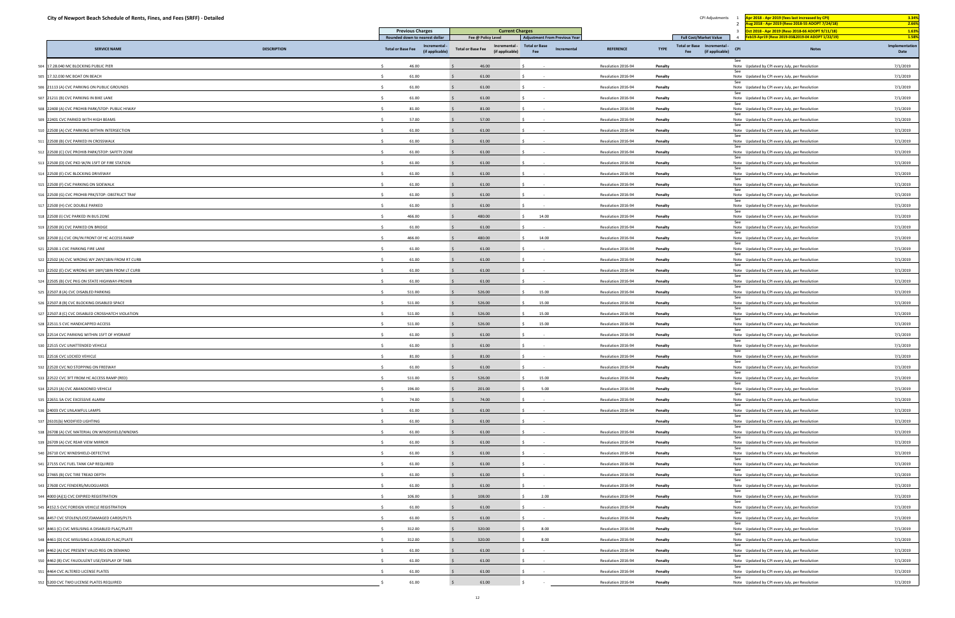| City of Newport Beach Schedule of Rents, Fines, and Fees (SRFF) - Detailed |                    |                                                 |                                             |                                                              |                    | CPI Adjustments                                              | pr 2018 - Apr 2019 (fees last increased by CPI)<br>ug 2018 - Apr 2019 (Reso 2018-55 ADOPT 7/24/18) |              | 3.34%<br>2.66%          |
|----------------------------------------------------------------------------|--------------------|-------------------------------------------------|---------------------------------------------|--------------------------------------------------------------|--------------------|--------------------------------------------------------------|----------------------------------------------------------------------------------------------------|--------------|-------------------------|
|                                                                            |                    | <b>Previous Charges</b>                         | <b>Current Charges</b>                      |                                                              |                    |                                                              | Oct 2018 - Apr 2019 (Reso 2018-66 ADOPT 9/11/18)<br>$\mathbf{R}$                                   |              | 1.63%                   |
|                                                                            |                    | Rounded down to nearest dollar<br>Incremental - | Fee @ Policy Level<br>Incremental -         | <b>Adjustment From Previous Year</b><br><b>Total or Base</b> |                    | <b>Full Cost/Market Value</b><br>Total or Base Incremental - | eb19-Apr19 (Reso 2019-03&2019-04 ADOPT 1/22/19)<br>$\sim$                                          |              | 1.589<br>Implementation |
| <b>SERVICE NAME</b>                                                        | <b>DESCRIPTION</b> | <b>Total or Base Fee</b><br>(if applicable)     | <b>Total or Base Fee</b><br>(if applicable) | Incremental<br>Fee                                           | <b>REFERENCE</b>   | <b>TYPE</b><br>(if applicable)<br>Fee                        | <b>CPI</b>                                                                                         | <b>Notes</b> | Date                    |
| 17.28.040 MC BLOCKING PUBLIC PIER                                          |                    | 46.00                                           | 46.00                                       |                                                              | Resolution 2016-94 | Penalty                                                      | See<br>Note Updated by CPI every July, per Resolution                                              |              | 7/1/2019                |
| 17.32.030 MC BOAT ON BEACH                                                 |                    | 61.00                                           | 61.00                                       |                                                              | Resolution 2016-94 | Penalty                                                      | See<br>Note Updated by CPI every July, per Resolution                                              |              | 7/1/2019                |
| 21113 (A) CVC PARKING ON PUBLIC GROUNDS                                    |                    | 61.00                                           | 61.00                                       |                                                              | Resolution 2016-94 | Penalty                                                      | Note Updated by CPI every July, per Resolution                                                     |              | 7/1/2019                |
| 507 21211 (B) CVC PARKING IN BIKE LANE                                     |                    | 61.00                                           | 61.00                                       |                                                              | Resolution 2016-94 | Penalty                                                      | See<br>Note Updated by CPI every July, per Resolution                                              |              | 7/1/2019                |
| 608 22400 (A) CVC PROHIB PARK/STOP: PUBLIC HIWAY                           |                    | 81.00                                           | 81.00                                       |                                                              | Resolution 2016-94 | Penalty                                                      | See<br>Note Updated by CPI every July, per Resolution                                              |              | 7/1/2019                |
| 609 22401 CVC PARKED WITH HIGH BEAMS                                       |                    | 57.00                                           | 57.00                                       |                                                              | Resolution 2016-94 | Penalty                                                      | Note Updated by CPI every July, per Resolution                                                     |              | 7/1/2019                |
| 10 22500 (A) CVC PARKING WITHIN INTERSECTION                               |                    | 61.00                                           | 61.00                                       |                                                              | Resolution 2016-94 | Penalty                                                      | See<br>Note Updated by CPI every July, per Resolution<br>See                                       |              | 7/1/2019                |
| 511 22500 (B) CVC PARKED IN CROSSWALK                                      |                    | 61.00                                           | 61.00                                       |                                                              | Resolution 2016-94 | Penalty                                                      | Note Updated by CPI every July, per Resolution<br>See                                              |              | 7/1/2019                |
| 512 22500 (C) CVC PROHIB PARK/STOP: SAFETY ZONE                            |                    | 61.00                                           | 61.00                                       |                                                              | Resolution 2016-94 | Penalty                                                      | Note Updated by CPI every July, per Resolution<br>See                                              |              | 7/1/2019                |
| 513 22500 (D) CVC PKD W/IN 15FT OF FIRE STATION                            |                    | 61.00                                           | 61.00                                       |                                                              | Resolution 2016-94 | Penalty                                                      | Note Updated by CPI every July, per Resolution                                                     |              | 7/1/2019                |
| 514 22500 (E) CVC BLOCKING DRIVEWAY                                        |                    | 61.00                                           | 61.00                                       |                                                              | Resolution 2016-94 | Penalty                                                      | See<br>Note Updated by CPI every July, per Resolution                                              |              | 7/1/2019                |
| 515 22500 (F) CVC PARKING ON SIDEWALK                                      |                    | 61.00                                           | 61.00                                       |                                                              | Resolution 2016-94 | Penalty                                                      | See<br>Note Updated by CPI every July, per Resolution                                              |              | 7/1/2019                |
| 16 22500 (G) CVC PROHIB PRK/STOP: OBSTRUCT TRAF                            |                    | 61.00                                           | 61.00                                       |                                                              | Resolution 2016-94 | Penalty                                                      | Note Updated by CPI every July, per Resolution                                                     |              | 7/1/2019                |
| 517 22500 (H) CVC DOUBLE PARKED                                            |                    | 61.00                                           | 61.00                                       |                                                              | Resolution 2016-94 | Penalty                                                      | See<br>Note Updated by CPI every July, per Resolution<br>See                                       |              | 7/1/2019                |
| 518 22500 (I) CVC PARKED IN BUS ZONE                                       |                    | 466.00                                          | 480.00                                      | 14.00                                                        | Resolution 2016-94 | Penalty                                                      | Note Updated by CPI every July, per Resolution                                                     |              | 7/1/2019                |
| 19 22500 (K) CVC PARKED ON BRIDGE                                          |                    | 61.00                                           | 61.00                                       |                                                              | Resolution 2016-94 | Penalty                                                      | Note Updated by CPI every July, per Resolution                                                     |              | 7/1/2019                |
| 520 22500 (L) CVC ON/IN FRONT OF HC ACCESS RAMP                            |                    | 466.00                                          | 480.00                                      | 14.00                                                        | Resolution 2016-94 | Penalty                                                      | See<br>Note Updated by CPI every July, per Resolution                                              |              | 7/1/2019                |
| 221 22500.1 CVC PARKING FIRE LANE                                          |                    | 61.00                                           | 61.00                                       |                                                              | Resolution 2016-94 | Penalty                                                      | See<br>Note Updated by CPI every July, per Resolution                                              |              | 7/1/2019                |
| 522 22502 (A) CVC WRONG WY 2WY/18IN FROM RT CURB                           |                    | 61.00                                           | 61.00                                       |                                                              | Resolution 2016-94 | Penalty                                                      | See<br>Note Updated by CPI every July, per Resolution                                              |              | 7/1/2019                |
| 523 22502 (E) CVC WRONG WY 1WY/18IN FROM LT CURB                           |                    | 61.00                                           | 61.00                                       |                                                              | Resolution 2016-94 | Penalty                                                      | See<br>Note Updated by CPI every July, per Resolution                                              |              | 7/1/2019                |
| 22505 (B) CVC PKG ON STATE HIGHWAY-PROHIB                                  |                    | 61.00                                           | 61.00                                       |                                                              | Resolution 2016-94 | Penalty                                                      | See<br>Note Updated by CPI every July, per Resolution                                              |              | 7/1/2019                |
| 525 22507.8 (A) CVC DISABLED PARKING                                       |                    | 511.00                                          | 526.00                                      | 15.00                                                        | Resolution 2016-94 | Penalty                                                      | See<br>Note Updated by CPI every July, per Resolution                                              |              | 7/1/2019                |
| 526 22507.8 (B) CVC BLOCKING DISABLED SPACE                                |                    | 511.00                                          | 526.00                                      | 15.00                                                        | Resolution 2016-94 | Penalty                                                      | Note Updated by CPI every July, per Resolution                                                     |              | 7/1/2019                |
| 527 22507.8 (C) CVC DISABLED CROSSHATCH VIOLATION                          |                    | 511.00                                          | 526.00                                      | 15.00                                                        | Resolution 2016-94 | Penalty                                                      | See<br>Note Updated by CPI every July, per Resolution                                              |              | 7/1/2019                |
| 28 22511.5 CVC HANDICAPPED ACCESS                                          |                    | 511.00                                          | 526.00                                      | 15.00                                                        | Resolution 2016-94 | Penalty                                                      | See<br>Note Updated by CPI every July, per Resolution                                              |              | 7/1/2019                |
| 22514 CVC PARKING WITHIN 15FT OF HYDRANT                                   |                    | 61.00                                           | 61.00                                       |                                                              | Resolution 2016-94 | Penalty                                                      | See<br>Note Updated by CPI every July, per Resolution                                              |              | 7/1/2019                |
| 30 22515 CVC UNATTENDED VEHICLE                                            |                    | 61.00                                           | 61.00                                       |                                                              | Resolution 2016-94 | Penalty                                                      | See<br>Note Updated by CPI every July, per Resolution                                              |              | 7/1/2019                |
| 31 22516 CVC LOCKED VEHICLE                                                |                    | 81.00                                           | 81.00                                       |                                                              | Resolution 2016-94 | Penalty                                                      | See<br>Note Updated by CPI every July, per Resolution                                              |              | 7/1/2019                |
| 32 22520 CVC NO STOPPING ON FREEWAY                                        |                    | S.<br>61.00                                     | 61.00                                       |                                                              | Resolution 2016-94 | Penalty                                                      | See<br>Note Updated by CPI every July, per Resolution                                              |              | 7/1/2019                |
| 533 22522 CVC 3FT FROM HC ACCESS RAMP (RED)                                |                    | $\sim$<br>511.00                                | 526.00                                      | 15.00                                                        | Resolution 2016-94 | Penalty                                                      | See<br>Note Updated by CPI every July, per Resolution                                              |              | 7/1/2019                |
| 534 22523 (A) CVC ABANDONED VEHICLE                                        |                    | 196.00                                          | 201.00                                      | 5.00                                                         | Resolution 2016-94 | Penalty                                                      | See<br>Note Updated by CPI every July, per Resolution                                              |              | 7/1/2019                |
| 35 22651.5A CVC EXCESSIVE ALARM                                            |                    | 74.00                                           | 74.00                                       |                                                              | Resolution 2016-94 | Penalty                                                      | See<br>Note Updated by CPI every July, per Resolution                                              |              | 7/1/2019                |
| 36 24003 CVC UNLAWFUL LAMPS                                                |                    | 61.00<br>$\leq$                                 | 61.00                                       | $\sim 100$                                                   | Resolution 2016-94 | Penalty                                                      | Note Updated by CPI every July, per Resolution                                                     |              | 7/1/2019                |
| 537 26101(b) MODIFIED LIGHTING                                             |                    | $\sim$<br>61.00                                 | 61.00                                       | $\sim 100$                                                   |                    | Penalty                                                      | See<br>Note Updated by CPI every July, per Resolution                                              |              | 7/1/2019                |
| 38 26708 (A) CVC MATERIAL ON WINDSHIELD/WNDWS                              |                    | $\mathsf{S}$<br>61.00                           | 61.00                                       |                                                              | Resolution 2016-94 | Penalty                                                      | See<br>Note Updated by CPI every July, per Resolution                                              |              | 7/1/2019                |
| 39 26709 (A) CVC REAR VIEW MIRROR                                          |                    | 61.00<br>$\sim$                                 | 61.00                                       | <b>Contract</b>                                              | Resolution 2016-94 | Penalty                                                      | Note Updated by CPI every July, per Resolution                                                     |              | 7/1/2019                |
| 540 26710 CVC WINDSHIELD-DEFECTIVE                                         |                    | 61.00                                           | 61.00                                       |                                                              | Resolution 2016-94 | Penalty                                                      | See<br>Note Updated by CPI every July, per Resolution                                              |              | 7/1/2019                |
| 541 27155 CVC FUEL TANK CAP REQUIRED                                       |                    | 61.00                                           | 61.00                                       |                                                              | Resolution 2016-94 | Penalty                                                      | Note Updated by CPI every July, per Resolution                                                     |              | 7/1/2019                |
| 642 27465 (B) CVC TIRE TREAD DEPTH                                         |                    | 61.00                                           | 61.00                                       | $\sim$ 100 $\mu$                                             | Resolution 2016-94 | Penalty                                                      | See<br>Note Updated by CPI every July, per Resolution                                              |              | 7/1/2019                |
| 543 27600 CVC FENDERS/MUDGUARDS                                            |                    | 61.00<br>S.                                     | 61.00                                       |                                                              | Resolution 2016-94 | Penalty                                                      | Note Updated by CPI every July, per Resolution                                                     |              | 7/1/2019                |
| 644 4000 (A)(1) CVC EXPIRED REGISTRATION                                   |                    | 106.00<br>$\leq$                                | 108.00                                      | 2.00                                                         | Resolution 2016-94 | Penalty                                                      | Note Updated by CPI every July, per Resolution                                                     |              | 7/1/2019                |
| 45 4152.5 CVC FOREIGN VEHICLE REGISTRATION                                 |                    | 61.00                                           | 61.00                                       |                                                              | Resolution 2016-94 | Penalty                                                      | See<br>Note Updated by CPI every July, per Resolution                                              |              | 7/1/2019                |
| 46 4457 CVC STOLEN/LOST/DAMAGED CARDS/PLTS                                 |                    | 61.00<br>S.                                     | 61.00                                       | $\sim$                                                       | Resolution 2016-94 | Penalty                                                      | Note Updated by CPI every July, per Resolution                                                     |              | 7/1/2019                |
| 547 4461 (C) CVC MISUSING A DISABLED PLAC/PLATE                            |                    | 312.00                                          | 320.00                                      | 8.00                                                         | Resolution 2016-94 | Penalty                                                      | See<br>Note Updated by CPI every July, per Resolution                                              |              | 7/1/2019                |
| 48 4461 (D) CVC MISUSING A DISABLED PLAC/PLATE                             |                    | 312.00<br>$\zeta$                               | 320.00                                      | 8.00                                                         | Resolution 2016-94 | Penalty                                                      | See<br>Note Updated by CPI every July, per Resolution                                              |              | 7/1/2019                |
| 4462 (A) CVC PRESENT VALID REG ON DEMAND                                   |                    | 61.00<br>S.                                     | 61.00                                       | $\sim$                                                       | Resolution 2016-94 | Penalty                                                      | Note Updated by CPI every July, per Resolution                                                     |              | 7/1/2019                |
| 550 4462 (B) CVC FAUDULENT USE/DISPLAY OF TABS                             |                    | 61.00                                           | 61.00                                       |                                                              | Resolution 2016-94 | Penalty                                                      | See<br>Note Updated by CPI every July, per Resolution                                              |              | 7/1/2019                |
| 51 4464 CVC ALTERED LICENSE PLATES                                         |                    | 61.00                                           | 61.00                                       |                                                              | Resolution 2016-94 | Penalty                                                      | Note Updated by CPI every July, per Resolution                                                     |              | 7/1/2019                |
|                                                                            |                    |                                                 |                                             |                                                              |                    |                                                              | See                                                                                                |              |                         |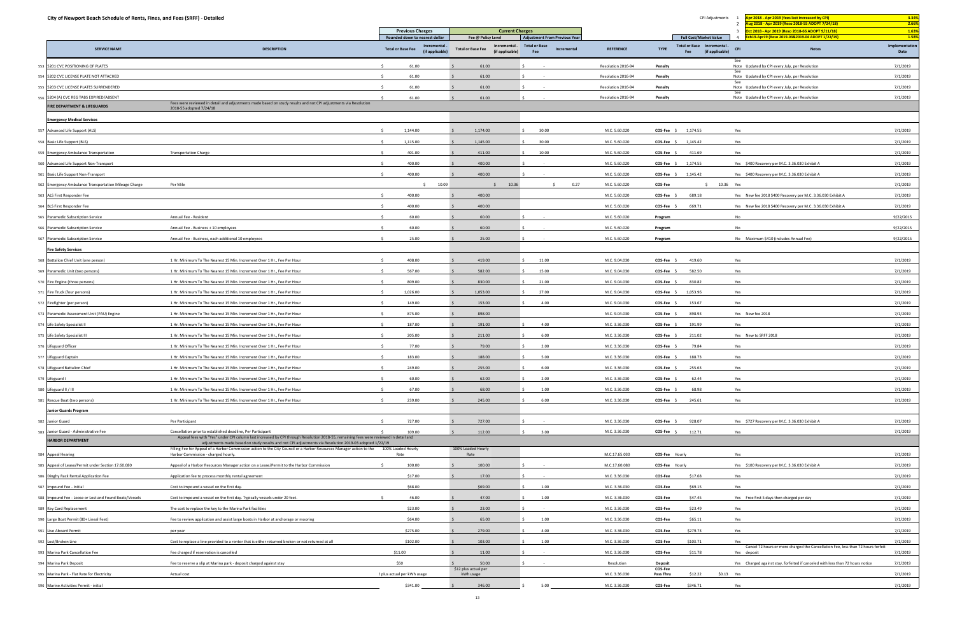| City of Newport Beach Schedule of Rents, Fines, and Fees (SRFF) - Detailed |                                                                                                                                                                                                                                |                                               |                                             |                                                              |                    |                                                              | CPI Adjustments               | or 2018 - Apr 2019 (fees last increased by CPI)<br>ug 2018 - Apr 2019 (Reso 2018-55 ADOPT 7/24/18) | 3.34%<br>2.66%          |
|----------------------------------------------------------------------------|--------------------------------------------------------------------------------------------------------------------------------------------------------------------------------------------------------------------------------|-----------------------------------------------|---------------------------------------------|--------------------------------------------------------------|--------------------|--------------------------------------------------------------|-------------------------------|----------------------------------------------------------------------------------------------------|-------------------------|
|                                                                            |                                                                                                                                                                                                                                | <b>Previous Charges</b>                       | <b>Current Charges</b>                      |                                                              |                    |                                                              |                               | ct 2018 - Apr 2019 (Reso 2018-66 ADOPT 9/11/18)                                                    | 1.63%                   |
|                                                                            |                                                                                                                                                                                                                                | Rounded down to nearest dollar<br>Incremental | Fee @ Policy Level<br>Incremental -         | <b>Adjustment From Previous Year</b><br><b>Total or Base</b> |                    | <b>Full Cost/Market Value</b><br>Total or Base Incremental - |                               | eb19-Apr19 (Reso 2019-03&2019-04 ADOPT 1/22/19)<br>$\overline{4}$                                  | 1.58%<br>Implementation |
| <b>SERVICE NAME</b>                                                        | <b>DESCRIPTION</b>                                                                                                                                                                                                             | <b>Total or Base Fee</b><br>(if applicable)   | <b>Total or Base Fee</b><br>(if applicable) | Incremental<br>Fee                                           | <b>REFERENCE</b>   | <b>TYPE</b><br>Fee                                           | <b>CPI</b><br>(if applicable) | <b>Notes</b>                                                                                       | Date                    |
| 553 5201 CVC POSITIONING OF PLATES                                         |                                                                                                                                                                                                                                | 61.00                                         | 61.00                                       |                                                              | Resolution 2016-94 | Penalty                                                      |                               | See<br>Note Updated by CPI every July, per Resolution                                              | 7/1/2019                |
| 554 5202 CVC LICENSE PLATE NOT ATTACHED                                    |                                                                                                                                                                                                                                | 61.00                                         | 61.00                                       |                                                              | Resolution 2016-94 | Penalty                                                      |                               | See<br>Note Updated by CPI every July, per Resolution                                              | 7/1/2019                |
| 5203 CVC LICENSE PLATES SURRENDERED                                        |                                                                                                                                                                                                                                | 61.00                                         | 61.00                                       |                                                              | Resolution 2016-94 | Penalty                                                      |                               | Note Updated by CPI every July, per Resolution                                                     | 7/1/2019                |
| 5204 (A) CVC REG TABS EXPIRED/ABSENT                                       |                                                                                                                                                                                                                                | 61.00                                         | 61.00                                       |                                                              | Resolution 2016-94 | Penalty                                                      |                               | See<br>Note Updated by CPI every July, per Resolution                                              | 7/1/2019                |
| FIRE DEPARTMENT & LIFEGUARDS                                               | Fees were reviewed in detail and adjustments made based on study results and not CPI adjustments via Resolution<br>2018-55 adopted 7/24/18                                                                                     |                                               |                                             |                                                              |                    |                                                              |                               |                                                                                                    |                         |
| <b>Emergency Medical Services</b>                                          |                                                                                                                                                                                                                                |                                               |                                             |                                                              |                    |                                                              |                               |                                                                                                    |                         |
| 557 Advanced Life Support (ALS)                                            |                                                                                                                                                                                                                                | 1,144.00                                      | 1,174.00                                    | 30.00                                                        | M.C. 5.60.020      | COS-Fee \$<br>1,174.55                                       |                               | Yes                                                                                                | 7/1/2019                |
| 558 Basic Life Support (BLS)                                               |                                                                                                                                                                                                                                | 1,115.00                                      | 1,145.00                                    | 30.00                                                        | M.C. 5.60.020      | COS-Fee \$<br>1,145.42                                       |                               | Yes                                                                                                | 7/1/2019                |
| 559 Emergency Ambulance Transportation                                     | <b>Transportation Charge</b>                                                                                                                                                                                                   | 401.00<br>$\zeta$                             | 411.00                                      | 10.00                                                        | M.C. 5.60.020      | 411.69<br>COS-Fee \$                                         |                               | Yes                                                                                                | 7/1/2019                |
| 560 Advanced Life Support Non-Transport                                    |                                                                                                                                                                                                                                | 400.00                                        | 400.00                                      |                                                              | M.C. 5.60.020      | COS-Fee \$<br>1,174.55                                       |                               | Yes \$400 Recovery per M.C. 3.36.030 Exhibit A                                                     | 7/1/2019                |
| 561 Basic Life Support Non-Transport                                       |                                                                                                                                                                                                                                | 400.00                                        | 400.00                                      |                                                              | M.C. 5.60.020      | 1,145.42<br>COS-Fee \$                                       |                               | Yes \$400 Recovery per M.C. 3.36.030 Exhibit A                                                     | 7/1/2019                |
| 562 Emergency Ambulance Transportation Mileage Charge                      | Per Mile                                                                                                                                                                                                                       | 10.09<br>$\sim$                               | 10.36<br>$\zeta$                            | 0.27<br>S.                                                   | M.C. 5.60.020      | COS-Fee                                                      | \$ 10.36 Yes                  |                                                                                                    | 7/1/2019                |
| 563 ALS First Responder Fee                                                |                                                                                                                                                                                                                                | 400.00                                        | 400.00                                      |                                                              | M.C. 5.60.020      | COS-Fee<br>689.18                                            |                               | Yes New fee 2018 \$400 Recovery per M.C. 3.36.030 Exhibit A                                        | 7/1/2019                |
| 564 BLS First Responder Fee                                                |                                                                                                                                                                                                                                | 400.00                                        | 400.00                                      |                                                              | M.C. 5.60.020      | 669.71<br><b>COS-Fee</b>                                     |                               | Yes New fee 2018 \$400 Recovery per M.C. 3.36.030 Exhibit A                                        | 7/1/2019                |
| 565 Paramedic Subscription Service                                         | Annual Fee - Resident                                                                                                                                                                                                          | 60.00                                         | 60.00                                       |                                                              | M.C. 5.60.020      | Program                                                      |                               | No                                                                                                 | 9/22/2015               |
| 566 Paramedic Subscription Service                                         | Annual Fee - Business + 10 employees                                                                                                                                                                                           | 60.00                                         | 60.00                                       |                                                              | M.C. 5.60.020      | Program                                                      |                               | <b>No</b>                                                                                          | 9/22/2015               |
| 567 Paramedic Subscription Service                                         | Annual Fee - Business, each additional 10 employees                                                                                                                                                                            | 25.00                                         | 25.00                                       |                                                              | M.C. 5.60.020      | Program                                                      |                               | No Maximum \$410 (includes Annual Fee)                                                             | 9/22/2015               |
|                                                                            |                                                                                                                                                                                                                                |                                               |                                             |                                                              |                    |                                                              |                               |                                                                                                    |                         |
| <b>Fire Safety Services</b>                                                |                                                                                                                                                                                                                                |                                               |                                             |                                                              |                    |                                                              |                               |                                                                                                    |                         |
| 568 Battalion Chief Unit (one person)                                      | 1 Hr. Minimum To The Nearest 15 Min. Increment Over 1 Hr., Fee Per Hour                                                                                                                                                        | 408.00                                        | 419.00                                      | 11.00                                                        | M.C. 9.04.030      | COS-Fee \$<br>419.60                                         |                               | Yes                                                                                                | 7/1/2019                |
| 569 Paramedic Unit (two persons)                                           | 1 Hr. Minimum To The Nearest 15 Min. Increment Over 1 Hr., Fee Per Hour                                                                                                                                                        | 567.00                                        | 582.00                                      | 15.00                                                        | M.C. 9.04.030      | 582.50<br>COS-Fee                                            |                               | Yes                                                                                                | 7/1/2019                |
| 570 Fire Engine (three persons)                                            | 1 Hr. Minimum To The Nearest 15 Min. Increment Over 1 Hr., Fee Per Hour                                                                                                                                                        | 809.00                                        | 830.00                                      | 21.00                                                        | M.C. 9.04.030      | 830.82<br>COS-Fee \$                                         |                               | Yes                                                                                                | 7/1/2019                |
| 571 Fire Truck (four persons)                                              | 1 Hr. Minimum To The Nearest 15 Min. Increment Over 1 Hr., Fee Per Hour                                                                                                                                                        | 1,026.00<br>-S                                | 1,053.00                                    | 27.00                                                        | M.C. 9.04.030      | 1,053.96<br>COS-Fee \$                                       |                               | Yes                                                                                                | 7/1/2019                |
| 572 Firefighter (per person)                                               | 1 Hr. Minimum To The Nearest 15 Min. Increment Over 1 Hr., Fee Per Hour                                                                                                                                                        | 149.00                                        | 153.00                                      | 4.00                                                         | M.C. 9.04.030      | 153.67<br>COS-Fee                                            |                               | Yes                                                                                                | 7/1/2019                |
| 573 Paramedic Assessment Unit (PAU) Engine                                 | 1 Hr. Minimum To The Nearest 15 Min. Increment Over 1 Hr., Fee Per Hour                                                                                                                                                        | 875.00                                        | 898.00                                      |                                                              | M.C. 9.04.030      | COS-Fee<br>898.93                                            |                               | Yes New fee 2018                                                                                   | 7/1/2019                |
| 574 Life Safety Specialist II                                              | 1 Hr. Minimum To The Nearest 15 Min. Increment Over 1 Hr., Fee Per Hour                                                                                                                                                        | 187.00                                        | 191.00                                      | 4.00                                                         | M.C. 3.36.030      | COS-Fee<br>191.99                                            |                               | Yes                                                                                                | 7/1/2019                |
| 575 Life Safety Specialist III                                             | 1 Hr. Minimum To The Nearest 15 Min. Increment Over 1 Hr., Fee Per Hour                                                                                                                                                        | 205.00                                        | 211.00                                      | 6.00                                                         | M.C. 3.36.030      | COS-Fee<br>211.02                                            |                               | Yes New to SRFF 2018                                                                               | 7/1/2019                |
| 576 Lifeguard Officer                                                      | 1 Hr. Minimum To The Nearest 15 Min. Increment Over 1 Hr., Fee Per Hour                                                                                                                                                        | 77.00                                         | 79.00                                       | 2.00                                                         | M.C. 3.36.030      | COS-Fee \$<br>79.84                                          |                               | Yes                                                                                                | 7/1/2019                |
| 577 Lifeguard Captain                                                      | 1 Hr. Minimum To The Nearest 15 Min. Increment Over 1 Hr., Fee Per Hour                                                                                                                                                        | 183.00                                        | 188.00                                      | 5.00                                                         | M.C. 3.36.030      | COS-Fee<br>188.73                                            |                               | Yes                                                                                                | 7/1/2019                |
| 578 Lifeguard Battalion Chief                                              | 1 Hr. Minimum To The Nearest 15 Min. Increment Over 1 Hr., Fee Per Hour                                                                                                                                                        | 249.00<br>S.                                  | 255.00                                      | 6.00                                                         | M.C. 3.36.030      | COS-Fee \$<br>255.63                                         |                               | Yes                                                                                                | 7/1/2019                |
| 579 Lifeguard I                                                            | 1 Hr. Minimum To The Nearest 15 Min. Increment Over 1 Hr., Fee Per Hour                                                                                                                                                        | 60.00                                         | 62.00                                       | 2.00                                                         | M.C. 3.36.030      | COS-Fee<br>62.44                                             |                               | Yes                                                                                                | 7/1/2019                |
| 580 Lifeguard II / III                                                     | 1 Hr. Minimum To The Nearest 15 Min. Increment Over 1 Hr., Fee Per Hour                                                                                                                                                        | 67.00                                         | 68.00                                       | 1.00                                                         | M.C. 3.36.030      | 68.98<br>COS-Fee \$                                          |                               | Yes                                                                                                | 7/1/2019                |
| 581 Rescue Boat (two persons)                                              | 1 Hr. Minimum To The Nearest 15 Min. Increment Over 1 Hr., Fee Per Hour                                                                                                                                                        | 239.00<br>-S                                  | 245.00                                      | 6.00                                                         | M.C. 3.36.030      | 245.61<br>COS-Fee \$                                         |                               | Yes                                                                                                | 7/1/2019                |
| <b>Junior Guards Program</b>                                               |                                                                                                                                                                                                                                |                                               |                                             |                                                              |                    |                                                              |                               |                                                                                                    |                         |
| 582 Junior Guard                                                           | Per Participant                                                                                                                                                                                                                | 727.00                                        | 727.00                                      |                                                              | M.C. 3.36.030      | 928.07<br>COS-Fee \$                                         |                               | Yes \$727 Recovery per M.C. 3.36.030 Exhibit A                                                     | 7/1/2019                |
| 583 Junior Guard - Administrative Fee                                      | Cancellation prior to established deadline, Per Participant<br>Appeal fees with "Yes" under CPI column last increased by CPI through Resolution 2018-55, remaining fees were reviewed in detail and                            | 109.00                                        | 112.00                                      | 3.00                                                         | M.C. 3.36.030      | $COS-Fee$ \$<br>112.71                                       |                               | Yes                                                                                                | 7/1/2019                |
| <b>HARBOR DEPARTMENT</b>                                                   | adjustments made based on study results and not CPI adjustments via Resolution 2019-03 adopted 1/22/19<br>Filling Fee for Appeal of a Harbor Commission action to the City Council or a Harbor Resources Manager action to the | 100% Loaded Hourly                            | 100% Loaded Hourly                          |                                                              |                    |                                                              |                               |                                                                                                    |                         |
| 584 Appeal Hearing                                                         | Harbor Commission - charged hourly.                                                                                                                                                                                            | Rate                                          | Rate                                        |                                                              | M.C.17.65.030      | COS-Fee Hourly                                               |                               | Yes                                                                                                | 7/1/2019                |
| 585 Appeal of Lease/Permit under Section 17.60.080                         | Appeal of a Harbor Resources Manager action on a Lease/Permit to the Harbor Commission                                                                                                                                         | 100.00                                        | 100.00                                      |                                                              | M.C.17.60.080      | COS-Fee Hourly                                               |                               | Yes \$100 Recovery per M.C. 3.36.030 Exhibit A                                                     | 7/1/2019                |
| 586 Dinghy Rack Rental Application Fee                                     | Application fee to process monthly rental agreement                                                                                                                                                                            | \$17.00                                       | 17.00                                       |                                                              | M.C. 3.36.030      | \$17.68<br><b>COS-Fee</b>                                    |                               | Yes                                                                                                | 7/1/2019                |
| 587 Impound Fee - Initial                                                  | Cost to impound a vessel on the first day.                                                                                                                                                                                     | \$68.00                                       | \$69.00                                     | 1.00                                                         | M.C. 3.36.030      | \$69.15<br>COS-Fee                                           |                               | Yes                                                                                                | 7/1/2019                |
| 588 Impound Fee - Loose or Lost and Found Boats/Vessels                    | Cost to impound a vessel on the first day. Typically vessels under 20 feet.                                                                                                                                                    | 46.00                                         | 47.00                                       | 1.00                                                         | M.C. 3.36.030      | COS-Fee<br>\$47.45                                           |                               | Yes Free first 5 days then charged per day                                                         | 7/1/2019                |
| 589 Key Card Replacement                                                   | The cost to replace the key to the Marina Park facilities                                                                                                                                                                      | \$23.00                                       | 23.00                                       |                                                              | M.C. 3.36.030      | \$23.49<br>COS-Fee                                           |                               | Yes                                                                                                | 7/1/2019                |
| 590 Large Boat Permit (80+ Lineal Feet)                                    | Fee to review application and assist large boats in Harbor at anchorage or mooring                                                                                                                                             | \$64.00                                       | 65.00                                       | 1.00                                                         | M.C. 3.36.030      | COS-Fee<br>\$65.11                                           |                               | Yes                                                                                                | 7/1/2019                |
| 591 Live Aboard Permit                                                     | per year                                                                                                                                                                                                                       | \$275.00                                      | 279.00                                      | 4.00                                                         | M.C. 3.36.030      | COS-Fee<br>\$279.73                                          |                               | Yes                                                                                                | 7/1/2019                |
| 592 Lost/Broken Line                                                       | Cost to replace a line provided to a renter that is either returned broken or not returned at all                                                                                                                              | \$102.00                                      | 103.00                                      | 1.00                                                         | M.C. 3.36.030      | COS-Fee<br>\$103.71                                          |                               | Yes                                                                                                | 7/1/2019                |
| 593 Marina Park Cancellation Fee                                           | Fee charged if reservation is cancelled                                                                                                                                                                                        | \$11.00                                       | 11.00                                       | $\sim$ $-$                                                   | M.C. 3.36.030      | COS-Fee<br>\$11.78                                           |                               | Cancel 72 hours or more charged the Cancellation Fee, less than 72 hours forfeit<br>Yes deposit    | 7/1/2019                |
| 594 Marina Park Deposit                                                    | Fee to reserve a slip at Marina park - deposit charged against stay                                                                                                                                                            | \$50                                          | 50.00                                       |                                                              | Resolution         | <b>Deposit</b>                                               |                               | Yes Charged against stay, forfeited if canceled with less than 72 hours notice                     | 7/1/2019                |
|                                                                            | Actual cost                                                                                                                                                                                                                    | ? plus actual per kWh usage                   | \$12 plus actual per<br>kWh usage           |                                                              | M.C. 3.36.030      | COS-Fee<br>\$12.22<br>Pass Thru                              | \$0.13 Yes                    |                                                                                                    | 7/1/2019                |
| 595 Marina Park - Flat Rate for Electricity                                |                                                                                                                                                                                                                                |                                               |                                             |                                                              |                    |                                                              |                               |                                                                                                    |                         |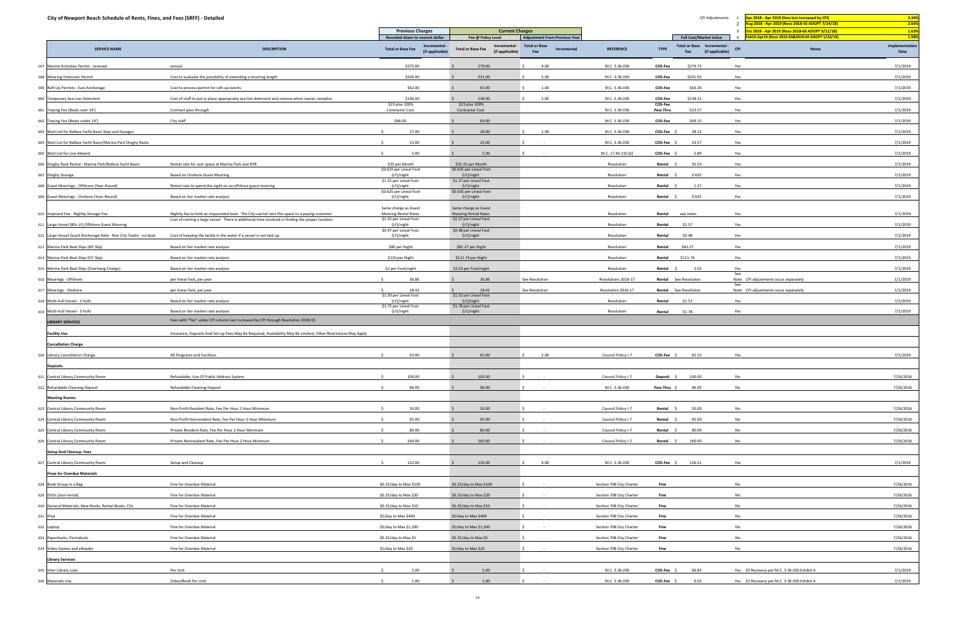| City of Newport Beach Schedule of Rents, Fines, and Fees (SRFF) - Detailed |                                                                                                                |                                                            |                                                              |                                            |                          |                      | CPI Adjustments                                     | Apr 2018 - Apr 2019 (fees last increased by CPI)<br>ug 2018 - Apr 2019 (Reso 2018-55 ADOPT 7/24/18) | 3.34%<br>2.66%         |
|----------------------------------------------------------------------------|----------------------------------------------------------------------------------------------------------------|------------------------------------------------------------|--------------------------------------------------------------|--------------------------------------------|--------------------------|----------------------|-----------------------------------------------------|-----------------------------------------------------------------------------------------------------|------------------------|
|                                                                            |                                                                                                                | <b>Previous Charges</b><br>Rounded down to nearest dollar  | <b>Current Charges</b><br>Fee @ Policy Level                 | <b>Adjustment From Previous Year</b>       |                          |                      | <b>Full Cost/Market Value</b>                       | ct 2018 - Apr 2019 (Reso 2018-66 ADOPT 9/11/18)<br>b19-Apr19 (Reso 2019-03&2019-04 ADOPT 1/22/19)   | 1.63%<br>1.58%         |
| <b>SERVICE NAME</b>                                                        | <b>DESCRIPTION</b>                                                                                             | Incremental<br><b>Total or Base Fee</b><br>(if applicable) | Incremental -<br><b>Total or Base Fee</b><br>(if applicable) | <b>Total or Base</b><br>Incremental<br>Fee | <b>REFERENCE</b>         | <b>TYPE</b>          | Total or Base Incremental<br>(if applicable)<br>Fee | <b>CPI</b><br><b>Notes</b>                                                                          | Implementation<br>Date |
| 597 Marine Activities Permit - renewal                                     | annual                                                                                                         | \$275.00                                                   | 279.00                                                       | 4.00                                       | M.C. 3.36.030            | COS-Fee              | \$279.73                                            | Yes                                                                                                 | 7/1/2019               |
| 598 Mooring Extension Permit                                               | Cost to evaluate the possibility of extending a mooring length                                                 | \$326.00                                                   | 331.00                                                       | 5.00                                       | M.C. 3.36.030            | COS-Fee              | \$331.92                                            | Yes                                                                                                 | 7/1/2019               |
| 599 Raft Up Permits - East Anchorage                                       | Cost to process permit for raft-up events                                                                      | \$62.00                                                    | 63.00                                                        | 1.00                                       | M.C. 3.36.030            | COS-Fee              | \$63.26                                             | Yes                                                                                                 | 7/1/2019               |
| 600 Temporary Sea Lion Deterrent                                           | Cost of staff to put in place appropraite sea lion deterrent and remove when owner complies                    | \$136.00                                                   | 138.00                                                       | 2.00                                       | M.C. 3.36.030            | COS-Fee              | \$138.31                                            | Yes                                                                                                 | 7/1/2019               |
| 601 Towing Fee (Boats over 14')                                            | Contract pass through                                                                                          | \$23 plus 100%<br><b>Contractor Cost</b>                   | \$23 plus 100%<br><b>Contractor Cost</b>                     |                                            | M.C. 3.36.030            | COS-Fee<br>Pass Thru | \$23.57                                             | Yes                                                                                                 | 7/1/2019               |
| 602 Towing Fee (Boats under 14')                                           | City staff                                                                                                     | \$68.00                                                    | 69.00                                                        |                                            | M.C. 3.36.030            | <b>COS-Fee</b>       | \$69.15                                             | Yes                                                                                                 | 7/1/2019               |
| 603 Wait List for Balboa Yacht Basin Slips and Garages                     |                                                                                                                | 27.00<br>$\ddot{\phantom{1}}$                              | 28.00                                                        | 1.00                                       | M.C. 3.36.030            | COS-Fee              | 28.22                                               | Yes                                                                                                 | 7/1/2019               |
| 604 Wait List for Balboa Yacht Basin/Marina Park Dinghy Racks              |                                                                                                                | 23.00                                                      | 23.00                                                        |                                            | M.C. 3.36.030            | COS-Fee              | 23.57                                               | Yes                                                                                                 | 7/1/2019               |
| 605 Wait List for Live Aboard                                              |                                                                                                                | 5.00                                                       | 5.00                                                         |                                            | M.C. 17.40.110 (b)       | COS-Fee              | 5.89                                                | Yes                                                                                                 | 7/1/2019               |
| 606 Dinghy Rack Rental - Marina Park/Balboa Yacht Basin                    | Rental rate for rack space at Marina Park and BYB                                                              | \$35 per Month                                             | \$35.55 per Month                                            |                                            | Resolution               | Rental               | 35.55                                               | Yes                                                                                                 | 7/1/2019               |
| 607 Dinghy Storage                                                         | Based on Onshore Guest Mooring                                                                                 | \$0.625 per Lineal Foot<br>(LF)/night                      | \$0.635 per Lineal Foot<br>(LF)/night                        |                                            | Resolution               | Rental               | 0.635                                               | Yes                                                                                                 | 7/1/2019               |
| 608 Guest Moorings - Offshore (Year-Round)                                 | Rental rate to spend the night on an offshore guest mooring                                                    | \$1.25 per Lineal Foot<br>(LF)/night                       | \$1.27 per Lineal Foot<br>(LF)/night                         |                                            | Resolution               | Rental               | 1.27                                                | Yes                                                                                                 | 7/1/2019               |
| 609 Guest Moorings - Onshore (Year-Round)                                  | Based on fair market rate analysis                                                                             | \$0.625 per Lineal Foot<br>(LF)/night                      | \$0.635 per Lineal Foot<br>(LF)/night                        |                                            | Resolution               | Rental               | 0.635                                               | Yes                                                                                                 | 7/1/2019               |
|                                                                            |                                                                                                                | Same charge as Guest                                       | Same charge as Guest                                         |                                            |                          |                      |                                                     |                                                                                                     |                        |
| 610 Impound Fee - Nightly Storage Fee                                      | Nightly fee to hold an impounded boat. The City cannot rent this space to a paying customer.                   | <b>Mooring Rental Rates</b>                                | Mooring Rental Rates                                         |                                            | Resolution               | Rental               | see notes                                           | Yes                                                                                                 | 7/1/2019               |
| 611 Large Vessel (80+ LF) Offshore Guest Mooring                           | Cost of renting a large vessel. There is additional time involved in finding the proper location.              | \$1.55 per Lineal Foot<br>(LF)/night                       | \$1.57 per Lineal Foot<br>(LF)/night                         |                                            | Resolution               | Rental               | \$1.57                                              | Yes                                                                                                 | 7/1/2019               |
| 612 Large Vessel Guest Anchorage Rate - Non City Tackle - no boat          | Cost of keeping the tackle in the water if a vessel is not tied up.                                            | \$0.47 per Lineal Foot<br>(LF)/night                       | \$0.48 per Lineal Foot<br>(LF)/night                         |                                            | Resolution               | Rental               | \$0.48                                              | Yes                                                                                                 | 7/1/2019               |
| 613 Marina Park Boat Slips (40' Slip)                                      | Based on fair market rate analysis                                                                             | \$80 per Night                                             | \$81.27 per Night                                            |                                            | Resolution               | Rental               | \$81.27                                             | Yes                                                                                                 | 7/1/2019               |
| 614 Marina Park Boat Slips (55' Slip)                                      | Based on fair market rate analysis                                                                             | \$110 per Night                                            | \$111.74 per Night                                           |                                            | Resolution               | Rental               | \$111.74                                            | Yes                                                                                                 | 7/1/2019               |
| 615 Marina Park Boat Slips (Overhang Charge)                               | Based on fair market rate analysis                                                                             | \$2 per Foot/night                                         | \$2.03 per Foot/night                                        |                                            | Resolution               | Rental               | 2.03                                                | Yes                                                                                                 | 7/1/2019               |
| 616 Moorings - Offshore                                                    | per linear foot, per year                                                                                      | 36.86                                                      | 36.86                                                        | See Resolution                             | Resolutions 2016-17      |                      | Rental See Resolution                               | See<br>Note CPI adjustments occur separately                                                        | 1/1/2019               |
| 617 Moorings - Onshore                                                     | per linear foot, per year                                                                                      | $\leq$<br>18.42                                            | 18.42                                                        | See Resolution                             | Resolution 2016-17       | Rental               | See Resolution                                      | -See<br>Note CPI adjustments occur separately                                                       | 1/1/2019               |
| 618 Multi-hull Vessel - 2 hulls                                            | Based on fair market rate analysis                                                                             | \$1.50 per Lineal Foot<br>(LF)/night                       | \$1.52 per Lineal Foot<br>(LF)/night                         |                                            | Resolution               | Rental               | \$1.52                                              | Yes                                                                                                 | 7/1/2019               |
| 619 Multi-hull Vessel - 3 hulls                                            | Based on fair market rate analysis                                                                             | \$1.75 per Lineal Foot<br>(LF)/night                       | \$1.78 per Lineal Foot<br>(LF)/night                         |                                            | Resolution               | Rental               | \$1.78                                              | Yes                                                                                                 | 7/1/2019               |
| <b>LIBRARY SERVICES</b>                                                    | Fees with "Yes" under CPI column last increased by CPI through Resolution 2018-55                              |                                                            |                                                              |                                            |                          |                      |                                                     |                                                                                                     |                        |
| <b>Facility Use</b>                                                        | Insurance, Deposits And Set-up Fees May Be Required, Availability May Be Limited, Other Restrictions May Apply |                                                            |                                                              |                                            |                          |                      |                                                     |                                                                                                     |                        |
| <b>Cancellation Charge</b>                                                 |                                                                                                                |                                                            |                                                              |                                            |                          |                      |                                                     |                                                                                                     |                        |
| 620 Library Cancellation Charge                                            | All Programs and Facilities                                                                                    | 63.00                                                      | 65.00                                                        | 2.00                                       | Council Policy I-7       | COS-Fee \$           | 65.52                                               | Yes                                                                                                 | 7/1/2019               |
| <b>Deposits</b>                                                            |                                                                                                                |                                                            |                                                              |                                            |                          |                      |                                                     |                                                                                                     |                        |
| 621 Central Library Community Room                                         | Refundable, Use Of Public Address System                                                                       | 100.00                                                     | 100.00                                                       |                                            | Council Policy I-7       | <b>Deposit</b>       | 100.00                                              | No                                                                                                  | 7/26/2016              |
| 622 Refundable Cleaning Deposit                                            | Refundable Cleaning Deposit                                                                                    | 96.00                                                      | 96.00                                                        |                                            | M.C. 3.36.030            | Pass Thru \$         | 96.00                                               | No                                                                                                  | 7/26/2016              |
| <b>Meeting Rooms</b>                                                       |                                                                                                                |                                                            |                                                              |                                            |                          |                      |                                                     |                                                                                                     |                        |
| 623 Central Library Community Room                                         | Non-Profit Resident Rate, Fee Per Hour 2 Hour Minimum                                                          | 50.00<br>$\leq$                                            | 50.00                                                        |                                            | Council Policy I-7       | Rental \$            | 50.00                                               | <b>No</b>                                                                                           | 7/26/2016              |
| 624 Central Library Community Room                                         | Non-Profit Nonresident Rate, Fee Per Hour 2 Hour Minimum                                                       | 95.00<br>$\leq$                                            | 95.00                                                        |                                            | Council Policy I-7       | Rental               | 95.00                                               | No                                                                                                  | 7/26/2016              |
| 625 Central Library Community Room                                         | Private Resident Rate, Fee Per Hour 2 Hour Minimum                                                             | $\mathsf{S}$<br>80.00                                      | 80.00                                                        |                                            | Council Policy I-7       | Rental               | 80.00                                               | No                                                                                                  | 7/26/2016              |
| 626 Central Library Community Room                                         | Private Nonresident Rate, Fee Per Hour 2 Hour Minimum                                                          | 160.00                                                     | 160.00                                                       |                                            | Council Policy I-7       | Rental \$            | 160.00                                              | <b>No</b>                                                                                           | 7/26/2016              |
| <b>Setup And Cleanup Fees</b>                                              |                                                                                                                |                                                            |                                                              |                                            |                          |                      |                                                     |                                                                                                     |                        |
| 627 Central Library Community Room                                         | Setup and Cleanup                                                                                              | 122.00<br>$\leq$                                           | 126.00                                                       | 4.00                                       | M.C. 3.36.030            | $COS-Fee$ \$         | 126.21                                              | Yes                                                                                                 | 7/1/2019               |
| <b>Fines for Overdue Materials</b>                                         |                                                                                                                |                                                            |                                                              |                                            |                          |                      |                                                     |                                                                                                     |                        |
| 628 Book Group in a Bag                                                    | Fine for Overdue Material                                                                                      | \$0.25/day to Max \$100                                    | \$0.25/day to Max \$100                                      |                                            | Section 708 City Charter | Fine                 |                                                     | <b>No</b>                                                                                           | 7/26/2016              |
| 629 DVDs (non-rental)                                                      | Fine for Overdue Material                                                                                      | \$0.25/day to Max \$20                                     | \$0.25/day to Max \$20                                       |                                            | Section 708 City Charter | Fine                 |                                                     | No                                                                                                  | 7/26/2016              |
| 630 General Materials, New Books, Rental Books, CDs                        | Fine for Overdue Material                                                                                      | \$0.25/day to Max \$10                                     | \$0.25/day to Max \$10                                       |                                            | Section 708 City Charter | Fine                 |                                                     | No                                                                                                  | 7/26/2016              |
| 631 iPad                                                                   | Fine for Overdue Material                                                                                      | \$5/day to Max \$400                                       | \$5/day to Max \$400                                         | $\sim 100$                                 | Section 708 City Charter | Fine                 |                                                     | <b>No</b>                                                                                           | 7/26/2016              |
| 632 Laptop                                                                 | Fine for Overdue Material                                                                                      | \$5/day to Max \$1,200                                     | \$5/day to Max \$1,200                                       |                                            | Section 708 City Charter | Fine                 |                                                     | No                                                                                                  | 7/26/2016              |
| 633 Paperbacks, Periodicals                                                | Fine for Overdue Material                                                                                      | \$0.25/day to Max \$5                                      | \$0.25/day to Max \$5                                        |                                            | Section 708 City Charter | Fine                 |                                                     | No                                                                                                  | 7/26/2016              |
| 634 Video Games and eReader                                                | Fine for Overdue Material                                                                                      | \$1/day to Max \$20                                        | \$1/day to Max \$20                                          |                                            | Section 708 City Charter | Fine                 |                                                     | <b>No</b>                                                                                           | 7/26/2016              |
| <b>Library Services</b>                                                    |                                                                                                                |                                                            |                                                              |                                            |                          |                      |                                                     |                                                                                                     |                        |
| 635 Inter Library Loan                                                     | Per Unit                                                                                                       | 5.00                                                       | 5.00                                                         |                                            | M.C. 3.36.030            | COS-Fee \$           | 66.83                                               | Yes \$5 Recovery per M.C. 3.36.030 Exhibit A                                                        | 7/1/2019               |
|                                                                            |                                                                                                                |                                                            |                                                              |                                            |                          |                      |                                                     |                                                                                                     |                        |
| 636 Materials Use                                                          | Video/Book Per Unit                                                                                            | 1.00                                                       | 1.00                                                         |                                            | M.C. 3.36.030            | COS-Fee \$           | 6.02                                                | Yes \$1 Recovery per M.C. 3.36.030 Exhibit A                                                        | 7/1/2019               |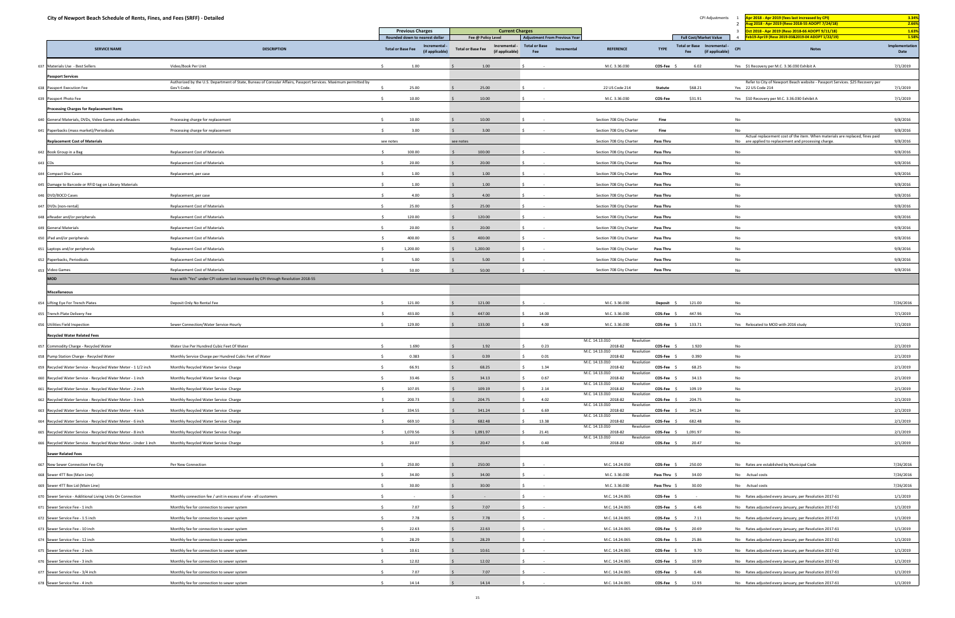| City of Newport Beach Schedule of Rents, Fines, and Fees (SRFF) - Detailed |                                                                                                                                |                                                              |                                                              |                                            |                                         |                  | CPI Adjustments                                            | pr 2018 - Apr 2019 (fees last increased by CPI)<br>ug 2018 - Apr 2019 (Reso 2018-55 ADOPT 7/24/18)<br>$\overline{2}$                 | 3.34%<br>2.66%         |
|----------------------------------------------------------------------------|--------------------------------------------------------------------------------------------------------------------------------|--------------------------------------------------------------|--------------------------------------------------------------|--------------------------------------------|-----------------------------------------|------------------|------------------------------------------------------------|--------------------------------------------------------------------------------------------------------------------------------------|------------------------|
|                                                                            |                                                                                                                                | <b>Previous Charges</b><br>Rounded down to nearest dollar    | <b>Current Charges</b><br>Fee @ Policy Level                 | <b>Adjustment From Previous Year</b>       |                                         |                  | <b>Full Cost/Market Value</b>                              | $\overline{3}$<br>rt 2018 - Apr 2019 (Reso 2018-66 ADOPT 9/11/18)<br>b19-Apr19 (Reso 2019-03&2019-04 ADOPT 1/22/19)                  | 1.63%<br>1.58%         |
| <b>SERVICE NAME</b>                                                        | <b>DESCRIPTION</b>                                                                                                             | Incremental -<br><b>Total or Base Fee</b><br>(if applicable) | Incremental -<br><b>Total or Base Fee</b><br>(if applicable) | <b>Total or Base</b><br>Incremental<br>Fee | <b>REFERENCE</b>                        | <b>TYPE</b>      | <b>Total or Base Incremental</b><br>(if applicable)<br>Fee | <b>CPI</b><br><b>Notes</b>                                                                                                           | Implementation<br>Date |
| 637 Materials Use - Best Sellers                                           | Video/Book Per Unit                                                                                                            | 1.00                                                         | 1.00                                                         |                                            | M.C. 3.36.030                           | <b>COS-Fee</b>   | 6.02                                                       | Yes \$1 Recovery per M.C. 3.36.030 Exhibit A                                                                                         | 7/1/2019               |
| <b>Passport Services</b>                                                   |                                                                                                                                |                                                              |                                                              |                                            |                                         |                  |                                                            |                                                                                                                                      |                        |
| 638 Passport Execution Fee                                                 | Authorized by the U.S. Department of State, Bureau of Consular Affairs, Passport Services. Maximum permitted by<br>Gov't Code. | 25.00                                                        | 25.00                                                        |                                            | 22 US Code 214                          | Statute          | \$68.21                                                    | Refer to City of Newport Beach website - Passport Services. \$25 Recovery per<br>Yes 22 US Code 214                                  | 7/1/2019               |
| 639 Passport Photo Fee                                                     |                                                                                                                                | 10.00                                                        | 10.00                                                        |                                            | M.C. 3.36.030                           | COS-Fee          | \$31.91                                                    | Yes \$10 Recovery per M.C. 3.36.030 Exhibit A                                                                                        | 7/1/2019               |
| <b>Processing Charges for Replacement Items</b>                            |                                                                                                                                |                                                              |                                                              |                                            |                                         |                  |                                                            |                                                                                                                                      |                        |
| 640 General Materials, DVDs, Video Games and eReaders                      | Processing charge for replacement                                                                                              | 10.00                                                        | 10.00                                                        |                                            | Section 708 City Charter                | Fine             |                                                            | No                                                                                                                                   | 9/8/2016               |
| 641 Paperbacks (mass market)/Periodicals                                   | Processing charge for replacement                                                                                              | 3.00                                                         | 3.00                                                         |                                            | Section 708 City Charter                | Fine             |                                                            | No                                                                                                                                   | 9/8/2016               |
| <b>Replacement Cost of Materials</b>                                       |                                                                                                                                | see notes                                                    | see notes                                                    |                                            | Section 708 City Charter                | Pass Thru        |                                                            | Actual replacement cost of the item. When materials are replaced, fines paid<br>No are applied to replacement and processing charge. | 9/8/2016               |
| 642 Book Group in a Bag                                                    | <b>Replacement Cost of Materials</b>                                                                                           | 100.00                                                       | 100.00                                                       |                                            | Section 708 City Charter                | Pass Thru        |                                                            | No                                                                                                                                   | 9/8/2016               |
| 643 CDs                                                                    | Replacement Cost of Materials                                                                                                  | 20.00                                                        | 20.00                                                        |                                            | Section 708 City Charter                | <b>Pass Thru</b> |                                                            | No                                                                                                                                   | 9/8/2016               |
| 644 Compact Disc Cases                                                     | Replacement, per case                                                                                                          | 1.00                                                         | 1.00                                                         |                                            | Section 708 City Charter                | Pass Thru        |                                                            | No                                                                                                                                   | 9/8/2016               |
| 645 Damage to Barcode or RFID tag on Library Materials                     |                                                                                                                                | 1.00                                                         | 1.00                                                         |                                            | Section 708 City Charter                | Pass Thru        |                                                            | No                                                                                                                                   | 9/8/2016               |
| 646 DVD/BOCD Cases                                                         | Replacement, per case                                                                                                          | 4.00                                                         | 4.00                                                         |                                            | Section 708 City Charter                | Pass Thru        |                                                            | No                                                                                                                                   | 9/8/2016               |
|                                                                            |                                                                                                                                |                                                              |                                                              |                                            |                                         |                  |                                                            |                                                                                                                                      |                        |
| 647 DVDs (non-rental)                                                      | <b>Replacement Cost of Materials</b>                                                                                           | 25.00                                                        | 25.00                                                        |                                            | Section 708 City Charter                | Pass Thru        |                                                            | <b>No</b>                                                                                                                            | 9/8/2016               |
| 648 eReader and/or peripherals                                             | Replacement Cost of Materials                                                                                                  | 120.00                                                       | 120.00                                                       |                                            | Section 708 City Charter                | Pass Thru        |                                                            | No                                                                                                                                   | 9/8/2016               |
| 649 General Materials                                                      | <b>Replacement Cost of Materials</b>                                                                                           | 20.00                                                        | 20.00                                                        |                                            | Section 708 City Charter                | Pass Thru        |                                                            | No                                                                                                                                   | 9/8/2016               |
| 650 iPad and/or peripherals                                                | Replacement Cost of Materials                                                                                                  | 400.00                                                       | 400.00                                                       |                                            | Section 708 City Charter                | Pass Thru        |                                                            | No                                                                                                                                   | 9/8/2016               |
| 651 Laptops and/or peripherals                                             | Replacement Cost of Materials                                                                                                  | 1,200.00                                                     | 1,200.00                                                     |                                            | Section 708 City Charter                | Pass Thru        |                                                            | No                                                                                                                                   | 9/8/2016               |
| 652 Paperbacks, Periodicals                                                | Replacement Cost of Materials                                                                                                  | 5.00                                                         | 5.00                                                         |                                            | Section 708 City Charter                | Pass Thru        |                                                            | No                                                                                                                                   | 9/8/2016               |
| 653 Video Games                                                            | <b>Replacement Cost of Materials</b>                                                                                           | 50.00<br>$\sim$                                              | 50.00                                                        |                                            | Section 708 City Charter                | Pass Thru        |                                                            | <b>No</b>                                                                                                                            | 9/8/2016               |
| <b>MOD</b>                                                                 | Fees with "Yes" under CPI column last increased by CPI through Resolution 2018-55                                              |                                                              |                                                              |                                            |                                         |                  |                                                            |                                                                                                                                      |                        |
| <b>Miscellaneous</b>                                                       |                                                                                                                                |                                                              |                                                              |                                            |                                         |                  |                                                            |                                                                                                                                      |                        |
| 654 Lifting Eye For Trench Plates                                          | Deposit Only No Rental Fee                                                                                                     | 121.00                                                       | 121.00                                                       |                                            | M.C. 3.36.030                           | Deposit \$       | 121.00                                                     | No                                                                                                                                   | 7/26/2016              |
| 655 Trench Plate Delivery Fee                                              |                                                                                                                                | 433.00                                                       | 447.00                                                       | 14.00                                      | M.C. 3.36.030                           | COS-Fee \$       | 447.96                                                     | Yes                                                                                                                                  | 7/1/2019               |
| 656 Utilities Field Inspection                                             | Sewer Connection/Water Service-Hourly                                                                                          | 129.00                                                       | 133.00                                                       | 4.00                                       | M.C. 3.36.030                           | $COS-Fee$ \$     | 133.71                                                     | Yes Relocated to MOD with 2016 study                                                                                                 | 7/1/2019               |
| <b>Recycled Water Related Fees</b>                                         |                                                                                                                                |                                                              |                                                              |                                            | M.C. 14.13.010<br>Resolution            |                  |                                                            |                                                                                                                                      |                        |
| 657 Commodity Charge - Recycled Water                                      | Water Use Per Hundred Cubic Feet Of Water                                                                                      | 1.690                                                        | 1.92                                                         | 0.23                                       | 2018-82                                 | $COS-Fee$ \$     | 1.920                                                      | No                                                                                                                                   | 2/1/2019               |
| 658 Pump Station Charge - Recycled Water                                   | Monthly Service Charge per Hundred Cubic Feet of Water                                                                         | 0.383                                                        | 0.39                                                         | 0.01                                       | M.C. 14.13.010<br>Resolution<br>2018-82 | $COS-Fee$ \$     | 0.390                                                      | No                                                                                                                                   | 2/1/2019               |
| 659 Recycled Water Service - Recycled Water Meter - 1 1/2 inch             | Monthly Recycled Water Service Charge                                                                                          | 66.91                                                        | 68.25                                                        | 1.34                                       | M.C. 14.13.010<br>Resolutio<br>2018-82  | COS-Fee \$       | 68.25                                                      | No                                                                                                                                   | 2/1/2019               |
| 660 Recycled Water Service - Recycled Water Meter - 1 inch                 | Monthly Recycled Water Service Charge                                                                                          | 33.46                                                        | 34.13                                                        | 0.67                                       | M.C. 14.13.010<br>Resolution<br>2018-82 | $COS-Fee$ \$     | 34.13                                                      | No                                                                                                                                   | 2/1/2019               |
| 661 Recycled Water Service - Recycled Water Meter - 2 inch                 | Monthly Recycled Water Service Charge                                                                                          | 107.05                                                       | 109.19                                                       | 2.14                                       | M.C. 14.13.010<br>Resolution<br>2018-82 | $COS-Fee$ \$     | 109.19                                                     | No                                                                                                                                   | 2/1/2019               |
| 662 Recycled Water Service - Recycled Water Meter - 3 inch                 | Monthly Recycled Water Service Charge                                                                                          | 200.73                                                       | 204.75                                                       | 4.02                                       | M.C. 14.13.010<br>Resolution<br>2018-82 | $COS-Fee$ \$     | 204.75                                                     | No                                                                                                                                   | 2/1/2019               |
| 663 Recycled Water Service - Recycled Water Meter - 4 inch                 | Monthly Recycled Water Service Charge                                                                                          | 334.55                                                       | 341.24                                                       | 6.69                                       | M.C. 14.13.010<br>Resolution<br>2018-82 | $COS-Fee$ \$     | 341.24                                                     | No                                                                                                                                   | 2/1/2019               |
| 664 Recycled Water Service - Recycled Water Meter - 6 inch                 | Monthly Recycled Water Service Charge                                                                                          | 669.10                                                       | 682.48                                                       | 13.38                                      | M.C. 14.13.010<br>Resolution<br>2018-82 | $COS-Fee$ \$     | 682.48                                                     | No                                                                                                                                   | 2/1/2019               |
| 665 Recycled Water Service - Recycled Water Meter - 8 inch                 | Monthly Recycled Water Service Charge                                                                                          | 1,070.56                                                     | 1,091.97                                                     | 21.41                                      | M.C. 14.13.010<br>Resolution<br>2018-82 |                  | COS-Fee \$ 1,091.97                                        | No                                                                                                                                   | 2/1/2019               |
| 666 Recycled Water Service - Recycled Water Meter - Under 1 inch           | Monthly Recycled Water Service Charge                                                                                          | 20.07                                                        | 20.47                                                        | 0.40                                       | M.C. 14.13.010<br>Resolution<br>2018-82 | $COS-Fee$ \$     | 20.47                                                      | No                                                                                                                                   | 2/1/2019               |
| <b>Sewer Related Fees</b>                                                  |                                                                                                                                |                                                              |                                                              |                                            |                                         |                  |                                                            |                                                                                                                                      |                        |
| 667 New Sewer Connection Fee-City                                          | Per New Connection                                                                                                             | 250.00                                                       | 250.00                                                       |                                            | M.C. 14.24.050                          | $COS-Fee$ \$     | 250.00                                                     | No Rates are established by Municipal Code                                                                                           | 7/26/2016              |
| 668 Sewer 4TT Box (Main Line)                                              |                                                                                                                                | 34.00                                                        |                                                              |                                            |                                         |                  |                                                            |                                                                                                                                      |                        |
|                                                                            |                                                                                                                                |                                                              | 34.00                                                        |                                            | M.C. 3.36.030                           | Pass Thru \$     | 34.00                                                      | No Actual costs                                                                                                                      | 7/26/2016              |
| 669 Sewer 4TT Box Lid (Main Line)                                          |                                                                                                                                | 30.00                                                        | 30.00                                                        |                                            | M.C. 3.36.030                           | Pass Thru \$     | 30.00                                                      | No Actual costs                                                                                                                      | 7/26/2016              |
| 670 Sewer Service - Additional Living Units On Connection                  | Monthly connection fee / unit in excess of one - all customers                                                                 | $\sim$                                                       | $\sim$ $\sim$                                                |                                            | M.C. 14.24.065                          | COS-Fee \$       | $\sim$ $-$                                                 | No Rates adjusted every January, per Resolution 2017-61                                                                              | 1/1/2019               |
| 671 Sewer Service Fee - 1 inch                                             | Monthly fee for connection to sewer system                                                                                     | 7.07                                                         | 7.07                                                         |                                            | M.C. 14.24.065                          | COS-Fee \$       | 6.46                                                       | No Rates adjusted every January, per Resolution 2017-61                                                                              | 1/1/2019               |
| 672 Sewer Service Fee - 1.5 inch                                           | Monthly fee for connection to sewer system                                                                                     | 7.78                                                         | 7.78                                                         |                                            | M.C. 14.24.065                          | COS-Fee \$       | 7.11                                                       | No Rates adjusted every January, per Resolution 2017-61                                                                              | 1/1/2019               |
| 673 Sewer Service Fee - 10 inch                                            | Monthly fee for connection to sewer system                                                                                     | 22.63<br>$\sim$                                              | 22.63                                                        |                                            | M.C. 14.24.065                          | COS-Fee \$       | 20.69                                                      | No Rates adjusted every January, per Resolution 2017-61                                                                              | 1/1/2019               |
| 674 Sewer Service Fee - 12 inch                                            | Monthly fee for connection to sewer system                                                                                     | 28.29                                                        | 28.29                                                        |                                            | M.C. 14.24.065                          | COS-Fee \$       | 25.86                                                      | No Rates adjusted every January, per Resolution 2017-61                                                                              | 1/1/2019               |
| 675 Sewer Service Fee - 2 inch                                             | Monthly fee for connection to sewer system                                                                                     | 10.61                                                        | 10.61                                                        |                                            | M.C. 14.24.065                          | COS-Fee \$       | 9.70                                                       | No Rates adjusted every January, per Resolution 2017-61                                                                              | 1/1/2019               |
| 676 Sewer Service Fee - 3 inch                                             | Monthly fee for connection to sewer system                                                                                     | 12.02                                                        | 12.02                                                        |                                            | M.C. 14.24.065                          | COS-Fee \$       | 10.99                                                      | No Rates adjusted every January, per Resolution 2017-61                                                                              | 1/1/2019               |
| 677 Sewer Service Fee - 3/4 inch                                           | Monthly fee for connection to sewer system                                                                                     | 7.07                                                         | 7.07                                                         |                                            | M.C. 14.24.065                          | COS-Fee \$       | 6.46                                                       | No Rates adjusted every January, per Resolution 2017-61                                                                              | 1/1/2019               |
| 678 Sewer Service Fee - 4 inch                                             | Monthly fee for connection to sewer system                                                                                     | 14.14                                                        | 14.14                                                        |                                            | M.C. 14.24.065                          | COS-Fee \$       | 12.93                                                      | No Rates adjusted every January, per Resolution 2017-61                                                                              | 1/1/2019               |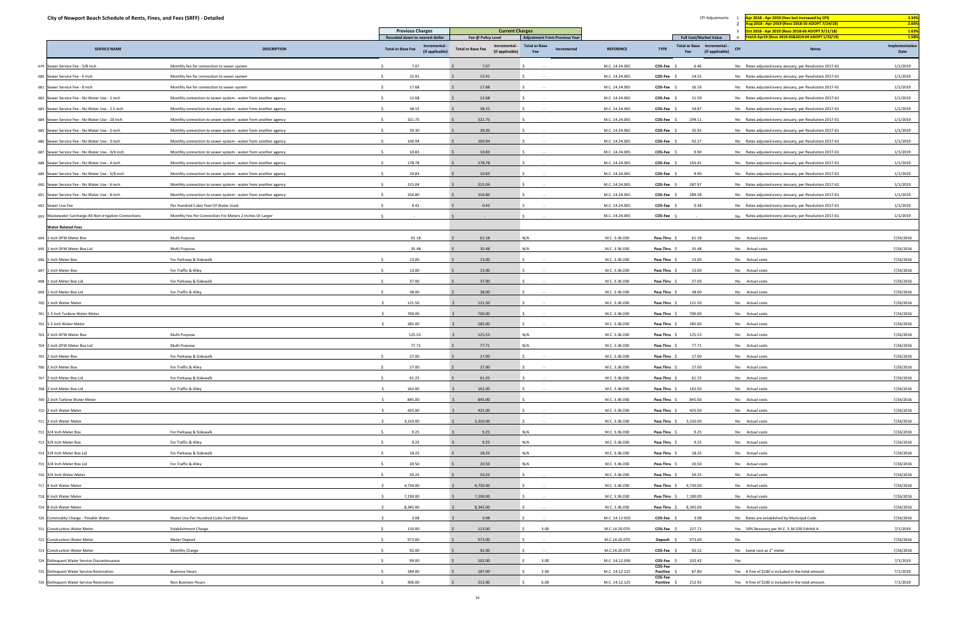| City of Newport Beach Schedule of Rents, Fines, and Fees (SRFF) - Detailed |                                                                |              |                                                            |                                                              |                                            |                  |                        |                                    | CPI Adjustments | Apr 2018 - Apr 2019 (fees last increased by CPI)                                                    | 3.34%                  |
|----------------------------------------------------------------------------|----------------------------------------------------------------|--------------|------------------------------------------------------------|--------------------------------------------------------------|--------------------------------------------|------------------|------------------------|------------------------------------|-----------------|-----------------------------------------------------------------------------------------------------|------------------------|
|                                                                            |                                                                |              | <b>Previous Charges</b>                                    |                                                              | <b>Current Charges</b>                     |                  |                        |                                    |                 | ug 2018 - Apr 2019 (Reso 2018-55 ADOPT 7/24/18)<br>Oct 2018 - Apr 2019 (Reso 2018-66 ADOPT 9/11/18) | 2.66%<br>1.63%         |
|                                                                            |                                                                |              | Rounded down to nearest dollar                             | Fee @ Policy Level                                           | <b>Adjustment From Previous Year</b>       |                  |                        | <b>Full Cost/Market Value</b>      |                 | eb19-Apr19 (Reso 2019-03&2019-04 ADOPT 1/22/19)                                                     | 1.58%                  |
| <b>SERVICE NAME</b>                                                        | <b>DESCRIPTION</b>                                             |              | Incremental<br><b>Total or Base Fee</b><br>(if applicable) | Incremental -<br><b>Total or Base Fee</b><br>(if applicable) | <b>Total or Base</b><br>Incremental<br>Fee | <b>REFERENCE</b> | <b>TYPE</b>            | Total or Base Incremental -<br>Fee | (if applicable) | <b>Notes</b><br><b>CPI</b>                                                                          | Implementation<br>Date |
| 679 Sewer Service Fee - 5/8 inch                                           | Monthly fee for connection to sewer system                     |              | 7.07                                                       | 7.07                                                         |                                            | M.C. 14.24.065   | COS-Fee \$             | 6.46                               |                 | No Rates adjusted every January, per Resolution 2017-61                                             | 1/1/2019               |
| 680 Sewer Service Fee - 6 inch                                             | Monthly fee for connection to sewer system                     |              | 15.91                                                      | 15.91                                                        |                                            | M.C. 14.24.065   | COS-Fee                | 14.55                              |                 | No Rates adjusted every January, per Resolution 2017-61                                             | 1/1/2019               |
| 681 Sewer Service Fee - 8 inch                                             | Monthly fee for connection to sewer system                     |              | 17.68                                                      | 17.68                                                        |                                            | M.C. 14.24.065   | $COS-Fee$ \$           | 16.16                              |                 | No Rates adjusted every January, per Resolution 2017-61                                             | 1/1/2019               |
| 682 Sewer Service Fee - No Water Use - 1 inch                              | Monthly connection to sewer system - water from another agency |              | 12.68                                                      | 12.68                                                        |                                            | M.C. 14.24.065   | <b>COS-Fee</b>         | 11.59                              |                 | No Rates adjusted every January, per Resolution 2017-61                                             | 1/1/2019               |
| 683 Sewer Service Fee - No Water Use - 1.5 inch                            | Monthly connection to sewer system - water from another agency | $\leq$       | 38.15                                                      | 38.15                                                        |                                            | M.C. 14.24.065   | COS-Fee                | 34.87                              |                 | No Rates adjusted every January, per Resolution 2017-61                                             | 1/1/2019               |
| 684 Sewer Service Fee - No Water Use - 10 inch                             | Monthly connection to sewer system - water from another agency | $\leq$       | 321.75                                                     | 321.75                                                       |                                            | M.C. 14.24.065   | COS-Fee \$             | 294.11                             |                 | No Rates adjusted every January, per Resolution 2017-61                                             | 1/1/2019               |
| 685 Sewer Service Fee - No Water Use - 2 inch                              | Monthly connection to sewer system - water from another agency |              | 39.30                                                      | 39.30                                                        |                                            | M.C. 14.24.065   | <b>COS-Fee</b>         | 35.92                              |                 | No Rates adjusted every January, per Resolution 2017-61                                             | 1/1/2019               |
| 686 Sewer Service Fee - No Water Use - 3 inch                              | Monthly connection to sewer system - water from another agency | - Ś          | 100.94                                                     | 100.94                                                       |                                            | M.C. 14.24.065   | $COS-Fee$ \$           | 92.27                              |                 | No Rates adjusted every January, per Resolution 2017-61                                             | 1/1/2019               |
| 687 Sewer Service Fee - No Water Use - 3/4 inch                            | Monthly connection to sewer system - water from another agency |              | 10.83                                                      | 10.83                                                        |                                            | M.C. 14.24.065   | <b>COS-Fee</b>         | 9.90                               |                 | No Rates adjusted every January, per Resolution 2017-61                                             | 1/1/2019               |
| 688 Sewer Service Fee - No Water Use - 4 inch                              | Monthly connection to sewer system - water from another agency | $\leq$       | 178.78                                                     | 178.78                                                       |                                            | M.C. 14.24.065   | COS-Fee                | 163.41                             |                 | No Rates adjusted every January, per Resolution 2017-61                                             | 1/1/2019               |
| 689 Sewer Service Fee - No Water Use - 5/8 inch                            | Monthly connection to sewer system - water from another agency | - S          | 10.83                                                      | 10.83                                                        |                                            | M.C. 14.24.065   | COS-Fee \$             | 9.90                               |                 | No Rates adjusted every January, per Resolution 2017-61                                             | 1/1/2019               |
| 690 Sewer Service Fee - No Water Use - 6 inch                              | Monthly connection to sewer system - water from another agency |              | 315.04                                                     | 315.04                                                       |                                            | M.C. 14.24.065   | <b>COS-Fee</b>         | 287.97                             |                 | No Rates adjusted every January, per Resolution 2017-61                                             | 1/1/2019               |
| 691 Sewer Service Fee - No Water Use - 8 inch                              |                                                                |              | 316.80                                                     | 316.80                                                       |                                            | M.C. 14.24.065   | $COS-Fee$ \$           | 289.58                             |                 | No Rates adjusted every January, per Resolution 2017-61                                             | 1/1/2019               |
|                                                                            | Monthly connection to sewer system - water from another agency |              |                                                            |                                                              |                                            |                  |                        |                                    |                 |                                                                                                     |                        |
| 692 Sewer Use Fee                                                          | Per Hundred Cubic Feet Of Water Used                           |              | 0.42                                                       | 0.42                                                         |                                            | M.C. 14.24.065   | <b>COS-Fee</b>         | 0.38                               |                 | No Rates adjusted every January, per Resolution 2017-61                                             | 1/1/2019               |
| 693 Wastewater Surcharge All Non-irrigation Connections                    | Monthly Fee Per Connection For Meters 2 Inches Or Larger       |              |                                                            |                                                              |                                            | M.C. 14.24.065   | COS-Fee \$             |                                    |                 | No Rates adjusted every January, per Resolution 2017-61                                             | 1/1/2019               |
| <b>Water Related Fees</b>                                                  |                                                                |              |                                                            |                                                              |                                            |                  |                        |                                    |                 |                                                                                                     |                        |
| 694 1 Inch DFW Meter Box                                                   | Multi Purpose                                                  |              | 61.18                                                      | 61.18                                                        | N/A                                        | M.C. 3.36.030    | Pass Thru              | 61.18                              |                 | No Actual costs                                                                                     | 7/26/2016              |
| 695 1 Inch DFW Meter Box Lid                                               | Multi Purpose                                                  |              | 35.48                                                      | 35.48                                                        | N/A                                        | M.C. 3.36.030    | Pass Thru \$           | 35.48                              |                 | No Actual costs                                                                                     | 7/26/2016              |
| 696 1 Inch Meter Box                                                       | For Parkway & Sidewalk                                         |              | 13.00                                                      | 13.00                                                        |                                            | M.C. 3.36.030    | Pass Thru :            | 13.00                              |                 | No Actual costs                                                                                     | 7/26/2016              |
| 697 1 Inch Meter Box                                                       | For Traffic & Alley                                            | $\zeta$      | 13.00                                                      | 13.00                                                        |                                            | M.C. 3.36.030    | Pass Thru \$           | 13.00                              |                 | No Actual costs                                                                                     | 7/26/2016              |
| 698 1 Inch Meter Box Lid                                                   | For Parkway & Sidewalk                                         | $\sim$       | 37.00                                                      | 37.00                                                        |                                            | M.C. 3.36.030    | Pass Thru \$           | 37.00                              |                 | No Actual costs                                                                                     | 7/26/2016              |
| 699 1 Inch Meter Box Lid                                                   | For Traffic & Alley                                            |              | 38.00                                                      | 38.00                                                        |                                            | M.C. 3.36.030    | Pass Thru              | 38.00                              |                 | No Actual costs                                                                                     | 7/26/2016              |
| 700 1 Inch Water Meter                                                     |                                                                | ₹,           | 121.50                                                     | 121.50                                                       |                                            | M.C. 3.36.030    | Pass Thru              | 121.50                             |                 | No Actual costs                                                                                     | 7/26/2016              |
| 701 1.5 Inch Turbine Water Meter                                           |                                                                |              | 700.00                                                     | 700.00                                                       |                                            | M.C. 3.36.030    | Pass Thru              | 700.00                             |                 | No Actual costs                                                                                     | 7/26/2016              |
| 702 1.5 Inch Water Meter                                                   |                                                                |              | 285.00                                                     | 285.00                                                       |                                            | M.C. 3.36.030    | Pass Thru \$           | 285.00                             |                 | No Actual costs                                                                                     | 7/26/2016              |
| 703 2 Inch DFW Meter Box                                                   | Multi Purpose                                                  |              | 125.53                                                     | 125.53                                                       | N/A                                        | M.C. 3.36.030    | Pass Thru \$           | 125.53                             |                 | No Actual costs                                                                                     | 7/26/2016              |
| 704 2 Inch DFW Meter Box Lid                                               | Multi Purpose                                                  |              | 77.71                                                      | 77.71                                                        | N/A                                        | M.C. 3.36.030    | Pass Thru              | 77.71                              |                 | No Actual costs                                                                                     | 7/26/2016              |
| 705 2 Inch Meter Box                                                       | For Parkway & Sidewalk                                         | $\leq$       | 27.00                                                      | 27.00                                                        |                                            | M.C. 3.36.030    | Pass Thru \$           | 27.00                              |                 | No Actual costs                                                                                     | 7/26/2016              |
| 706 2 Inch Meter Box                                                       | For Traffic & Alley                                            | $\mathsf{S}$ | 27.00                                                      | 27.00                                                        |                                            | M.C. 3.36.030    | Pass Thru \$           | 27.00                              |                 | No Actual costs                                                                                     | 7/26/2016              |
| 707 2 Inch Meter Box Lid                                                   | For Parkway & Sidewalk                                         | S.           | 61.25                                                      | 61.25                                                        |                                            | M.C. 3.36.030    | Pass Thru \$           | 61.25                              |                 | No Actual costs                                                                                     | 7/26/2016              |
| 708 2 Inch Meter Box Lid                                                   | For Traffic & Alley                                            | - \$         | 162.00                                                     | 162.00                                                       | -S.                                        | M.C. 3.36.030    | Pass Thru \$           | 162.00                             |                 | No Actual costs                                                                                     | 7/26/2016              |
| 709 2 Inch Turbine Water Meter                                             |                                                                |              | 845.00                                                     | 845.00                                                       |                                            | M.C. 3.36.030    | Pass Thru \$           | 845.00                             |                 | No Actual costs                                                                                     | 7/26/2016              |
| 710 2 Inch Water Meter                                                     |                                                                | ₹,           | 425.00                                                     | 425.00                                                       |                                            | M.C. 3.36.030    | Pass Thru \$           | 425.00                             |                 | No Actual costs                                                                                     | 7/26/2016              |
| 711 3 Inch Water Meter                                                     |                                                                | $\mathsf{S}$ | 3,310.00                                                   | 3,310.00                                                     |                                            | M.C. 3.36.030    |                        | Pass Thru \$ 3,310.00              |                 | No Actual costs                                                                                     | 7/26/2016              |
| 712 3/4 Inch Meter Box                                                     | For Parkway & Sidewalk                                         | $\sim$       | 9.25                                                       | 9.25                                                         | N/A                                        | M.C. 3.36.030    | Pass Thru \$           | 9.25                               |                 | No Actual costs                                                                                     | 7/26/2016              |
| 713 3/4 Inch Meter Box                                                     | For Traffic & Alley                                            | $\leq$       | 9.25                                                       | 9.25                                                         | N/A                                        | M.C. 3.36.030    | Pass Thru \$           | 9.25                               |                 | No Actual costs                                                                                     | 7/26/2016              |
| 714 3/4 Inch Meter Box Lid                                                 | For Parkway & Sidewalk                                         |              | 18.25                                                      | 18.25                                                        | N/A                                        | M.C. 3.36.030    | Pass Thru \$           | 18.25                              |                 | No Actual costs                                                                                     | 7/26/2016              |
| 715 3/4 Inch Meter Box Lid                                                 | For Traffic & Alley                                            | - S          | 20.50                                                      | 20.50                                                        | N/A                                        | M.C. 3.36.030    | Pass Thru \$           | 20.50                              |                 | No Actual costs                                                                                     | 7/26/2016              |
| 716 3/4 Inch Water Meter                                                   |                                                                | $\zeta$      | 50.25                                                      | 50.25                                                        |                                            | M.C. 3.36.030    | Pass Thru \$           | 50.25                              |                 | No Actual costs                                                                                     | 7/26/2016              |
| 717 4 Inch Water Meter                                                     |                                                                | $\sim$       | 4,730.00                                                   | 4,730.00                                                     |                                            | M.C. 3.36.030    |                        | Pass Thru \$ 4,730.00              |                 | No Actual costs                                                                                     | 7/26/2016              |
| 718 6 Inch Water Meter                                                     |                                                                | $\sim$       | 7,190.00                                                   | 7,190.00                                                     |                                            | M.C. 3.36.030    |                        | Pass Thru \$ 7,190.00              |                 | No Actual costs                                                                                     | 7/26/2016              |
|                                                                            |                                                                |              | 8,345.00                                                   | 8,345.00                                                     |                                            | M.C. 3.36.030    |                        |                                    |                 |                                                                                                     |                        |
| 719 8 Inch Water Meter                                                     | Water Use Per Hundred Cubic Feet Of Water                      |              | 3.08                                                       |                                                              |                                            |                  | Pass Thru \$           | 8,345.00                           |                 | No Actual costs                                                                                     | 7/26/2016              |
| 720 Commodity Charge - Potable Water                                       |                                                                |              |                                                            | 3.08                                                         |                                            | M.C. 14.12.020   | COS-Fee \$             | 3.08                               |                 | No Rates are established by Municipal Code                                                          | 7/26/2016              |
| 721 Construction Water Meter                                               | <b>Establishment Charge</b>                                    | Ŝ.           | 110.00                                                     | 113.00                                                       | 3.00                                       | M.C.14.20.070    | COS-Fee \$             | 227.71                             |                 | Yes 50% Recovery per M.C. 3.36.030 Exhibit A                                                        | 7/1/2019               |
| 722 Construction Water Meter                                               | Meter Deposit                                                  | $\sim$       | 973.00                                                     | 973.00                                                       |                                            | M.C.14.20.070    | Deposit \$             | 973.00                             |                 | No                                                                                                  | 7/26/2016              |
| 723 Construction Water Meter                                               | Monthly Charge                                                 | - Ś          | 92.00                                                      | 92.00                                                        |                                            | M.C.14.20.070    | COS-Fee \$             | 92.12                              |                 | No Same cost as 2" meter                                                                            | 7/26/2016              |
| 724 Delinquent Water Service Discontinuance                                |                                                                |              | 99.00                                                      | 102.00                                                       | 3.00                                       | M.C. 14.12.090   | COS-Fee<br>COS-Fee     | 102.42                             |                 | Yes                                                                                                 | 7/1/2019               |
| 725 Delinquent Water Service Restoration                                   | <b>Business Hours</b>                                          | - S          | 184.00                                                     | 187.00                                                       | 3.00<br>S.                                 | M.C. 14.12.125   | Punitive \$<br>COS-Fee | 87.80                              |                 | Yes A fine of \$100 is included in the total amount.                                                | 7/1/2019               |
| 726 Delinquent Water Service Restoration                                   | Non Business Hours                                             |              | 306.00                                                     | 312.00                                                       | 6.00                                       | M.C. 14.12.125   |                        | <b>Punitive \$ 212.92</b>          |                 | Yes A fine of \$100 is included in the total amount.                                                | 7/1/2019               |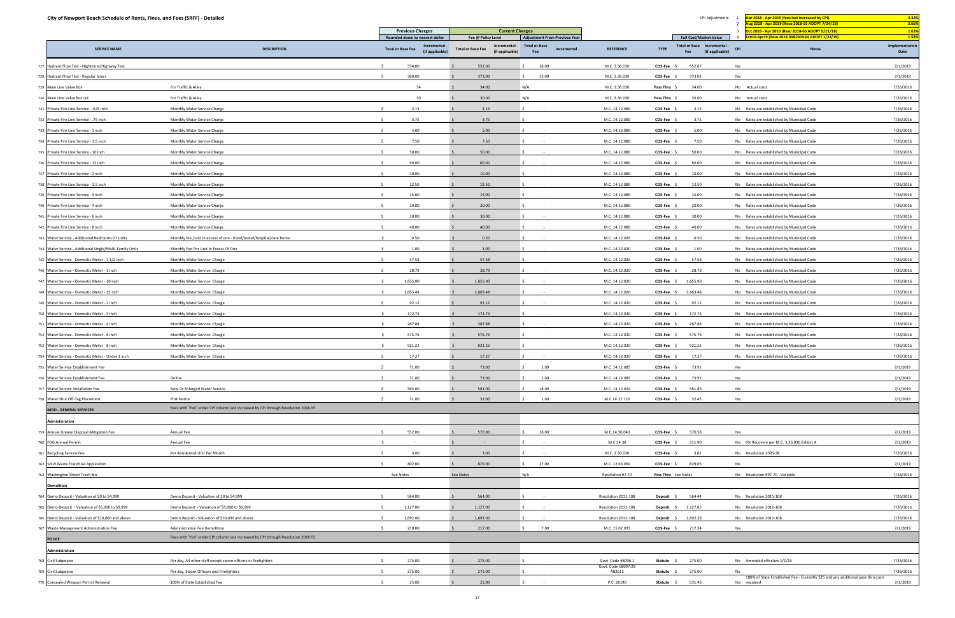| City of Newport Beach Schedule of Rents, Fines, and Fees (SRFF) - Detailed |                                                                                   |                                                                             |                                                                 |                                                                             |                               |                     | CPI Adjustments                                              | or 2018 - Apr 2019 (fees last increased by CPI)<br>ug 2018 - Apr 2019 (Reso 2018-55 ADOPT 7/24/18) | 3.34%<br>2.66%         |
|----------------------------------------------------------------------------|-----------------------------------------------------------------------------------|-----------------------------------------------------------------------------|-----------------------------------------------------------------|-----------------------------------------------------------------------------|-------------------------------|---------------------|--------------------------------------------------------------|----------------------------------------------------------------------------------------------------|------------------------|
|                                                                            |                                                                                   | <b>Previous Charges</b>                                                     | <b>Current Charges</b>                                          |                                                                             |                               |                     |                                                              | ct 2018 - Apr 2019 (Reso 2018-66 ADOPT 9/11/18)                                                    | 1.63%                  |
| <b>SERVICE NAME</b>                                                        | <b>DESCRIPTION</b>                                                                | Rounded down to nearest dollar<br>Incremental -<br><b>Total or Base Fee</b> | Fee @ Policy Level<br>Incremental -<br><b>Total or Base Fee</b> | <b>Adjustment From Previous Year</b><br><b>Total or Base</b><br>Incremental | <b>REFERENCE</b>              | <b>TYPE</b>         | <b>Full Cost/Market Value</b><br>Total or Base Incremental - | eb19-Apr19 (Reso 2019-03&2019-04 ADOPT 1/22/19)<br><b>CPI</b><br><b>Notes</b>                      | 1.589<br>Implementatio |
|                                                                            |                                                                                   | (if applicable)                                                             | (if applicable)                                                 | Fee                                                                         |                               |                     | (if applicable)<br>Fee                                       |                                                                                                    | Date                   |
| 727 Hydrant Flow Test - Nighttime/Highway Test                             |                                                                                   | 534.00                                                                      | 552.00                                                          | 18.00                                                                       | M.C. 3.36.030                 | COS-Fee             | 552.67                                                       | Yes                                                                                                | 7/1/2019               |
| 728 Hydrant Flow Test - Regular hours                                      |                                                                                   | 360.00                                                                      | 373.00                                                          | 13.00                                                                       | M.C. 3.36.030                 | COS-Fee             | 373.01                                                       | Yes                                                                                                | 7/1/2019               |
| 729 Main Line Valve Box                                                    | For Traffic & Alley                                                               | 34                                                                          | 34.00                                                           | N/A                                                                         | M.C. 3.36.030                 | Pass Thru           | 34.00                                                        | No Actual costs                                                                                    | 7/26/2016              |
| 730 Main Line Valve Box Lid                                                | For Traffic & Alley                                                               | 30                                                                          | 30.00                                                           | N/A                                                                         | M.C. 3.36.030                 | Pass Thru           | 30.00                                                        | No Actual costs                                                                                    | 7/26/2016              |
| 731 Private Fire Line Service - .625 inch                                  | Monthly Water Service Charge                                                      | 3.13                                                                        | 3.13                                                            |                                                                             | M.C. 14.12.080                | COS-Fee             | 3.13                                                         | No Rates are established by Municipal Code                                                         | 7/26/2016              |
| 732 Private Fire Line Service - .75 inch                                   | Monthly Water Service Charge                                                      | 3.75                                                                        | 3.75                                                            |                                                                             | M.C. 14.12.080                | COS-Fee             | 3.75                                                         | No Rates are established by Municipal Code                                                         | 7/26/2016              |
| 733 Private Fire Line Service - 1 inch                                     | Monthly Water Service Charge                                                      | 5.00                                                                        | 5.00                                                            |                                                                             | M.C. 14.12.080                | COS-Fee \$          | 5.00                                                         | No Rates are established by Municipal Code                                                         | 7/26/2016              |
| 734 Private Fire Line Service - 1.5 inch                                   | Monthly Water Service Charge                                                      | 7.50                                                                        | 7.50                                                            |                                                                             | M.C. 14.12.080                | COS-Fee             | 7.50                                                         | No Rates are established by Municipal Code                                                         | 7/26/2016              |
| 735 Private Fire Line Service - 10 inch                                    | Monthly Water Service Charge                                                      | 50.00<br>-Ś.                                                                | 50.00                                                           |                                                                             | M.C. 14.12.080                | COS-Fee \$          | 50.00                                                        | No Rates are established by Municipal Code                                                         | 7/26/2016              |
| 736 Private Fire Line Service - 12 inch                                    | Monthly Water Service Charge                                                      | 60.00                                                                       | 60.00                                                           |                                                                             | M.C. 14.12.080                | <b>COS-Fee</b>      | 60.00                                                        | No Rates are established by Municipal Code                                                         | 7/26/2016              |
| 737 Private Fire Line Service - 2 inch                                     | Monthly Water Service Charge                                                      | 10.00                                                                       | 10.00                                                           |                                                                             | M.C. 14.12.080                | COS-Fee             | 10.00                                                        | No Rates are established by Municipal Code                                                         | 7/26/2016              |
| 738 Private Fire Line Service - 2.5 inch                                   | Monthly Water Service Charge                                                      | 12.50                                                                       | 12.50                                                           |                                                                             | M.C. 14.12.080                | COS-Fee \$          | 12.50                                                        | No Rates are established by Municipal Code                                                         | 7/26/2016              |
| 739 Private Fire Line Service - 3 inch                                     | Monthly Water Service Charge                                                      | 15.00                                                                       | 15.00                                                           |                                                                             | M.C. 14.12.080                | COS-Fee             | 15.00                                                        | No Rates are established by Municipal Code                                                         | 7/26/2016              |
| 740 Private Fire Line Service - 4 inch                                     | Monthly Water Service Charge                                                      | 20.00                                                                       | 20.00                                                           |                                                                             | M.C. 14.12.080                | COS-Fee \$          | 20.00                                                        | No Rates are established by Municipal Code                                                         | 7/26/2016              |
| 741 Private Fire Line Service - 6 inch                                     | Monthly Water Service Charge                                                      | 30.00                                                                       | 30.00                                                           |                                                                             | M.C. 14.12.080                | COS-Fee             | 30.00                                                        | No Rates are established by Municipal Code                                                         | 7/26/2016              |
| 742 Private Fire Line Service - 8 inch                                     | Monthly Water Service Charge                                                      | 40.00                                                                       | 40.00                                                           |                                                                             | M.C. 14.12.080                | COS-Fee             | 40.00                                                        | No Rates are established by Municipal Code                                                         | 7/26/2016              |
| 743 Water Service - Additional Bedrooms Or Units                           | Monthly fee /unit in excess of one - hotel/motel/hospital/care home               | 0.50                                                                        | 0.50                                                            |                                                                             | M.C. 14.12.020                | COS-Fee             | 0.50                                                         | No Rates are established by Municipal Code                                                         | 7/26/2016              |
| 744 Water Service - Additional Single/Multi-Family Units                   | Monthly Fee Per Unit In Excess Of One                                             | 1.00                                                                        | 1.00                                                            |                                                                             | M.C. 14.12.020                | COS-Fee             | 1.00                                                         | No Rates are established by Municipal Code                                                         | 7/26/2016              |
| 745 Water Service - Domestic Meter - 1 1/2 inch                            | Monthly Water Service Charge                                                      | 57.58<br>-Ś                                                                 | 57.58                                                           |                                                                             | M.C. 14.12.020                | COS-Fee \$          | 57.58                                                        | No Rates are established by Municipal Code                                                         | 7/26/2016              |
| 746 Water Service - Domestic Meter - 1 inch                                | Monthly Water Service Charge                                                      | 28.79                                                                       | 28.79                                                           |                                                                             | M.C. 14.12.020                | COS-Fee \$          | 28.79                                                        | No Rates are established by Municipal Code                                                         | 7/26/2016              |
| 747 Water Service - Domestic Meter - 10 inch                               | Monthly Water Service Charge                                                      | 1,655.90                                                                    | 1,655.90                                                        |                                                                             | M.C. 14.12.020                | COS-Fee \$          | 1,655.90                                                     | No Rates are established by Municipal Code                                                         | 7/26/2016              |
| 748 Water Service - Domestic Meter - 12 inch                               | Monthly Water Service Charge                                                      | 2,663.48                                                                    | 2,663.48                                                        |                                                                             | M.C. 14.12.020                | COS-Fee \$          | 2,663.48                                                     | No Rates are established by Municipal Code                                                         | 7/26/2016              |
| 749 Water Service - Domestic Meter - 2 inch                                | Monthly Water Service Charge                                                      | 92.12                                                                       | 92.12                                                           |                                                                             | M.C. 14.12.020                | COS-Fee             | 92.12                                                        | No Rates are established by Municipal Code                                                         | 7/26/2016              |
| 750 Water Service - Domestic Meter - 3 inch                                | Monthly Water Service Charge                                                      | 172.73<br>$\leq$                                                            | 172.73                                                          |                                                                             | M.C. 14.12.020                | COS-Fee             | 172.73                                                       | No Rates are established by Municipal Code                                                         | 7/26/2016              |
| 751 Water Service - Domestic Meter - 4 inch                                | Monthly Water Service Charge                                                      | 287.88                                                                      | 287.88                                                          |                                                                             | M.C. 14.12.020                | COS-Fee             | 287.88                                                       | No Rates are established by Municipal Code                                                         | 7/26/2016              |
| 752 Water Service - Domestic Meter - 6 inch                                | Monthly Water Service Charge                                                      | 575.76                                                                      | 575.76                                                          |                                                                             | M.C. 14.12.020                | COS-Fee             | 575.76                                                       | No Rates are established by Municipal Code                                                         | 7/26/2016              |
| 753 Water Service - Domestic Meter - 8 inch                                | Monthly Water Service Charge                                                      | 921.22                                                                      | 921.22                                                          |                                                                             | M.C. 14.12.020                | COS-Fee \$          | 921.22                                                       | No Rates are established by Municipal Code                                                         | 7/26/2016              |
| 754 Water Service - Domestic Meter - Under 1 inch                          | Monthly Water Service Charge                                                      | 17.27                                                                       | 17.27                                                           |                                                                             | M.C. 14.12.020                | COS-Fee             | 17.27                                                        | No Rates are established by Municipal Code                                                         | 7/26/2016              |
| 755 Water Service Establishment Fee                                        |                                                                                   | 71.00<br>$\leq$                                                             | 73.00                                                           | 2.00<br>S.                                                                  | M.C. 14.12.085                | COS-Fee \$          | 73.91                                                        | Yes                                                                                                | 7/1/2019               |
| 756 Water Service Establishment Fee                                        | Online                                                                            | $\leq$<br>71.00                                                             | 73.00                                                           | 2.00                                                                        | M.C. 14.12.085                | COS-Fee \$          | 73.91                                                        | Yes                                                                                                | 7/1/2019               |
| 757 Water Service Installation Fee                                         | New Or Enlarged Water Service                                                     | 563.00                                                                      | 581.00                                                          | 18.00                                                                       | M.C. 14.12.010                | COS-Fee \$          | 581.89                                                       | Yes                                                                                                | 7/1/2019               |
| 758 Water Shut Off-Tag Placement                                           | <b>Pink Notice</b>                                                                | 31.00<br>-Ś.                                                                | 32.00                                                           | 1.00                                                                        | M.C.14.12.120                 | $COS-Fee$ \$        | 32.45                                                        | Yes                                                                                                | 7/1/2019               |
| <b>MOD - GENERAL SERVICES</b>                                              | Fees with "Yes" under CPI column last increased by CPI through Resolution 2018-55 |                                                                             |                                                                 |                                                                             |                               |                     |                                                              |                                                                                                    |                        |
| Administration                                                             |                                                                                   |                                                                             |                                                                 |                                                                             |                               |                     |                                                              |                                                                                                    |                        |
| 759 Annual Grease Disposal Mitigation Fee                                  | Annual Fee                                                                        | 552.00<br>$\mathcal{S}$                                                     | 570.00                                                          | 18.00                                                                       | M.C.14.30.040                 | COS-Fee \$          | 570.58                                                       | Yes                                                                                                | 7/1/2019               |
| 760 FOG Annual Permit                                                      | Annual Fee                                                                        |                                                                             |                                                                 |                                                                             | M.C.14.30                     | COS-Fee \$          | 311.90                                                       | Yes 0% Recovery per M.C. 3.36.030 Exhibit A                                                        | 7/1/2019               |
| 761 Recycling Service Fee                                                  | Per Residential Unit Per Month                                                    | 3.00                                                                        | 3.00                                                            |                                                                             | M.C. 2.30.030                 | COS-Fee \$          | 3.02                                                         | No Resolution 2005-38                                                                              | 7/26/2016              |
| 762 Solid Waste Franchise Application                                      |                                                                                   | 802.00                                                                      | 829.00                                                          | 27.00<br>$\zeta$                                                            | M.C. 12.63.050                | COS-Fee \$          | 829.05                                                       | Yes                                                                                                | 7/1/2019               |
| 763 Washington Street Trash Bin                                            |                                                                                   | See Notes                                                                   | See Notes                                                       | N/A                                                                         | Resolution 97-70              | Pass Thru See Notes |                                                              | No Resolution #97-70 - Variable                                                                    | 7/26/2016              |
| <b>Demolition</b>                                                          |                                                                                   |                                                                             |                                                                 |                                                                             |                               |                     |                                                              |                                                                                                    |                        |
| 764 Demo Deposit - Valuation of \$0 to \$4,999                             | Demo Deposit - Valuation of \$0 to \$4,999                                        | 564.00                                                                      | 564.00                                                          |                                                                             | Resolution 2011-108           | Deposit             | 564.44                                                       | No Resolution 2011-108                                                                             | 7/26/2016              |
| 765 Demo Deposit - Valuation of \$5,000 to \$9,999                         | Demo Deposit - Valuation of \$5,000 to \$9,999                                    | 1,127.00                                                                    | 1,127.00                                                        |                                                                             | Resolution 2011-108           | Deposit \$          | 1,127.85                                                     | No Resolution 2011-108                                                                             | 7/26/2016              |
| 766 Demo Deposit - Valuation of \$10,000 and above                         | Demo deposit - Valuation of \$10,000 and above                                    | 1,692.00                                                                    | 1,692.00                                                        |                                                                             | Resolution 2011-108           | Deposit \$          | 1,692.29                                                     | No Resolution 2011-108                                                                             | 7/26/2016              |
| 767 Waste Management Administration Fee                                    | Administration Fee Demolition                                                     | 210.00<br>$\leq$                                                            | 217.00                                                          | 7.00                                                                        | M.C. 15.02.035                | $COS-Fee$ \$        | 217.34                                                       | Yes                                                                                                | 7/1/2019               |
| <b>POLICE</b>                                                              | Fees with "Yes" under CPI column last increased by CPI through Resolution 2018-55 |                                                                             |                                                                 |                                                                             |                               |                     |                                                              |                                                                                                    |                        |
| Administration                                                             |                                                                                   |                                                                             |                                                                 |                                                                             |                               |                     |                                                              |                                                                                                    |                        |
| 768 Civil Subpoena                                                         | Per day, All other staff except sworn officers or firefighters                    | 275.00                                                                      | 275.00                                                          |                                                                             | Govt. Code 68096.1            | Statute \$          | 275.00                                                       | No Amended effective 1/1/15                                                                        | 7/26/2016              |
| 769 Civil Subpoena                                                         | Per day, Sworn Officers and Firefighters                                          | 275.00                                                                      | 275.00                                                          |                                                                             | Govt. Code 68097.2B<br>AB2612 | Statute             | 275.00                                                       | No                                                                                                 | 7/26/2016              |
|                                                                            |                                                                                   |                                                                             |                                                                 |                                                                             |                               |                     |                                                              | 100% of State Established Fee - Currently \$25 and any additional pass thru costs                  |                        |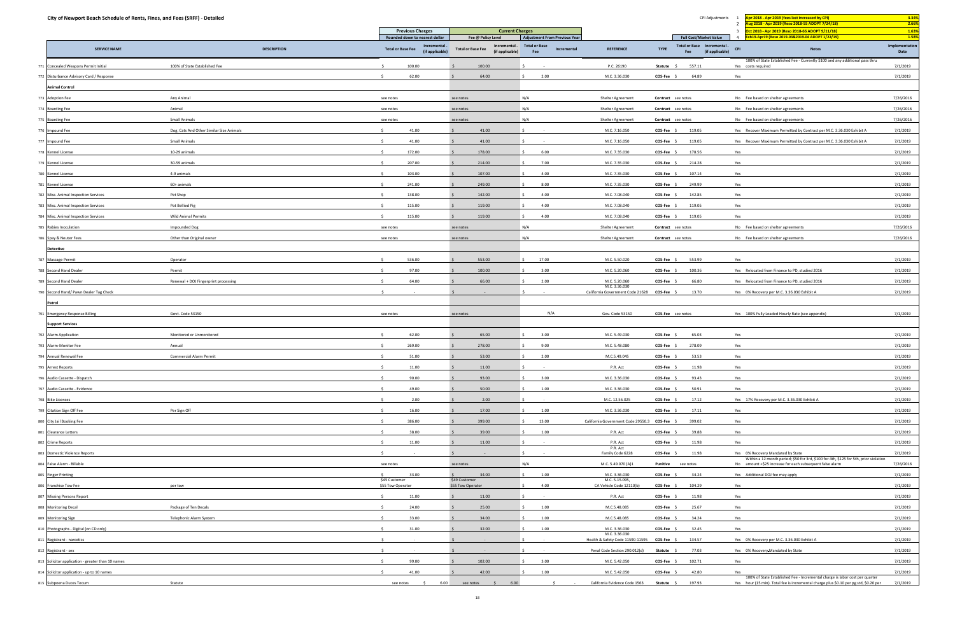|     | City of Newport Beach Schedule of Rents, Fines, and Fees (SRFF) - Detailed |                                          |                                    |                                  |                                    |                                                              |                             |                                      |                                                              |                    | CPI Adjustments                                       | Apr 2018 - Apr 2019 (fees last increased by CPI)<br>ug 2018 - Apr 2019 (Reso 2018-55 ADOPT 7/24/18)                                                                   | 3.34%<br>2.66%          |
|-----|----------------------------------------------------------------------------|------------------------------------------|------------------------------------|----------------------------------|------------------------------------|--------------------------------------------------------------|-----------------------------|--------------------------------------|--------------------------------------------------------------|--------------------|-------------------------------------------------------|-----------------------------------------------------------------------------------------------------------------------------------------------------------------------|-------------------------|
|     |                                                                            |                                          | <b>Previous Charges</b>            |                                  |                                    | <b>Current Charges</b>                                       |                             |                                      |                                                              |                    |                                                       | Oct 2018 - Apr 2019 (Reso 2018-66 ADOPT 9/11/18)<br>$\overline{\mathbf{3}}$                                                                                           | 1.63%                   |
|     |                                                                            |                                          | Rounded down to nearest dollar     |                                  |                                    | Fee @ Policy Level                                           |                             | <b>Adjustment From Previous Year</b> |                                                              |                    | <b>Full Cost/Market Value</b>                         | Feb19-Apr19 (Reso 2019-03&2019-04 ADOPT 1/22/19)                                                                                                                      | 1.58%<br>Implementation |
|     | <b>SERVICE NAME</b>                                                        | <b>DESCRIPTION</b>                       | <b>Total or Base Fee</b>           | Incremental -<br>(if applicable) |                                    | Incremental -<br><b>Total or Base Fee</b><br>(if applicable) | <b>Total or Base</b><br>Fee | Incremental                          | <b>REFERENCE</b>                                             | <b>TYPE</b>        | Total or Base Incremental -<br>(if applicable)<br>Fee | <b>CPI</b><br><b>Notes</b>                                                                                                                                            | Date                    |
|     | Concealed Weapons Permit Initial                                           | 100% of State Established Fee            | 100.00                             |                                  |                                    | 100.00                                                       |                             |                                      | P.C. 26190                                                   | Statute            | 557.11                                                | 100% of State Established Fee - Currently \$100 and any additional pass thru<br>Yes costs required                                                                    | 7/1/2019                |
|     | 772 Disturbance Advisory Card / Response                                   |                                          | 62.00                              |                                  |                                    | 64.00                                                        |                             | 2.00                                 | M.C. 3.36.030                                                | $COS-Fee$ \$       | 64.89                                                 | Yes                                                                                                                                                                   | 7/1/2019                |
|     | <b>Animal Control</b>                                                      |                                          |                                    |                                  |                                    |                                                              |                             |                                      |                                                              |                    |                                                       |                                                                                                                                                                       |                         |
|     | <b>Adoption Fee</b>                                                        | Any Animal                               | see notes                          |                                  | see notes                          |                                                              | N/A                         |                                      | Shelter Agreement                                            | Contract see notes |                                                       | No Fee based on shelter agreements                                                                                                                                    | 7/26/2016               |
|     | 774 Boarding Fee                                                           | Animal                                   | see notes                          |                                  | see notes                          |                                                              | N/A                         |                                      | Shelter Agreement                                            | Contract see notes |                                                       | No Fee based on shelter agreements                                                                                                                                    | 7/26/2016               |
|     | 775 Boarding Fee                                                           | <b>Small Animals</b>                     | see notes                          |                                  | see notes                          |                                                              | N/A                         |                                      | Shelter Agreement                                            | Contract see notes |                                                       | No Fee based on shelter agreements                                                                                                                                    | 7/26/2016               |
|     | 776 Impound Fee                                                            | Dog, Cats And Other Similar Size Animals | 41.00                              |                                  |                                    | 41.00                                                        |                             |                                      | M.C. 7.16.050                                                | $COS-Fee$ \$       | 119.05                                                | Yes Recover Maximum Permitted by Contract per M.C. 3.36.030 Exhibit A                                                                                                 | 7/1/2019                |
| 777 | Impound Fee                                                                | Small Animals                            | 41.00                              |                                  |                                    | 41.00                                                        |                             |                                      | M.C. 7.16.050                                                | COS-Fee \$         | 119.05                                                | Yes Recover Maximum Permitted by Contract per M.C. 3.36.030 Exhibit A                                                                                                 | 7/1/2019                |
|     | 778 Kennel License                                                         | 10-29 animals                            | 172.00<br>S.                       |                                  |                                    | 178.00                                                       |                             | 6.00                                 | M.C. 7.35.030                                                | $COS-Fee$          | 178.56                                                | Yes                                                                                                                                                                   | 7/1/2019                |
|     | 779 Kennel License                                                         | 30-59 animals                            | 207.00                             |                                  |                                    | 214.00                                                       |                             | 7.00                                 | M.C. 7.35.030                                                | $COS-Fee$          | 214.28                                                | Yes                                                                                                                                                                   | 7/1/2019                |
|     | 780 Kennel License                                                         | 4-9 animals                              | 103.00                             |                                  |                                    | 107.00                                                       |                             | 4.00                                 | M.C. 7.35.030                                                | COS-Fee            | 107.14                                                | Yes                                                                                                                                                                   | 7/1/2019                |
|     | 781 Kennel License                                                         | 60+ animals                              | 241.00                             |                                  |                                    | 249.00                                                       |                             | 8.00                                 | M.C. 7.35.030                                                | COS-Fee            | 249.99                                                | Yes                                                                                                                                                                   | 7/1/2019                |
|     | 782 Misc. Animal Inspection Services                                       | Pet Shop                                 | 138.00                             |                                  |                                    | 142.00                                                       |                             | 4.00                                 | M.C. 7.08.040                                                | COS-Fee            | 142.85                                                | Yes                                                                                                                                                                   | 7/1/2019                |
|     | 783 Misc. Animal Inspection Services                                       | Pot Bellied Pig                          | 115.00                             |                                  |                                    | 119.00                                                       |                             | 4.00                                 | M.C. 7.08.040                                                | COS-Fee \$         | 119.05                                                | Yes                                                                                                                                                                   | 7/1/2019                |
|     | 784 Misc. Animal Inspection Services                                       | <b>Wild Animal Permits</b>               | 115.00<br>S.                       |                                  |                                    | 119.00                                                       |                             | 4.00                                 | M.C. 7.08.040                                                | $COS-Fee$ \$       | 119.05                                                | Yes                                                                                                                                                                   | 7/1/2019                |
|     | 785 Rabies Inoculation                                                     | <b>Impounded Dog</b>                     | see notes                          |                                  | see notes                          |                                                              | N/A                         |                                      | Shelter Agreement                                            | Contract see notes |                                                       | No Fee based on shelter agreements                                                                                                                                    | 7/26/2016               |
|     | Spay & Neuter Fees                                                         | Other than Original owner                | see notes                          |                                  | see notes                          |                                                              | N/A                         |                                      | Shelter Agreement                                            | Contract see notes |                                                       | No Fee based on shelter agreements                                                                                                                                    | 7/26/2016               |
|     | <b>Detective</b>                                                           |                                          |                                    |                                  |                                    |                                                              |                             |                                      |                                                              |                    |                                                       |                                                                                                                                                                       |                         |
|     | 787 Massage Permit                                                         | Operator                                 | 536.00<br>$\leq$                   |                                  |                                    | 553.00                                                       |                             | 17.00                                | M.C. 5.50.020                                                | COS-Fee \$         | 553.99                                                | Yes                                                                                                                                                                   | 7/1/2019                |
|     | 788 Second Hand Dealer                                                     | Permit                                   | 97.00                              |                                  |                                    | 100.00                                                       |                             | 3.00                                 | M.C. 5.20.060                                                | $COS-Fee$ \$       | 100.36                                                | Yes Relocated from Finance to PD, studied 2016                                                                                                                        | 7/1/2019                |
|     | 789 Second Hand Dealer                                                     | Renewal + DOJ Fingerprint processing     | 64.00                              |                                  |                                    | 66.00                                                        |                             | 2.00                                 | M.C. 5.20.060                                                | COS-Fee \$         | 66.80                                                 | Yes Relocated from Finance to PD, studied 2016                                                                                                                        | 7/1/2019                |
| 790 | Second Hand/ Pawn Dealer Tag Check                                         |                                          |                                    |                                  |                                    |                                                              |                             |                                      | M.C. 3.36.030<br>California Government Code 21628 COS-Fee \$ |                    | 13.70                                                 | Yes 0% Recovery per M.C. 3.36.030 Exhibit A                                                                                                                           | 7/1/2019                |
|     | Patrol                                                                     |                                          |                                    |                                  |                                    |                                                              |                             |                                      |                                                              |                    |                                                       |                                                                                                                                                                       |                         |
|     | <b>Emergency Response Billing</b>                                          | Govt. Code 53150                         | see notes                          |                                  | see notes                          |                                                              |                             | N/A                                  | Gov. Code 53150                                              | COS-Fee see notes  |                                                       | Yes 100% Fully Loaded Hourly Rate (see appendix)                                                                                                                      | 7/1/2019                |
|     | <b>Support Services</b>                                                    |                                          |                                    |                                  |                                    |                                                              |                             |                                      |                                                              |                    |                                                       |                                                                                                                                                                       |                         |
|     | 792 Alarm Application                                                      | Monitored or Unmonitored                 | 62.00<br>$\leq$                    |                                  |                                    | 65.00                                                        |                             | 3.00                                 | M.C. 5.49.030                                                | COS-Fee \$         | 65.03                                                 | Yes                                                                                                                                                                   | 7/1/2019                |
|     | 793 Alarm-Monitor Fee                                                      | Annual                                   | 269.00                             |                                  |                                    | 278.00                                                       |                             | 9.00                                 | M.C. 5.48.080                                                | $COS-Fee$          | 278.09                                                | Yes                                                                                                                                                                   | 7/1/2019                |
| 794 | Annual Renewal Fee                                                         | <b>Commercial Alarm Permit</b>           | 51.00                              |                                  |                                    | 53.00                                                        |                             | 2.00                                 | M.C.5.49.045                                                 | COS-Fee \$         | 53.53                                                 | Yes                                                                                                                                                                   | 7/1/2019                |
|     | 795 Arrest Reports                                                         |                                          | 11.00<br>$\mathsf{S}$              |                                  |                                    | 11.00                                                        | l S                         |                                      | P.R. Act                                                     | $COS-Fee$ \$       | 11.98                                                 | Yes                                                                                                                                                                   | 7/1/2019                |
|     | 796 Audio Cassette - Dispatch                                              |                                          | 90.00                              |                                  |                                    | 93.00                                                        |                             | 3.00                                 | M.C. 3.36.030                                                | COS-Fee \$         | 93.43                                                 | Yes                                                                                                                                                                   | 7/1/2019                |
|     | 797 Audio Cassette - Evidence                                              |                                          | 49.00                              |                                  |                                    | 50.00                                                        |                             | 1.00                                 | M.C. 3.36.030                                                | COS-Fee \$         | 50.91                                                 | Yes                                                                                                                                                                   | 7/1/2019                |
|     | 798 Bike Licenses                                                          |                                          |                                    | 2.00                             |                                    | 2.00                                                         |                             |                                      | M.C. 12.56.025                                               | COS-Fee \$         | 17.12                                                 | Yes 17% Recovery per M.C. 3.36.030 Exhibit A                                                                                                                          | 7/1/2019                |
|     | 799 Citation Sign Off Fee                                                  | Per Sign Off                             | 16.00                              |                                  |                                    | 17.00                                                        |                             | 1.00                                 | M.C. 3.36.030                                                | COS-Fee \$         | 17.11                                                 | Yes                                                                                                                                                                   | 7/1/2019                |
|     | 800 City Jail Booking Fee                                                  |                                          | 386.00<br>$\sim$                   |                                  |                                    | 399.00                                                       |                             | 13.00                                | California Government Code 29550.3 COS-Fee \$                |                    | 399.02                                                | Yes                                                                                                                                                                   | 7/1/2019                |
|     | 801 Clearance Letters                                                      |                                          | 38.00                              |                                  |                                    | 39.00                                                        | S                           | 1.00                                 | P.R. Act                                                     | COS-Fee \$         | 39.88                                                 | Yes                                                                                                                                                                   | 7/1/2019                |
|     | 802 Crime Reports                                                          |                                          | $\leq$<br>11.00                    |                                  |                                    | 11.00                                                        |                             |                                      | P.R. Act                                                     | COS-Fee \$         | 11.98                                                 | Yes                                                                                                                                                                   | 7/1/2019                |
|     | 803 Domestic Violence Reports                                              |                                          |                                    |                                  |                                    |                                                              |                             |                                      | P.R. Act<br>Family Code 6228                                 | COS-Fee \$         | 11.98                                                 | Yes 0% Recovery Mandated by State                                                                                                                                     | 7/1/2019                |
|     | 804 False Alarm - Billable                                                 |                                          | see notes                          |                                  | see notes                          |                                                              | N/A                         |                                      | M.C. 5.49.070 (A)1                                           | Punitive see notes |                                                       | Within a 12 month period; \$50 for 3rd, \$100 for 4th, \$125 for 5th, prior violation<br>No amount +\$25 increase for each subsequent false alarm                     | 7/26/2016               |
|     | 805 Finger Printing                                                        |                                          | S.<br>33.00                        |                                  |                                    | 34.00                                                        |                             | 1.00                                 | M.C. 3.36.030                                                | COS-Fee \$         | 34.24                                                 | Yes Additional DOJ fee may apply                                                                                                                                      | 7/1/2019                |
|     | 806 Franchise Tow Fee                                                      | per tow                                  | \$45 Customer<br>\$55 Tow Operator |                                  | \$49 Customer<br>\$55 Tow Operator |                                                              |                             | 4.00                                 | M.C. 5.15.095,<br>CA Vehicle Code 12110(b)                   | COS-Fee \$         | 104.29                                                | Yes                                                                                                                                                                   | 7/1/2019                |
|     | 807 Missing Persons Report                                                 |                                          | $\sim$<br>11.00                    |                                  |                                    | 11.00                                                        |                             |                                      | P.R. Act                                                     | COS-Fee \$         | 11.98                                                 | Yes                                                                                                                                                                   | 7/1/2019                |
|     | 808 Monitoring Decal                                                       | Package of Ten Decals                    | 24.00                              |                                  |                                    | 25.00                                                        |                             | 1.00                                 | M.C.5.48.085                                                 | COS-Fee \$         | 25.67                                                 | Yes                                                                                                                                                                   | 7/1/2019                |
|     | 809 Monitoring Sign                                                        | Telephonic Alarm System                  | 33.00                              |                                  |                                    | 34.00                                                        |                             | 1.00                                 | M.C.5.48.085                                                 | $COS-Fee$ \$       | 34.24                                                 | Yes                                                                                                                                                                   | 7/1/2019                |
|     | 810 Photographs - Digital (on CD only)                                     |                                          | 31.00                              |                                  |                                    | 32.00                                                        |                             | 1.00                                 | M.C. 3.36.030                                                | $COS-Fee$ \$       | 32.45                                                 | Yes                                                                                                                                                                   | 7/1/2019                |
|     | 811 Registrant - narcotics                                                 |                                          |                                    |                                  |                                    |                                                              |                             | <b>Contract</b>                      | M.C. 3.36.030<br>Health & Safety Code 11590-11595 COS-Fee \$ |                    | 134.57                                                | Yes 0% Recovery per M.C. 3.36.030 Exhibit A                                                                                                                           | 7/1/2019                |
|     | 812 Registrant - sex                                                       |                                          | $\sim$                             |                                  |                                    |                                                              |                             |                                      | Penal Code Section 290.012(d)                                | Statute            | 77.03                                                 | Yes 0% Recovery-Mandated by State                                                                                                                                     | 7/1/2019                |
|     | 813 Solicitor application - greater than 10 names                          |                                          | 99.00<br>S.                        |                                  |                                    | 102.00                                                       |                             | 3.00                                 | M.C. 5.42.050                                                | $COS-Fee$ \$       | 102.71                                                | Yes                                                                                                                                                                   | 7/1/2019                |
|     | 814 Solicitor application - up to 10 names                                 |                                          | 41.00                              |                                  |                                    | 42.00                                                        |                             | 1.00                                 | M.C. 5.42.050                                                | $COS-Fee$ \$       | 42.80                                                 | Yes                                                                                                                                                                   | 7/1/2019                |
|     | 815 Subpoena Duces Tecum                                                   | Statute                                  | see notes                          | 6.00<br>$\leq$                   |                                    | 6.00<br>see notes<br>$\sim$ 5                                |                             | $\sim$ 5                             | California Evidence Code 1563                                | Statute \$         | 197.93                                                | 100% of State Established Fee - Incremental charge is labor cost per quarter<br>Yes hour (15 min). Total fee is incremental charge plus \$0.10 per pg std, \$0.20 per | 7/1/2019                |
|     |                                                                            |                                          |                                    |                                  |                                    |                                                              |                             |                                      |                                                              |                    |                                                       |                                                                                                                                                                       |                         |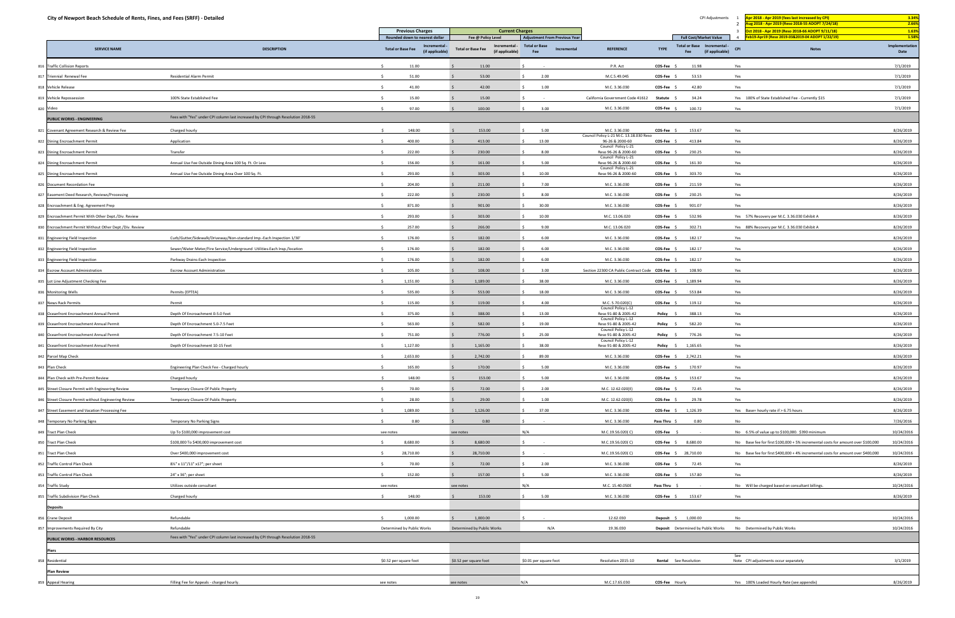|     | City of Newport Beach Schedule of Rents, Fines, and Fees (SRFF) - Detailed |                                                                                   |                                               |                                             |                                                              |                                                          |                       | CPI Adjustments                                              | Apr 2018 - Apr 2019 (fees last increased by CPI)<br>ug 2018 - Apr 2019 (Reso 2018-55 ADOPT 7/24/18) | 3.34%<br>2.66%          |
|-----|----------------------------------------------------------------------------|-----------------------------------------------------------------------------------|-----------------------------------------------|---------------------------------------------|--------------------------------------------------------------|----------------------------------------------------------|-----------------------|--------------------------------------------------------------|-----------------------------------------------------------------------------------------------------|-------------------------|
|     |                                                                            |                                                                                   | <b>Previous Charges</b>                       | <b>Current Charges</b>                      |                                                              |                                                          |                       |                                                              | Oct 2018 - Apr 2019 (Reso 2018-66 ADOPT 9/11/18)                                                    | 1.63%                   |
|     |                                                                            |                                                                                   | Rounded down to nearest dollar<br>Incremental | Fee @ Policy Level<br>Incremental -         | <b>Adjustment From Previous Year</b><br><b>Total or Base</b> |                                                          |                       | <b>Full Cost/Market Value</b><br>Total or Base Incremental - | Feb19-Apr19 (Reso 2019-03&2019-04 ADOPT 1/22/19)                                                    | 1.58%<br>Implementation |
|     | <b>SERVICE NAME</b>                                                        | <b>DESCRIPTION</b>                                                                | <b>Total or Base Fee</b><br>(if applicable)   | <b>Total or Base Fee</b><br>(if applicable) | Incremental<br>Fee                                           | <b>REFERENCE</b>                                         | <b>TYPE</b>           | (if applicable)<br>Fee                                       | <b>CPI</b><br><b>Notes</b>                                                                          | Date                    |
|     | 816 Traffic Collision Reports                                              |                                                                                   | 11.00                                         | 11.00                                       |                                                              | P.R. Act                                                 | COS-Fee \$            | 11.98                                                        | Yes                                                                                                 | 7/1/2019                |
|     | 817 Triennial Renewal Fee                                                  | <b>Residential Alarm Permit</b>                                                   | 51.00                                         | 53.00                                       | 2.00                                                         | M.C.5.49.045                                             | <b>COS-Fee</b>        | 53.53                                                        | Yes                                                                                                 | 7/1/2019                |
|     | 818 Vehicle Release                                                        |                                                                                   | 41.00                                         | 42.00                                       | 1.00                                                         | M.C. 3.36.030                                            | $COS-Fee$ \$          | 42.80                                                        | Yes                                                                                                 | 7/1/2019                |
| 819 | Vehicle Repossession                                                       | 100% State Established Fee                                                        | 15.00                                         | 15.00                                       |                                                              | California Government Code 41612                         | Statute               | 34.24                                                        | Yes 100% of State Established Fee - Currently \$15                                                  | 7/1/2019                |
|     | 820 Video                                                                  |                                                                                   | 97.00                                         | 100.00                                      | 3.00                                                         | M.C. 3.36.030                                            | COS-Fee \$            | 100.72                                                       | Yes                                                                                                 | 7/1/2019                |
|     | <b>PUBLIC WORKS - ENGINEERING</b>                                          | Fees with "Yes" under CPI column last increased by CPI through Resolution 2018-55 |                                               |                                             |                                                              |                                                          |                       |                                                              |                                                                                                     |                         |
| 821 | Covenant Agreement Research & Review Fee                                   | Charged hourly                                                                    | 148.00                                        | 153.00                                      | 5.00                                                         | M.C. 3.36.030<br>Council Policy L-21 M.C. 13.18.030 Reso | COS-Fee \$            | 153.67                                                       | Yes                                                                                                 | 8/26/2019               |
|     | 822 Dining Encroachment Permit                                             | Application                                                                       | 400.00<br>$\leq$                              | 413.00                                      | 13.00<br>S.                                                  | 96-26 & 2000-60<br>Council Policy L-21                   | $COS-Fee$ \$          | 413.84                                                       | Yes                                                                                                 | 8/26/2019               |
|     | 823 Dining Encroachment Permit                                             | Transfer                                                                          | 222.00                                        | 230.00                                      | 8.00                                                         | Reso 96-26 & 2000-60<br>Council Policy L-21              | COS-Fee \$            | 230.25                                                       | Yes                                                                                                 | 8/26/2019               |
| 824 | Dining Encroachment Permit                                                 | Annual Use Fee Outside Dining Area 100 Sq. Ft. Or Less                            | 156.00                                        | 161.00                                      | 5.00                                                         | Reso 96-26 & 2000-60<br>Council Policy L-21              | COS-Fee \$            | 161.30                                                       | Yes                                                                                                 | 8/26/2019               |
|     | 825 Dining Encroachment Permit                                             | Annual Use Fee Outside Dining Area Over 100 Sq. Ft.                               | 293.00                                        | 303.00                                      | 10.00                                                        | Reso 96-26 & 2000-60                                     | COS-Fee \$            | 303.70                                                       | Yes                                                                                                 | 8/26/2019               |
|     | 826 Document Recordation Fee                                               |                                                                                   | 204.00                                        | 211.00                                      | 7.00                                                         | M.C. 3.36.030                                            | <b>COS-Fee</b>        | 211.59                                                       | Yes                                                                                                 | 8/26/2019               |
|     | 827 Easement Deed Research, Reviews/Processing                             |                                                                                   | 222.00                                        | 230.00                                      | 8.00                                                         | M.C. 3.36.030                                            | COS-Fee \$            | 230.25                                                       | Yes                                                                                                 | 8/26/2019               |
|     | 828 Encroachment & Eng. Agreement Prep                                     |                                                                                   | 871.00                                        | 901.00                                      | 30.00                                                        | M.C. 3.36.030                                            | COS-Fee \$            | 901.07                                                       | Yes                                                                                                 | 8/26/2019               |
|     | 829 Encroachment Permit With Other Dept./Div. Review                       |                                                                                   | -Ś.<br>293.00                                 | 303.00                                      | 10.00                                                        | M.C. 13.06.020                                           | COS-Fee \$            | 532.96                                                       | Yes 57% Recovery per M.C. 3.36.030 Exhibit A                                                        | 8/26/2019               |
|     | 830 Encroachment Permit Without Other Dept./Div. Review                    |                                                                                   | 257.00                                        | 266.00                                      | 9.00                                                         | M.C. 13.06.020                                           | COS-Fee \$            | 302.71                                                       | Yes 88% Recovery per M.C. 3.36.030 Exhibit A                                                        | 8/26/2019               |
|     | 831 Engineering Field Inspection                                           | Curb/Gutter/Sidewalk/Driveway/Non-standard Imp.-Each Inspection 1/30'             | 176.00                                        | 182.00                                      | 6.00                                                         | M.C. 3.36.030                                            | COS-Fee               | 182.17                                                       | Yes                                                                                                 | 8/26/2019               |
|     | 832 Engineering Field Inspection                                           | Sewer/Water Meter/Fire Service/Underground Utilities-Each Insp./location          | 176.00                                        | 182.00                                      | 6.00                                                         | M.C. 3.36.030                                            | COS-Fee \$            | 182.17                                                       | Yes                                                                                                 | 8/26/2019               |
|     | 833 Engineering Field Inspection                                           | Parkway Drains-Each Inspection                                                    | 176.00                                        | 182.00                                      | 6.00                                                         | M.C. 3.36.030                                            | COS-Fee               | 182.17                                                       | Yes                                                                                                 | 8/26/2019               |
|     | <b>Escrow Account Administration</b>                                       | <b>Escrow Account Administration</b>                                              | 105.00                                        | 108.00                                      | 3.00                                                         | Section 22300 CA Public Contract Code COS-Fee \$         |                       | 108.90                                                       | Yes                                                                                                 | 8/26/2019               |
|     | 835 Lot Line Adjustment Checking Fee                                       |                                                                                   | 1,151.00<br>-Ś.                               | 1,189.00                                    | 38.00<br>S.                                                  | M.C. 3.36.030                                            | $COS-Fee$ \$          | 1,189.94                                                     | Yes                                                                                                 | 8/26/2019               |
|     | 836 Monitoring Wells                                                       | Permits (EPTEA)                                                                   | 535.00                                        | 553.00                                      | 18.00                                                        | M.C. 3.36.030                                            | COS-Fee               | 553.84                                                       | Yes                                                                                                 | 8/26/2019               |
| 837 | <b>News Rack Permits</b>                                                   | Permit                                                                            | 115.00                                        | 119.00                                      | 4.00                                                         | M.C. 5.70.020(C)                                         | $COS-Fee$ \$          | 119.12                                                       | Yes                                                                                                 | 8/26/2019               |
|     | 838 Oceanfront Encroachment Annual Permit                                  | Depth Of Encroachment 0-5.0 Feet                                                  | 375.00                                        | 388.00                                      | 13.00                                                        | Council Policy L-12<br>Reso 91-80 & 2005-42              | Policy \$             | 388.13                                                       | Yes                                                                                                 | 8/26/2019               |
|     | 839 Oceanfront Encroachment Annual Permit                                  | Depth Of Encroachment 5.0-7.5 Feet                                                | 563.00                                        | 582.00                                      | 19.00                                                        | Council Policy L-12<br>Reso 91-80 & 2005-42              | Policy \$             | 582.20                                                       | Yes                                                                                                 | 8/26/2019               |
|     | 840 Oceanfront Encroachment Annual Permit                                  | Depth Of Encroachment 7.5-10 Feet                                                 | 751.00                                        | 776.00                                      | 25.00                                                        | Council Policy L-12<br>Reso 91-80 & 2005-42              | Policy \$             | 776.26                                                       | Yes                                                                                                 | 8/26/2019               |
|     | 841 Oceanfront Encroachment Annual Permit                                  | Depth Of Encroachment 10-15 Feet                                                  | 1,127.00                                      | 1,165.00                                    | 38.00                                                        | Council Policy L-12<br>Reso 91-80 & 2005-42              | Policy \$             | 1,165.65                                                     | Yes                                                                                                 | 8/26/2019               |
|     | 842 Parcel Map Check                                                       |                                                                                   | 2,653.00<br>S.                                | 2,742.00                                    | 89.00                                                        | M.C. 3.36.030                                            | COS-Fee \$ 2,742.21   |                                                              | Yes                                                                                                 | 8/26/2019               |
|     | 843 Plan Check                                                             | Engineering Plan Check Fee - Charged hourly                                       | 165.00<br>S.                                  | 170.00                                      | 5.00                                                         | M.C. 3.36.030                                            | COS-Fee \$            | 170.97                                                       | Yes                                                                                                 | 8/26/2019               |
|     | Plan Check with Pre-Permit Review                                          | Charged hourly                                                                    | 148.00                                        | 153.00                                      | 5.00<br>$\mathsf{S}$                                         | M.C. 3.36.030                                            | $COS-Fee$ \$          | 153.67                                                       | Yes                                                                                                 | 8/26/2019               |
|     | 845 Street Closure Permit with Engineering Review                          | Temporary Closure Of Public Property                                              | 70.00                                         | 72.00                                       | 2.00<br>S.                                                   | M.C. 12.62.020(E)                                        | COS-Fee \$            | 72.45                                                        | Yes                                                                                                 | 8/26/2019               |
|     | 846 Street Closure Permit without Engineering Review                       | Temporary Closure Of Public Property                                              | 28.00                                         | 29.00                                       | 1.00                                                         | M.C. 12.62.020(E)                                        | COS-Fee \$            | 29.78                                                        | Yes                                                                                                 | 8/26/2019               |
|     | 847 Street Easement and Vacation Processing Fee                            |                                                                                   | 1,089.00                                      | 1,126.00                                    | 37.00<br>S.                                                  | M.C. 3.36.030                                            | COS-Fee \$ 1,126.39   |                                                              | Yes Base+ hourly rate if > 6.75 hours                                                               | 8/26/2019               |
|     | 848 Temporary No Parking Signs                                             | Temporary No Parking Signs                                                        | 0.80                                          | 0.80                                        |                                                              | M.C. 3.36.030                                            | Pass Thru \$          | 0.80                                                         | No                                                                                                  | 7/26/2016               |
|     | <b>Tract Plan Check</b>                                                    | Up To \$100,000 improvement cost                                                  | see notes                                     | see notes                                   | N/A                                                          | M.C.19.56.020(C)                                         | $COS-Fee$ \$          | $\sim$ $-$                                                   | No 6.5% of value up to \$100,000. \$390 minimum                                                     | 10/24/2016              |
|     | 850 Tract Plan Check                                                       | \$100,000 To \$400,000 improvement cost                                           | 8,680.00<br>-Ś.                               | 8,680.00                                    |                                                              | M.C.19.56.020(C)                                         | COS-Fee \$ 8,680.00   |                                                              | No Base fee for first \$100,000 + 5% incremental costs for amount over \$100,000                    | 10/24/2016              |
| 851 | <b>Tract Plan Check</b>                                                    | Over \$400,000 improvement cost                                                   | 28,710.00                                     | 28,710.00                                   |                                                              | M.C.19.56.020(C)                                         |                       | COS-Fee \$ 28,710.00                                         | No Base fee for first \$400,000 + 4% incremental costs for amount over \$400,000                    | 10/24/2016              |
|     | 852 Traffic Control Plan Check                                             | 81/2" x 11"/11" x17"; per sheet                                                   | 70.00<br>S.                                   | 72.00                                       | 2.00<br>IS.                                                  | M.C. 3.36.030                                            | $COS-Fee$ \$          | 72.45                                                        | Yes                                                                                                 | 8/26/2019               |
|     | 853 Traffic Control Plan Check                                             | 24" x 36"; per sheet                                                              | $\zeta$<br>152.00                             | 157.00                                      | 5.00                                                         | M.C. 3.36.030                                            | COS-Fee \$            | 157.80                                                       | Yes                                                                                                 | 8/26/2019               |
|     | 854 Traffic Study                                                          | Utilizes outside consultant                                                       | see notes                                     | see notes                                   | N/A                                                          | M.C. 15.40.050E                                          | Pass Thru \$          | $\sim$ $-$                                                   | No Will be charged based on consultant billings.                                                    | 10/24/2016              |
|     | 855 Traffic Subdivision Plan Check                                         | Charged hourly                                                                    | 148.00<br>S.                                  | 153.00                                      | 5.00<br>S.                                                   | M.C. 3.36.030                                            | COS-Fee \$ 153.67     |                                                              | Yes                                                                                                 | 8/26/2019               |
|     | <b>Deposits</b>                                                            |                                                                                   |                                               |                                             |                                                              |                                                          |                       |                                                              |                                                                                                     |                         |
|     | 856 Crane Deposit                                                          | Refundable                                                                        | 1,000.00<br>$\leq$                            | 1,000.00                                    |                                                              | 12.62.030                                                | Deposit \$ 1,000.00   |                                                              | No                                                                                                  | 10/24/2016              |
| 857 | Improvements Required By City                                              | Refundable                                                                        | Determined by Public Works                    | Determined by Public Works                  | N/A                                                          | 19.36.030                                                |                       | <b>Deposit</b> Determined by Public Works                    | No Determined by Public Works                                                                       | 10/24/2016              |
|     | <b>PUBLIC WORKS - HARBOR RESOURCES</b>                                     | Fees with "Yes" under CPI column last increased by CPI through Resolution 2018-55 |                                               |                                             |                                                              |                                                          |                       |                                                              |                                                                                                     |                         |
|     | Piers                                                                      |                                                                                   |                                               |                                             |                                                              |                                                          |                       |                                                              |                                                                                                     |                         |
|     | Residential                                                                |                                                                                   | \$0.52 per square foot                        | \$0.52 per square foot                      | \$0.01 per square foot                                       | Resolution 2015-10                                       | Rental See Resolution |                                                              | See<br>Note CPI adjustments occur separately                                                        | 3/1/2019                |
|     | <b>Plan Review</b>                                                         |                                                                                   |                                               |                                             |                                                              |                                                          |                       |                                                              |                                                                                                     |                         |
|     | <b>Appeal Hearing</b>                                                      | Filling Fee for Appeals - charged hourly.                                         | see notes                                     | see notes                                   | N/A                                                          | M.C.17.65.030                                            | COS-Fee Hourly        |                                                              | Yes 100% Loaded Hourly Rate (see appendix)                                                          | 8/26/2019               |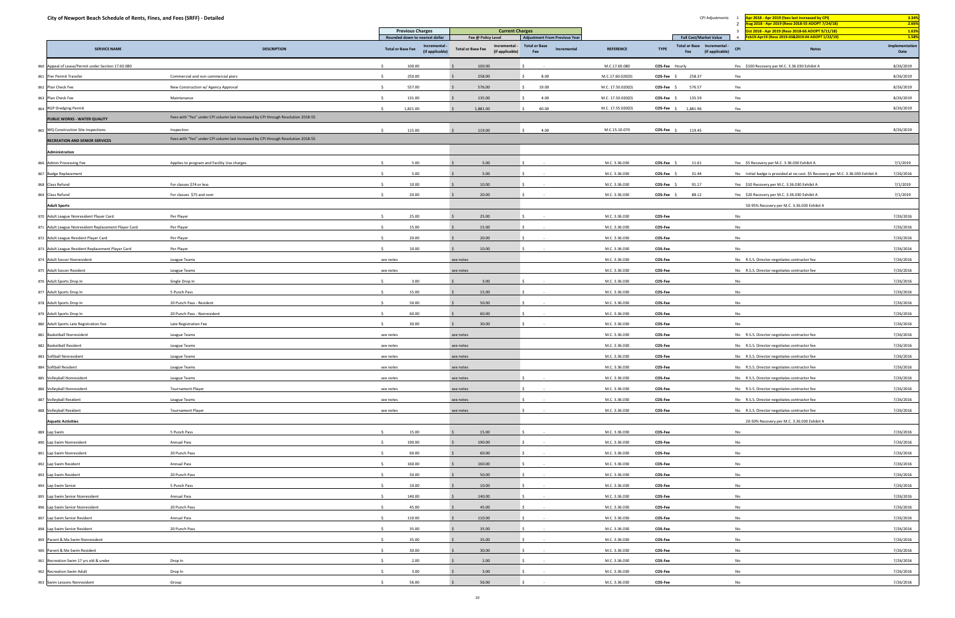| City of Newport Beach Schedule of Rents, Fines, and Fees (SRFF) - Detailed |                                                                                   | <b>Previous Charges</b>        |                                  | <b>Current Charges</b>                                       |                                      |                   | CPI Adjustments                                                          | Apr 2018 - Apr 2019 (fees last increased by CPI)<br>Aug 2018 - Apr 2019 (Reso 2018-55 ADOPT 7/24/18) | 3.34%<br>2.66%<br>1.63% |
|----------------------------------------------------------------------------|-----------------------------------------------------------------------------------|--------------------------------|----------------------------------|--------------------------------------------------------------|--------------------------------------|-------------------|--------------------------------------------------------------------------|------------------------------------------------------------------------------------------------------|-------------------------|
|                                                                            |                                                                                   | Rounded down to nearest dollar |                                  | Fee @ Policy Level                                           | <b>Adjustment From Previous Year</b> |                   | <b>Full Cost/Market Value</b>                                            | Oct 2018 - Apr 2019 (Reso 2018-66 ADOPT 9/11/18)<br>Feb19-Apr19 (Reso 2019-03&2019-04 ADOPT 1/22/19) | 1.58%                   |
| <b>SERVICE NAME</b>                                                        | <b>DESCRIPTION</b>                                                                | <b>Total or Base Fee</b>       | Incremental -<br>(if applicable) | Incremental -<br><b>Total or Base Fee</b><br>(if applicable) | <b>Total or Base</b><br>Incremental  | <b>REFERENCE</b>  | Total or Base Incremental -<br><b>TYPE</b><br>(if applicable) CPI<br>Fee | <b>Notes</b>                                                                                         | Implementation<br>Date  |
| 860 Appeal of Lease/Permit under Section 17.60.080                         |                                                                                   | 100.00                         |                                  | 100.00                                                       |                                      | M.C.17.60.080     | COS-Fee Hourly                                                           | Yes \$100 Recovery per M.C. 3.36.030 Exhibit A                                                       | 8/26/2019               |
| 861 Pier Permit Transfer                                                   | Commercial and non commercial piers                                               | 250.00                         |                                  | 258.00                                                       | 8.00                                 | M.C.17.60.020(D)  | COS-Fee \$<br>258.37                                                     | Yes                                                                                                  | 8/26/2019               |
| 862 Plan Check Fee                                                         | New Construction w/ Agency Approval                                               | 557.00                         |                                  | 576.00                                                       | 19.00                                | M.C. 17.50.020(D) | 576.57<br><b>COS-Fee</b>                                                 | Yes                                                                                                  | 8/26/2019               |
| 863 Plan Check Fee                                                         | Maintenance                                                                       | 131.00                         |                                  | 135.00                                                       | 4.00                                 | M.C. 17.50.020(D) | 135.59<br>COS-Fee \$                                                     | Yes                                                                                                  | 8/26/2019               |
| 864 RGP Dredging Permit                                                    |                                                                                   | 1,821.00                       |                                  | 1,881.00                                                     | 60.00                                | M.C. 17.55.020(D) | COS-Fee \$<br>1,881.96                                                   | Yes                                                                                                  | 8/26/2019               |
| PUBLIC WORKS - WATER QUALITY                                               | Fees with "Yes" under CPI column last increased by CPI through Resolution 2018-55 |                                |                                  |                                                              |                                      |                   |                                                                          |                                                                                                      |                         |
| 865 WQ Construction Site Inspections                                       | Inspection                                                                        | S.<br>115.00                   |                                  | 119.00                                                       | 4.00                                 | M.C.15.10.070     | COS-Fee \$<br>119.45                                                     | Yes                                                                                                  | 8/26/2019               |
| <b>RECREATION AND SENIOR SERVICES</b>                                      | Fees with "Yes" under CPI column last increased by CPI through Resolution 2018-55 |                                |                                  |                                                              |                                      |                   |                                                                          |                                                                                                      |                         |
| Administration                                                             |                                                                                   |                                |                                  |                                                              |                                      |                   |                                                                          |                                                                                                      |                         |
| 866 Admin Processing Fee                                                   | Applies to program and Facility Use charges                                       | 5.00                           |                                  | 5.00                                                         |                                      | M.C. 3.36.030     | 11.61<br><b>COS-Fee</b>                                                  | Yes \$5 Recovery per M.C. 3.36.030 Exhibit A                                                         | 7/1/2019                |
| 867 Badge Replacement                                                      |                                                                                   | 5.00                           |                                  | 5.00                                                         |                                      | M.C. 3.36.030     | 31.44<br><b>COS-Fee</b>                                                  | No Initial badge is provided at no cost. \$5 Recovery per M.C. 3.36.030 Exhibit A                    | 7/26/2016               |
|                                                                            |                                                                                   | 10.00                          |                                  | 10.00                                                        |                                      | M.C. 3.36.030     |                                                                          |                                                                                                      |                         |
| 868 Class Refund                                                           | For classes \$74 or less                                                          | 20.00                          |                                  |                                                              |                                      |                   | <b>COS-Fee</b><br>91.17                                                  | Yes \$10 Recovery per M.C. 3.36.030 Exhibit A                                                        | 7/1/2019                |
| 869 Class Refund                                                           | For classes \$75 and over                                                         |                                |                                  | 20.00                                                        |                                      | M.C. 3.36.030     | 88.12<br>COS-Fee \$                                                      | Yes \$20 Recovery per M.C. 3.36.030 Exhibit A                                                        | 7/1/2019                |
| <b>Adult Sports</b>                                                        |                                                                                   |                                |                                  |                                                              |                                      |                   |                                                                          | 50-95% Recovery per M.C. 3.36.030 Exhibit A                                                          |                         |
| 870 Adult League Nonresident Player Card                                   | Per Player                                                                        | 25.00                          |                                  | 25.00                                                        |                                      | M.C. 3.36.030     | COS-Fee                                                                  | No                                                                                                   | 7/26/2016               |
| 871 Adult League Nonresident Replacement Player Card                       | Per Player                                                                        | 15.00                          |                                  | 15.00                                                        |                                      | M.C. 3.36.030     | COS-Fee                                                                  | No                                                                                                   | 7/26/2016               |
| 872 Adult League Resident Player Card                                      | Per Player                                                                        | 20.00                          |                                  | 20.00                                                        |                                      | M.C. 3.36.030     | COS-Fee                                                                  | No                                                                                                   | 7/26/2016               |
| 873 Adult League Resident Replacement Player Card                          | Per Player                                                                        | 10.00                          |                                  | 10.00                                                        |                                      | M.C. 3.36.030     | COS-Fee                                                                  | No                                                                                                   | 7/26/2016               |
| 874 Adult Soccer Nonresident                                               | League Teams                                                                      | see notes                      |                                  | see notes                                                    |                                      | M.C. 3.36.030     | COS-Fee                                                                  | No R.S.S. Director negotiates contractor fee                                                         | 7/26/2016               |
| 875 Adult Soccer Resident                                                  | League Teams                                                                      | see notes                      |                                  | see notes                                                    |                                      | M.C. 3.36.030     | COS-Fee                                                                  | No R.S.S. Director negotiates contractor fee                                                         | 7/26/2016               |
| 876 Adult Sports Drop In                                                   | Single Drop In                                                                    | 3.00                           |                                  | 3.00                                                         |                                      | M.C. 3.36.030     | COS-Fee                                                                  | No                                                                                                   | 7/26/2016               |
| 877 Adult Sports Drop In                                                   | 5 Punch Pass                                                                      | 15.00                          |                                  | 15.00                                                        |                                      | M.C. 3.36.030     | COS-Fee                                                                  | No                                                                                                   | 7/26/2016               |
| 878 Adult Sports Drop In                                                   | 20 Punch Pass - Resident                                                          | 50.00                          |                                  | 50.00                                                        |                                      | M.C. 3.36.030     | COS-Fee                                                                  | No                                                                                                   | 7/26/2016               |
| 879 Adult Sports Drop In                                                   | 20 Punch Pass - Nonresident                                                       | 60.00                          |                                  | 60.00                                                        |                                      | M.C. 3.36.030     | COS-Fee                                                                  | No                                                                                                   | 7/26/2016               |
| 880 Adult Sports Late Registration Fee                                     | Late Registration Fee                                                             | 30.00                          |                                  | 30.00                                                        |                                      | M.C. 3.36.030     | COS-Fee                                                                  | No                                                                                                   | 7/26/2016               |
| 881 Basketball Nonresident                                                 | League Teams                                                                      | see notes                      |                                  | see notes                                                    |                                      | M.C. 3.36.030     | COS-Fee                                                                  | No R.S.S. Director negotiates contractor fee                                                         | 7/26/2016               |
| 882 Basketball Resident                                                    | League Teams                                                                      | see notes                      |                                  | see notes                                                    |                                      | M.C. 3.36.030     | COS-Fee                                                                  | No R.S.S. Director negotiates contractor fee                                                         | 7/26/2016               |
| 883 Softball Nonresident                                                   | League Teams                                                                      | see notes                      |                                  | see notes                                                    |                                      | M.C. 3.36.030     | COS-Fee                                                                  | No R.S.S. Director negotiates contractor fee                                                         | 7/26/2016               |
| 884 Softball Resident                                                      | League Teams                                                                      | see notes                      |                                  | see notes                                                    |                                      | M.C. 3.36.030     | COS-Fee                                                                  | No R.S.S. Director negotiates contractor fee                                                         | 7/26/2016               |
| 885 Volleyball Nonresident                                                 | League Teams                                                                      | see notes                      |                                  | see notes                                                    |                                      | M.C. 3.36.030     | COS-Fee                                                                  | No R.S.S. Director negotiates contractor fee                                                         | 7/26/2016               |
| 886 Volleyball Nonresident                                                 | <b>Tournament Player</b>                                                          | see notes                      |                                  | see notes                                                    |                                      | M.C. 3.36.030     | <b>COS-Fee</b>                                                           | No R.S.S. Director negotiates contractor fee                                                         | 7/26/2016               |
| 887 Volleyball Resident                                                    | League Teams                                                                      | see notes                      |                                  | see notes                                                    |                                      | M.C. 3.36.030     | COS-Fee                                                                  | No R.S.S. Director negotiates contractor fee                                                         | 7/26/2016               |
| 888 Volleyball Resident                                                    | <b>Tournament Player</b>                                                          | see notes                      |                                  | see notes                                                    |                                      | M.C. 3.36.030     | COS-Fee                                                                  | No R.S.S. Director negotiates contractor fee                                                         | 7/26/2016               |
| <b>Aquatic Activities</b>                                                  |                                                                                   |                                |                                  |                                                              |                                      |                   |                                                                          | 20-50% Recovery per M.C. 3.36.030 Exhibit A                                                          |                         |
| 889 Lap Swim                                                               | 5 Punch Pass                                                                      | 15.00                          |                                  | 15.00                                                        |                                      | M.C. 3.36.030     | COS-Fee                                                                  | No                                                                                                   | 7/26/2016               |
|                                                                            |                                                                                   | 190.00                         |                                  |                                                              |                                      |                   |                                                                          | No                                                                                                   | 7/26/2016               |
| 890 Lap Swim Nonresident                                                   | Annual Pass                                                                       |                                |                                  | 190.00                                                       |                                      | M.C. 3.36.030     | <b>COS-Fee</b>                                                           |                                                                                                      |                         |
| 891 Lap Swim Nonresident                                                   | 20 Punch Pass                                                                     | 60.00                          |                                  | 60.00                                                        |                                      | M.C. 3.36.030     | COS-Fee                                                                  | No                                                                                                   | 7/26/2016               |
| 892 Lap Swim Resident                                                      | Annual Pass                                                                       | 160.00                         |                                  | 160.00                                                       |                                      | M.C. 3.36.030     | COS-Fee                                                                  | No                                                                                                   | 7/26/2016               |
| 893 Lap Swim Resident                                                      | 20 Punch Pass                                                                     | 50.00                          |                                  | 50.00                                                        |                                      | M.C. 3.36.030     | COS-Fee                                                                  | No                                                                                                   | 7/26/2016               |
| 894 Lap Swim Senior                                                        | 5 Punch Pass                                                                      | 10.00                          |                                  | 10.00                                                        |                                      | M.C. 3.36.030     | <b>COS-Fee</b>                                                           | No                                                                                                   | 7/26/2016               |
| 895 Lap Swim Senior Nonresident                                            | Annual Pass                                                                       | 140.00                         |                                  | 140.00                                                       |                                      | M.C. 3.36.030     | COS-Fee                                                                  | No                                                                                                   | 7/26/2016               |
| 896 Lap Swim Senior Nonresident                                            | 20 Punch Pass                                                                     | 45.00                          |                                  | 45.00                                                        |                                      | M.C. 3.36.030     | COS-Fee                                                                  | No                                                                                                   | 7/26/2016               |
| 897 Lap Swim Senior Resident                                               | Annual Pass                                                                       | 110.00                         |                                  | 110.00                                                       |                                      | M.C. 3.36.030     | COS-Fee                                                                  | No                                                                                                   | 7/26/2016               |
| 898 Lap Swim Senior Resident                                               | 20 Punch Pass                                                                     | 35.00                          |                                  | 35.00                                                        |                                      | M.C. 3.36.030     | COS-Fee                                                                  | No                                                                                                   | 7/26/2016               |
| 899 Parent & Me Swim Nonresident                                           |                                                                                   | 35.00                          |                                  | 35.00                                                        |                                      | M.C. 3.36.030     | <b>COS-Fee</b>                                                           | No                                                                                                   | 7/26/2016               |
| 900 Parent & Me Swim Resident                                              |                                                                                   | 30.00                          |                                  | 30.00                                                        |                                      | M.C. 3.36.030     | COS-Fee                                                                  | No                                                                                                   | 7/26/2016               |
| 901 Recreation Swim 17 yrs old & under                                     | Drop In                                                                           | 2.00                           |                                  | 2.00                                                         |                                      | M.C. 3.36.030     | COS-Fee                                                                  | No                                                                                                   | 7/26/2016               |
| 902 Recreation Swim Adult                                                  | Drop In                                                                           | 3.00                           |                                  | 3.00                                                         |                                      | M.C. 3.36.030     | COS-Fee                                                                  | No                                                                                                   | 7/26/2016               |
| 903 Swim Lessons Nonresident                                               | Group                                                                             | 56.00                          |                                  | 56.00                                                        |                                      | M.C. 3.36.030     | <b>COS-Fee</b>                                                           | No                                                                                                   | 7/26/2016               |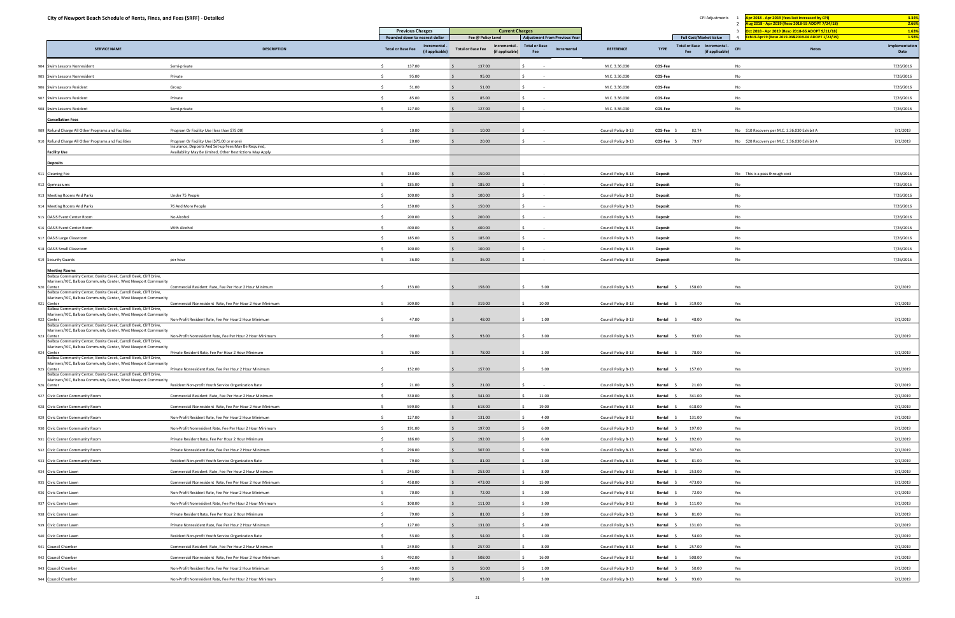| City of Newport Beach Schedule of Rents, Fines, and Fees (SRFF) - Detailed                                                                                 |                                                           |                                                              |                                                              |                                            |                     | CPI Adjustments                                                      | Apr 2018 - Apr 2019 (fees last increased by CPI)<br>ug 2018 - Apr 2019 (Reso 2018-55 ADOPT 7/24/18)<br>$\overline{2}$                            | 3.34%<br>2.66%         |
|------------------------------------------------------------------------------------------------------------------------------------------------------------|-----------------------------------------------------------|--------------------------------------------------------------|--------------------------------------------------------------|--------------------------------------------|---------------------|----------------------------------------------------------------------|--------------------------------------------------------------------------------------------------------------------------------------------------|------------------------|
|                                                                                                                                                            |                                                           | <b>Previous Charges</b><br>Rounded down to nearest dollar    | <b>Current Charges</b><br>Fee @ Policy Level                 | Adjustment From Previous Year              |                     | <b>Full Cost/Market Value</b>                                        | $\overline{\mathbf{3}}$<br>Oct 2018 - Apr 2019 (Reso 2018-66 ADOPT 9/11/18)<br>eb19-Apr19 (Reso 2019-03&2019-04 ADOPT 1/22/19)<br>$\overline{4}$ | 1.63%<br>1.58%         |
| <b>SERVICE NAME</b>                                                                                                                                        | <b>DESCRIPTION</b>                                        | Incremental -<br><b>Total or Base Fee</b><br>(if applicable) | Incremental -<br><b>Total or Base Fee</b><br>(if applicable) | <b>Total or Base</b><br>Incremental<br>Fee | <b>REFERENCE</b>    | Total or Base Incremental -<br><b>TYPE</b><br>(if applicable)<br>Fee | CPI<br><b>Notes</b>                                                                                                                              | Implementation<br>Date |
| Swim Lessons Nonresident<br>904                                                                                                                            | Semi-private                                              | 137.00                                                       | 137.00                                                       |                                            | M.C. 3.36.030       | COS-Fee                                                              | No                                                                                                                                               | 7/26/2016              |
| 905 Swim Lessons Nonresident                                                                                                                               | Private                                                   | 95.00                                                        | 95.00                                                        |                                            | M.C. 3.36.030       | COS-Fee                                                              | No                                                                                                                                               | 7/26/2016              |
| 906 Swim Lessons Resident                                                                                                                                  | Group                                                     | 51.00                                                        | 51.00                                                        |                                            | M.C. 3.36.030       | COS-Fee                                                              | No                                                                                                                                               | 7/26/2016              |
| 907 Swim Lessons Resident                                                                                                                                  | Private                                                   | 85.00                                                        | 85.00                                                        |                                            | M.C. 3.36.030       | COS-Fee                                                              | No                                                                                                                                               | 7/26/2016              |
| 908 Swim Lessons Resident                                                                                                                                  | Semi-private                                              | 127.00                                                       | 127.00                                                       |                                            | M.C. 3.36.030       | COS-Fee                                                              | No                                                                                                                                               | 7/26/2016              |
| <b>Cancellation Fees</b>                                                                                                                                   |                                                           |                                                              |                                                              |                                            |                     |                                                                      |                                                                                                                                                  |                        |
| 909 Refund Charge All Other Programs and Facilities                                                                                                        | Program Or Facility Use (less than \$75.00)               | 10.00                                                        | 10.00                                                        |                                            | Council Policy B-13 | COS-Fee \$<br>82.74                                                  | No \$10 Recovery per M.C. 3.36.030 Exhibit A                                                                                                     | 7/1/2019               |
| 910 Refund Charge All Other Programs and Facilities                                                                                                        | Program Or Facility Use (\$75.00 or more)                 | 20.00                                                        | 20.00                                                        |                                            | Council Policy B-13 | COS-Fee \$<br>79.97                                                  | No \$20 Recovery per M.C. 3.36.030 Exhibit A                                                                                                     | 7/1/2019               |
|                                                                                                                                                            | Insurance, Deposits And Set-up Fees May Be Required,      |                                                              |                                                              |                                            |                     |                                                                      |                                                                                                                                                  |                        |
| <b>Facility Use</b>                                                                                                                                        | Availability May Be Limited, Other Restrictions May Apply |                                                              |                                                              |                                            |                     |                                                                      |                                                                                                                                                  |                        |
| <b>Deposits</b>                                                                                                                                            |                                                           |                                                              |                                                              |                                            |                     |                                                                      |                                                                                                                                                  |                        |
| 911 Cleaning Fee                                                                                                                                           |                                                           | 150.00                                                       | 150.00                                                       |                                            | Council Policy B-13 | <b>Deposit</b>                                                       | No This is a pass through cost                                                                                                                   | 7/26/2016              |
| 912 Gymnasiums                                                                                                                                             |                                                           | 185.00                                                       | 185.00                                                       |                                            | Council Policy B-13 | <b>Deposit</b>                                                       | No                                                                                                                                               | 7/26/2016              |
| 913 Meeting Rooms And Parks                                                                                                                                | Under 75 People                                           | 100.00                                                       | 100.00                                                       |                                            | Council Policy B-13 | Deposit                                                              | No                                                                                                                                               | 7/26/2016              |
| 914 Meeting Rooms And Parks                                                                                                                                | 76 And More People                                        | 150.00                                                       | 150.00                                                       |                                            | Council Policy B-13 | Deposit                                                              | No                                                                                                                                               | 7/26/2016              |
| 915 OASIS Event Center Room                                                                                                                                | No Alcohol                                                | 200.00                                                       | 200.00                                                       |                                            | Council Policy B-13 | <b>Deposit</b>                                                       | No                                                                                                                                               | 7/26/2016              |
| 916 OASIS Event Center Room                                                                                                                                | With Alcohol                                              | 400.00                                                       | 400.00                                                       |                                            | Council Policy B-13 | <b>Deposit</b>                                                       | No                                                                                                                                               | 7/26/2016              |
| 917 OASIS Large Classroom                                                                                                                                  |                                                           | 185.00                                                       | 185.00                                                       |                                            | Council Policy B-13 | Deposit                                                              | No                                                                                                                                               | 7/26/2016              |
| 918 OASIS Small Classroom                                                                                                                                  |                                                           | 100.00                                                       | 100.00                                                       |                                            | Council Policy B-13 | Deposit                                                              | No                                                                                                                                               | 7/26/2016              |
| 919 Security Guards                                                                                                                                        | per hour                                                  | 36.00                                                        | 36.00                                                        |                                            | Council Policy B-13 | Deposit                                                              | No                                                                                                                                               | 7/26/2016              |
| <b>Meeting Rooms</b><br>Balboa Community Center, Bonita Creek, Carroll Beek, Cliff Drive,<br>Mariners/VJC, Balboa Community Center, West Newport Community |                                                           |                                                              |                                                              |                                            |                     |                                                                      |                                                                                                                                                  |                        |
| 920 Center<br>Balboa Community Center, Bonita Creek, Carroll Beek, Cliff Drive,                                                                            | Commercial Resident Rate, Fee Per Hour 2 Hour Minimum     | 153.00                                                       | 158.00                                                       | 5.00                                       | Council Policy B-13 | 158.00<br>Rental \$                                                  | Yes                                                                                                                                              | 7/1/2019               |
| Mariners/VJC, Balboa Community Center, West Newport Community                                                                                              |                                                           |                                                              |                                                              |                                            |                     |                                                                      |                                                                                                                                                  |                        |
| 921 Center<br>Balboa Community Center, Bonita Creek, Carroll Beek, Cliff Drive,                                                                            | Commercial Nonresident Rate, Fee Per Hour 2 Hour Minimum  | 309.00                                                       | 319.00                                                       | 10.00                                      | Council Policy B-13 | 319.00<br>Rental \$                                                  | Yes                                                                                                                                              | 7/1/2019               |
| Mariners/VJC, Balboa Community Center, West Newport Community<br>922 Center                                                                                | Non-Profit Resident Rate, Fee Per Hour 2 Hour Minimum     | 47.00                                                        | 48.00                                                        | 1.00                                       | Council Policy B-13 | 48.00<br>Rental :                                                    | Yes                                                                                                                                              | 7/1/2019               |
| Balboa Community Center, Bonita Creek, Carroll Beek, Cliff Drive,<br>Mariners/VJC, Balboa Community Center, West Newport Community                         |                                                           |                                                              |                                                              |                                            |                     |                                                                      |                                                                                                                                                  |                        |
| 923 Center<br>Balboa Community Center, Bonita Creek, Carroll Beek, Cliff Drive,                                                                            | Non-Profit Nonresident Rate, Fee Per Hour 2 Hour Minimum  | 90.00                                                        | 93.00                                                        | 3.00                                       | Council Policy B-13 | 93.00<br>Rental                                                      | Yes                                                                                                                                              | 7/1/2019               |
| Mariners/VJC, Balboa Community Center, West Newport Community<br>Center                                                                                    | Private Resident Rate, Fee Per Hour 2 Hour Minimum        | 76.00                                                        | 78.00                                                        | 2.00                                       | Council Policy B-13 | Rental<br>78.00                                                      | Yes                                                                                                                                              | 7/1/2019               |
| Balboa Community Center, Bonita Creek, Carroll Beek, Cliff Drive,<br>Mariners/VJC, Balboa Community Center, West Newport Community                         |                                                           |                                                              |                                                              |                                            |                     |                                                                      |                                                                                                                                                  |                        |
| 925 Center                                                                                                                                                 | Private Nonresident Rate, Fee Per Hour 2 Hour Minimum     | 152.00                                                       | 157.00                                                       | 5.00                                       | Council Policy B-13 | Rental \$<br>157.00                                                  | Yes                                                                                                                                              | 7/1/2019               |
| Balboa Community Center, Bonita Creek, Carroll Beek, Cliff Drive,<br>Mariners/VJC, Balboa Community Center, West Newport Community                         |                                                           |                                                              |                                                              |                                            |                     |                                                                      |                                                                                                                                                  |                        |
| 926<br>Center                                                                                                                                              | Resident Non-profit Youth Service Organization Rate       | 21.00                                                        | 21.00                                                        |                                            | Council Policy B-13 | Rental \$<br>21.00                                                   | Yes                                                                                                                                              | 7/1/2019               |
| 927 Civic Center Community Room                                                                                                                            | Commercial Resident Rate, Fee Per Hour 2 Hour Minimum     | 330.00                                                       | 341.00                                                       | 11.00                                      | Council Policy B-13 | Rental \$<br>341.00                                                  | Yes                                                                                                                                              | 7/1/2019               |
| 928 Civic Center Community Room                                                                                                                            | Commercial Nonresident Rate, Fee Per Hour 2 Hour Minimum  | 599.00                                                       | 618.00                                                       | 19.00                                      | Council Policy B-13 | Rental \$<br>618.00                                                  | Yes                                                                                                                                              | 7/1/2019               |
| 929 Civic Center Community Room                                                                                                                            | Non-Profit Resident Rate, Fee Per Hour 2 Hour Minimum     | 127.00                                                       | 131.00                                                       | 4.00                                       | Council Policy B-13 | Rental \$<br>131.00                                                  | Yes                                                                                                                                              | 7/1/2019               |
| 930 Civic Center Community Room                                                                                                                            | Non-Profit Nonresident Rate, Fee Per Hour 2 Hour Minimum  | 191.00                                                       | 197.00                                                       | 6.00                                       | Council Policy B-13 | 197.00<br>Rental \$                                                  | Yes                                                                                                                                              | 7/1/2019               |
| 931 Civic Center Community Room                                                                                                                            | Private Resident Rate, Fee Per Hour 2 Hour Minimum        | 186.00                                                       | 192.00                                                       | 6.00                                       | Council Policy B-13 | 192.00<br>Rental \$                                                  | Yes                                                                                                                                              | 7/1/2019               |
| 932 Civic Center Community Room                                                                                                                            | Private Nonresident Rate, Fee Per Hour 2 Hour Minimum     | 298.00                                                       | 307.00                                                       | 9.00                                       | Council Policy B-13 | Rental<br>307.00                                                     | Yes                                                                                                                                              | 7/1/2019               |
| 933 Civic Center Community Room                                                                                                                            | Resident Non-profit Youth Service Organization Rate       | 79.00                                                        | 81.00                                                        | 2.00                                       | Council Policy B-13 | 81.00<br>Rental \$                                                   | Yes                                                                                                                                              | 7/1/2019               |
| 934 Civic Center Lawn                                                                                                                                      | Commercial Resident Rate, Fee Per Hour 2 Hour Minimum     | 245.00                                                       | 253.00                                                       | 8.00                                       | Council Policy B-13 | 253.00<br>Rental \$                                                  | Yes                                                                                                                                              | 7/1/2019               |
| 935 Civic Center Lawn                                                                                                                                      | Commercial Nonresident Rate, Fee Per Hour 2 Hour Minimum  | 458.00                                                       | 473.00                                                       | 15.00                                      | Council Policy B-13 | 473.00<br>Rental                                                     | Yes                                                                                                                                              | 7/1/2019               |
| 936 Civic Center Lawn                                                                                                                                      | Non-Profit Resident Rate, Fee Per Hour 2 Hour Minimum     | 70.00                                                        | 72.00                                                        | 2.00                                       | Council Policy B-13 | 72.00<br>Rental                                                      | Yes                                                                                                                                              | 7/1/2019               |
| 937 Civic Center Lawn                                                                                                                                      | Non-Profit Nonresident Rate, Fee Per Hour 2 Hour Minimum  | 108.00                                                       | 111.00                                                       | 3.00                                       | Council Policy B-13 | Rental \$<br>111.00                                                  | Yes                                                                                                                                              | 7/1/2019               |
| 938 Civic Center Lawn                                                                                                                                      | Private Resident Rate, Fee Per Hour 2 Hour Minimum        | 79.00                                                        | 81.00                                                        | 2.00                                       | Council Policy B-13 | 81.00<br>Rental \$                                                   | Yes                                                                                                                                              | 7/1/2019               |
| 939 Civic Center Lawn                                                                                                                                      | Private Nonresident Rate, Fee Per Hour 2 Hour Minimum     | 127.00                                                       | 131.00                                                       | 4.00                                       | Council Policy B-13 | Rental \$<br>131.00                                                  | Yes                                                                                                                                              | 7/1/2019               |
|                                                                                                                                                            |                                                           |                                                              |                                                              |                                            |                     |                                                                      |                                                                                                                                                  |                        |
| 940 Civic Center Lawn                                                                                                                                      | Resident Non-profit Youth Service Organization Rate       | 53.00                                                        | 54.00                                                        | 1.00                                       | Council Policy B-13 | 54.00<br>Rental                                                      | Yes                                                                                                                                              | 7/1/2019               |
| 941 Council Chamber                                                                                                                                        | Commercial Resident Rate, Fee Per Hour 2 Hour Minimum     | 249.00                                                       | 257.00                                                       | 8.00                                       | Council Policy B-13 | 257.00<br>Rental \$                                                  | Yes                                                                                                                                              | 7/1/2019               |
| 942 Council Chamber                                                                                                                                        | Commercial Nonresident Rate, Fee Per Hour 2 Hour Minimum  | 492.00                                                       | 508.00                                                       | 16.00                                      | Council Policy B-13 | 508.00<br>Rental                                                     | Yes                                                                                                                                              | 7/1/2019               |
| 943 Council Chamber                                                                                                                                        | Non-Profit Resident Rate, Fee Per Hour 2 Hour Minimum     | 49.00                                                        | 50.00                                                        | 1.00                                       | Council Policy B-13 | 50.00<br>Rental \$                                                   | Yes                                                                                                                                              | 7/1/2019               |
| 944 Council Chamber                                                                                                                                        | Non-Profit Nonresident Rate, Fee Per Hour 2 Hour Minimum  | 90.00                                                        | 93.00                                                        | 3.00                                       | Council Policy B-13 | 93.00<br>Rental \$                                                   | Yes                                                                                                                                              | 7/1/2019               |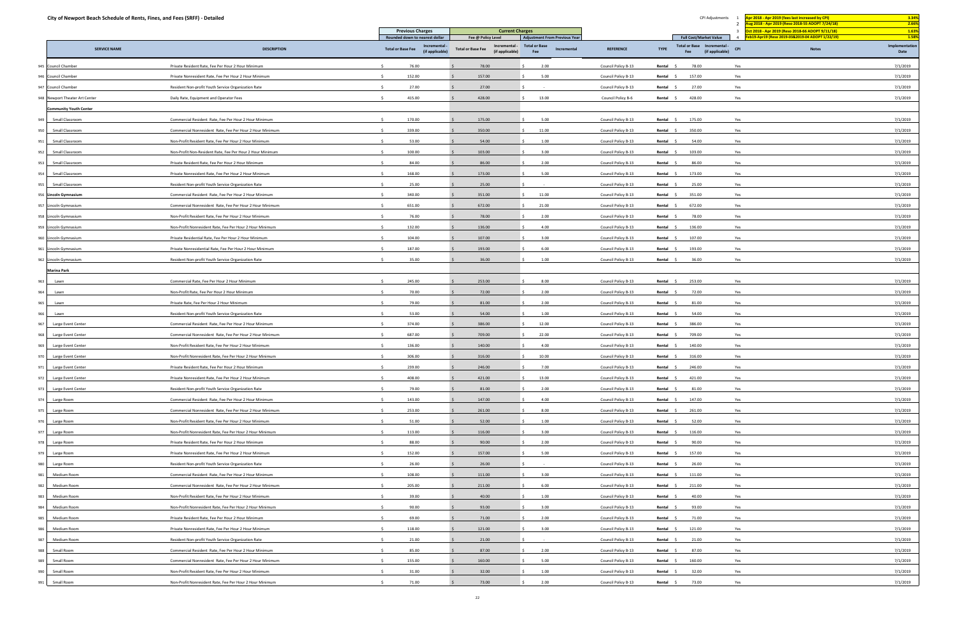| City of Newport Beach Schedule of Rents, Fines, and Fees (SRFF) - Detailed |                                                           |                                                                           |                                                                 |                                                                             |                     | CPI Adjustments                                                             | or 2018 - Apr 2019 (fees last increased by CPI)<br>ug 2018 - Apr 2019 (Reso 2018-55 ADOPT 7/24/18) | 3.34%<br>2.66%          |
|----------------------------------------------------------------------------|-----------------------------------------------------------|---------------------------------------------------------------------------|-----------------------------------------------------------------|-----------------------------------------------------------------------------|---------------------|-----------------------------------------------------------------------------|----------------------------------------------------------------------------------------------------|-------------------------|
|                                                                            |                                                           | <b>Previous Charges</b>                                                   | <b>Current Charges</b>                                          |                                                                             |                     |                                                                             | $\overline{2}$<br>$\overline{3}$<br>Oct 2018 - Apr 2019 (Reso 2018-66 ADOPT 9/11/18)               | 1.63%                   |
| <b>SERVICE NAME</b>                                                        | <b>DESCRIPTION</b>                                        | Rounded down to nearest dollar<br>Incremental<br><b>Total or Base Fee</b> | Fee @ Policy Level<br>Incremental -<br><b>Total or Base Fee</b> | <b>Adjustment From Previous Year</b><br><b>Total or Base</b><br>Incremental | <b>REFERENCE</b>    | <b>Full Cost/Market Value</b><br>Total or Base Incremental -<br><b>TYPE</b> | b19-Apr19 (Reso 2019-03&2019-04 ADOPT 1/22/19)<br><b>Notes</b><br><b>CPI</b>                       | 1.58%<br>Implementation |
| 945 Council Chamber                                                        | Private Resident Rate, Fee Per Hour 2 Hour Minimum        | (if applicable)<br>76.00                                                  | (if applicable)<br>78.00                                        | Fee<br>2.00                                                                 | Council Policy B-13 | (if applicable)<br>Fee<br>Rental \$<br>78.00                                | Yes                                                                                                | Date<br>7/1/2019        |
| 946 Council Chamber                                                        | Private Nonresident Rate, Fee Per Hour 2 Hour Minimum     | 152.00                                                                    | 157.00                                                          | 5.00                                                                        | Council Policy B-13 | 157.00<br>Rental \$                                                         | Yes                                                                                                | 7/1/2019                |
| 947 Council Chamber                                                        | Resident Non-profit Youth Service Organization Rate       | 27.00                                                                     | 27.00                                                           |                                                                             | Council Policy B-13 | 27.00<br>Rental                                                             | Yes                                                                                                | 7/1/2019                |
| 948 Newport Theater Art Center                                             | Daily Rate, Equipment and Operator Fees                   | 415.00                                                                    | 428.00                                                          | 13.00                                                                       | Council Policy B-6  | 428.00<br>Rental \$                                                         | Yes                                                                                                | 7/1/2019                |
| <b>Community Youth Center</b>                                              |                                                           |                                                                           |                                                                 |                                                                             |                     |                                                                             |                                                                                                    |                         |
| Small Classroom<br>949                                                     | Commercial Resident Rate, Fee Per Hour 2 Hour Minimum     | 170.00                                                                    | 175.00                                                          | 5.00                                                                        | Council Policy B-13 | Rental \$<br>175.00                                                         | Yes                                                                                                | 7/1/2019                |
| 950<br>Small Classroom                                                     | Commercial Nonresident Rate, Fee Per Hour 2 Hour Minimum  | 339.00                                                                    | 350.00                                                          | 11.00                                                                       | Council Policy B-13 | 350.00<br>Rental \$                                                         | Yes                                                                                                | 7/1/2019                |
| 951<br>Small Classroom                                                     | Non-Profit Resident Rate, Fee Per Hour 2 Hour Minimum     | 53.00                                                                     | 54.00                                                           | 1.00                                                                        | Council Policy B-13 | 54.00<br>Rental                                                             | Yes                                                                                                | 7/1/2019                |
| 952<br>Small Classroom                                                     | Non-Profit Non-Resident Rate, Fee Per Hour 2 Hour Minimum | 100.00                                                                    | 103.00                                                          | 3.00                                                                        | Council Policy B-13 | 103.00<br>Rental $\frac{2}{3}$                                              | Yes                                                                                                | 7/1/2019                |
| 953<br>Small Classroom                                                     | Private Resident Rate, Fee Per Hour 2 Hour Minimum        | 84.00                                                                     | 86.00                                                           | 2.00                                                                        | Council Policy B-13 | 86.00<br>Rental                                                             | Yes                                                                                                | 7/1/2019                |
| 954<br>Small Classroom                                                     | Private Nonresident Rate, Fee Per Hour 2 Hour Minimum     | 168.00                                                                    | 173.00                                                          | 5.00                                                                        | Council Policy B-13 | 173.00<br>Rental \$                                                         | Yes                                                                                                | 7/1/2019                |
| 955<br>Small Classroom                                                     | Resident Non-profit Youth Service Organization Rate       | 25.00                                                                     | 25.00                                                           |                                                                             | Council Policy B-13 | 25.00<br>Rental \$                                                          | Yes                                                                                                | 7/1/2019                |
| 956 Lincoln Gymnasium                                                      | Commercial Resident Rate, Fee Per Hour 2 Hour Minimum     | 340.00                                                                    | 351.00                                                          | 11.00                                                                       | Council Policy B-13 | 351.00<br>Rental \$                                                         | Yes                                                                                                | 7/1/2019                |
| 957 Lincoln Gymnasium                                                      | Commercial Nonresident Rate, Fee Per Hour 2 Hour Minimum  | 651.00<br>$\sim$                                                          | 672.00                                                          | 21.00                                                                       | Council Policy B-13 | 672.00<br>Rental $\frac{2}{3}$                                              | Yes                                                                                                | 7/1/2019                |
| 958 Lincoln Gymnasium                                                      | Non-Profit Resident Rate, Fee Per Hour 2 Hour Minimum     | 76.00                                                                     | 78.00                                                           | 2.00                                                                        | Council Policy B-13 | Rental<br>78.00                                                             | Yes                                                                                                | 7/1/2019                |
| 959 Lincoln Gymnasium                                                      | Non-Profit Nonresident Rate, Fee Per Hour 2 Hour Minimum  | 132.00                                                                    | 136.00                                                          | 4.00                                                                        | Council Policy B-13 | 136.00<br>Rental \$                                                         | Yes                                                                                                | 7/1/2019                |
| 960 Lincoln Gymnasium                                                      | Private Residential Rate, Fee Per Hour 2 Hour Minimum     | 104.00                                                                    | 107.00                                                          | 3.00                                                                        | Council Policy B-13 | 107.00<br>Rental \$                                                         | Yes                                                                                                | 7/1/2019                |
| 961 Lincoln Gymnasium                                                      | Private Nonresidential Rate, Fee Per Hour 2 Hour Minimum  | 187.00                                                                    | 193.00                                                          | 6.00                                                                        | Council Policy B-13 | 193.00<br>Rental                                                            | Yes                                                                                                | 7/1/2019                |
| 962 Lincoln Gymnasium                                                      | Resident Non-profit Youth Service Organization Rate       | 35.00                                                                     | 36.00                                                           | 1.00                                                                        | Council Policy B-13 | 36.00<br>Rental \$                                                          | Yes                                                                                                | 7/1/2019                |
| <b>Marina Park</b>                                                         |                                                           |                                                                           |                                                                 |                                                                             |                     |                                                                             |                                                                                                    |                         |
| 963<br>Lawn                                                                | Commercial Rate, Fee Per Hour 2 Hour Minimum              | 245.00                                                                    | 253.00                                                          | 8.00                                                                        | Council Policy B-13 | 253.00<br>Rental \$                                                         | Yes                                                                                                | 7/1/2019                |
| 964<br>Lawn                                                                | Non-Profit Rate, Fee Per Hour 2 Hour Minimum              | 70.00                                                                     | 72.00                                                           | 2.00                                                                        | Council Policy B-13 | 72.00<br>Rental \$                                                          | Yes                                                                                                | 7/1/2019                |
| 965<br>Lawn                                                                | Private Rate, Fee Per Hour 2 Hour Minimum                 | 79.00                                                                     | 81.00                                                           | 2.00                                                                        | Council Policy B-13 | 81.00<br>Rental                                                             | Yes                                                                                                | 7/1/2019                |
| 966<br>Lawn                                                                | Resident Non-profit Youth Service Organization Rate       | 53.00<br>- \$                                                             | 54.00                                                           | 1.00                                                                        | Council Policy B-13 | Rental \$<br>54.00                                                          | Yes                                                                                                | 7/1/2019                |
| 967<br>Large Event Center                                                  | Commercial Resident Rate, Fee Per Hour 2 Hour Minimum     | 374.00                                                                    | 386.00                                                          | 12.00                                                                       | Council Policy B-13 | Rental<br>386.00                                                            | Yes                                                                                                | 7/1/2019                |
| 968<br>Large Event Center                                                  | Commercial Nonresident Rate, Fee Per Hour 2 Hour Minimum  | 687.00                                                                    | 709.00                                                          | 22.00                                                                       | Council Policy B-13 | 709.00<br>Rental \$                                                         | Yes                                                                                                | 7/1/2019                |
| 969<br>Large Event Center                                                  | Non-Profit Resident Rate, Fee Per Hour 2 Hour Minimum     | 136.00                                                                    | 140.00                                                          | 4.00                                                                        | Council Policy B-13 | 140.00<br>Rental \$                                                         | Yes                                                                                                | 7/1/2019                |
| 970<br>Large Event Center                                                  | Non-Profit Nonresident Rate, Fee Per Hour 2 Hour Minimum  | 306.00                                                                    | 316.00                                                          | 10.00                                                                       | Council Policy B-13 | 316.00<br>Rental                                                            | Yes                                                                                                | 7/1/2019                |
| 971<br>Large Event Center                                                  | Private Resident Rate, Fee Per Hour 2 Hour Minimum        | 239.00                                                                    | 246.00                                                          | 7.00                                                                        | Council Policy B-13 | 246.00<br>Rental \$                                                         | Yes                                                                                                | 7/1/2019                |
| 972<br>Large Event Center                                                  | Private Nonresident Rate, Fee Per Hour 2 Hour Minimum     | 408.00                                                                    | 421.00                                                          | 13.00                                                                       | Council Policy B-13 | 421.00<br>Rental \$                                                         | Yes                                                                                                | 7/1/2019                |
| 973<br>Large Event Center                                                  | Resident Non-profit Youth Service Organization Rate       | 79.00<br>$\leq$                                                           | 81.00                                                           | 2.00                                                                        | Council Policy B-13 | 81.00<br>Rental \$                                                          | Yes                                                                                                | 7/1/2019                |
| 974<br>Large Room                                                          | Commercial Resident Rate, Fee Per Hour 2 Hour Minimum     | 143.00                                                                    | 147.00                                                          | 4.00                                                                        | Council Policy B-13 | 147.00<br>Rental \$                                                         | Yes                                                                                                | 7/1/2019                |
| 975<br>Large Room                                                          | Commercial Nonresident Rate, Fee Per Hour 2 Hour Minimum  | 253.00                                                                    | 261.00                                                          | 8.00                                                                        | Council Policy B-13 | Rental \$<br>261.00                                                         | Yes                                                                                                | 7/1/2019                |
| 976<br>Large Room                                                          | Non-Profit Resident Rate, Fee Per Hour 2 Hour Minimum     | 51.00<br>$\leq$                                                           | 52.00                                                           | 1.00                                                                        | Council Policy B-13 | 52.00<br>Rental \$                                                          | Yes                                                                                                | 7/1/2019                |
| 977<br>Large Room                                                          | Non-Profit Nonresident Rate, Fee Per Hour 2 Hour Minimum  | $\sim$<br>113.00                                                          | 116.00                                                          | 3.00                                                                        | Council Policy B-13 | Rental \$<br>116.00                                                         | Yes                                                                                                | 7/1/2019                |
| Large Room<br>978                                                          | Private Resident Rate, Fee Per Hour 2 Hour Minimum        | 88.00                                                                     | 90.00                                                           | 2.00                                                                        | Council Policy B-13 | Rental \$<br>90.00                                                          | Yes                                                                                                | 7/1/2019                |
| 979<br>Large Room                                                          | Private Nonresident Rate, Fee Per Hour 2 Hour Minimum     | 152.00                                                                    | 157.00                                                          | 5.00                                                                        | Council Policy B-13 | 157.00<br>Rental \$                                                         | Yes                                                                                                | 7/1/2019                |
| 980<br>Large Room                                                          | Resident Non-profit Youth Service Organization Rate       | 26.00                                                                     | 26.00                                                           | $\sim 10^{-1}$                                                              | Council Policy B-13 | 26.00<br>Rental                                                             | Yes                                                                                                | 7/1/2019                |
| 981<br>Medium Room                                                         | Commercial Resident Rate, Fee Per Hour 2 Hour Minimum     | 108.00<br>$\sim$                                                          | 111.00                                                          | 3.00                                                                        | Council Policy B-13 | 111.00<br>Rental \$                                                         | Yes                                                                                                | 7/1/2019                |
| 982<br>Medium Room                                                         | Commercial Nonresident Rate, Fee Per Hour 2 Hour Minimum  | 205.00<br>- Ś                                                             | 211.00                                                          | 6.00                                                                        | Council Policy B-13 | Rental \$<br>211.00                                                         | Yes                                                                                                | 7/1/2019                |
| 983<br>Medium Room                                                         | Non-Profit Resident Rate, Fee Per Hour 2 Hour Minimum     | 39.00                                                                     | 40.00                                                           | 1.00                                                                        | Council Policy B-13 | 40.00<br>Rental \$                                                          | Yes                                                                                                | 7/1/2019                |
| 984<br>Medium Room                                                         | Non-Profit Nonresident Rate, Fee Per Hour 2 Hour Minimum  | 90.00                                                                     | 93.00                                                           | 3.00                                                                        | Council Policy B-13 | 93.00<br>Rental \$                                                          | Yes                                                                                                | 7/1/2019                |
| 985<br>Medium Room                                                         | Private Resident Rate, Fee Per Hour 2 Hour Minimum        | 69.00                                                                     | 71.00                                                           | 2.00                                                                        | Council Policy B-13 | Rental \$<br>71.00                                                          | Yes                                                                                                | 7/1/2019                |
| 986<br>Medium Room                                                         | Private Nonresident Rate, Fee Per Hour 2 Hour Minimum     | 118.00<br>$\sim$                                                          | 121.00                                                          | 3.00                                                                        | Council Policy B-13 | 121.00<br>Rental \$                                                         | Yes                                                                                                | 7/1/2019                |
| 987<br>Medium Room                                                         | Resident Non-profit Youth Service Organization Rate       | 21.00<br>$\ddot{\phantom{1}}$                                             | 21.00                                                           | $\sim$ $-$                                                                  | Council Policy B-13 | 21.00<br>Rental \$                                                          | Yes                                                                                                | 7/1/2019                |
| Small Room<br>988                                                          | Commercial Resident Rate, Fee Per Hour 2 Hour Minimum     | 85.00                                                                     | 87.00                                                           | 2.00                                                                        | Council Policy B-13 | 87.00<br>Rental \$                                                          | Yes                                                                                                | 7/1/2019                |
| 989<br>Small Room                                                          | Commercial Nonresident Rate, Fee Per Hour 2 Hour Minimum  | 155.00                                                                    | 160.00                                                          | 5.00                                                                        | Council Policy B-13 | 160.00<br>Rental \$                                                         | Yes                                                                                                | 7/1/2019                |
| Small Room<br>990                                                          | Non-Profit Resident Rate, Fee Per Hour 2 Hour Minimum     | 31.00                                                                     | 32.00                                                           | 1.00                                                                        | Council Policy B-13 | 32.00<br>Rental                                                             | Yes                                                                                                | 7/1/2019                |
| Small Room<br>991                                                          | Non-Profit Nonresident Rate, Fee Per Hour 2 Hour Minimum  | 71.00                                                                     | 73.00                                                           | 2.00                                                                        | Council Policy B-13 | 73.00<br>Rental \$                                                          | Yes                                                                                                | 7/1/2019                |
|                                                                            |                                                           |                                                                           |                                                                 |                                                                             |                     |                                                                             |                                                                                                    |                         |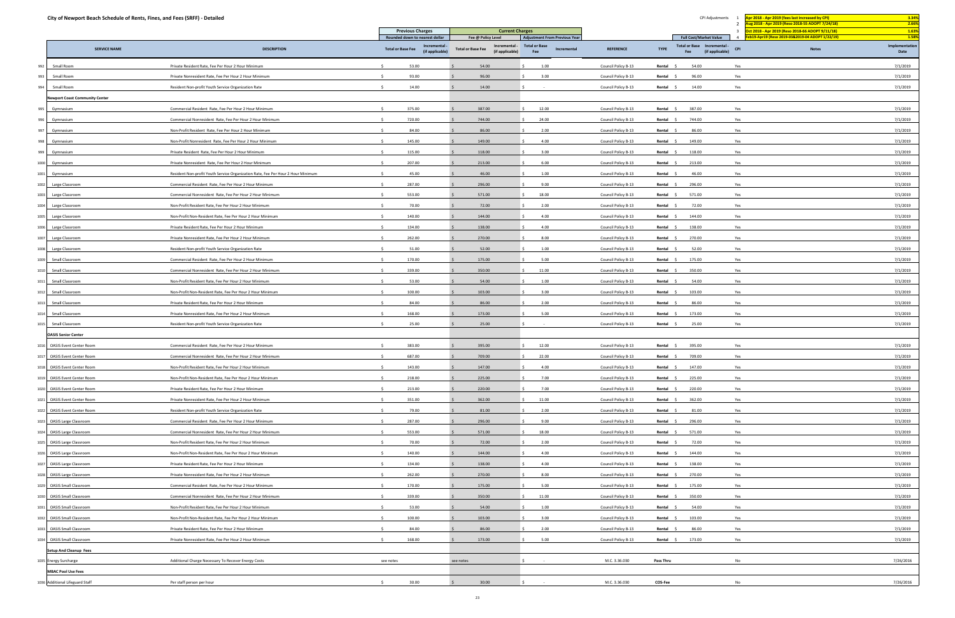|                | City of Newport Beach Schedule of Rents, Fines, and Fees (SRFF) - Detailed |                                                                                  |                                                            |                                                              |                                            |                     | CPI Adjustments                                                      | Apr 2018 - Apr 2019 (fees last increased by CPI)<br>Aug 2018 - Apr 2019 (Reso 2018-55 ADOPT 7/24/18) | 3.34%<br>2.66%         |
|----------------|----------------------------------------------------------------------------|----------------------------------------------------------------------------------|------------------------------------------------------------|--------------------------------------------------------------|--------------------------------------------|---------------------|----------------------------------------------------------------------|------------------------------------------------------------------------------------------------------|------------------------|
|                |                                                                            |                                                                                  | <b>Previous Charges</b>                                    | <b>Current Charges</b>                                       |                                            |                     |                                                                      | Oct 2018 - Apr 2019 (Reso 2018-66 ADOPT 9/11/18)                                                     | 1.63%                  |
|                |                                                                            |                                                                                  | Rounded down to nearest dollar                             | Fee @ Policy Level                                           | <b>Adjustment From Previous Year</b>       |                     | <b>Full Cost/Market Value</b>                                        | eb19-Apr19 (Reso 2019-03&2019-04 ADOPT 1/22/19)                                                      | 1.58%                  |
|                | <b>SERVICE NAME</b>                                                        | <b>DESCRIPTION</b>                                                               | Incremental<br><b>Total or Base Fee</b><br>(if applicable) | Incremental -<br><b>Total or Base Fee</b><br>(if applicable) | <b>Total or Base</b><br>Incremental<br>Fee | <b>REFERENCE</b>    | Total or Base Incremental -<br><b>TYPE</b><br>(if applicable)<br>Fee | <b>CPI</b><br><b>Notes</b>                                                                           | Implementation<br>Date |
|                | Small Room                                                                 | Private Resident Rate, Fee Per Hour 2 Hour Minimum                               | 53.00                                                      | 54.00                                                        | 1.00                                       | Council Policy B-13 | Rental<br>54.00                                                      | Yes                                                                                                  | 7/1/2019               |
|                | Small Room                                                                 | Private Nonresident Rate, Fee Per Hour 2 Hour Minimum                            | 93.00                                                      | 96.00                                                        | 3.00                                       | Council Policy B-13 | 96.00<br>Rental                                                      | Yes                                                                                                  | 7/1/2019               |
|                | Small Room                                                                 | Resident Non-profit Youth Service Organization Rate                              | 14.00                                                      | 14.00                                                        |                                            | Council Policy B-13 | 14.00<br>Rental \$                                                   | Yes                                                                                                  | 7/1/2019               |
|                | <b>Newport Coast Community Center</b>                                      |                                                                                  |                                                            |                                                              |                                            |                     |                                                                      |                                                                                                      |                        |
| 995            | Gymnasium                                                                  | Commercial Resident Rate, Fee Per Hour 2 Hour Minimum                            | 375.00                                                     | 387.00                                                       | 12.00                                      | Council Policy B-13 | Rental<br>387.00                                                     | Yes                                                                                                  | 7/1/2019               |
|                | Gymnasium                                                                  | Commercial Nonresident Rate, Fee Per Hour 2 Hour Minimum                         | 720.00                                                     | 744.00                                                       | 24.00                                      | Council Policy B-13 | 744.00<br>Rental                                                     | Yes                                                                                                  | 7/1/2019               |
| 997            | Gymnasium                                                                  | Non-Profit Resident Rate, Fee Per Hour 2 Hour Minimum                            | 84.00                                                      | 86.00                                                        | 2.00                                       | Council Policy B-13 | 86.00<br>Rental \$                                                   | Yes                                                                                                  | 7/1/2019               |
| 998            | Gymnasium                                                                  | Non-Profit Nonresident Rate, Fee Per Hour 2 Hour Minimum                         | 145.00                                                     | 149.00                                                       | 4.00                                       | Council Policy B-13 | 149.00<br>Rental                                                     | Yes                                                                                                  | 7/1/2019               |
| 99             | Gymnasium                                                                  | Private Resident Rate, Fee Per Hour 2 Hour Minimum                               | 115.00<br>$\leq$                                           | 118.00                                                       | 3.00<br>S.                                 | Council Policy B-13 | 118.00<br>Rental \$                                                  | Yes                                                                                                  | 7/1/2019               |
| 100            | Gymnasium                                                                  | Private Nonresident Rate, Fee Per Hour 2 Hour Minimum                            | $\mathcal{S}$<br>207.00                                    | 213.00                                                       | 6.00                                       | Council Policy B-13 | Rental<br>213.00                                                     | Yes                                                                                                  | 7/1/2019               |
| 1001           | Gymnasium                                                                  | Resident Non-profit Youth Service Organization Rate, Fee Per Hour 2 Hour Minimum | 45.00                                                      | 46.00                                                        | 1.00                                       | Council Policy B-13 | 46.00<br>Rental                                                      | Yes                                                                                                  | 7/1/2019               |
| 1002           | Large Classroom                                                            | Commercial Resident Rate, Fee Per Hour 2 Hour Minimum                            | 287.00                                                     | 296.00                                                       | 9.00                                       | Council Policy B-13 | 296.00<br>Rental \$                                                  | Yes                                                                                                  | 7/1/2019               |
| 100            | Large Classroom                                                            | Commercial Nonresident Rate, Fee Per Hour 2 Hour Minimum                         | 553.00                                                     | 571.00                                                       | 18.00<br>$\zeta$                           | Council Policy B-13 | 571.00<br>Rental                                                     | Yes                                                                                                  | 7/1/2019               |
| 1004           | Large Classroom                                                            | Non-Profit Resident Rate, Fee Per Hour 2 Hour Minimum                            | 70.00<br>$\sim$                                            | 72.00                                                        | 2.00<br>S.                                 | Council Policy B-13 | 72.00<br>Rental \$                                                   | Yes                                                                                                  | 7/1/2019               |
| 1005           | Large Classroom                                                            | Non-Profit Non-Resident Rate, Fee Per Hour 2 Hour Minimum                        | 140.00                                                     | 144.00                                                       | 4.00                                       | Council Policy B-13 | 144.00<br>Rental                                                     | Yes                                                                                                  | 7/1/2019               |
| 100            | Large Classroom                                                            | Private Resident Rate, Fee Per Hour 2 Hour Minimum                               | $\zeta$<br>134.00                                          | 138.00                                                       | 4.00                                       | Council Policy B-13 | 138.00<br>Rental                                                     | Yes                                                                                                  | 7/1/2019               |
| 1007           | Large Classroom                                                            | Private Nonresident Rate, Fee Per Hour 2 Hour Minimum                            | 262.00                                                     | 270.00                                                       | 8.00                                       | Council Policy B-13 | 270.00<br>Rental \$                                                  | Yes                                                                                                  | 7/1/2019               |
| 1008           | Large Classroom                                                            | Resident Non-profit Youth Service Organization Rate                              | 51.00                                                      | 52.00                                                        | 1.00                                       | Council Policy B-13 | 52.00<br>Rental                                                      | Yes                                                                                                  | 7/1/2019               |
| 100            | Small Classroom                                                            | Commercial Resident Rate, Fee Per Hour 2 Hour Minimum                            | 170.00                                                     | 175.00                                                       | 5.00<br>$\zeta$                            | Council Policy B-13 | 175.00<br>Rental                                                     | Yes                                                                                                  | 7/1/2019               |
|                | Small Classroom                                                            | Commercial Nonresident Rate, Fee Per Hour 2 Hour Minimum                         | 339.00<br>$\leq$                                           | 350.00                                                       | 11.00                                      | Council Policy B-13 | Rental \$<br>350.00                                                  | Yes                                                                                                  | 7/1/2019               |
| 101            | Small Classroom                                                            | Non-Profit Resident Rate, Fee Per Hour 2 Hour Minimum                            | 53.00<br>$\leq$                                            | 54.00                                                        | 1.00                                       | Council Policy B-13 | 54.00<br>Rental                                                      | Yes                                                                                                  | 7/1/2019               |
| 101            | Small Classroom                                                            | Non-Profit Non-Resident Rate, Fee Per Hour 2 Hour Minimum                        | 100.00                                                     | 103.00                                                       | 3.00                                       | Council Policy B-13 | 103.00<br>Rental                                                     | Yes                                                                                                  | 7/1/2019               |
|                | Small Classroom                                                            | Private Resident Rate, Fee Per Hour 2 Hour Minimum                               | 84.00                                                      | 86.00                                                        | 2.00                                       | Council Policy B-13 | 86.00<br>Rental                                                      | Yes                                                                                                  | 7/1/2019               |
|                | Small Classroom                                                            | Private Nonresident Rate, Fee Per Hour 2 Hour Minimum                            | 168.00                                                     | 173.00                                                       | 5.00<br>S.                                 | Council Policy B-13 | 173.00<br>Rental                                                     | Yes                                                                                                  | 7/1/2019               |
| 101            | Small Classroom                                                            | Resident Non-profit Youth Service Organization Rate                              | 25.00                                                      | 25.00                                                        |                                            | Council Policy B-13 | Rental \$<br>25.00                                                   | Yes                                                                                                  | 7/1/2019               |
|                |                                                                            |                                                                                  |                                                            |                                                              |                                            |                     |                                                                      |                                                                                                      |                        |
|                | <b>OASIS Senior Center</b><br><b>OASIS Event Center Room</b>               | Commercial Resident Rate, Fee Per Hour 2 Hour Minimum                            | 383.00                                                     | 395.00                                                       | 12.00                                      | Council Policy B-13 | 395.00<br>Rental \$                                                  | Yes                                                                                                  | 7/1/2019               |
| 101            | <b>OASIS Event Center Room</b>                                             | Commercial Nonresident Rate, Fee Per Hour 2 Hour Minimum                         | $\ddot{\phantom{1}}$<br>687.00                             | 709.00                                                       | 22.00                                      | Council Policy B-13 | 709.00<br>Rental                                                     | Yes                                                                                                  | 7/1/2019               |
|                | <b>OASIS Event Center Room</b>                                             | Non-Profit Resident Rate, Fee Per Hour 2 Hour Minimum                            | 143.00                                                     | 147.00                                                       | 4.00                                       | Council Policy B-13 | 147.00<br>Rental                                                     | Yes                                                                                                  | 7/1/2019               |
|                | <b>OASIS Event Center Room</b>                                             | Non-Profit Non-Resident Rate, Fee Per Hour 2 Hour Minimum                        | 218.00<br>-Ś.                                              | 225.00                                                       | 7.00<br>Š.                                 | Council Policy B-13 | 225.00<br>Rental \$                                                  | Yes                                                                                                  | 7/1/2019               |
| 02             | <b>OASIS Event Center Room</b>                                             | Private Resident Rate, Fee Per Hour 2 Hour Minimum                               | $\sim$<br>213.00                                           | 220.00                                                       | 7.00<br>S.                                 |                     | 220.00<br>Rental \$                                                  | Yes                                                                                                  | 7/1/2019               |
|                |                                                                            |                                                                                  |                                                            |                                                              |                                            | Council Policy B-13 |                                                                      |                                                                                                      |                        |
| 02             | <b>OASIS Event Center Room</b>                                             | Private Nonresident Rate, Fee Per Hour 2 Hour Minimum                            | 351.00<br>$\zeta$                                          | 362.00                                                       | 11.00<br>S.                                | Council Policy B-13 | 362.00<br>Rental \$                                                  | Yes                                                                                                  | 7/1/2019               |
|                | <b>OASIS Event Center Room</b>                                             | Resident Non-profit Youth Service Organization Rate                              | 79.00<br>$\sim$                                            | 81.00                                                        | 2.00                                       | Council Policy B-13 | 81.00<br>Rental \$                                                   | Yes                                                                                                  | 7/1/2019               |
|                | <b>OASIS Large Classroom</b>                                               | Commercial Resident Rate, Fee Per Hour 2 Hour Minimum                            | 287.00<br>$\ddot{\phantom{1}}$                             | 296.00                                                       | 9.00<br>S.                                 | Council Policy B-13 | 296.00<br>Rental \$                                                  | Yes                                                                                                  | 7/1/2019               |
| 1024           | <b>OASIS Large Classroom</b>                                               | Commercial Nonresident Rate, Fee Per Hour 2 Hour Minimum                         | 553.00                                                     | 571.00                                                       | $\mathsf{S}$<br>18.00                      | Council Policy B-13 | Rental<br>571.00                                                     | Yes                                                                                                  | 7/1/2019               |
|                | <b>OASIS Large Classroom</b>                                               | Non-Profit Resident Rate, Fee Per Hour 2 Hour Minimum                            | 70.00                                                      | 72.00                                                        | 2.00<br>S.                                 | Council Policy B-13 | 72.00<br>Rental \$                                                   | Yes                                                                                                  | 7/1/2019               |
| 02             | <b>OASIS Large Classroom</b>                                               | Non-Profit Non-Resident Rate, Fee Per Hour 2 Hour Minimum                        | 140.00<br>$\leq$                                           | 144.00                                                       | 4.00<br>S.<br>$\zeta$                      | Council Policy B-13 | 144.00<br>Rental \$                                                  | Yes                                                                                                  | 7/1/2019               |
| 102            | <b>OASIS Large Classroom</b>                                               | Private Resident Rate, Fee Per Hour 2 Hour Minimum                               | 134.00<br>$\mathsf{S}$                                     | 138.00                                                       | 4.00                                       | Council Policy B-13 | 138.00<br>Rental                                                     | Yes                                                                                                  | 7/1/2019               |
|                | <b>OASIS Large Classroom</b>                                               | Private Nonresident Rate, Fee Per Hour 2 Hour Minimum                            | 262.00                                                     | 270.00                                                       | 8.00<br>S.                                 | Council Policy B-13 | 270.00<br>Rental \$                                                  | Yes                                                                                                  | 7/1/2019               |
|                | <b>OASIS Small Classroom</b>                                               | Commercial Resident Rate, Fee Per Hour 2 Hour Minimum                            | 170.00<br>- Ś                                              | 175.00                                                       | 5.00<br>S.                                 | Council Policy B-13 | Rental \$<br>175.00                                                  | Yes                                                                                                  | 7/1/2019               |
|                | <b>OASIS Small Classroom</b>                                               | Commercial Nonresident Rate, Fee Per Hour 2 Hour Minimum                         | 339.00<br>$\leq$                                           | 350.00                                                       | 11.00<br>$\zeta$                           | Council Policy B-13 | 350.00<br>Rental \$                                                  | Yes                                                                                                  | 7/1/2019               |
|                | <b>OASIS Small Classroom</b>                                               | Non-Profit Resident Rate, Fee Per Hour 2 Hour Minimum                            | 53.00                                                      | 54.00                                                        | 1.00                                       | Council Policy B-13 | 54.00<br>Rental \$                                                   | Yes                                                                                                  | 7/1/2019               |
|                | <b>OASIS Small Classroom</b>                                               | Non-Profit Non-Resident Rate, Fee Per Hour 2 Hour Minimum                        | 100.00                                                     | 103.00                                                       | 3.00<br>Š.                                 | Council Policy B-13 | 103.00<br>Rental \$                                                  | Yes                                                                                                  | 7/1/2019               |
|                | <b>OASIS Small Classroom</b>                                               | Private Resident Rate, Fee Per Hour 2 Hour Minimum                               | 84.00<br>- Ś                                               | 86.00                                                        | 2.00<br>S.                                 | Council Policy B-13 | 86.00<br>Rental \$                                                   | Yes                                                                                                  | 7/1/2019               |
| O <sub>3</sub> | <b>OASIS Small Classroom</b>                                               | Private Nonresident Rate, Fee Per Hour 2 Hour Minimum                            | 168.00                                                     | 173.00                                                       | 5.00                                       | Council Policy B-13 | Rental \$<br>173.00                                                  | Yes                                                                                                  | 7/1/2019               |
|                | <b>Setup And Cleanup Fees</b>                                              |                                                                                  |                                                            |                                                              |                                            |                     |                                                                      |                                                                                                      |                        |
|                | Energy Surcharge                                                           | Additional Charge Necessary To Recover Energy Costs                              | see notes                                                  | see notes                                                    |                                            | M.C. 3.36.030       | <b>Pass Thru</b>                                                     | No                                                                                                   | 7/26/2016              |
|                | <b>MBAC Pool Use Fees</b>                                                  |                                                                                  |                                                            |                                                              |                                            |                     |                                                                      |                                                                                                      |                        |
|                | 036 Additional Lifeguard Staff                                             | Per staff person per hour                                                        | 30.00<br>S.                                                | 30.00                                                        | Ŝ.<br>$\sim$ $-$                           | M.C. 3.36.030       | <b>COS-Fee</b>                                                       | No                                                                                                   | 7/26/2016              |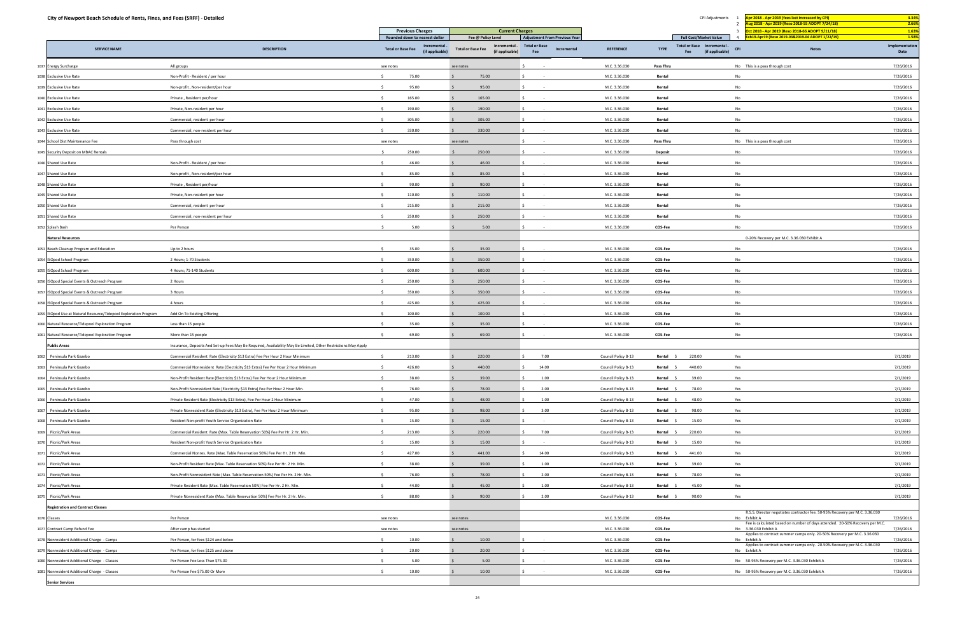| City of Newport Beach Schedule of Rents, Fines, and Fees (SRFF) - Detailed |                                                                                                                |                          |                                                                  |                                                                                    |                             |                                                     |                     |                  | CPI Adjustments                                                                                      | Apr 2018 - Apr 2019 (fees last increased by CPI)<br>Aug 2018 - Apr 2019 (Reso 2018-55 ADOPT 7/24/18)  | 3.34%<br>2.66%                  |
|----------------------------------------------------------------------------|----------------------------------------------------------------------------------------------------------------|--------------------------|------------------------------------------------------------------|------------------------------------------------------------------------------------|-----------------------------|-----------------------------------------------------|---------------------|------------------|------------------------------------------------------------------------------------------------------|-------------------------------------------------------------------------------------------------------|---------------------------------|
|                                                                            |                                                                                                                |                          | <b>Previous Charges</b>                                          | <b>Current Charges</b>                                                             |                             |                                                     |                     |                  |                                                                                                      | Oct 2018 - Apr 2019 (Reso 2018-66 ADOPT 9/11/18)                                                      | 1.63%                           |
| <b>SERVICE NAME</b>                                                        | <b>DESCRIPTION</b>                                                                                             | <b>Total or Base Fee</b> | Rounded down to nearest dollar<br>Incremental<br>(if applicable) | Fee @ Policy Level<br>Incremental -<br><b>Total or Base Fee</b><br>(if applicable) | <b>Total or Base</b><br>Fee | <b>Adjustment From Previous Year</b><br>Incremental | <b>REFERENCE</b>    | <b>TYPE</b>      | <b>Full Cost/Market Value</b><br>Total or Base Incremental -<br><b>CPI</b><br>(if applicable)<br>Fee | eb19-Apr19 (Reso 2019-03&2019-04 ADOPT 1/22/19)<br><b>Notes</b>                                       | 1.58%<br>Implementation<br>Date |
| 1037 Energy Surcharge                                                      | All groups                                                                                                     | see notes                |                                                                  | see notes                                                                          |                             |                                                     | M.C. 3.36.030       | <b>Pass Thru</b> |                                                                                                      | No This is a pass through cost                                                                        | 7/26/2016                       |
| 1038 Exclusive Use Rate                                                    | Non-Profit - Resident / per hour                                                                               |                          | 75.00                                                            | 75.00                                                                              |                             |                                                     | M.C. 3.36.030       | Rental           |                                                                                                      | No                                                                                                    | 7/26/2016                       |
| 1039 Exclusive Use Rate                                                    | Non-profit, Non-resident/per hour                                                                              |                          | 95.00                                                            | 95.00                                                                              |                             |                                                     | M.C. 3.36.030       | Rental           |                                                                                                      | No                                                                                                    | 7/26/2016                       |
| 1040 Exclusive Use Rate                                                    | Private, Resident per/hour                                                                                     |                          | 165.00                                                           | 165.00                                                                             |                             |                                                     | M.C. 3.36.030       | Rental           |                                                                                                      | No                                                                                                    | 7/26/2016                       |
| 1041 Exclusive Use Rate                                                    | Private, Non-resident per hour                                                                                 |                          | 190.00                                                           | 190.00                                                                             |                             |                                                     | M.C. 3.36.030       | Rental           |                                                                                                      | No                                                                                                    | 7/26/2016                       |
| 1042 Exclusive Use Rate                                                    | Commercial, resident per hour                                                                                  |                          | 305.00                                                           | 305.00                                                                             |                             |                                                     | M.C. 3.36.030       | Rental           |                                                                                                      | No                                                                                                    | 7/26/2016                       |
| 1043 Exclusive Use Rate                                                    | Commercial, non-resident per hour                                                                              |                          | 330.00                                                           | 330.00                                                                             |                             |                                                     | M.C. 3.36.030       | Rental           |                                                                                                      | No                                                                                                    | 7/26/2016                       |
| 1044 School Dist Maintenance Fee                                           | Pass through cost                                                                                              | see notes                |                                                                  | see notes                                                                          |                             |                                                     | M.C. 3.36.030       | <b>Pass Thru</b> |                                                                                                      | No This is a pass through cost                                                                        | 7/26/2016                       |
| 1045 Security Deposit on MBAC Rentals                                      |                                                                                                                |                          | 250.00                                                           | 250.00                                                                             |                             |                                                     | M.C. 3.36.030       | Deposit          |                                                                                                      | No                                                                                                    | 7/26/2016                       |
| 1046 Shared Use Rate                                                       | Non-Profit - Resident / per hour                                                                               |                          | 46.00                                                            | 46.00                                                                              |                             |                                                     | M.C. 3.36.030       | Rental           |                                                                                                      | No                                                                                                    | 7/26/2016                       |
| 1047 Shared Use Rate                                                       | Non-profit, Non-resident/per hour                                                                              |                          | 85.00                                                            | 85.00                                                                              |                             |                                                     | M.C. 3.36.030       | Rental           |                                                                                                      | No                                                                                                    | 7/26/2016                       |
| 1048 Shared Use Rate                                                       | Private, Resident per/hour                                                                                     |                          | 90.00                                                            | 90.00                                                                              |                             |                                                     | M.C. 3.36.030       | Rental           |                                                                                                      | No                                                                                                    | 7/26/2016                       |
| 1049 Shared Use Rate                                                       | Private, Non-resident per hour                                                                                 |                          | 110.00                                                           | 110.00                                                                             |                             |                                                     | M.C. 3.36.030       | Rental           |                                                                                                      | No                                                                                                    | 7/26/2016                       |
| 1050 Shared Use Rate                                                       | Commercial, resident per hour                                                                                  |                          | 215.00                                                           | 215.00                                                                             |                             |                                                     | M.C. 3.36.030       | Rental           |                                                                                                      | No                                                                                                    | 7/26/2016                       |
| 1051 Shared Use Rate                                                       | Commercial, non-resident per hour                                                                              |                          | 250.00                                                           | 250.00                                                                             |                             |                                                     | M.C. 3.36.030       | Rental           |                                                                                                      | No                                                                                                    | 7/26/2016                       |
| 1052 Splash Bash                                                           | Per Person                                                                                                     |                          | 5.00                                                             | 5.00                                                                               |                             |                                                     | M.C. 3.36.030       | COS-Fee          |                                                                                                      | No                                                                                                    | 7/26/2016                       |
| <b>Natural Resources</b>                                                   |                                                                                                                |                          |                                                                  |                                                                                    |                             |                                                     |                     |                  |                                                                                                      | 0-20% Recovery per M.C. 3.36.030 Exhibit A                                                            |                                 |
| 1053 Beach Cleanup Program and Education                                   | Up to 2 hours                                                                                                  |                          | 35.00                                                            | 35.00                                                                              |                             |                                                     | M.C. 3.36.030       | COS-Fee          |                                                                                                      | No                                                                                                    | 7/26/2016                       |
| 1054 ISOpod School Program                                                 | 2 Hours; 1-70 Students                                                                                         |                          | 350.00                                                           | 350.00                                                                             |                             |                                                     | M.C. 3.36.030       | COS-Fee          |                                                                                                      | No                                                                                                    | 7/26/2016                       |
| 1055 ISOpod School Program                                                 | 4 Hours; 71-140 Students                                                                                       |                          | 600.00                                                           | 600.00                                                                             |                             |                                                     | M.C. 3.36.030       | COS-Fee          |                                                                                                      | No                                                                                                    | 7/26/2016                       |
| 1056 ISOpod Special Events & Outreach Program                              | 2 Hours                                                                                                        | $\zeta$                  | 250.00                                                           | 250.00                                                                             |                             |                                                     | M.C. 3.36.030       | COS-Fee          |                                                                                                      | No                                                                                                    | 7/26/2016                       |
| 1057 ISOpod Special Events & Outreach Program                              | 3 Hours                                                                                                        |                          | 350.00                                                           | 350.00                                                                             |                             |                                                     | M.C. 3.36.030       | COS-Fee          |                                                                                                      | No                                                                                                    | 7/26/2016                       |
| 1058 ISOpod Special Events & Outreach Program                              | 4 hours                                                                                                        |                          | 425.00                                                           | 425.00                                                                             |                             |                                                     | M.C. 3.36.030       | COS-Fee          |                                                                                                      | No                                                                                                    | 7/26/2016                       |
| 1059 ISOpod Use at Natural Resource/Tidepool Exploration Program           | Add On To Existing Offering                                                                                    |                          | 100.00                                                           | 100.00                                                                             |                             |                                                     | M.C. 3.36.030       | COS-Fee          |                                                                                                      | No                                                                                                    | 7/26/2016                       |
| 1060 Natural Resource/Tidepool Exploration Program                         | Less than 15 people                                                                                            |                          | 35.00                                                            | 35.00                                                                              |                             |                                                     | M.C. 3.36.030       | COS-Fee          |                                                                                                      | No                                                                                                    | 7/26/2016                       |
| 1061 Natural Resource/Tidepool Exploration Program                         | More than 15 people                                                                                            | $\sim$                   | 69.00                                                            | 69.00                                                                              |                             |                                                     | M.C. 3.36.030       | COS-Fee          |                                                                                                      | No                                                                                                    | 7/26/2016                       |
| <b>Public Areas</b>                                                        | Insurance, Deposits And Set-up Fees May Be Required, Availability May Be Limited, Other Restrictions May Apply |                          |                                                                  |                                                                                    |                             |                                                     |                     |                  |                                                                                                      |                                                                                                       |                                 |
| Peninsula Park Gazebo<br>062                                               | Commercial Resident Rate (Electricity \$13 Extra) Fee Per Hour 2 Hour Minimum                                  | $\leq$                   | 213.00                                                           | 220.00                                                                             | 7.00                        |                                                     | Council Policy B-13 | Rental           | 220.00                                                                                               | Yes                                                                                                   | 7/1/2019                        |
| Peninsula Park Gazebo<br>063                                               | Commercial Nonresident Rate (Electricity \$13 Extra) Fee Per Hour 2 Hour Minimum                               |                          | 426.00                                                           | 440.00                                                                             | 14.00                       |                                                     | Council Policy B-13 | Rental \$        | 440.00                                                                                               | Yes                                                                                                   | 7/1/2019                        |
| 1064 Peninsula Park Gazebo                                                 | Non-Profit Resident Rate (Electricity \$13 Extra) Fee Per Hour 2 Hour Minimum                                  |                          | 38.00                                                            | 39.00                                                                              | 1.00                        |                                                     | Council Policy B-13 | Rental           | 39.00                                                                                                | Yes                                                                                                   | 7/1/2019                        |
| Peninsula Park Gazebo<br>06                                                | Non-Profit Nonresident Rate (Electricity \$13 Extra) Fee Per Hour 2 Hour Min.                                  | $\sim$                   | 76.00                                                            | 78.00                                                                              | 2.00<br>S.                  |                                                     | Council Policy B-13 | Rental \$        | 78.00                                                                                                | Yes                                                                                                   | 7/1/2019                        |
| 1066 Peninsula Park Gazebo                                                 | Private Resident Rate (Electricity \$13 Extra), Fee Per Hour 2 Hour Minimum                                    |                          | 47.00                                                            | 48.00                                                                              | 1.00                        |                                                     | Council Policy B-13 | Rental           | 48.00                                                                                                | Yes                                                                                                   | 7/1/2019                        |
| Peninsula Park Gazebo<br>06                                                | Private Nonresident Rate (Electricity \$13 Extra), Fee Per Hour 2 Hour Minimum                                 |                          | 95.00                                                            | 98.00                                                                              | 3.00                        |                                                     | Council Policy B-13 | Rental \$        | 98.00                                                                                                | Yes                                                                                                   | 7/1/2019                        |
| 068 Peninsula Park Gazebo                                                  | Resident Non-profit Youth Service Organization Rate                                                            | S.                       | 15.00                                                            | 15.00                                                                              |                             |                                                     | Council Policy B-13 | Rental \$        | 15.00                                                                                                | Yes                                                                                                   | 7/1/2019                        |
| 1069 Picnic/Park Areas                                                     | Commercial Resident Rate (Max. Table Reservation 50%) Fee Per Hr. 2 Hr. Min.                                   | $\leq$                   | 213.00                                                           | 220.00                                                                             | 7.00                        |                                                     | Council Policy B-13 | Rental           | 220.00                                                                                               | Yes                                                                                                   | 7/1/2019                        |
| Picnic/Park Areas                                                          | Resident Non-profit Youth Service Organization Rate                                                            |                          | 15.00                                                            | 15.00                                                                              |                             |                                                     | Council Policy B-13 | Rental \$        | 15.00                                                                                                | Yes                                                                                                   | 7/1/2019                        |
| Picnic/Park Areas                                                          | Commercial Nonres. Rate (Max. Table Reservation 50%) Fee Per Hr. 2 Hr. Min.                                    |                          | 427.00                                                           | 441.00                                                                             | 14.00                       |                                                     | Council Policy B-13 | Rental \$        | 441.00                                                                                               | Yes                                                                                                   | 7/1/2019                        |
| Picnic/Park Areas                                                          | Non-Profit Resident Rate (Max. Table Reservation 50%) Fee Per Hr. 2 Hr. Min.                                   | $\zeta$                  | 38.00                                                            | 39.00                                                                              | 1.00                        |                                                     | Council Policy B-13 | Rental           | 39.00                                                                                                | Yes                                                                                                   | 7/1/2019                        |
| Picnic/Park Areas                                                          | Non-Profit Nonresident Rate (Max. Table Reservation 50%) Fee Per Hr. 2 Hr. Min.                                |                          | 76.00                                                            | 78.00                                                                              | 2.00<br>S.                  |                                                     | Council Policy B-13 | Rental \$        | 78.00                                                                                                | Yes                                                                                                   | 7/1/2019                        |
| Picnic/Park Areas                                                          | Private Resident Rate (Max. Table Reservation 50%) Fee Per Hr. 2 Hr. Min.                                      |                          | 44.00                                                            | 45.00                                                                              | 1.00                        |                                                     | Council Policy B-13 | Rental           | 45.00                                                                                                | Yes                                                                                                   | 7/1/2019                        |
| Picnic/Park Areas                                                          | Private Nonresident Rate (Max. Table Reservation 50%) Fee Per Hr. 2 Hr. Min.                                   | $\zeta$                  | 88.00                                                            | 90.00                                                                              | 2.00                        |                                                     | Council Policy B-13 | Rental \$        | 90.00                                                                                                | Yes                                                                                                   | 7/1/2019                        |
| <b>Registration and Contract Classes</b>                                   |                                                                                                                |                          |                                                                  |                                                                                    |                             |                                                     |                     |                  |                                                                                                      |                                                                                                       |                                 |
| 1076 Classes                                                               | Per Person                                                                                                     | see notes                |                                                                  | see notes                                                                          |                             |                                                     | M.C. 3.36.030       | COS-Fee          |                                                                                                      | R.S.S. Director negotiates contractor fee. 50-95% Recovery per M.C. 3.36.030<br>No Exhibit A          | 7/26/2016                       |
| 1077 Contract Camp Refund Fee                                              | After camp has started                                                                                         | see notes                |                                                                  | see notes                                                                          |                             |                                                     | M.C. 3.36.030       | COS-Fee          |                                                                                                      | Fee is calculated based on number of days attended. 20-50% Recovery per M.C.<br>No 3.36.030 Exhibit A | 7/26/2016                       |
| 1078 Nonresident Additional Charge - Camps                                 | Per Person, for fees \$124 and below                                                                           | $\sim$                   | 10.00                                                            | 10.00                                                                              |                             |                                                     | M.C. 3.36.030       | COS-Fee          |                                                                                                      | Applies to contract summer camps only. 20-50% Recovery per M.C. 3.36.030<br>No Exhibit A              | 7/26/2016                       |
| 1079 Nonresident Additional Charge - Camps                                 | Per Person, for fees \$125 and above                                                                           | S.                       | 20.00                                                            | 20.00                                                                              |                             |                                                     | M.C. 3.36.030       | COS-Fee          |                                                                                                      | Applies to contract summer camps only. 20-50% Recovery per M.C. 3.36.030<br>No Exhibit A              | 7/26/2016                       |
| 1080 Nonresident Additional Charge - Classes                               | Per Person Fee Less Than \$75.00                                                                               |                          | 5.00                                                             | 5.00                                                                               |                             |                                                     | M.C. 3.36.030       | COS-Fee          |                                                                                                      | No 50-95% Recovery per M.C. 3.36.030 Exhibit A                                                        | 7/26/2016                       |
| 1081 Nonresident Additional Charge - Classes                               | Per Person Fee \$75.00 Or More                                                                                 |                          | 10.00                                                            | 10.00                                                                              |                             |                                                     | M.C. 3.36.030       | COS-Fee          |                                                                                                      | No 50-95% Recovery per M.C. 3.36.030 Exhibit A                                                        | 7/26/2016                       |
| <b>Senior Services</b>                                                     |                                                                                                                |                          |                                                                  |                                                                                    |                             |                                                     |                     |                  |                                                                                                      |                                                                                                       |                                 |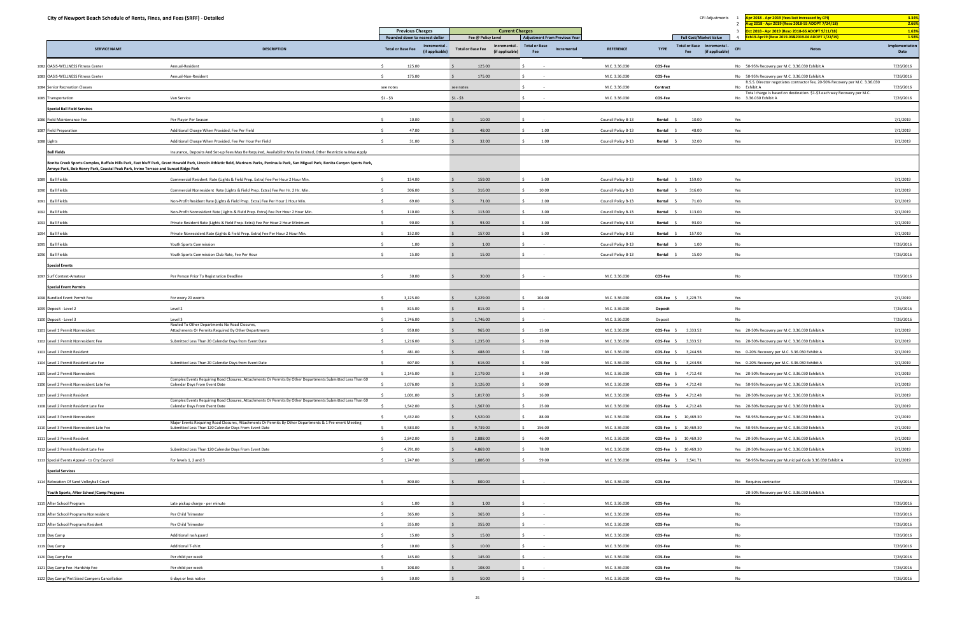| City of Newport Beach Schedule of Rents, Fines, and Fees (SRFF) - Detailed           |                                                                                                                                                                                          |                          |                                                                  |                          |                                                        |                                                                                    |                     | CPI Adjustments | Apr 2018 - Apr 2019 (fees last increased by CPI)<br>ug 2018 - Apr 2019 (Reso 2018-55 ADOPT 7/24/18) | 3.34%                                                                                             |                                 |
|--------------------------------------------------------------------------------------|------------------------------------------------------------------------------------------------------------------------------------------------------------------------------------------|--------------------------|------------------------------------------------------------------|--------------------------|--------------------------------------------------------|------------------------------------------------------------------------------------|---------------------|-----------------|-----------------------------------------------------------------------------------------------------|---------------------------------------------------------------------------------------------------|---------------------------------|
|                                                                                      |                                                                                                                                                                                          |                          | <b>Previous Charges</b>                                          |                          | <b>Current Charges</b>                                 |                                                                                    |                     |                 |                                                                                                     | Oct 2018 - Apr 2019 (Reso 2018-66 ADOPT 9/11/18)                                                  | 2.66%<br>1.63%                  |
| <b>SERVICE NAME</b>                                                                  | <b>DESCRIPTION</b>                                                                                                                                                                       | <b>Total or Base Fee</b> | Rounded down to nearest dollar<br>Incremental<br>(if applicable) | <b>Total or Base Fee</b> | Fee @ Policy Level<br>Incremental -<br>(if applicable) | <b>Adjustment From Previous Year</b><br><b>Total or Base</b><br>Incremental<br>Fee | <b>REFERENCE</b>    | <b>TYPE</b>     | <b>Full Cost/Market Value</b><br>Total or Base Incremental -<br>(if applicable)<br>Fee              | eb19-Apr19 (Reso 2019-03&2019-04 ADOPT 1/22/19)<br><b>CPI</b><br><b>Notes</b>                     | 1.58%<br>Implementation<br>Date |
| 1082 OASIS-WELLNESS Fitness Center                                                   | Annual-Resident                                                                                                                                                                          | $\leq$                   | 125.00                                                           |                          | 125.00                                                 |                                                                                    | M.C. 3.36.030       | COS-Fee         |                                                                                                     | No 50-95% Recovery per M.C. 3.36.030 Exhibit A                                                    | 7/26/2016                       |
| 1083 OASIS-WELLNESS Fitness Center                                                   | Annual-Non-Resident                                                                                                                                                                      |                          | 175.00                                                           |                          | 175.00                                                 |                                                                                    | M.C. 3.36.030       | COS-Fee         |                                                                                                     | No 50-95% Recovery per M.C. 3.36.030 Exhibit A                                                    | 7/26/2016                       |
| 1084 Senior Recreation Classes                                                       |                                                                                                                                                                                          | see notes                |                                                                  | see notes                |                                                        |                                                                                    | M.C. 3.36.030       | Contract        |                                                                                                     | R.S.S. Director negotiates contractor fee, 20-50% Recovery per M.C. 3.36.030<br>No Exhibit A      | 7/26/2016                       |
| 1085 Transportation                                                                  | Van Service                                                                                                                                                                              | $$1 - $3$                |                                                                  | $$1 - $3$                |                                                        |                                                                                    | M.C. 3.36.030       | COS-Fee         |                                                                                                     | Total charge is based on destination. \$1-\$3 each way Recovery per M.C.<br>No 3.36.030 Exhibit A | 7/26/2016                       |
| <b>Special Ball Field Services</b>                                                   |                                                                                                                                                                                          |                          |                                                                  |                          |                                                        |                                                                                    |                     |                 |                                                                                                     |                                                                                                   |                                 |
|                                                                                      |                                                                                                                                                                                          |                          |                                                                  |                          |                                                        |                                                                                    |                     |                 |                                                                                                     |                                                                                                   |                                 |
| 1086 Field Maintenance Fee                                                           | Per Player Per Season                                                                                                                                                                    |                          | 10.00                                                            |                          | 10.00                                                  |                                                                                    | Council Policy B-13 | Rental \$       | 10.00                                                                                               | Yes                                                                                               | 7/1/2019                        |
| 1087 Field Preparation                                                               | Additional Charge When Provided, Fee Per Field                                                                                                                                           |                          | 47.00                                                            |                          | 48.00                                                  | 1.00                                                                               | Council Policy B-13 | Rental          | 48.00                                                                                               | Yes                                                                                               | 7/1/2019                        |
| 1088 Lights                                                                          | Additional Charge When Provided, Fee Per Hour Per Field                                                                                                                                  | -S                       | 31.00                                                            |                          | 32.00                                                  | 1.00                                                                               | Council Policy B-13 | Rental \$       | 32.00                                                                                               | Yes                                                                                               | 7/1/2019                        |
| <b>Ball Fields</b>                                                                   | Insurance, Deposits And Set-up Fees May Be Required, Availability May Be Limited, Other Restrictions May Apply                                                                           |                          |                                                                  |                          |                                                        |                                                                                    |                     |                 |                                                                                                     |                                                                                                   |                                 |
| Arroyo Park, Bob Henry Park, Coastal Peak Park, Irvine Terrace and Sunset Ridge Park | Bonita Creek Sports Complex, Buffalo Hills Park, East bluff Park, Grant Howald Park, Lincoln Athletic field, Mariners Parks, Peninsula Park, San Miguel Park, Bonita Canyon Sports Park, |                          |                                                                  |                          |                                                        |                                                                                    |                     |                 |                                                                                                     |                                                                                                   |                                 |
| <b>Ball Fields</b><br>1089                                                           | Commercial Resident Rate (Lights & Field Prep. Extra) Fee Per Hour 2 Hour Min.                                                                                                           |                          | 154.00                                                           |                          | 159.00                                                 | 5.00                                                                               | Council Policy B-13 | Rental \$       | 159.00                                                                                              | Yes                                                                                               | 7/1/2019                        |
| <b>Ball Fields</b><br>1090                                                           | Commercial Nonresident Rate (Lights & Field Prep. Extra) Fee Per Hr. 2 Hr. Min.                                                                                                          |                          | 306.00                                                           |                          | 316.00                                                 | 10.00                                                                              | Council Policy B-13 | Rental \$       | 316.00                                                                                              | Yes                                                                                               | 7/1/2019                        |
| <b>Ball Fields</b><br>1091                                                           | Non-Profit Resident Rate (Lights & Field Prep. Extra) Fee Per Hour 2 Hour Min.                                                                                                           | -Ś.                      | 69.00                                                            |                          | 71.00                                                  | 2.00                                                                               | Council Policy B-13 | Rental \$       | 71.00                                                                                               | Yes                                                                                               | 7/1/2019                        |
| <b>Ball Fields</b><br>1092                                                           | Non-Profit Nonresident Rate (Lights & Field Prep. Extra) Fee Per Hour 2 Hour Min.                                                                                                        |                          | 110.00                                                           |                          | 113.00                                                 | 3.00                                                                               | Council Policy B-13 | Rental          | 113.00                                                                                              | Yes                                                                                               | 7/1/2019                        |
| <b>Ball Fields</b><br>1093                                                           | Private Resident Rate (Lights & Field Prep. Extra) Fee Per Hour 2 Hour Minimum                                                                                                           |                          | 90.00                                                            |                          | 93.00                                                  | 3.00                                                                               | Council Policy B-13 | Rental \$       | 93.00                                                                                               | Yes                                                                                               | 7/1/2019                        |
| <b>Ball Fields</b><br>1094                                                           | Private Nonresident Rate (Lights & Field Prep. Extra) Fee Per Hour 2 Hour Min.                                                                                                           |                          | 152.00                                                           |                          | 157.00                                                 | 5.00                                                                               | Council Policy B-13 | Rental \$       | 157.00                                                                                              | Yes                                                                                               | 7/1/2019                        |
| <b>Ball Fields</b><br>1095                                                           | Youth Sports Commission                                                                                                                                                                  | $\zeta$                  | 1.00                                                             |                          | 1.00                                                   |                                                                                    | Council Policy B-13 | Rental          | 1.00                                                                                                | No                                                                                                | 7/26/2016                       |
| <b>Ball Fields</b><br>1096                                                           | Youth Sports Commission Club Rate, Fee Per Hour                                                                                                                                          |                          | 15.00                                                            |                          | 15.00                                                  |                                                                                    | Council Policy B-13 | Rental \$       | 15.00                                                                                               | No                                                                                                | 7/26/2016                       |
| <b>Special Events</b>                                                                |                                                                                                                                                                                          |                          |                                                                  |                          |                                                        |                                                                                    |                     |                 |                                                                                                     |                                                                                                   |                                 |
| 1097 Surf Contest-Amateur                                                            | Per Person Prior To Registration Deadline                                                                                                                                                | $\leq$                   | 30.00                                                            |                          | 30.00                                                  |                                                                                    | M.C. 3.36.030       | COS-Fee         |                                                                                                     | No                                                                                                | 7/26/2016                       |
| <b>Special Event Permits</b>                                                         |                                                                                                                                                                                          |                          |                                                                  |                          |                                                        |                                                                                    |                     |                 |                                                                                                     |                                                                                                   |                                 |
| 1098 Bundled Event Permit Fee                                                        | For every 20 events                                                                                                                                                                      | $\sim$                   | 3,125.00                                                         |                          | 3,229.00                                               | 104.00                                                                             | M.C. 3.36.030       | $COS-Fee$ \$    | 3,229.75                                                                                            | Yes                                                                                               | 7/1/2019                        |
| 1099 Deposit - Level 2                                                               | Level 2                                                                                                                                                                                  | S.                       | 815.00                                                           |                          | 815.00                                                 |                                                                                    | M.C. 3.36.030       | <b>Deposit</b>  |                                                                                                     | No                                                                                                | 7/26/2016                       |
| 1100 Deposit - Level 3                                                               | Level 3                                                                                                                                                                                  | S.                       | 1,746.00                                                         |                          | 1,746.00                                               |                                                                                    | M.C. 3.36.030       | Deposit         |                                                                                                     | No                                                                                                | 7/26/2016                       |
| 1101 Level 1 Permit Nonresident                                                      | Routed To Other Departments No Road Closures,<br>Attachments Or Permits Required By Other Departments                                                                                    |                          | 950.00                                                           |                          | 965.00                                                 | 15.00                                                                              | M.C. 3.36.030       | $COS-Fee$ \$    | 3,333.52                                                                                            | Yes 20-50% Recovery per M.C. 3.36.030 Exhibit A                                                   | 7/1/2019                        |
| 1102 Level 1 Permit Nonresident Fee                                                  | Submitted Less Than 20 Calendar Days from Event Date                                                                                                                                     | $\leq$                   | 1,216.00                                                         |                          | 1,235.00                                               | 19.00                                                                              | M.C. 3.36.030       |                 | 3,333.52                                                                                            | Yes 20-50% Recovery per M.C. 3.36.030 Exhibit A                                                   | 7/1/2019                        |
|                                                                                      |                                                                                                                                                                                          |                          |                                                                  |                          |                                                        |                                                                                    |                     | $COS-Fee$ \$    |                                                                                                     |                                                                                                   |                                 |
| 1103 Level 1 Permit Resident                                                         |                                                                                                                                                                                          |                          | 481.00                                                           |                          | 488.00                                                 | 7.00                                                                               | M.C. 3.36.030       |                 | $COS-Fee$ \$ 3,244.98                                                                               | Yes 0-20% Recovery per M.C. 3.36.030 Exhibit A                                                    | 7/1/2019                        |
| 1104 Level 1 Permit Resident Late Fee                                                | Submitted Less Than 20 Calendar Days from Event Date                                                                                                                                     |                          | 607.00                                                           |                          | 616.00                                                 | 9.00                                                                               | M.C. 3.36.030       |                 | COS-Fee \$ 3,244.98                                                                                 | Yes 0-20% Recovery per M.C. 3.36.030 Exhibit A                                                    | 7/1/2019                        |
| 1105 Level 2 Permit Nonresident                                                      | Complex Events Requiring Road Closures, Attachments Or Permits By Other Departments Submitted Less Than 60                                                                               |                          | 2,145.00                                                         |                          | 2,179.00                                               | 34.00                                                                              | M.C. 3.36.030       |                 | COS-Fee \$ 4,712.48                                                                                 | Yes 20-50% Recovery per M.C. 3.36.030 Exhibit A                                                   | 7/1/2019                        |
| 1106 Level 2 Permit Nonresident Late Fee                                             | Calendar Days From Event Date                                                                                                                                                            |                          | 3,076.00                                                         |                          | 3,126.00                                               | 50.00<br>S.                                                                        | M.C. 3.36.030       |                 | COS-Fee \$ 4,712.48                                                                                 | Yes 50-95% Recovery per M.C. 3.36.030 Exhibit A                                                   | 7/1/2019                        |
| 1107 Level 2 Permit Resident                                                         | Complex Events Requiring Road Closures, Attachments Or Permits By Other Departments Submitted Less Than 60                                                                               |                          | 1,001.00                                                         |                          | 1,017.00                                               | 16.00                                                                              | M.C. 3.36.030       |                 | $COS-Fee$ \$ 4,712.48                                                                               | Yes 20-50% Recovery per M.C. 3.36.030 Exhibit A                                                   | 7/1/2019                        |
| 1108 Level 2 Permit Resident Late Fee                                                | Calendar Days From Event Date                                                                                                                                                            |                          | 1,542.00                                                         |                          | 1,567.00                                               | 25.00                                                                              | M.C. 3.36.030       |                 | COS-Fee \$ 4,712.48                                                                                 | Yes 20-50% Recovery per M.C. 3.36.030 Exhibit A                                                   | 7/1/2019                        |
| 1109 Level 3 Permit Nonresident                                                      | Major Events Requiring Road Closures, Attachments Or Permits By Other Departments & 1 Pre-event Meeting                                                                                  | S.                       | 5,432.00                                                         |                          | 5,520.00                                               | 88.00<br>S.                                                                        | M.C. 3.36.030       |                 | COS-Fee \$ 10,469.30                                                                                | Yes 50-95% Recovery per M.C. 3.36.030 Exhibit A                                                   | 7/1/2019                        |
| 1110 Level 3 Permit Nonresident Late Fee                                             | Submitted Less Than 120 Calendar Days From Event Date                                                                                                                                    |                          | 9,583.00                                                         |                          | 9,739.00                                               | 156.00                                                                             | M.C. 3.36.030       |                 | COS-Fee \$ 10,469.30                                                                                | Yes 50-95% Recovery per M.C. 3.36.030 Exhibit A                                                   | 7/1/2019                        |
| 1111 Level 3 Permit Resident                                                         |                                                                                                                                                                                          |                          | 2,842.00                                                         |                          | 2,888.00                                               | 46.00                                                                              | M.C. 3.36.030       |                 | COS-Fee \$ 10,469.30                                                                                | Yes 20-50% Recovery per M.C. 3.36.030 Exhibit A                                                   | 7/1/2019                        |
| 1112 Level 3 Permit Resident Late Fee                                                | Submitted Less Than 120 Calendar Days From Event Date                                                                                                                                    | S.                       | 4,791.00                                                         |                          | 4,869.00                                               | 78.00                                                                              | M.C. 3.36.030       |                 | COS-Fee \$ 10,469.30                                                                                | Yes 20-50% Recovery per M.C. 3.36.030 Exhibit A                                                   | 7/1/2019                        |
| 1113 Special Events Appeal - to City Council                                         | For levels 1, 2 and 3                                                                                                                                                                    |                          | 1,747.00                                                         |                          | 1,806.00                                               | 59.00                                                                              | M.C. 3.36.030       |                 | COS-Fee \$ 3,541.71                                                                                 | Yes 50-95% Recovery per Municipal Code 3.36.030 Exhibit A                                         | 7/1/2019                        |
| <b>Special Services</b>                                                              |                                                                                                                                                                                          |                          |                                                                  |                          |                                                        |                                                                                    |                     |                 |                                                                                                     |                                                                                                   |                                 |
| 1114 Relocation Of Sand Volleyball Court                                             |                                                                                                                                                                                          |                          | 800.00                                                           |                          | 800.00                                                 |                                                                                    | M.C. 3.36.030       | COS-Fee         |                                                                                                     | No Requires contractor                                                                            | 7/26/2016                       |
| Youth Sports, After School/Camp Programs                                             |                                                                                                                                                                                          |                          |                                                                  |                          |                                                        |                                                                                    |                     |                 |                                                                                                     | 20-50% Recovery per M.C. 3.36.030 Exhibit A                                                       |                                 |
| 1115 After School Program                                                            | Late pickup charge - per minute                                                                                                                                                          |                          | 1.00                                                             |                          | 1.00                                                   |                                                                                    | M.C. 3.36.030       | COS-Fee         |                                                                                                     | No                                                                                                | 7/26/2016                       |
| 1116 After School Programs Nonresident                                               | Per Child Trimester                                                                                                                                                                      |                          | 365.00                                                           |                          | 365.00                                                 |                                                                                    | M.C. 3.36.030       | COS-Fee         |                                                                                                     | No                                                                                                | 7/26/2016                       |
| 1117 After School Programs Resident                                                  | Per Child Trimester                                                                                                                                                                      | -S                       | 355.00                                                           |                          | 355.00                                                 |                                                                                    | M.C. 3.36.030       | COS-Fee         |                                                                                                     | No                                                                                                | 7/26/2016                       |
| 1118 Day Camp                                                                        | Additional rash guard                                                                                                                                                                    | $\ddot{\phantom{1}}$     | 15.00                                                            |                          | 15.00                                                  |                                                                                    | M.C. 3.36.030       | COS-Fee         |                                                                                                     | No                                                                                                | 7/26/2016                       |
| 1119 Day Camp                                                                        | <b>Additional T-shirt</b>                                                                                                                                                                | $\zeta$                  | 10.00                                                            |                          | 10.00                                                  |                                                                                    | M.C. 3.36.030       | COS-Fee         |                                                                                                     | No                                                                                                | 7/26/2016                       |
| 1120 Day Camp Fee                                                                    | Per child per week                                                                                                                                                                       | S.                       | 145.00                                                           |                          | 145.00                                                 |                                                                                    | M.C. 3.36.030       | COS-Fee         |                                                                                                     | No                                                                                                | 7/26/2016                       |
| 1121 Day Camp Fee- Hardship Fee                                                      | Per child per week                                                                                                                                                                       |                          | 108.00                                                           |                          | 108.00                                                 |                                                                                    | M.C. 3.36.030       | COS-Fee         |                                                                                                     | No                                                                                                | 7/26/2016                       |
| 1122 Day Camp/Pint Sized Campers Cancellation                                        | 6 days or less notice                                                                                                                                                                    |                          | 50.00                                                            |                          | 50.00                                                  |                                                                                    | M.C. 3.36.030       | COS-Fee         |                                                                                                     | No                                                                                                | 7/26/2016                       |
|                                                                                      |                                                                                                                                                                                          |                          |                                                                  |                          |                                                        |                                                                                    |                     |                 |                                                                                                     |                                                                                                   |                                 |